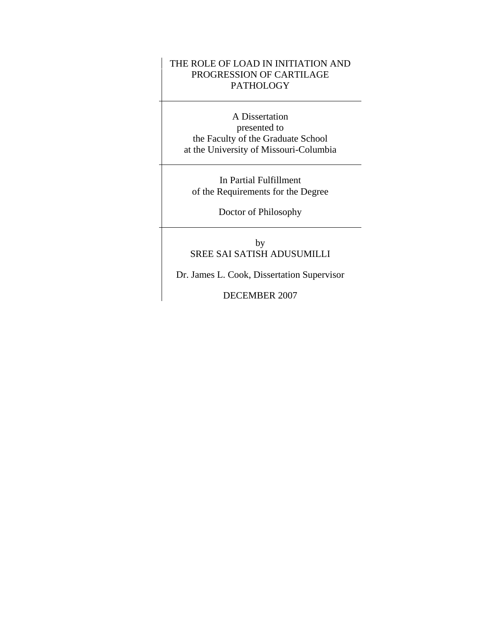## THE ROLE OF LOAD IN INITIATION AND PROGRESSION OF CARTILAGE PATHOLOGY

A Dissertation presented to the Faculty of the Graduate School at the University of Missouri-Columbia

In Partial Fulfillment of the Requirements for the Degree

Doctor of Philosophy

by SREE SAI SATISH ADUSUMILLI

Dr. James L. Cook, Dissertation Supervisor

DECEMBER 2007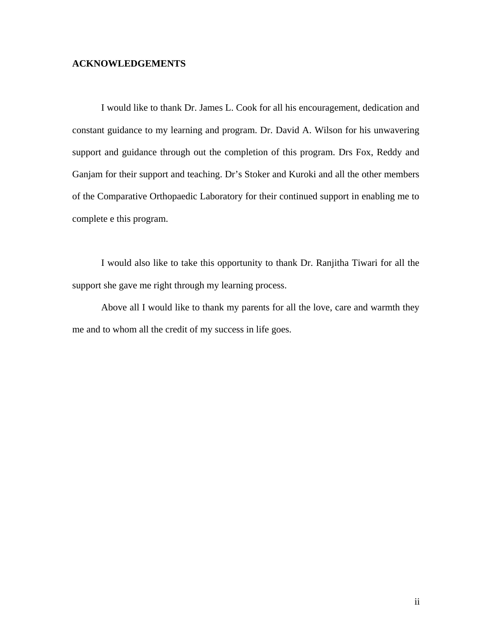### **ACKNOWLEDGEMENTS**

I would like to thank Dr. James L. Cook for all his encouragement, dedication and constant guidance to my learning and program. Dr. David A. Wilson for his unwavering support and guidance through out the completion of this program. Drs Fox, Reddy and Ganjam for their support and teaching. Dr's Stoker and Kuroki and all the other members of the Comparative Orthopaedic Laboratory for their continued support in enabling me to complete e this program.

I would also like to take this opportunity to thank Dr. Ranjitha Tiwari for all the support she gave me right through my learning process.

Above all I would like to thank my parents for all the love, care and warmth they me and to whom all the credit of my success in life goes.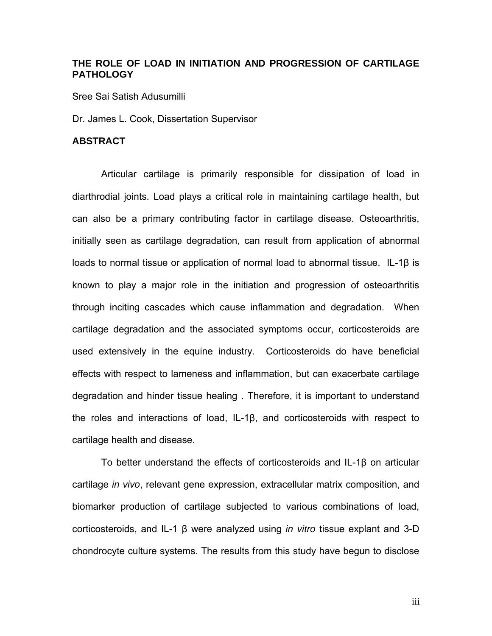## **THE ROLE OF LOAD IN INITIATION AND PROGRESSION OF CARTILAGE PATHOLOGY**

Sree Sai Satish Adusumilli

Dr. James L. Cook, Dissertation Supervisor

### **ABSTRACT**

Articular cartilage is primarily responsible for dissipation of load in diarthrodial joints. Load plays a critical role in maintaining cartilage health, but can also be a primary contributing factor in cartilage disease. Osteoarthritis, initially seen as cartilage degradation, can result from application of abnormal loads to normal tissue or application of normal load to abnormal tissue. IL-1β is known to play a major role in the initiation and progression of osteoarthritis through inciting cascades which cause inflammation and degradation. When cartilage degradation and the associated symptoms occur, corticosteroids are used extensively in the equine industry. Corticosteroids do have beneficial effects with respect to lameness and inflammation, but can exacerbate cartilage degradation and hinder tissue healing . Therefore, it is important to understand the roles and interactions of load, IL-1β, and corticosteroids with respect to cartilage health and disease.

To better understand the effects of corticosteroids and IL-1β on articular cartilage *in vivo*, relevant gene expression, extracellular matrix composition, and biomarker production of cartilage subjected to various combinations of load, corticosteroids, and IL-1 β were analyzed using *in vitro* tissue explant and 3-D chondrocyte culture systems. The results from this study have begun to disclose

iii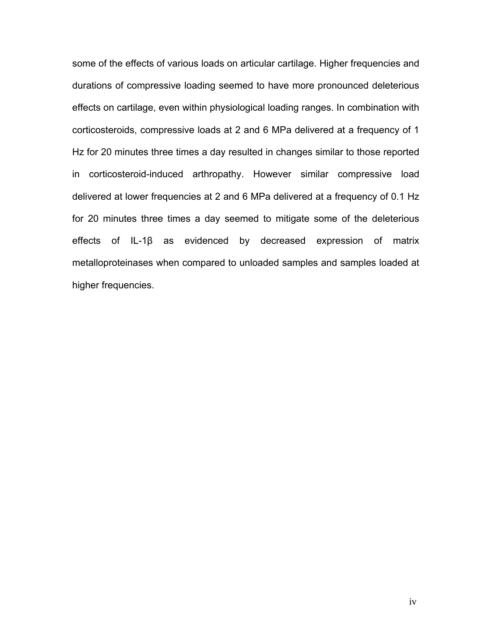some of the effects of various loads on articular cartilage. Higher frequencies and durations of compressive loading seemed to have more pronounced deleterious effects on cartilage, even within physiological loading ranges. In combination with corticosteroids, compressive loads at 2 and 6 MPa delivered at a frequency of 1 Hz for 20 minutes three times a day resulted in changes similar to those reported in corticosteroid-induced arthropathy. However similar compressive load delivered at lower frequencies at 2 and 6 MPa delivered at a frequency of 0.1 Hz for 20 minutes three times a day seemed to mitigate some of the deleterious effects of IL-1β as evidenced by decreased expression of matrix metalloproteinases when compared to unloaded samples and samples loaded at higher frequencies.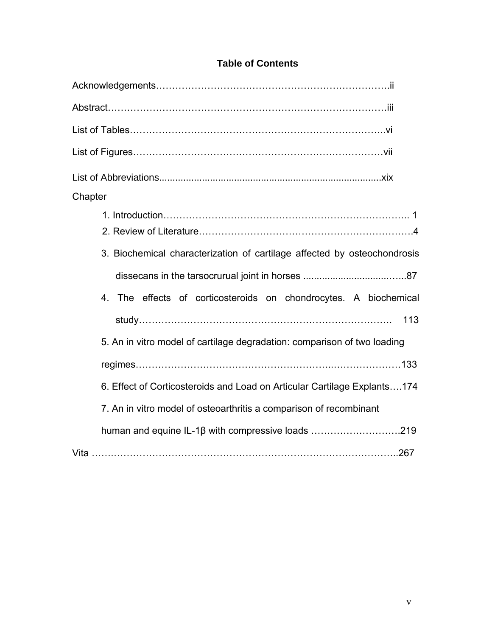| List of Figures……………………………………………………………………vii                             |
|--------------------------------------------------------------------------|
|                                                                          |
| Chapter                                                                  |
|                                                                          |
|                                                                          |
| 3. Biochemical characterization of cartilage affected by osteochondrosis |
|                                                                          |
| 4. The effects of corticosteroids on chondrocytes. A biochemical         |
| 113                                                                      |
| 5. An in vitro model of cartilage degradation: comparison of two loading |
|                                                                          |
| 6. Effect of Corticosteroids and Load on Articular Cartilage Explants174 |
| 7. An in vitro model of osteoarthritis a comparison of recombinant       |
| human and equine IL-1β with compressive loads 219                        |
|                                                                          |

# **Table of Contents**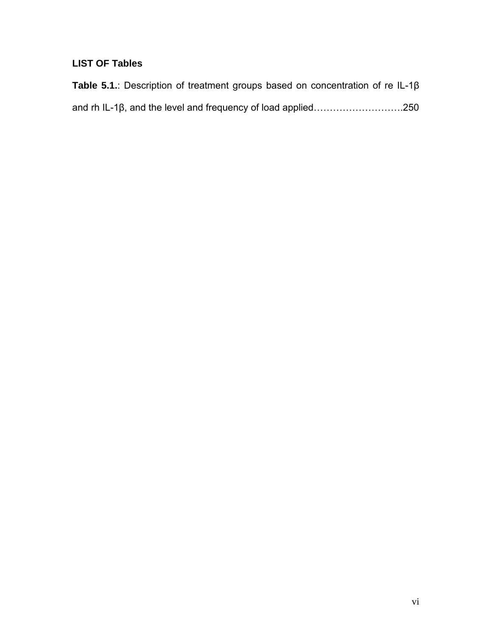# **LIST OF Tables**

| <b>Table 5.1.:</b> Description of treatment groups based on concentration of re IL-1 $\beta$ |  |  |  |
|----------------------------------------------------------------------------------------------|--|--|--|
|                                                                                              |  |  |  |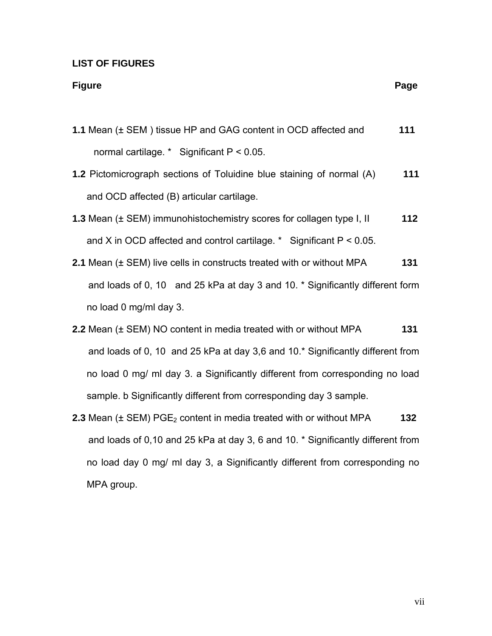### **LIST OF FIGURES**

#### **Figure Page 2018**

- **1.1** Mean (± SEM ) tissue HP and GAG content in OCD affected and **111** normal cartilage. \* Significant P < 0.05.
- **1.2** Pictomicrograph sections of Toluidine blue staining of normal (A) **111**  and OCD affected (B) articular cartilage.
- **1.3** Mean (± SEM) immunohistochemistry scores for collagen type I, II **112** and X in OCD affected and control cartilage. \* Significant P < 0.05.
- **2.1** Mean (± SEM) live cells in constructs treated with or without MPA **131** and loads of 0, 10 and 25 kPa at day 3 and 10. \* Significantly different form no load 0 mg/ml day 3.
- **2.2** Mean (± SEM) NO content in media treated with or without MPA **131** and loads of 0, 10 and 25 kPa at day 3,6 and 10.\* Significantly different from no load 0 mg/ ml day 3. a Significantly different from corresponding no load sample. b Significantly different from corresponding day 3 sample.
- **2.3** Mean  $(\pm$  SEM) PGE<sub>2</sub> content in media treated with or without MPA  $\blacksquare$  132 and loads of 0,10 and 25 kPa at day 3, 6 and 10. \* Significantly different from no load day 0 mg/ ml day 3, a Significantly different from corresponding no MPA group.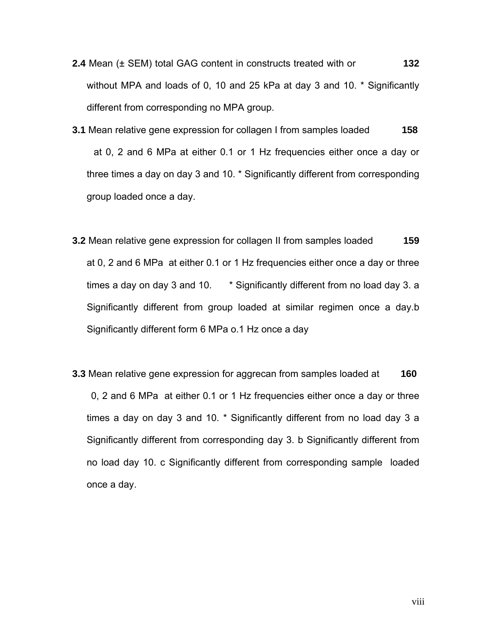- **2.4** Mean (± SEM) total GAG content in constructs treated with or **132**  without MPA and loads of 0, 10 and 25 kPa at day 3 and 10. \* Significantly different from corresponding no MPA group.
- **3.1** Mean relative gene expression for collagen I from samples loaded **158** at 0, 2 and 6 MPa at either 0.1 or 1 Hz frequencies either once a day or three times a day on day 3 and 10. \* Significantly different from corresponding group loaded once a day.
- **3.2** Mean relative gene expression for collagen II from samples loaded **159**  at 0, 2 and 6 MPa at either 0.1 or 1 Hz frequencies either once a day or three times a day on day 3 and 10. \* Significantly different from no load day 3. a Significantly different from group loaded at similar regimen once a day.b Significantly different form 6 MPa o.1 Hz once a day
- **3.3** Mean relative gene expression for aggrecan from samples loaded at **160** 0, 2 and 6 MPa at either 0.1 or 1 Hz frequencies either once a day or three times a day on day 3 and 10. \* Significantly different from no load day 3 a Significantly different from corresponding day 3. b Significantly different from no load day 10. c Significantly different from corresponding sample loaded once a day.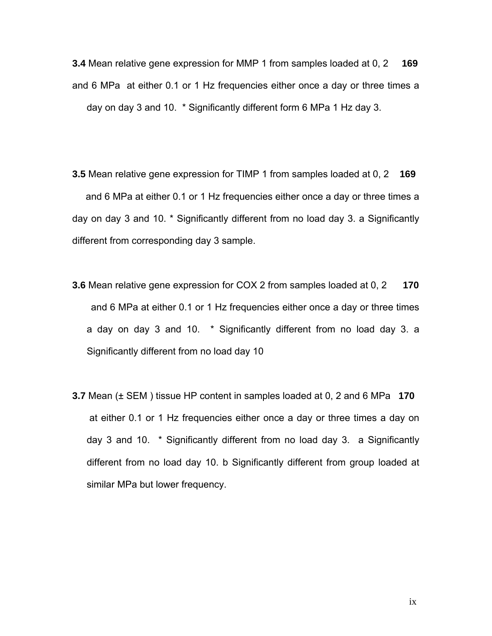**3.4** Mean relative gene expression for MMP 1 from samples loaded at 0, 2 **169** and 6 MPa at either 0.1 or 1 Hz frequencies either once a day or three times a day on day 3 and 10. \* Significantly different form 6 MPa 1 Hz day 3.

**3.5** Mean relative gene expression for TIMP 1 from samples loaded at 0, 2 **169**  and 6 MPa at either 0.1 or 1 Hz frequencies either once a day or three times a day on day 3 and 10. \* Significantly different from no load day 3. a Significantly different from corresponding day 3 sample.

- **3.6** Mean relative gene expression for COX 2 from samples loaded at 0, 2 **170** and 6 MPa at either 0.1 or 1 Hz frequencies either once a day or three times a day on day 3 and 10. \* Significantly different from no load day 3. a Significantly different from no load day 10
- **3.7** Mean (± SEM ) tissue HP content in samples loaded at 0, 2 and 6 MPa **170**  at either 0.1 or 1 Hz frequencies either once a day or three times a day on day 3 and 10. \* Significantly different from no load day 3. a Significantly different from no load day 10. b Significantly different from group loaded at similar MPa but lower frequency.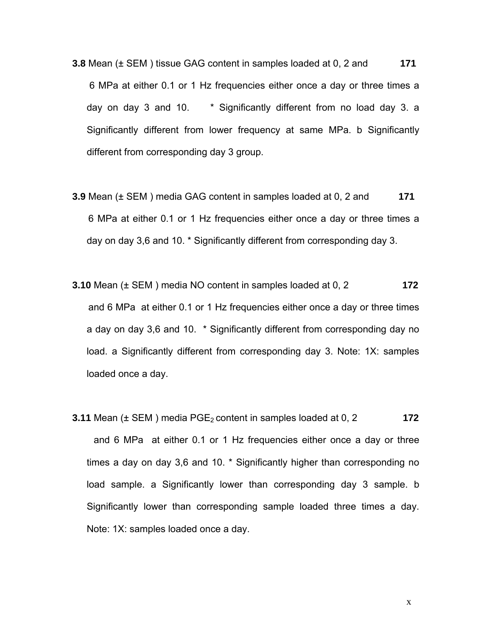- **3.8** Mean (± SEM ) tissue GAG content in samples loaded at 0, 2 and **171** 6 MPa at either 0.1 or 1 Hz frequencies either once a day or three times a day on day 3 and 10. \* Significantly different from no load day 3. a Significantly different from lower frequency at same MPa. b Significantly different from corresponding day 3 group.
- **3.9** Mean (± SEM ) media GAG content in samples loaded at 0, 2 and **171** 6 MPa at either 0.1 or 1 Hz frequencies either once a day or three times a day on day 3,6 and 10. \* Significantly different from corresponding day 3.
- **3.10** Mean (± SEM ) media NO content in samples loaded at 0, 2 **172** and 6 MPa at either 0.1 or 1 Hz frequencies either once a day or three times a day on day 3,6 and 10. \* Significantly different from corresponding day no load. a Significantly different from corresponding day 3. Note: 1X: samples loaded once a day.
- **3.11** Mean (± SEM ) media PGE2 content in samples loaded at 0, 2 **172** and 6 MPa at either 0.1 or 1 Hz frequencies either once a day or three times a day on day 3,6 and 10. \* Significantly higher than corresponding no load sample. a Significantly lower than corresponding day 3 sample. b Significantly lower than corresponding sample loaded three times a day. Note: 1X: samples loaded once a day.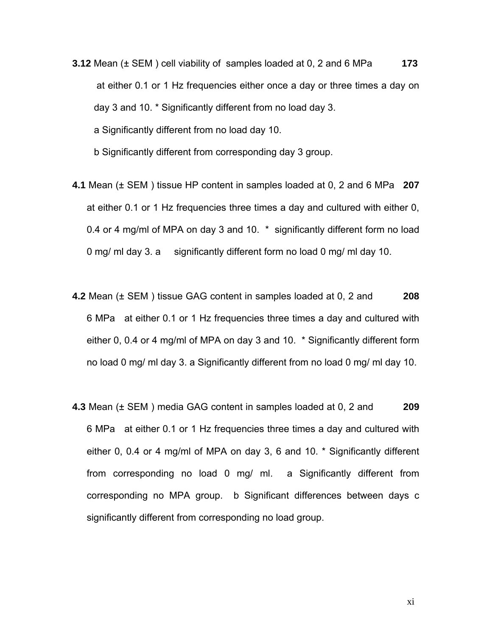- **3.12** Mean (± SEM ) cell viability of samples loaded at 0, 2 and 6 MPa **173**  at either 0.1 or 1 Hz frequencies either once a day or three times a day on day 3 and 10. \* Significantly different from no load day 3. a Significantly different from no load day 10. b Significantly different from corresponding day 3 group.
- **4.1** Mean (± SEM ) tissue HP content in samples loaded at 0, 2 and 6 MPa **207**  at either 0.1 or 1 Hz frequencies three times a day and cultured with either 0, 0.4 or 4 mg/ml of MPA on day 3 and 10. \* significantly different form no load 0 mg/ ml day 3. a significantly different form no load 0 mg/ ml day 10.
- **4.2** Mean (± SEM ) tissue GAG content in samples loaded at 0, 2 and **208**  6 MPa at either 0.1 or 1 Hz frequencies three times a day and cultured with either 0, 0.4 or 4 mg/ml of MPA on day 3 and 10. \* Significantly different form no load 0 mg/ ml day 3. a Significantly different from no load 0 mg/ ml day 10.
- **4.3** Mean (± SEM ) media GAG content in samples loaded at 0, 2 and **209**  6 MPa at either 0.1 or 1 Hz frequencies three times a day and cultured with either 0, 0.4 or 4 mg/ml of MPA on day 3, 6 and 10. \* Significantly different from corresponding no load 0 mg/ ml. a Significantly different from corresponding no MPA group. b Significant differences between days c significantly different from corresponding no load group.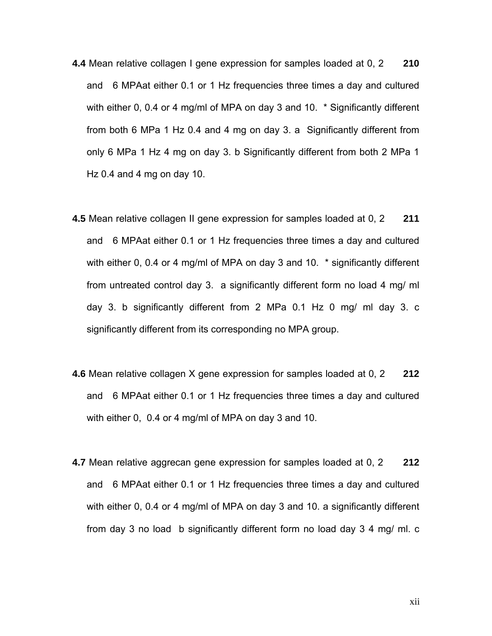- **4.4** Mean relative collagen I gene expression for samples loaded at 0, 2 **210**  and 6 MPAat either 0.1 or 1 Hz frequencies three times a day and cultured with either 0, 0.4 or 4 mg/ml of MPA on day 3 and 10. \* Significantly different from both 6 MPa 1 Hz 0.4 and 4 mg on day 3. a Significantly different from only 6 MPa 1 Hz 4 mg on day 3. b Significantly different from both 2 MPa 1 Hz 0.4 and 4 mg on day 10.
- **4.5** Mean relative collagen II gene expression for samples loaded at 0, 2 **211**  and 6 MPAat either 0.1 or 1 Hz frequencies three times a day and cultured with either 0, 0.4 or 4 mg/ml of MPA on day 3 and 10. \* significantly different from untreated control day 3. a significantly different form no load 4 mg/ ml day 3. b significantly different from 2 MPa 0.1 Hz 0 mg/ ml day 3. c significantly different from its corresponding no MPA group.
- **4.6** Mean relative collagen X gene expression for samples loaded at 0, 2 **212**  and 6 MPAat either 0.1 or 1 Hz frequencies three times a day and cultured with either 0, 0.4 or 4 mg/ml of MPA on day 3 and 10.
- **4.7** Mean relative aggrecan gene expression for samples loaded at 0, 2 **212**  and 6 MPAat either 0.1 or 1 Hz frequencies three times a day and cultured with either 0, 0.4 or 4 mg/ml of MPA on day 3 and 10. a significantly different from day 3 no load b significantly different form no load day 3 4 mg/ ml. c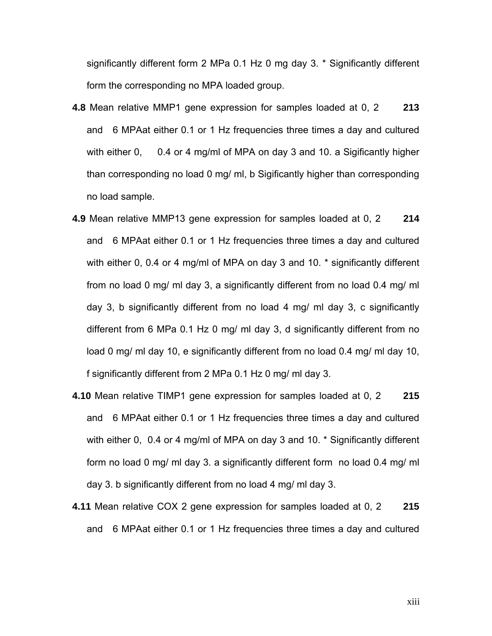significantly different form 2 MPa 0.1 Hz 0 mg day 3. \* Significantly different form the corresponding no MPA loaded group.

- **4.8** Mean relative MMP1 gene expression for samples loaded at 0, 2 **213**  and 6 MPAat either 0.1 or 1 Hz frequencies three times a day and cultured with either 0, 0.4 or 4 mg/ml of MPA on day 3 and 10. a Sigificantly higher than corresponding no load 0 mg/ ml, b Sigificantly higher than corresponding no load sample.
- **4.9** Mean relative MMP13 gene expression for samples loaded at 0, 2 **214**  and 6 MPAat either 0.1 or 1 Hz frequencies three times a day and cultured with either 0, 0.4 or 4 mg/ml of MPA on day 3 and 10. \* significantly different from no load 0 mg/ ml day 3, a significantly different from no load 0.4 mg/ ml day 3, b significantly different from no load 4 mg/ ml day 3, c significantly different from 6 MPa 0.1 Hz 0 mg/ ml day 3, d significantly different from no load 0 mg/ ml day 10, e significantly different from no load 0.4 mg/ ml day 10, f significantly different from 2 MPa 0.1 Hz 0 mg/ ml day 3.
- **4.10** Mean relative TIMP1 gene expression for samples loaded at 0, 2 **215**  and 6 MPAat either 0.1 or 1 Hz frequencies three times a day and cultured with either 0, 0.4 or 4 mg/ml of MPA on day 3 and 10. \* Significantly different form no load 0 mg/ ml day 3. a significantly different form no load 0.4 mg/ ml day 3. b significantly different from no load 4 mg/ ml day 3.
- **4.11** Mean relative COX 2 gene expression for samples loaded at 0, 2 **215**  and 6 MPAat either 0.1 or 1 Hz frequencies three times a day and cultured

xiii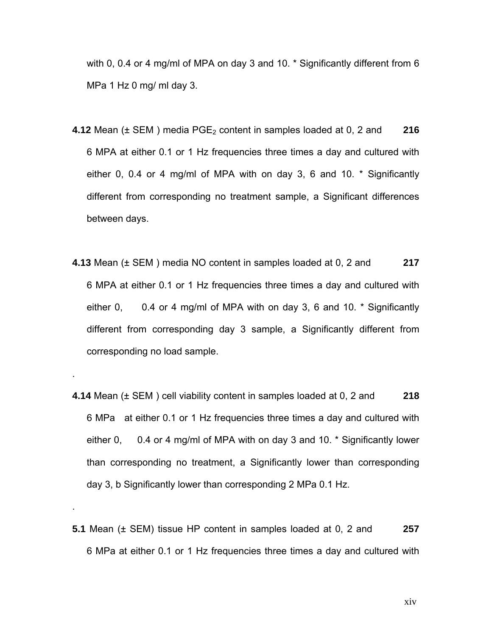with 0, 0.4 or 4 mg/ml of MPA on day 3 and 10. \* Significantly different from 6 MPa 1 Hz 0 mg/ ml day 3.

- **4.12** Mean ( $\pm$  SEM) media PGE<sub>2</sub> content in samples loaded at 0, 2 and **216** 6 MPA at either 0.1 or 1 Hz frequencies three times a day and cultured with either 0, 0.4 or 4 mg/ml of MPA with on day 3, 6 and 10. \* Significantly different from corresponding no treatment sample, a Significant differences between days.
- **4.13** Mean (± SEM ) media NO content in samples loaded at 0, 2 and **217**  6 MPA at either 0.1 or 1 Hz frequencies three times a day and cultured with either 0, 0.4 or 4 mg/ml of MPA with on day 3, 6 and 10. \* Significantly different from corresponding day 3 sample, a Significantly different from corresponding no load sample.

.

.

- **4.14** Mean (± SEM ) cell viability content in samples loaded at 0, 2 and **218**  6 MPa at either 0.1 or 1 Hz frequencies three times a day and cultured with either 0, 0.4 or 4 mg/ml of MPA with on day 3 and 10. \* Significantly lower than corresponding no treatment, a Significantly lower than corresponding day 3, b Significantly lower than corresponding 2 MPa 0.1 Hz.
- **5.1** Mean (± SEM) tissue HP content in samples loaded at 0, 2 and **257** 6 MPa at either 0.1 or 1 Hz frequencies three times a day and cultured with

xiv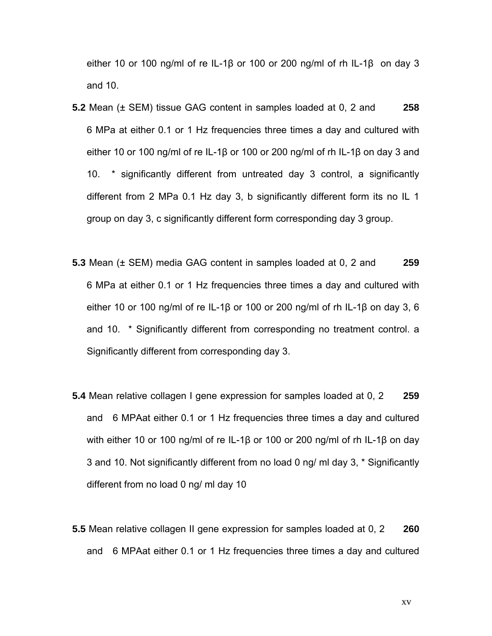either 10 or 100 ng/ml of re IL-1β or 100 or 200 ng/ml of rh IL-1β on day 3 and 10.

- **5.2** Mean (± SEM) tissue GAG content in samples loaded at 0, 2 and **258** 6 MPa at either 0.1 or 1 Hz frequencies three times a day and cultured with either 10 or 100 ng/ml of re IL-1β or 100 or 200 ng/ml of rh IL-1β on day 3 and 10. \* significantly different from untreated day 3 control, a significantly different from 2 MPa 0.1 Hz day 3, b significantly different form its no IL 1 group on day 3, c significantly different form corresponding day 3 group.
- **5.3** Mean (± SEM) media GAG content in samples loaded at 0, 2 and **259** 6 MPa at either 0.1 or 1 Hz frequencies three times a day and cultured with either 10 or 100 ng/ml of re IL-1β or 100 or 200 ng/ml of rh IL-1β on day 3, 6 and 10. \* Significantly different from corresponding no treatment control. a Significantly different from corresponding day 3.
- **5.4** Mean relative collagen I gene expression for samples loaded at 0, 2 **259**  and 6 MPAat either 0.1 or 1 Hz frequencies three times a day and cultured with either 10 or 100 ng/ml of re IL-1β or 100 or 200 ng/ml of rh IL-1β on day 3 and 10. Not significantly different from no load 0 ng/ ml day 3, \* Significantly different from no load 0 ng/ ml day 10
- **5.5** Mean relative collagen II gene expression for samples loaded at 0, 2 **260**  and 6 MPAat either 0.1 or 1 Hz frequencies three times a day and cultured

xv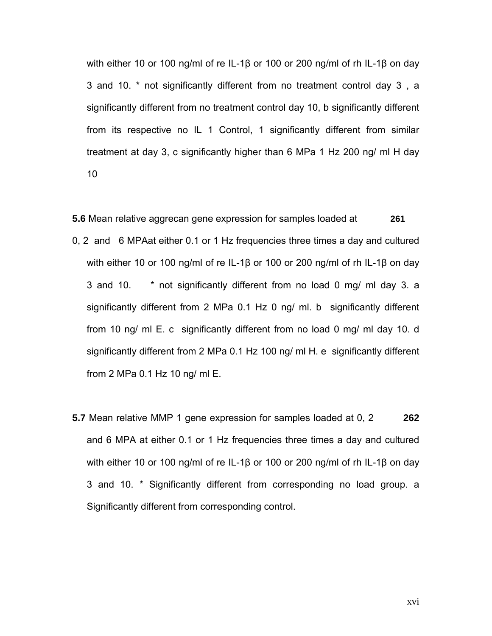with either 10 or 100 ng/ml of re IL-1β or 100 or 200 ng/ml of rh IL-1β on day 3 and 10. \* not significantly different from no treatment control day 3 , a significantly different from no treatment control day 10, b significantly different from its respective no IL 1 Control, 1 significantly different from similar treatment at day 3, c significantly higher than 6 MPa 1 Hz 200 ng/ ml H day 10

**5.6** Mean relative aggrecan gene expression for samples loaded at **261** 0, 2 and 6 MPAat either 0.1 or 1 Hz frequencies three times a day and cultured with either 10 or 100 ng/ml of re IL-1β or 100 or 200 ng/ml of rh IL-1β on day 3 and 10. \* not significantly different from no load 0 mg/ ml day 3. a significantly different from 2 MPa 0.1 Hz 0 ng/ ml. b significantly different from 10 ng/ ml E. c significantly different from no load 0 mg/ ml day 10. d significantly different from 2 MPa 0.1 Hz 100 ng/ ml H. e significantly different from 2 MPa 0.1 Hz 10 ng/ ml E.

**5.7** Mean relative MMP 1 gene expression for samples loaded at 0, 2 **262**  and 6 MPA at either 0.1 or 1 Hz frequencies three times a day and cultured with either 10 or 100 ng/ml of re IL-1β or 100 or 200 ng/ml of rh IL-1β on day 3 and 10. \* Significantly different from corresponding no load group. a Significantly different from corresponding control.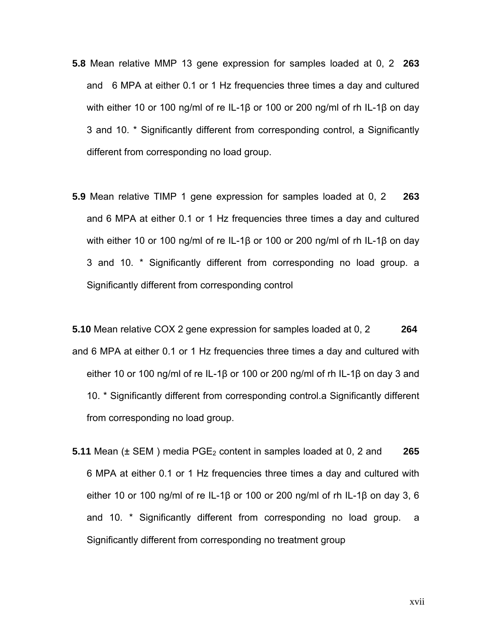- **5.8** Mean relative MMP 13 gene expression for samples loaded at 0, 2 **263**  and6 MPA at either 0.1 or 1 Hz frequencies three times a day and cultured with either 10 or 100 ng/ml of re IL-1β or 100 or 200 ng/ml of rh IL-1β on day 3 and 10. \* Significantly different from corresponding control, a Significantly different from corresponding no load group.
- **5.9** Mean relative TIMP 1 gene expression for samples loaded at 0, 2 **263**  and 6 MPA at either 0.1 or 1 Hz frequencies three times a day and cultured with either 10 or 100 ng/ml of re IL-1β or 100 or 200 ng/ml of rh IL-1β on day 3 and 10. \* Significantly different from corresponding no load group. a Significantly different from corresponding control

**5.10** Mean relative COX 2 gene expression for samples loaded at 0, 2 **264** and 6 MPA at either 0.1 or 1 Hz frequencies three times a day and cultured with either 10 or 100 ng/ml of re IL-1β or 100 or 200 ng/ml of rh IL-1β on day 3 and 10. \* Significantly different from corresponding control.a Significantly different from corresponding no load group.

**5.11** Mean ( $\pm$  SEM) media PGE<sub>2</sub> content in samples loaded at 0, 2 and 265 6 MPA at either 0.1 or 1 Hz frequencies three times a day and cultured with either 10 or 100 ng/ml of re IL-1β or 100 or 200 ng/ml of rh IL-1β on day 3, 6 and 10. \* Significantly different from corresponding no load group. a Significantly different from corresponding no treatment group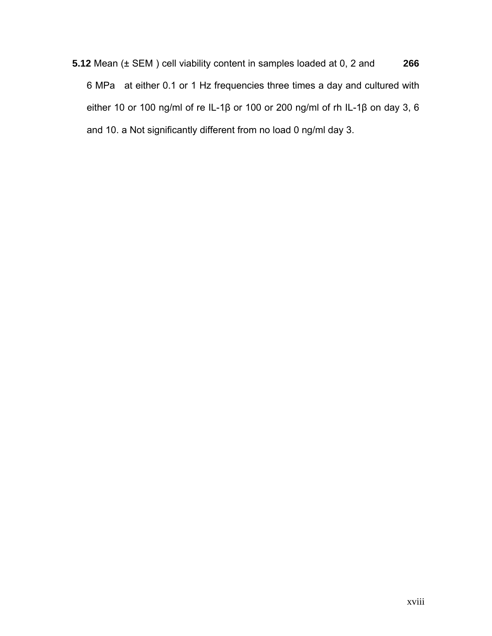**5.12** Mean (± SEM ) cell viability content in samples loaded at 0, 2 and **266**  6 MPa at either 0.1 or 1 Hz frequencies three times a day and cultured with either 10 or 100 ng/ml of re IL-1β or 100 or 200 ng/ml of rh IL-1β on day 3, 6 and 10. a Not significantly different from no load 0 ng/ml day 3.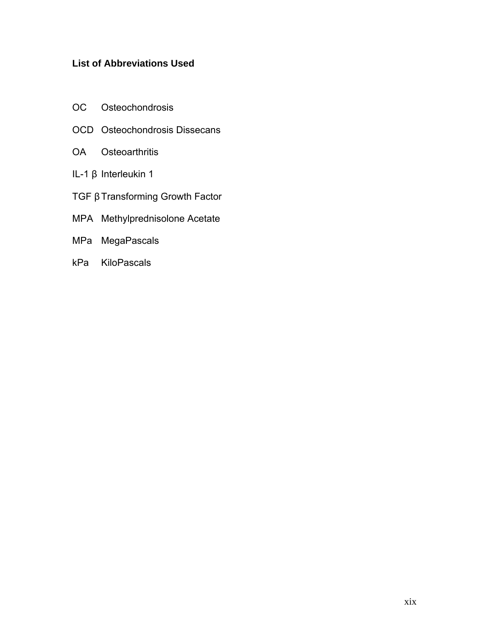# **List of Abbreviations Used**

- OC Osteochondrosis
- OCD Osteochondrosis Dissecans
- OA Osteoarthritis
- IL-1 β Interleukin 1
- TGF β Transforming Growth Factor
- MPA Methylprednisolone Acetate
- MPa MegaPascals
- kPa KiloPascals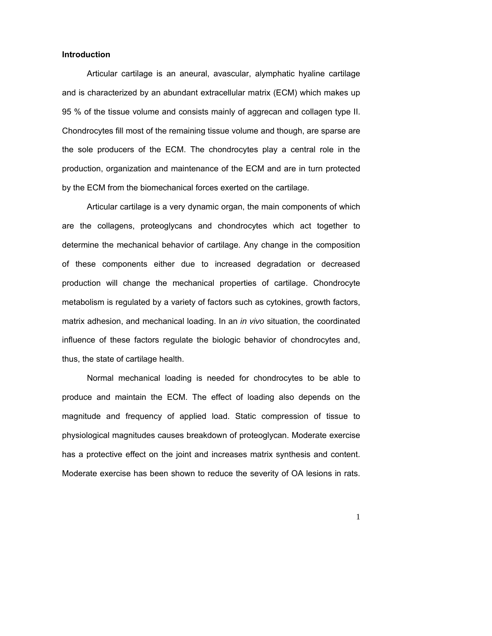#### **Introduction**

Articular cartilage is an aneural, avascular, alymphatic hyaline cartilage and is characterized by an abundant extracellular matrix (ECM) which makes up 95 % of the tissue volume and consists mainly of aggrecan and collagen type II. Chondrocytes fill most of the remaining tissue volume and though, are sparse are the sole producers of the ECM. The chondrocytes play a central role in the production, organization and maintenance of the ECM and are in turn protected by the ECM from the biomechanical forces exerted on the cartilage.

Articular cartilage is a very dynamic organ, the main components of which are the collagens, proteoglycans and chondrocytes which act together to determine the mechanical behavior of cartilage. Any change in the composition of these components either due to increased degradation or decreased production will change the mechanical properties of cartilage. Chondrocyte metabolism is regulated by a variety of factors such as cytokines, growth factors, matrix adhesion, and mechanical loading. In an *in vivo* situation, the coordinated influence of these factors regulate the biologic behavior of chondrocytes and, thus, the state of cartilage health.

Normal mechanical loading is needed for chondrocytes to be able to produce and maintain the ECM. The effect of loading also depends on the magnitude and frequency of applied load. Static compression of tissue to physiological magnitudes causes breakdown of proteoglycan. Moderate exercise has a protective effect on the joint and increases matrix synthesis and content. Moderate exercise has been shown to reduce the severity of OA lesions in rats.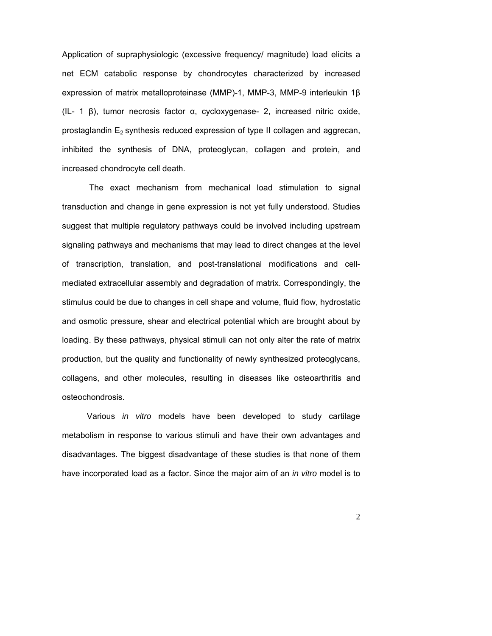Application of supraphysiologic (excessive frequency/ magnitude) load elicits a net ECM catabolic response by chondrocytes characterized by increased expression of matrix metalloproteinase (MMP)-1, MMP-3, MMP-9 interleukin 1β (IL- 1 β), tumor necrosis factor α, cycloxygenase- 2, increased nitric oxide, prostaglandin  $E_2$  synthesis reduced expression of type II collagen and aggrecan, inhibited the synthesis of DNA, proteoglycan, collagen and protein, and increased chondrocyte cell death.

 The exact mechanism from mechanical load stimulation to signal transduction and change in gene expression is not yet fully understood. Studies suggest that multiple regulatory pathways could be involved including upstream signaling pathways and mechanisms that may lead to direct changes at the level of transcription, translation, and post-translational modifications and cellmediated extracellular assembly and degradation of matrix. Correspondingly, the stimulus could be due to changes in cell shape and volume, fluid flow, hydrostatic and osmotic pressure, shear and electrical potential which are brought about by loading. By these pathways, physical stimuli can not only alter the rate of matrix production, but the quality and functionality of newly synthesized proteoglycans, collagens, and other molecules, resulting in diseases like osteoarthritis and osteochondrosis.

Various *in vitro* models have been developed to study cartilage metabolism in response to various stimuli and have their own advantages and disadvantages. The biggest disadvantage of these studies is that none of them have incorporated load as a factor. Since the major aim of an *in vitro* model is to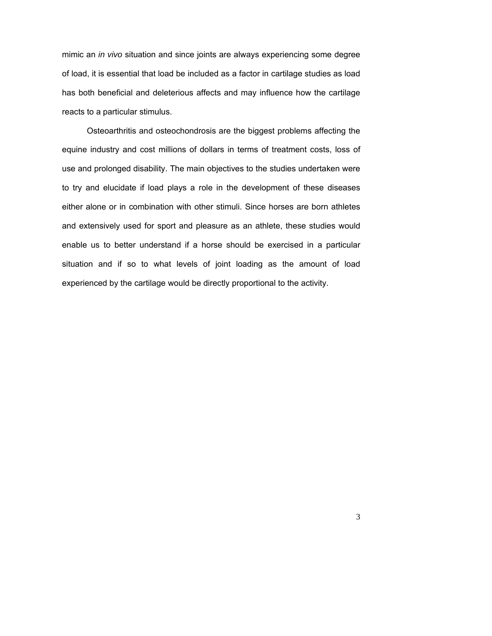mimic an *in vivo* situation and since joints are always experiencing some degree of load, it is essential that load be included as a factor in cartilage studies as load has both beneficial and deleterious affects and may influence how the cartilage reacts to a particular stimulus.

Osteoarthritis and osteochondrosis are the biggest problems affecting the equine industry and cost millions of dollars in terms of treatment costs, loss of use and prolonged disability. The main objectives to the studies undertaken were to try and elucidate if load plays a role in the development of these diseases either alone or in combination with other stimuli. Since horses are born athletes and extensively used for sport and pleasure as an athlete, these studies would enable us to better understand if a horse should be exercised in a particular situation and if so to what levels of joint loading as the amount of load experienced by the cartilage would be directly proportional to the activity.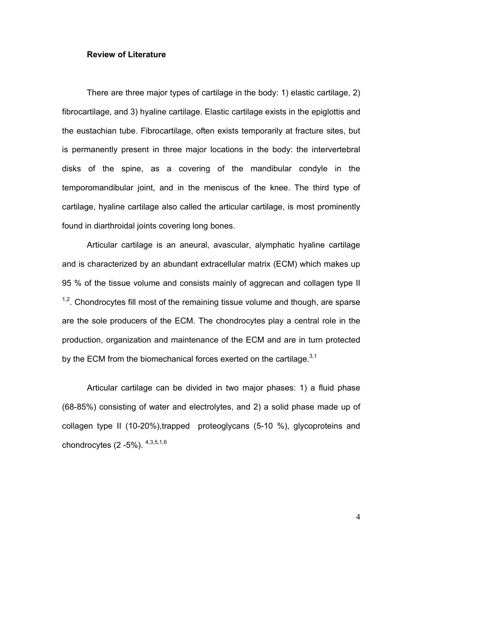#### **Review of Literature**

There are three major types of cartilage in the body: 1) elastic cartilage, 2) fibrocartilage, and 3) hyaline cartilage. Elastic cartilage exists in the epiglottis and the eustachian tube. Fibrocartilage, often exists temporarily at fracture sites, but is permanently present in three major locations in the body: the intervertebral disks of the spine, as a covering of the mandibular condyle in the temporomandibular joint, and in the meniscus of the knee. The third type of cartilage, hyaline cartilage also called the articular cartilage, is most prominently found in diarthroidal joints covering long bones.

Articular cartilage is an aneural, avascular, alymphatic hyaline cartilage and is characterized by an abundant extracellular matrix (ECM) which makes up 95 % of the tissue volume and consists mainly of aggrecan and collagen type II  $1,2$ . Chondrocytes fill most of the remaining tissue volume and though, are sparse are the sole producers of the ECM. The chondrocytes play a central role in the production, organization and maintenance of the ECM and are in turn protected by the ECM from the biomechanical forces exerted on the cartilage. $3,1$ 

Articular cartilage can be divided in two major phases: 1) a fluid phase (68-85%) consisting of water and electrolytes, and 2) a solid phase made up of collagen type II (10-20%),trapped proteoglycans (5-10 %), glycoproteins and chondrocytes  $(2 -5\%)$ .  $4,3,5,1,6$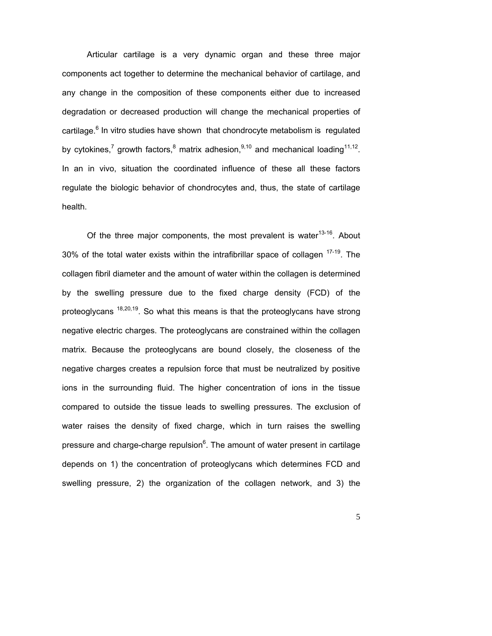Articular cartilage is a very dynamic organ and these three major components act together to determine the mechanical behavior of cartilage, and any change in the composition of these components either due to increased degradation or decreased production will change the mechanical properties of cartilage.<sup>6</sup> In vitro studies have shown that chondrocyte metabolism is regulated by cytokines,<sup>7</sup> growth factors,<sup>8</sup> matrix adhesion,<sup>9,10</sup> and mechanical loading<sup>11,12</sup>. In an in vivo, situation the coordinated influence of these all these factors regulate the biologic behavior of chondrocytes and, thus, the state of cartilage health.

Of the three major components, the most prevalent is water $13-16$ . About 30% of the total water exists within the intrafibrillar space of collagen  $17-19$ . The collagen fibril diameter and the amount of water within the collagen is determined by the swelling pressure due to the fixed charge density (FCD) of the proteoglycans  $18,20,19$ . So what this means is that the proteoglycans have strong negative electric charges. The proteoglycans are constrained within the collagen matrix. Because the proteoglycans are bound closely, the closeness of the negative charges creates a repulsion force that must be neutralized by positive ions in the surrounding fluid. The higher concentration of ions in the tissue compared to outside the tissue leads to swelling pressures. The exclusion of water raises the density of fixed charge, which in turn raises the swelling pressure and charge-charge repulsion $6$ . The amount of water present in cartilage depends on 1) the concentration of proteoglycans which determines FCD and swelling pressure, 2) the organization of the collagen network, and 3) the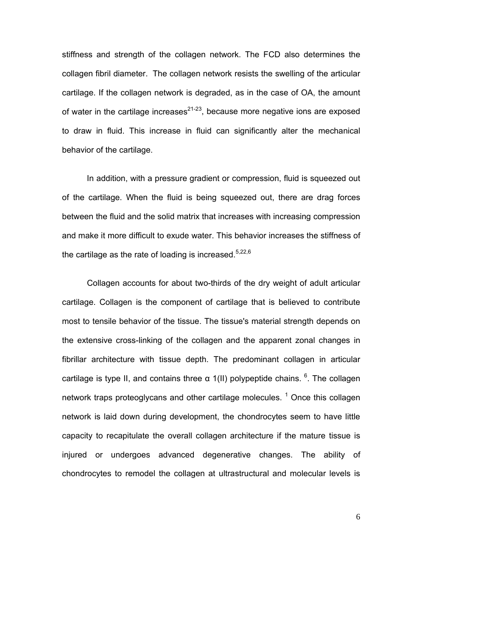stiffness and strength of the collagen network. The FCD also determines the collagen fibril diameter. The collagen network resists the swelling of the articular cartilage. If the collagen network is degraded, as in the case of OA, the amount of water in the cartilage increases<sup>21-23</sup>, because more negative ions are exposed to draw in fluid. This increase in fluid can significantly alter the mechanical behavior of the cartilage.

In addition, with a pressure gradient or compression, fluid is squeezed out of the cartilage. When the fluid is being squeezed out, there are drag forces between the fluid and the solid matrix that increases with increasing compression and make it more difficult to exude water. This behavior increases the stiffness of the cartilage as the rate of loading is increased.<sup>5,22,6</sup>

Collagen accounts for about two-thirds of the dry weight of adult articular cartilage. Collagen is the component of cartilage that is believed to contribute most to tensile behavior of the tissue. The tissue's material strength depends on the extensive cross-linking of the collagen and the apparent zonal changes in fibrillar architecture with tissue depth. The predominant collagen in articular cartilage is type II, and contains three  $α$  1(II) polypeptide chains.  $6$ . The collagen network traps proteoglycans and other cartilage molecules.  $1$  Once this collagen network is laid down during development, the chondrocytes seem to have little capacity to recapitulate the overall collagen architecture if the mature tissue is injured or undergoes advanced degenerative changes. The ability of chondrocytes to remodel the collagen at ultrastructural and molecular levels is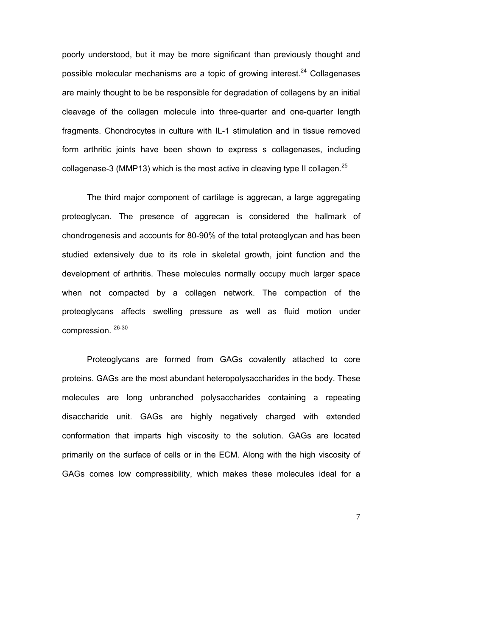poorly understood, but it may be more significant than previously thought and possible molecular mechanisms are a topic of growing interest.<sup>24</sup> Collagenases are mainly thought to be be responsible for degradation of collagens by an initial cleavage of the collagen molecule into three-quarter and one-quarter length fragments. Chondrocytes in culture with IL-1 stimulation and in tissue removed form arthritic joints have been shown to express s collagenases, including collagenase-3 (MMP13) which is the most active in cleaving type II collagen.<sup>25</sup>

The third major component of cartilage is aggrecan, a large aggregating proteoglycan. The presence of aggrecan is considered the hallmark of chondrogenesis and accounts for 80-90% of the total proteoglycan and has been studied extensively due to its role in skeletal growth, joint function and the development of arthritis. These molecules normally occupy much larger space when not compacted by a collagen network. The compaction of the proteoglycans affects swelling pressure as well as fluid motion under compression. 26-30

Proteoglycans are formed from GAGs covalently attached to core proteins. GAGs are the most abundant heteropolysaccharides in the body. These molecules are long unbranched polysaccharides containing a repeating disaccharide unit. GAGs are highly negatively charged with extended conformation that imparts high viscosity to the solution. GAGs are located primarily on the surface of cells or in the ECM. Along with the high viscosity of GAGs comes low compressibility, which makes these molecules ideal for a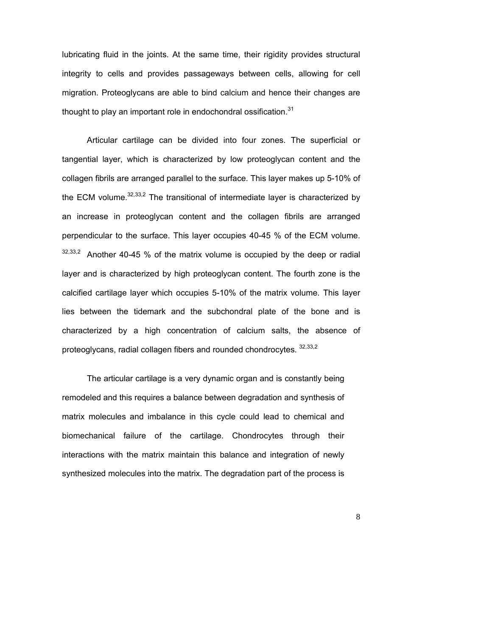lubricating fluid in the joints. At the same time, their rigidity provides structural integrity to cells and provides passageways between cells, allowing for cell migration. Proteoglycans are able to bind calcium and hence their changes are thought to play an important role in endochondral ossification. $31$ 

Articular cartilage can be divided into four zones. The superficial or tangential layer, which is characterized by low proteoglycan content and the collagen fibrils are arranged parallel to the surface. This layer makes up 5-10% of the ECM volume.  $32,33,2$  The transitional of intermediate layer is characterized by an increase in proteoglycan content and the collagen fibrils are arranged perpendicular to the surface. This layer occupies 40-45 % of the ECM volume.  $32,33,2$  Another 40-45 % of the matrix volume is occupied by the deep or radial layer and is characterized by high proteoglycan content. The fourth zone is the calcified cartilage layer which occupies 5-10% of the matrix volume. This layer lies between the tidemark and the subchondral plate of the bone and is characterized by a high concentration of calcium salts, the absence of proteoglycans, radial collagen fibers and rounded chondrocytes. 32,33,2

The articular cartilage is a very dynamic organ and is constantly being remodeled and this requires a balance between degradation and synthesis of matrix molecules and imbalance in this cycle could lead to chemical and biomechanical failure of the cartilage. Chondrocytes through their interactions with the matrix maintain this balance and integration of newly synthesized molecules into the matrix. The degradation part of the process is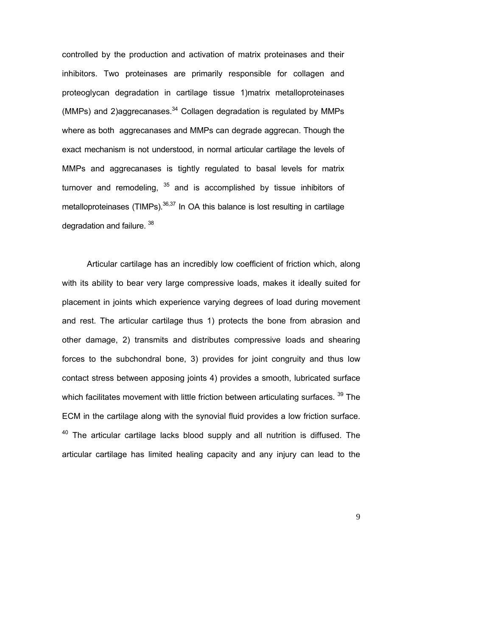controlled by the production and activation of matrix proteinases and their inhibitors. Two proteinases are primarily responsible for collagen and proteoglycan degradation in cartilage tissue 1)matrix metalloproteinases (MMPs) and 2)aggrecanases. $34$  Collagen degradation is regulated by MMPs where as both aggrecanases and MMPs can degrade aggrecan. Though the exact mechanism is not understood, in normal articular cartilage the levels of MMPs and aggrecanases is tightly regulated to basal levels for matrix turnover and remodeling,  $35$  and is accomplished by tissue inhibitors of metalloproteinases (TIMPs). $36,37$  In OA this balance is lost resulting in cartilage degradation and failure. 38

Articular cartilage has an incredibly low coefficient of friction which, along with its ability to bear very large compressive loads, makes it ideally suited for placement in joints which experience varying degrees of load during movement and rest. The articular cartilage thus 1) protects the bone from abrasion and other damage, 2) transmits and distributes compressive loads and shearing forces to the subchondral bone, 3) provides for joint congruity and thus low contact stress between apposing joints 4) provides a smooth, lubricated surface which facilitates movement with little friction between articulating surfaces. <sup>39</sup> The ECM in the cartilage along with the synovial fluid provides a low friction surface.  $40$  The articular cartilage lacks blood supply and all nutrition is diffused. The articular cartilage has limited healing capacity and any injury can lead to the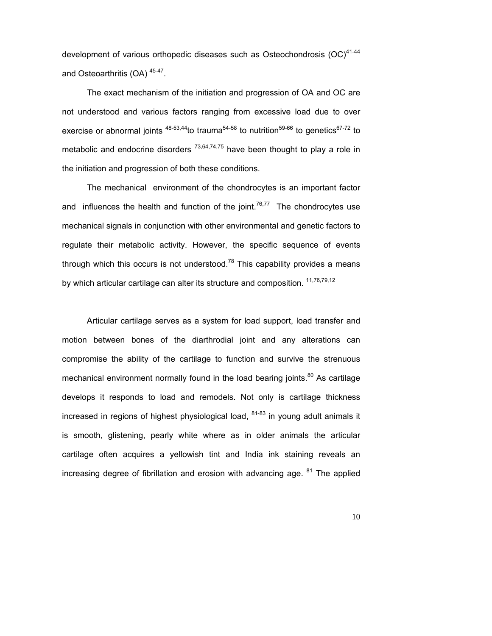development of various orthopedic diseases such as Osteochondrosis  $(OC)^{41-44}$ and Osteoarthritis (OA) 45-47.

The exact mechanism of the initiation and progression of OA and OC are not understood and various factors ranging from excessive load due to over exercise or abnormal joints  $48-53,44$  to trauma<sup>54-58</sup> to nutrition<sup>59-66</sup> to genetics<sup>67-72</sup> to metabolic and endocrine disorders  $^{73,64,74,75}$  have been thought to play a role in the initiation and progression of both these conditions.

 The mechanical environment of the chondrocytes is an important factor and influences the health and function of the joint.<sup>76,77</sup> The chondrocytes use mechanical signals in conjunction with other environmental and genetic factors to regulate their metabolic activity. However, the specific sequence of events through which this occurs is not understood.<sup>78</sup> This capability provides a means by which articular cartilage can alter its structure and composition. <sup>11,76,79,12</sup>

Articular cartilage serves as a system for load support, load transfer and motion between bones of the diarthrodial joint and any alterations can compromise the ability of the cartilage to function and survive the strenuous mechanical environment normally found in the load bearing joints.<sup>80</sup> As cartilage develops it responds to load and remodels. Not only is cartilage thickness increased in regions of highest physiological load,  $81-83$  in young adult animals it is smooth, glistening, pearly white where as in older animals the articular cartilage often acquires a yellowish tint and India ink staining reveals an increasing degree of fibrillation and erosion with advancing age.  $81$  The applied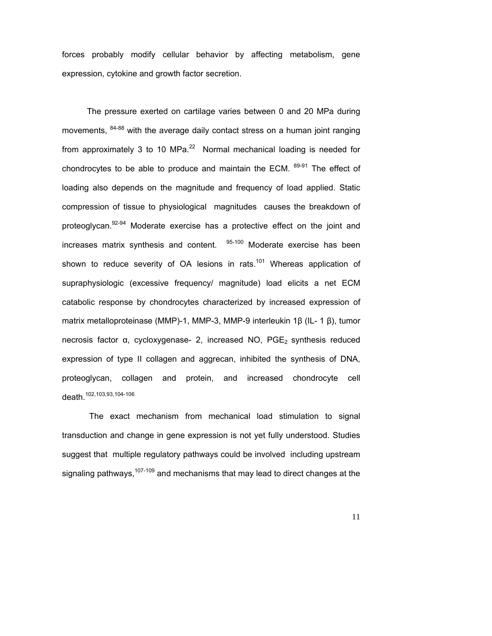forces probably modify cellular behavior by affecting metabolism, gene expression, cytokine and growth factor secretion.

 The pressure exerted on cartilage varies between 0 and 20 MPa during movements,  $84-88$  with the average daily contact stress on a human joint ranging from approximately 3 to 10 MPa. $^{22}$  Normal mechanical loading is needed for chondrocytes to be able to produce and maintain the ECM.  $89-91$  The effect of loading also depends on the magnitude and frequency of load applied. Static compression of tissue to physiological magnitudes causes the breakdown of proteoglycan.<sup>92-94</sup> Moderate exercise has a protective effect on the joint and increases matrix synthesis and content. <sup>95-100</sup> Moderate exercise has been shown to reduce severity of OA lesions in rats.<sup>101</sup> Whereas application of supraphysiologic (excessive frequency/ magnitude) load elicits a net ECM catabolic response by chondrocytes characterized by increased expression of matrix metalloproteinase (MMP)-1, MMP-3, MMP-9 interleukin 1β (IL- 1 β), tumor necrosis factor α, cycloxygenase- 2, increased NO, PGE<sub>2</sub> synthesis reduced expression of type II collagen and aggrecan, inhibited the synthesis of DNA, proteoglycan, collagen and protein, and increased chondrocyte cell death.102,103,93,104-106

 The exact mechanism from mechanical load stimulation to signal transduction and change in gene expression is not yet fully understood. Studies suggest that multiple regulatory pathways could be involved including upstream signaling pathways,  $107-109$  and mechanisms that may lead to direct changes at the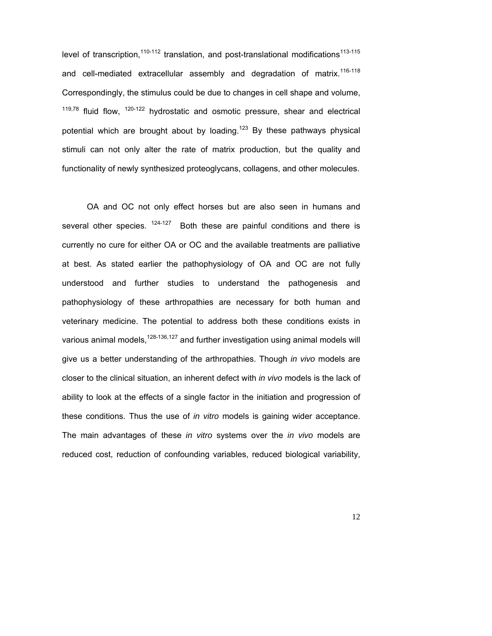level of transcription,  $110-112$  translation, and post-translational modifications  $113-115$ and cell-mediated extracellular assembly and degradation of matrix.<sup>116-118</sup> Correspondingly, the stimulus could be due to changes in cell shape and volume,  $119,78$  fluid flow,  $120-122$  hydrostatic and osmotic pressure, shear and electrical potential which are brought about by loading.<sup>123</sup> By these pathways physical stimuli can not only alter the rate of matrix production, but the quality and functionality of newly synthesized proteoglycans, collagens, and other molecules.

OA and OC not only effect horses but are also seen in humans and several other species.  $124-127$  Both these are painful conditions and there is currently no cure for either OA or OC and the available treatments are palliative at best. As stated earlier the pathophysiology of OA and OC are not fully understood and further studies to understand the pathogenesis and pathophysiology of these arthropathies are necessary for both human and veterinary medicine. The potential to address both these conditions exists in various animal models,  $128-136,127$  and further investigation using animal models will give us a better understanding of the arthropathies. Though *in vivo* models are closer to the clinical situation, an inherent defect with *in vivo* models is the lack of ability to look at the effects of a single factor in the initiation and progression of these conditions. Thus the use of *in vitro* models is gaining wider acceptance. The main advantages of these *in vitro* systems over the *in vivo* models are reduced cost, reduction of confounding variables, reduced biological variability,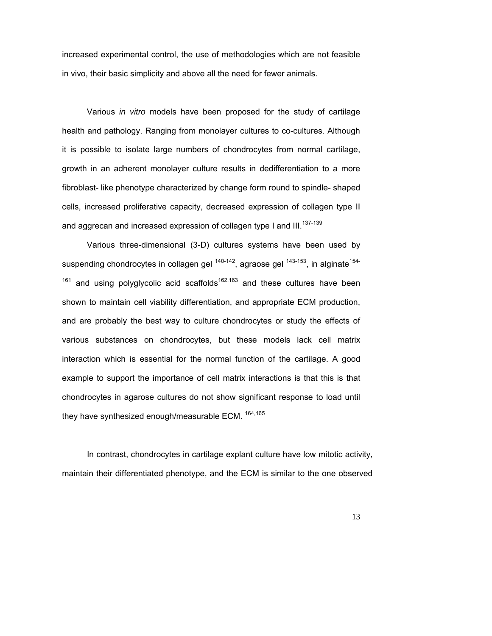increased experimental control, the use of methodologies which are not feasible in vivo, their basic simplicity and above all the need for fewer animals.

Various *in vitro* models have been proposed for the study of cartilage health and pathology. Ranging from monolayer cultures to co-cultures. Although it is possible to isolate large numbers of chondrocytes from normal cartilage, growth in an adherent monolayer culture results in dedifferentiation to a more fibroblast- like phenotype characterized by change form round to spindle- shaped cells, increased proliferative capacity, decreased expression of collagen type II and aggrecan and increased expression of collagen type I and III.<sup>137-139</sup>

Various three-dimensional (3-D) cultures systems have been used by suspending chondrocytes in collagen gel  $140-142$ , agraose gel  $143-153$ , in alginate<sup>154-</sup>  $161$  and using polyglycolic acid scaffolds<sup>162,163</sup> and these cultures have been shown to maintain cell viability differentiation, and appropriate ECM production, and are probably the best way to culture chondrocytes or study the effects of various substances on chondrocytes, but these models lack cell matrix interaction which is essential for the normal function of the cartilage. A good example to support the importance of cell matrix interactions is that this is that chondrocytes in agarose cultures do not show significant response to load until they have synthesized enough/measurable ECM. <sup>164,165</sup>

In contrast, chondrocytes in cartilage explant culture have low mitotic activity, maintain their differentiated phenotype, and the ECM is similar to the one observed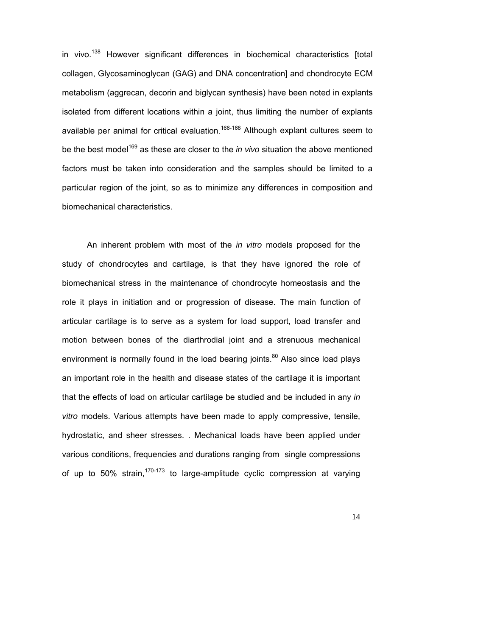in vivo.<sup>138</sup> However significant differences in biochemical characteristics [total collagen, Glycosaminoglycan (GAG) and DNA concentration] and chondrocyte ECM metabolism (aggrecan, decorin and biglycan synthesis) have been noted in explants isolated from different locations within a joint, thus limiting the number of explants available per animal for critical evaluation.<sup>166-168</sup> Although explant cultures seem to be the best model<sup>169</sup> as these are closer to the *in vivo* situation the above mentioned factors must be taken into consideration and the samples should be limited to a particular region of the joint, so as to minimize any differences in composition and biomechanical characteristics.

An inherent problem with most of the *in vitro* models proposed for the study of chondrocytes and cartilage, is that they have ignored the role of biomechanical stress in the maintenance of chondrocyte homeostasis and the role it plays in initiation and or progression of disease. The main function of articular cartilage is to serve as a system for load support, load transfer and motion between bones of the diarthrodial joint and a strenuous mechanical environment is normally found in the load bearing joints.<sup>80</sup> Also since load plays an important role in the health and disease states of the cartilage it is important that the effects of load on articular cartilage be studied and be included in any *in vitro* models. Various attempts have been made to apply compressive, tensile, hydrostatic, and sheer stresses. . Mechanical loads have been applied under various conditions, frequencies and durations ranging from single compressions of up to 50% strain,  $170-173$  to large-amplitude cyclic compression at varying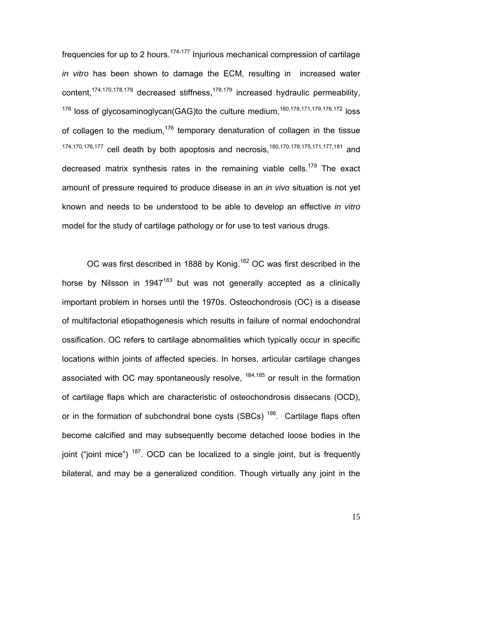frequencies for up to 2 hours.<sup>174-177</sup> Injurious mechanical compression of cartilage *in vitro* has been shown to damage the ECM, resulting in increased water content,<sup>174,170,178,179</sup> decreased stiffness,<sup>178,179</sup> increased hydraulic permeability, <sup>176</sup> loss of glycosaminoglycan(GAG)to the culture medium,<sup>180,178,171,179,176,172</sup> loss of collagen to the medium,<sup>176</sup> temporary denaturation of collagen in the tissue 174,170,176,177 cell death by both apoptosis and necrosis,180,170,178,175,171,177,181 and decreased matrix synthesis rates in the remaining viable cells.<sup>179</sup> The exact amount of pressure required to produce disease in an *in vivo* situation is not yet known and needs to be understood to be able to develop an effective *in vitro* model for the study of cartilage pathology or for use to test various drugs.

OC was first described in 1888 by Konig.<sup>182</sup> OC was first described in the horse by Nilsson in 1947<sup>183</sup> but was not generally accepted as a clinically important problem in horses until the 1970s. Osteochondrosis (OC) is a disease of multifactorial etiopathogenesis which results in failure of normal endochondral ossification. OC refers to cartilage abnormalities which typically occur in specific locations within joints of affected species. In horses, articular cartilage changes associated with OC may spontaneously resolve,  $184,185$  or result in the formation of cartilage flaps which are characteristic of osteochondrosis dissecans (OCD), or in the formation of subchondral bone cysts (SBCs)<sup>186</sup>. Cartilage flaps often become calcified and may subsequently become detached loose bodies in the joint ("joint mice")  $187$ . OCD can be localized to a single joint, but is frequently bilateral, and may be a generalized condition. Though virtually any joint in the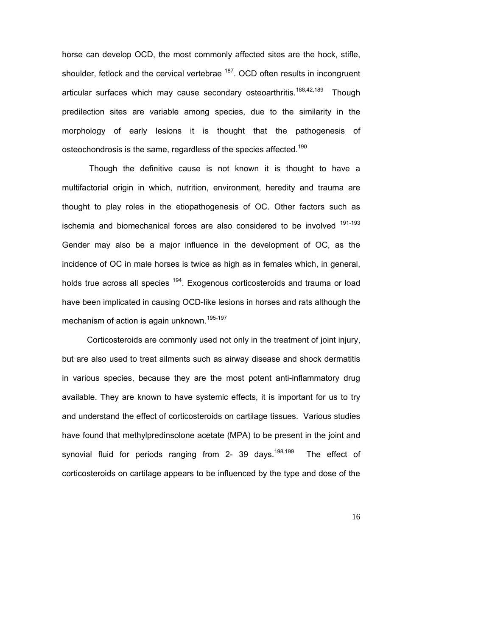horse can develop OCD, the most commonly affected sites are the hock, stifle, shoulder, fetlock and the cervical vertebrae <sup>187</sup>. OCD often results in incongruent articular surfaces which may cause secondary osteoarthritis.<sup>188,42,189</sup> Though predilection sites are variable among species, due to the similarity in the morphology of early lesions it is thought that the pathogenesis of osteochondrosis is the same, regardless of the species affected.<sup>190</sup>

 Though the definitive cause is not known it is thought to have a multifactorial origin in which, nutrition, environment, heredity and trauma are thought to play roles in the etiopathogenesis of OC. Other factors such as ischemia and biomechanical forces are also considered to be involved <sup>191-193</sup> Gender may also be a major influence in the development of OC, as the incidence of OC in male horses is twice as high as in females which, in general, holds true across all species <sup>194</sup>. Exogenous corticosteroids and trauma or load have been implicated in causing OCD-like lesions in horses and rats although the mechanism of action is again unknown.<sup>195-197</sup>

Corticosteroids are commonly used not only in the treatment of joint injury, but are also used to treat ailments such as airway disease and shock dermatitis in various species, because they are the most potent anti-inflammatory drug available. They are known to have systemic effects, it is important for us to try and understand the effect of corticosteroids on cartilage tissues. Various studies have found that methylpredinsolone acetate (MPA) to be present in the joint and synovial fluid for periods ranging from 2- 39 days.<sup>198,199</sup> The effect of corticosteroids on cartilage appears to be influenced by the type and dose of the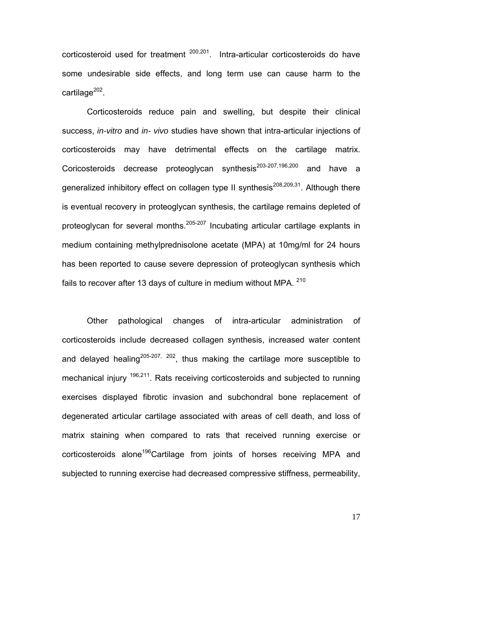corticosteroid used for treatment  $200,201$ . Intra-articular corticosteroids do have some undesirable side effects, and long term use can cause harm to the cartilage<sup>202</sup>.

Corticosteroids reduce pain and swelling, but despite their clinical success, *in-vitro* and *in- vivo* studies have shown that intra-articular injections of corticosteroids may have detrimental effects on the cartilage matrix. Coricosteroids decrease proteoglycan synthesis<sup>203-207,196,200</sup> and have a generalized inhibitory effect on collagen type II synthesis<sup>208,209,31</sup>. Although there is eventual recovery in proteoglycan synthesis, the cartilage remains depleted of proteoglycan for several months.<sup>205-207</sup> Incubating articular cartilage explants in medium containing methylprednisolone acetate (MPA) at 10mg/ml for 24 hours has been reported to cause severe depression of proteoglycan synthesis which fails to recover after 13 days of culture in medium without MPA. <sup>210</sup>

Other pathological changes of intra-articular administration of corticosteroids include decreased collagen synthesis, increased water content and delayed healing<sup>205-207, 202</sup>, thus making the cartilage more susceptible to mechanical injury <sup>196,211</sup>. Rats receiving corticosteroids and subjected to running exercises displayed fibrotic invasion and subchondral bone replacement of degenerated articular cartilage associated with areas of cell death, and loss of matrix staining when compared to rats that received running exercise or corticosteroids alone<sup>196</sup>Cartilage from joints of horses receiving MPA and subjected to running exercise had decreased compressive stiffness, permeability,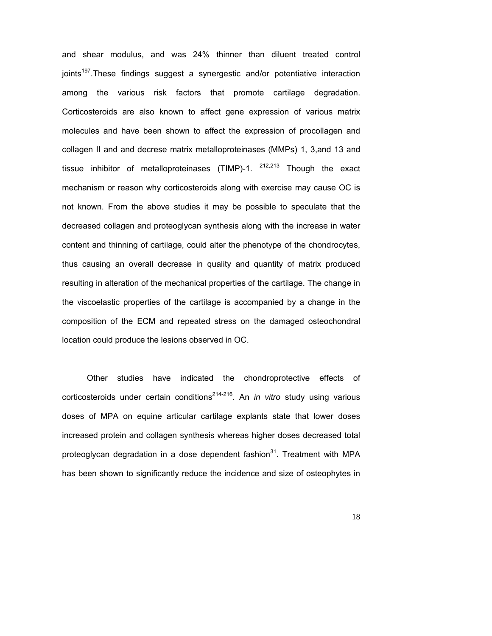and shear modulus, and was 24% thinner than diluent treated control joints<sup>197</sup>. These findings suggest a synergestic and/or potentiative interaction among the various risk factors that promote cartilage degradation. Corticosteroids are also known to affect gene expression of various matrix molecules and have been shown to affect the expression of procollagen and collagen II and and decrese matrix metalloproteinases (MMPs) 1, 3,and 13 and tissue inhibitor of metalloproteinases (TIMP)-1.  $^{212,213}$  Though the exact mechanism or reason why corticosteroids along with exercise may cause OC is not known. From the above studies it may be possible to speculate that the decreased collagen and proteoglycan synthesis along with the increase in water content and thinning of cartilage, could alter the phenotype of the chondrocytes, thus causing an overall decrease in quality and quantity of matrix produced resulting in alteration of the mechanical properties of the cartilage. The change in the viscoelastic properties of the cartilage is accompanied by a change in the composition of the ECM and repeated stress on the damaged osteochondral location could produce the lesions observed in OC.

Other studies have indicated the chondroprotective effects of corticosteroids under certain conditions<sup>214-216</sup>. An *in vitro* study using various doses of MPA on equine articular cartilage explants state that lower doses increased protein and collagen synthesis whereas higher doses decreased total proteoglycan degradation in a dose dependent fashion $31$ . Treatment with MPA has been shown to significantly reduce the incidence and size of osteophytes in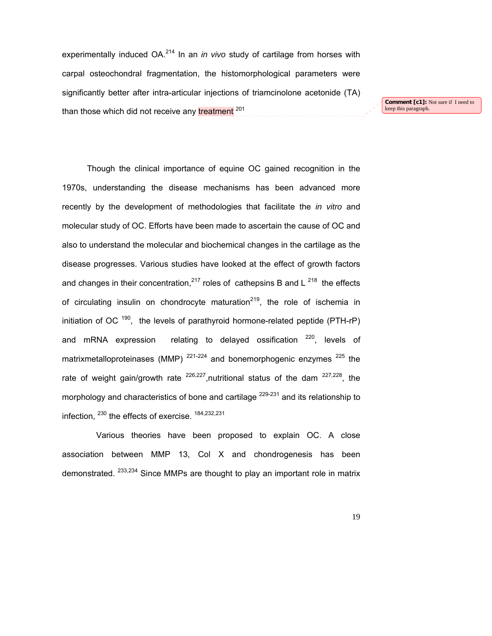experimentally induced OA.<sup>214</sup> In an *in vivo* study of cartilage from horses with carpal osteochondral fragmentation, the histomorphological parameters were significantly better after intra-articular injections of triamcinolone acetonide (TA) than those which did not receive any treatment <sup>201</sup>

**Comment [c1]:** Not sure if I need to keep this paragraph.

Though the clinical importance of equine OC gained recognition in the 1970s, understanding the disease mechanisms has been advanced more recently by the development of methodologies that facilitate the *in vitro* and molecular study of OC. Efforts have been made to ascertain the cause of OC and also to understand the molecular and biochemical changes in the cartilage as the disease progresses. Various studies have looked at the effect of growth factors and changes in their concentration,  $2^{17}$  roles of cathepsins B and L  $2^{18}$  the effects of circulating insulin on chondrocyte maturation<sup>219</sup>, the role of ischemia in initiation of OC  $190$ , the levels of parathyroid hormone-related peptide (PTH-rP) and mRNA expression relating to delayed ossification  $220$ , levels of matrixmetalloproteinases (MMP)  $^{221-224}$  and bonemorphogenic enzymes  $^{225}$  the rate of weight gain/growth rate  $226,227$ , nutritional status of the dam  $227,228$ , the morphology and characteristics of bone and cartilage <sup>229-231</sup> and its relationship to infection. <sup>230</sup> the effects of exercise. <sup>184,232,231</sup>

 Various theories have been proposed to explain OC. A close association between MMP 13, Col X and chondrogenesis has been demonstrated. <sup>233,234</sup> Since MMPs are thought to play an important role in matrix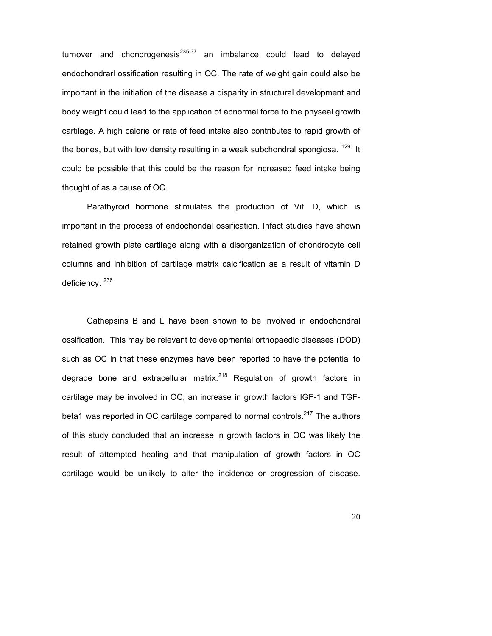turnover and chondrogenesis<sup>235,37</sup> an imbalance could lead to delayed endochondrarl ossification resulting in OC. The rate of weight gain could also be important in the initiation of the disease a disparity in structural development and body weight could lead to the application of abnormal force to the physeal growth cartilage. A high calorie or rate of feed intake also contributes to rapid growth of the bones, but with low density resulting in a weak subchondral spongiosa.  $129$  It could be possible that this could be the reason for increased feed intake being thought of as a cause of OC.

Parathyroid hormone stimulates the production of Vit. D, which is important in the process of endochondal ossification. Infact studies have shown retained growth plate cartilage along with a disorganization of chondrocyte cell columns and inhibition of cartilage matrix calcification as a result of vitamin D deficiency.<sup>236</sup>

Cathepsins B and L have been shown to be involved in endochondral ossification. This may be relevant to developmental orthopaedic diseases (DOD) such as OC in that these enzymes have been reported to have the potential to degrade bone and extracellular matrix.<sup>218</sup> Regulation of growth factors in cartilage may be involved in OC; an increase in growth factors IGF-1 and TGFbeta1 was reported in OC cartilage compared to normal controls.<sup>217</sup> The authors of this study concluded that an increase in growth factors in OC was likely the result of attempted healing and that manipulation of growth factors in OC cartilage would be unlikely to alter the incidence or progression of disease.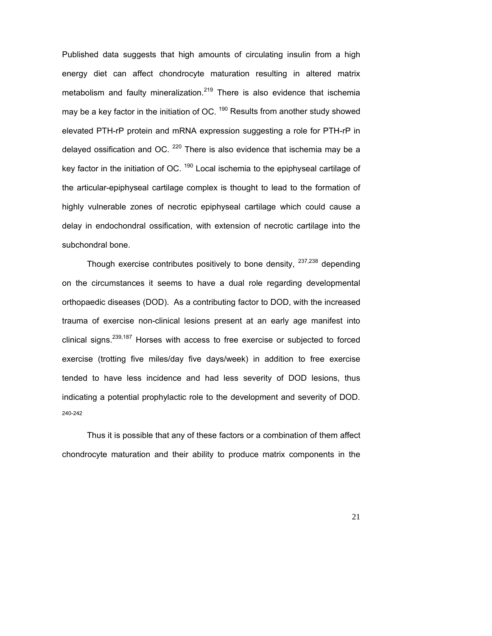Published data suggests that high amounts of circulating insulin from a high energy diet can affect chondrocyte maturation resulting in altered matrix metabolism and faulty mineralization.<sup>219</sup> There is also evidence that ischemia may be a key factor in the initiation of OC.  $190$  Results from another study showed elevated PTH-rP protein and mRNA expression suggesting a role for PTH-rP in delayed ossification and OC.  $^{220}$  There is also evidence that ischemia may be a key factor in the initiation of OC.  $190$  Local ischemia to the epiphyseal cartilage of the articular-epiphyseal cartilage complex is thought to lead to the formation of highly vulnerable zones of necrotic epiphyseal cartilage which could cause a delay in endochondral ossification, with extension of necrotic cartilage into the subchondral bone.

Though exercise contributes positively to bone density,  $237,238$  depending on the circumstances it seems to have a dual role regarding developmental orthopaedic diseases (DOD). As a contributing factor to DOD, with the increased trauma of exercise non-clinical lesions present at an early age manifest into clinical signs.<sup>239,187</sup> Horses with access to free exercise or subjected to forced exercise (trotting five miles/day five days/week) in addition to free exercise tended to have less incidence and had less severity of DOD lesions, thus indicating a potential prophylactic role to the development and severity of DOD. 240-242

Thus it is possible that any of these factors or a combination of them affect chondrocyte maturation and their ability to produce matrix components in the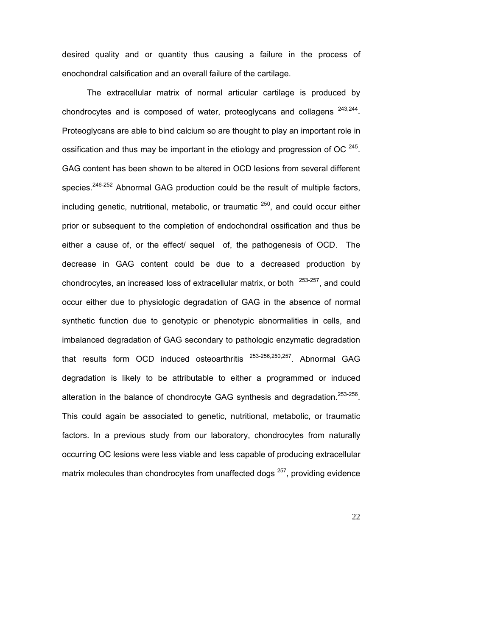desired quality and or quantity thus causing a failure in the process of enochondral calsification and an overall failure of the cartilage.

The extracellular matrix of normal articular cartilage is produced by chondrocytes and is composed of water, proteoglycans and collagens  $243,244$ . Proteoglycans are able to bind calcium so are thought to play an important role in ossification and thus may be important in the etiology and progression of OC  $^{245}$ . GAG content has been shown to be altered in OCD lesions from several different species.<sup>246-252</sup> Abnormal GAG production could be the result of multiple factors, including genetic, nutritional, metabolic, or traumatic  $250$ , and could occur either prior or subsequent to the completion of endochondral ossification and thus be either a cause of, or the effect/ sequel of, the pathogenesis of OCD. The decrease in GAG content could be due to a decreased production by chondrocytes, an increased loss of extracellular matrix, or both  $253-257$ , and could occur either due to physiologic degradation of GAG in the absence of normal synthetic function due to genotypic or phenotypic abnormalities in cells, and imbalanced degradation of GAG secondary to pathologic enzymatic degradation that results form OCD induced osteoarthritis <sup>253-256,250,257</sup>. Abnormal GAG degradation is likely to be attributable to either a programmed or induced alteration in the balance of chondrocyte GAG synthesis and degradation.<sup>253-256</sup>. This could again be associated to genetic, nutritional, metabolic, or traumatic factors. In a previous study from our laboratory, chondrocytes from naturally occurring OC lesions were less viable and less capable of producing extracellular matrix molecules than chondrocytes from unaffected dogs  $257$ , providing evidence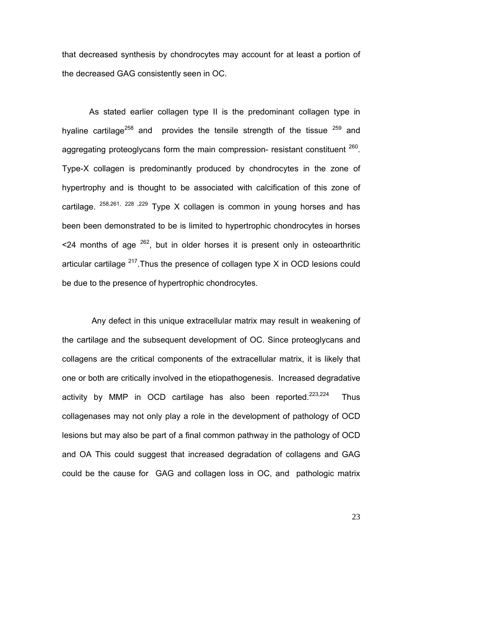that decreased synthesis by chondrocytes may account for at least a portion of the decreased GAG consistently seen in OC.

 As stated earlier collagen type II is the predominant collagen type in hyaline cartilage<sup>258</sup> and provides the tensile strength of the tissue  $259$  and aggregating proteoglycans form the main compression- resistant constituent  $260$ . Type-X collagen is predominantly produced by chondrocytes in the zone of hypertrophy and is thought to be associated with calcification of this zone of cartilage. <sup>258,261, 228</sup>, <sup>229</sup> Type X collagen is common in young horses and has been been demonstrated to be is limited to hypertrophic chondrocytes in horses  $\leq$  24 months of age  $^{262}$ , but in older horses it is present only in osteoarthritic articular cartilage  $^{217}$ . Thus the presence of collagen type X in OCD lesions could be due to the presence of hypertrophic chondrocytes.

 Any defect in this unique extracellular matrix may result in weakening of the cartilage and the subsequent development of OC. Since proteoglycans and collagens are the critical components of the extracellular matrix, it is likely that one or both are critically involved in the etiopathogenesis. Increased degradative activity by MMP in OCD cartilage has also been reported.<sup>223,224</sup> Thus collagenases may not only play a role in the development of pathology of OCD lesions but may also be part of a final common pathway in the pathology of OCD and OA This could suggest that increased degradation of collagens and GAG could be the cause for GAG and collagen loss in OC, and pathologic matrix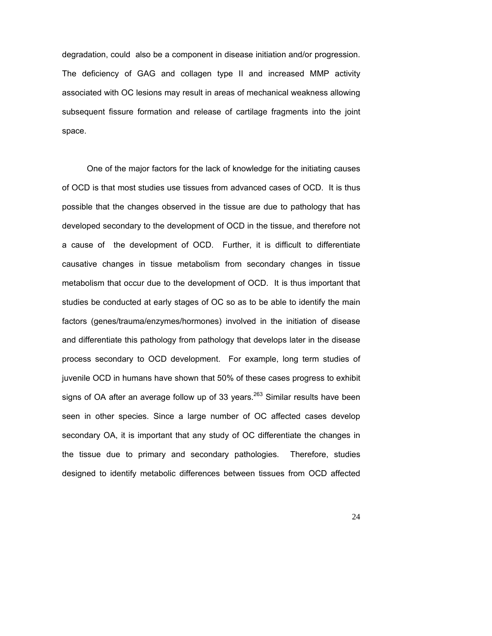degradation, could also be a component in disease initiation and/or progression. The deficiency of GAG and collagen type II and increased MMP activity associated with OC lesions may result in areas of mechanical weakness allowing subsequent fissure formation and release of cartilage fragments into the joint space.

One of the major factors for the lack of knowledge for the initiating causes of OCD is that most studies use tissues from advanced cases of OCD. It is thus possible that the changes observed in the tissue are due to pathology that has developed secondary to the development of OCD in the tissue, and therefore not a cause of the development of OCD. Further, it is difficult to differentiate causative changes in tissue metabolism from secondary changes in tissue metabolism that occur due to the development of OCD. It is thus important that studies be conducted at early stages of OC so as to be able to identify the main factors (genes/trauma/enzymes/hormones) involved in the initiation of disease and differentiate this pathology from pathology that develops later in the disease process secondary to OCD development. For example, long term studies of juvenile OCD in humans have shown that 50% of these cases progress to exhibit signs of OA after an average follow up of 33 years. $^{263}$  Similar results have been seen in other species. Since a large number of OC affected cases develop secondary OA, it is important that any study of OC differentiate the changes in the tissue due to primary and secondary pathologies. Therefore, studies designed to identify metabolic differences between tissues from OCD affected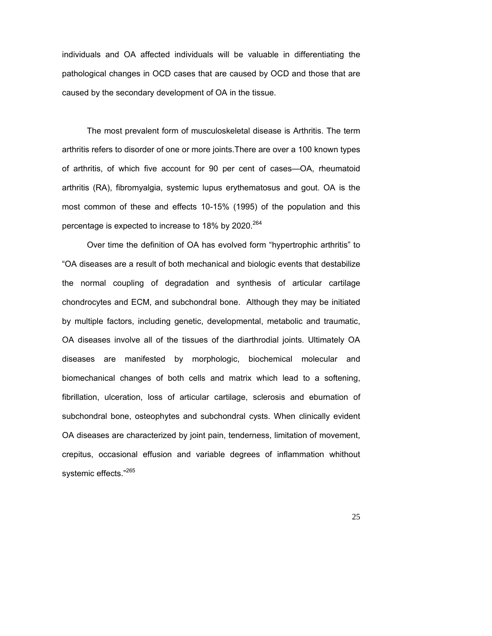individuals and OA affected individuals will be valuable in differentiating the pathological changes in OCD cases that are caused by OCD and those that are caused by the secondary development of OA in the tissue.

The most prevalent form of musculoskeletal disease is Arthritis. The term arthritis refers to disorder of one or more joints.There are over a 100 known types of arthritis, of which five account for 90 per cent of cases—OA, rheumatoid arthritis (RA), fibromyalgia, systemic lupus erythematosus and gout. OA is the most common of these and effects 10-15% (1995) of the population and this percentage is expected to increase to 18% by 2020. $264$ 

Over time the definition of OA has evolved form "hypertrophic arthritis" to "OA diseases are a result of both mechanical and biologic events that destabilize the normal coupling of degradation and synthesis of articular cartilage chondrocytes and ECM, and subchondral bone. Although they may be initiated by multiple factors, including genetic, developmental, metabolic and traumatic, OA diseases involve all of the tissues of the diarthrodial joints. Ultimately OA diseases are manifested by morphologic, biochemical molecular and biomechanical changes of both cells and matrix which lead to a softening, fibrillation, ulceration, loss of articular cartilage, sclerosis and eburnation of subchondral bone, osteophytes and subchondral cysts. When clinically evident OA diseases are characterized by joint pain, tenderness, limitation of movement, crepitus, occasional effusion and variable degrees of inflammation whithout systemic effects."265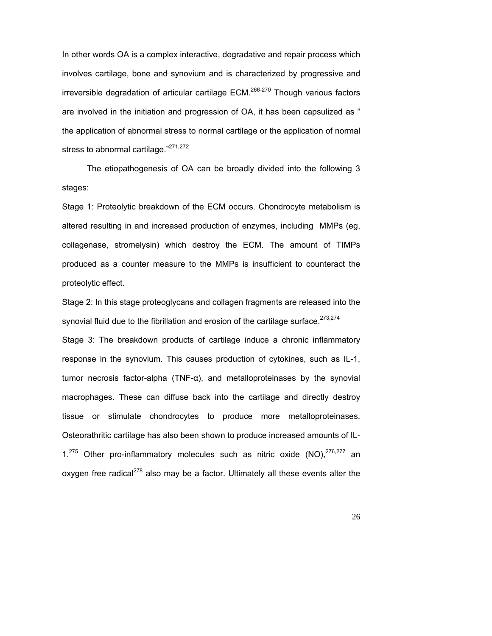In other words OA is a complex interactive, degradative and repair process which involves cartilage, bone and synovium and is characterized by progressive and irreversible degradation of articular cartilage  $ECM.<sup>266-270</sup>$  Though various factors are involved in the initiation and progression of OA, it has been capsulized as " the application of abnormal stress to normal cartilage or the application of normal stress to abnormal cartilage."<sup>271,272</sup>

The etiopathogenesis of OA can be broadly divided into the following 3 stages:

Stage 1: Proteolytic breakdown of the ECM occurs. Chondrocyte metabolism is altered resulting in and increased production of enzymes, including MMPs (eg, collagenase, stromelysin) which destroy the ECM. The amount of TIMPs produced as a counter measure to the MMPs is insufficient to counteract the proteolytic effect.

Stage 2: In this stage proteoglycans and collagen fragments are released into the synovial fluid due to the fibrillation and erosion of the cartilage surface.<sup>273,274</sup>

Stage 3: The breakdown products of cartilage induce a chronic inflammatory response in the synovium. This causes production of cytokines, such as IL-1, tumor necrosis factor-alpha (TNF-α), and metalloproteinases by the synovial macrophages. These can diffuse back into the cartilage and directly destroy tissue or stimulate chondrocytes to produce more metalloproteinases. Osteorathritic cartilage has also been shown to produce increased amounts of IL- $1.^{275}$  Other pro-inflammatory molecules such as nitric oxide (NO), $^{276,277}$  an oxygen free radical<sup>278</sup> also may be a factor. Ultimately all these events alter the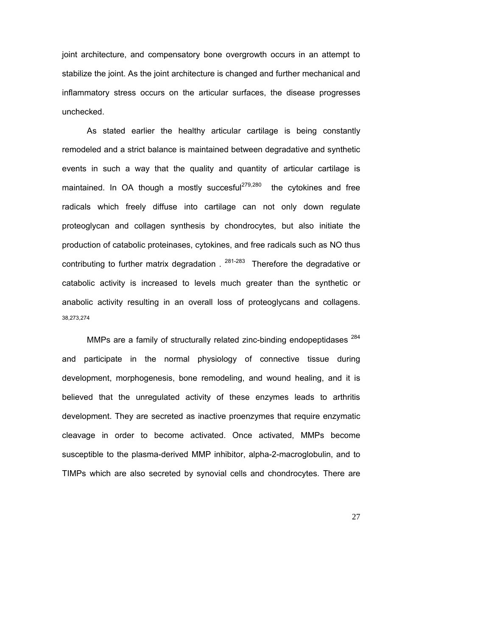joint architecture, and compensatory bone overgrowth occurs in an attempt to stabilize the joint. As the joint architecture is changed and further mechanical and inflammatory stress occurs on the articular surfaces, the disease progresses unchecked.

As stated earlier the healthy articular cartilage is being constantly remodeled and a strict balance is maintained between degradative and synthetic events in such a way that the quality and quantity of articular cartilage is maintained. In OA though a mostly succesful<sup>279,280</sup> the cytokines and free radicals which freely diffuse into cartilage can not only down regulate proteoglycan and collagen synthesis by chondrocytes, but also initiate the production of catabolic proteinases, cytokines, and free radicals such as NO thus contributing to further matrix degradation  $1^{281-283}$  Therefore the degradative or catabolic activity is increased to levels much greater than the synthetic or anabolic activity resulting in an overall loss of proteoglycans and collagens. 38,273,274

MMPs are a family of structurally related zinc-binding endopeptidases <sup>284</sup> and participate in the normal physiology of connective tissue during development, morphogenesis, bone remodeling, and wound healing, and it is believed that the unregulated activity of these enzymes leads to arthritis development. They are secreted as inactive proenzymes that require enzymatic cleavage in order to become activated. Once activated, MMPs become susceptible to the plasma-derived MMP inhibitor, alpha-2-macroglobulin, and to TIMPs which are also secreted by synovial cells and chondrocytes. There are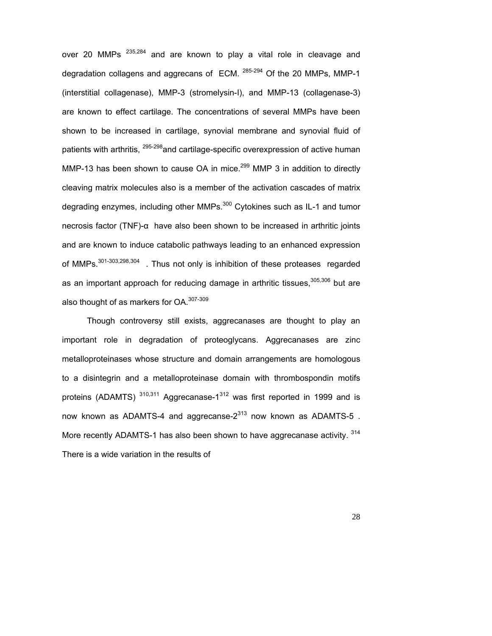over 20 MMPs <sup>235,284</sup> and are known to play a vital role in cleavage and degradation collagens and aggrecans of ECM. <sup>285-294</sup> Of the 20 MMPs, MMP-1 (interstitial collagenase), MMP-3 (stromelysin-I), and MMP-13 (collagenase-3) are known to effect cartilage. The concentrations of several MMPs have been shown to be increased in cartilage, synovial membrane and synovial fluid of patients with arthritis, <sup>295-298</sup> and cartilage-specific overexpression of active human MMP-13 has been shown to cause OA in mice.<sup>299</sup> MMP 3 in addition to directly cleaving matrix molecules also is a member of the activation cascades of matrix degrading enzymes, including other MMPs.<sup>300</sup> Cytokines such as IL-1 and tumor necrosis factor (TNF)-α have also been shown to be increased in arthritic joints and are known to induce catabolic pathways leading to an enhanced expression of MMPs.<sup>301-303,298,304</sup>. Thus not only is inhibition of these proteases regarded as an important approach for reducing damage in arthritic tissues, 305,306 but are also thought of as markers for OA.<sup>307-309</sup>

Though controversy still exists, aggrecanases are thought to play an important role in degradation of proteoglycans. Aggrecanases are zinc metalloproteinases whose structure and domain arrangements are homologous to a disintegrin and a metalloproteinase domain with thrombospondin motifs proteins (ADAMTS)  $310,311$  Aggrecanase-1<sup>312</sup> was first reported in 1999 and is now known as ADAMTS-4 and aggrecanse- $2^{313}$  now known as ADAMTS-5. More recently ADAMTS-1 has also been shown to have aggrecanase activity. 314 There is a wide variation in the results of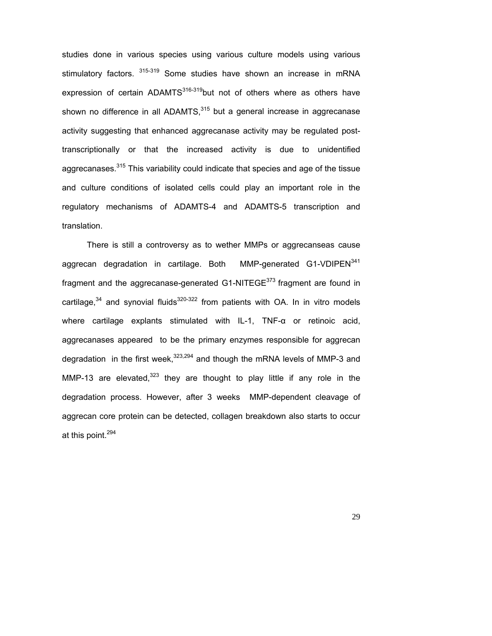studies done in various species using various culture models using various stimulatory factors. <sup>315-319</sup> Some studies have shown an increase in mRNA expression of certain ADAMTS $316-319$ but not of others where as others have shown no difference in all ADAMTS, $315$  but a general increase in aggrecanase activity suggesting that enhanced aggrecanase activity may be regulated posttranscriptionally or that the increased activity is due to unidentified aggrecanases.<sup>315</sup> This variability could indicate that species and age of the tissue and culture conditions of isolated cells could play an important role in the regulatory mechanisms of ADAMTS-4 and ADAMTS-5 transcription and translation.

 There is still a controversy as to wether MMPs or aggrecanseas cause aggrecan degradation in cartilage. Both MMP-generated G1-VDIPEN<sup>341</sup> fragment and the aggrecanase-generated G1-NITEGE $^{373}$  fragment are found in cartilage,  $34$  and synovial fluids  $320-322$  from patients with OA. In in vitro models where cartilage explants stimulated with IL-1, TNF-α or retinoic acid, aggrecanases appeared to be the primary enzymes responsible for aggrecan degradation in the first week,  $323,294$  and though the mRNA levels of MMP-3 and MMP-13 are elevated, $323$  they are thought to play little if any role in the degradation process. However, after 3 weeks MMP-dependent cleavage of aggrecan core protein can be detected, collagen breakdown also starts to occur at this point.<sup>294</sup>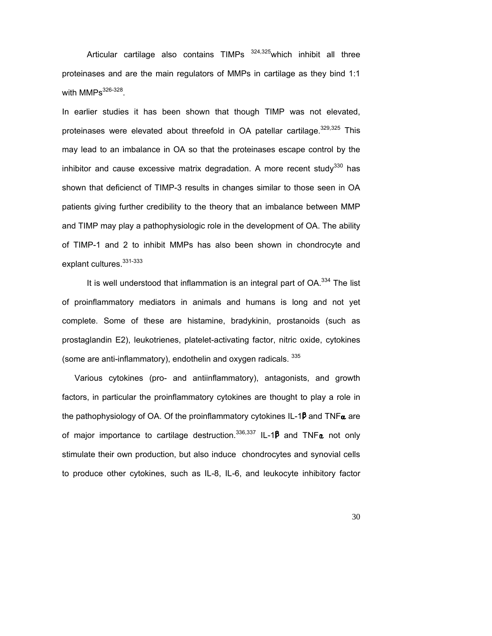Articular cartilage also contains TIMPs <sup>324,325</sup> which inhibit all three proteinases and are the main regulators of MMPs in cartilage as they bind 1:1 with  $MMPs<sup>326-328</sup>$ .

In earlier studies it has been shown that though TIMP was not elevated, proteinases were elevated about threefold in OA patellar cartilage.  $329,325$  This may lead to an imbalance in OA so that the proteinases escape control by the inhibitor and cause excessive matrix degradation. A more recent study<sup>330</sup> has shown that deficienct of TIMP-3 results in changes similar to those seen in OA patients giving further credibility to the theory that an imbalance between MMP and TIMP may play a pathophysiologic role in the development of OA. The ability of TIMP-1 and 2 to inhibit MMPs has also been shown in chondrocyte and explant cultures.<sup>331-333</sup>

It is well understood that inflammation is an integral part of OA.<sup>334</sup> The list of proinflammatory mediators in animals and humans is long and not yet complete. Some of these are histamine, bradykinin, prostanoids (such as prostaglandin E2), leukotrienes, platelet-activating factor, nitric oxide, cytokines (some are anti-inflammatory), endothelin and oxygen radicals. 335

Various cytokines (pro- and antiinflammatory), antagonists, and growth factors, in particular the proinflammatory cytokines are thought to play a role in the pathophysiology of OA. Of the proinflammatory cytokines IL-1 $\beta$  and TNF $\alpha$  are of major importance to cartilage destruction.<sup>336,337</sup> IL-1 $\beta$  and TNF $\alpha$  not only stimulate their own production, but also induce chondrocytes and synovial cells to produce other cytokines, such as IL-8, IL-6, and leukocyte inhibitory factor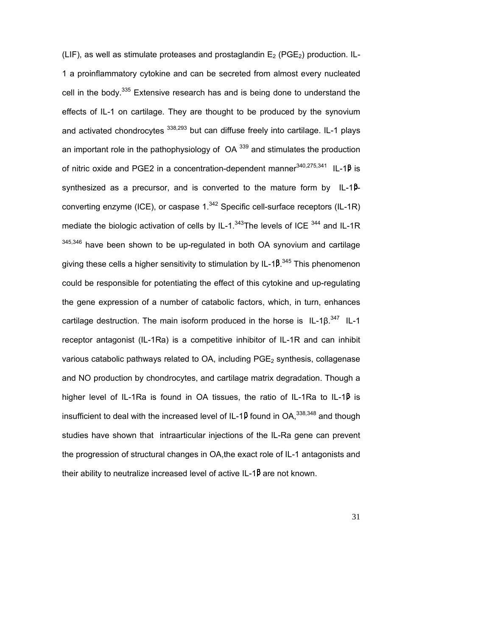(LIF), as well as stimulate proteases and prostaglandin  $E_2$  (PGE<sub>2</sub>) production. IL-1 a proinflammatory cytokine and can be secreted from almost every nucleated cell in the body.<sup>335</sup> Extensive research has and is being done to understand the effects of IL-1 on cartilage. They are thought to be produced by the synovium and activated chondrocytes  $338,293$  but can diffuse freely into cartilage. IL-1 plays an important role in the pathophysiology of  $OA^{339}$  and stimulates the production of nitric oxide and PGE2 in a concentration-dependent manner<sup>340,275,341</sup> IL-1 $\beta$  is synthesized as a precursor, and is converted to the mature form by  $IL-1<sup>β</sup>$ converting enzyme (ICE), or caspase  $1.^{342}$  Specific cell-surface receptors (IL-1R) mediate the biologic activation of cells by IL-1. $343$ The levels of ICE  $344$  and IL-1R  $345,346$  have been shown to be up-regulated in both OA synovium and cartilage giving these cells a higher sensitivity to stimulation by IL-1 $\beta^{.345}$  This phenomenon could be responsible for potentiating the effect of this cytokine and up-regulating the gene expression of a number of catabolic factors, which, in turn, enhances cartilage destruction. The main isoform produced in the horse is IL-1 $\beta$ .<sup>347</sup> IL-1 receptor antagonist (IL-1Ra) is a competitive inhibitor of IL-1R and can inhibit various catabolic pathways related to  $OA$ , including  $PGE<sub>2</sub>$  synthesis, collagenase and NO production by chondrocytes, and cartilage matrix degradation. Though a higher level of IL-1Ra is found in OA tissues, the ratio of IL-1Ra to IL-1 $\beta$  is insufficient to deal with the increased level of IL-1P found in OA,  $338,348$  and though studies have shown that intraarticular injections of the IL-Ra gene can prevent the progression of structural changes in OA,the exact role of IL-1 antagonists and their ability to neutralize increased level of active IL-1 $\beta$  are not known.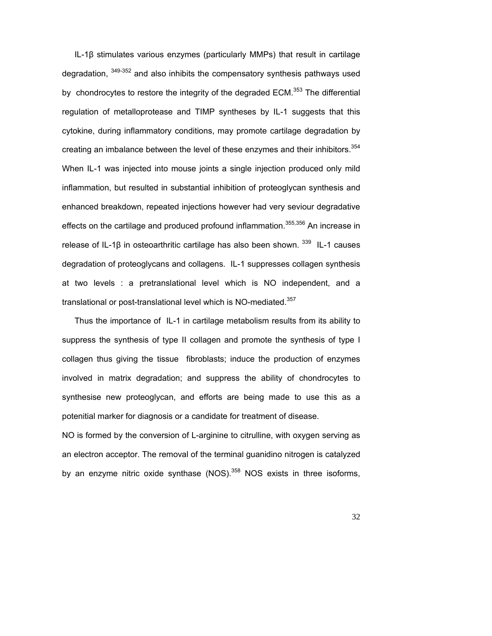IL-1β stimulates various enzymes (particularly MMPs) that result in cartilage degradation,  $349-352$  and also inhibits the compensatory synthesis pathways used by chondrocytes to restore the integrity of the degraded ECM.<sup>353</sup> The differential regulation of metalloprotease and TIMP syntheses by IL-1 suggests that this cytokine, during inflammatory conditions, may promote cartilage degradation by creating an imbalance between the level of these enzymes and their inhibitors.<sup>354</sup> When IL-1 was injected into mouse joints a single injection produced only mild inflammation, but resulted in substantial inhibition of proteoglycan synthesis and enhanced breakdown, repeated injections however had very seviour degradative effects on the cartilage and produced profound inflammation.<sup>355,356</sup> An increase in release of IL-1β in osteoarthritic cartilage has also been shown. 339 IL-1 causes degradation of proteoglycans and collagens. IL-1 suppresses collagen synthesis at two levels : a pretranslational level which is NO independent, and a translational or post-translational level which is NO-mediated.<sup>357</sup>

Thus the importance of IL-1 in cartilage metabolism results from its ability to suppress the synthesis of type II collagen and promote the synthesis of type I collagen thus giving the tissue fibroblasts; induce the production of enzymes involved in matrix degradation; and suppress the ability of chondrocytes to synthesise new proteoglycan, and efforts are being made to use this as a potenitial marker for diagnosis or a candidate for treatment of disease.

NO is formed by the conversion of L-arginine to citrulline, with oxygen serving as an electron acceptor. The removal of the terminal guanidino nitrogen is catalyzed by an enzyme nitric oxide synthase (NOS). $358$  NOS exists in three isoforms,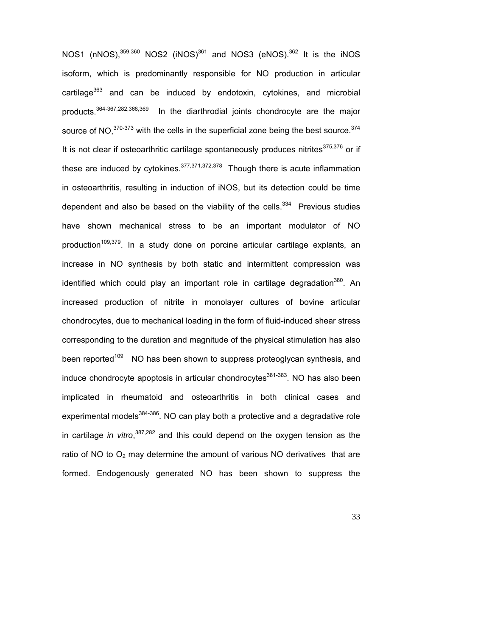NOS1 (nNOS), $359,360$  NOS2 (iNOS) $361$  and NOS3 (eNOS), $362$  It is the iNOS isoform, which is predominantly responsible for NO production in articular cartilage $363$  and can be induced by endotoxin, cytokines, and microbial products.<sup>364-367,282,368,369</sup> In the diarthrodial joints chondrocyte are the major source of NO,  $370-373$  with the cells in the superficial zone being the best source.  $374$ It is not clear if osteoarthritic cartilage spontaneously produces nitrites $375,376$  or if these are induced by cytokines.<sup>377,371,372,378</sup> Though there is acute inflammation in osteoarthritis, resulting in induction of iNOS, but its detection could be time dependent and also be based on the viability of the cells. $334$  Previous studies have shown mechanical stress to be an important modulator of NO production<sup>109,379</sup>. In a study done on porcine articular cartilage explants, an increase in NO synthesis by both static and intermittent compression was identified which could play an important role in cartilage degradation<sup>380</sup>. An increased production of nitrite in monolayer cultures of bovine articular chondrocytes, due to mechanical loading in the form of fluid-induced shear stress corresponding to the duration and magnitude of the physical stimulation has also been reported<sup>109</sup> NO has been shown to suppress proteoglycan synthesis, and induce chondrocyte apoptosis in articular chondrocytes $381-383$ . NO has also been implicated in rheumatoid and osteoarthritis in both clinical cases and experimental models<sup>384-386</sup>. NO can play both a protective and a degradative role in cartilage *in vitro*, 387,282 and this could depend on the oxygen tension as the ratio of NO to  $O_2$  may determine the amount of various NO derivatives that are formed. Endogenously generated NO has been shown to suppress the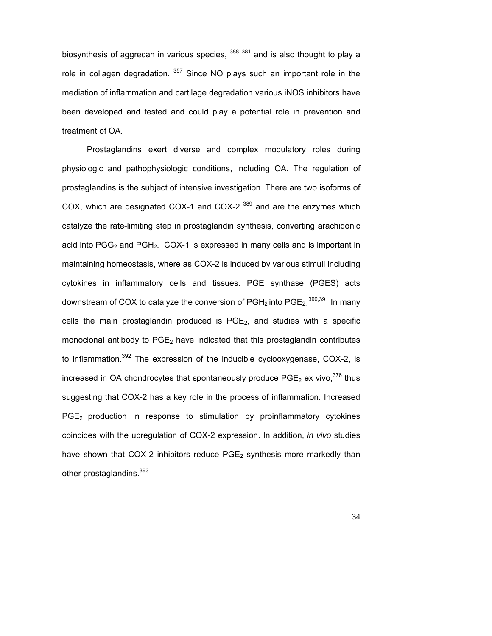biosynthesis of aggrecan in various species,  $388381$  and is also thought to play a role in collagen degradation.  $357$  Since NO plays such an important role in the mediation of inflammation and cartilage degradation various iNOS inhibitors have been developed and tested and could play a potential role in prevention and treatment of OA.

Prostaglandins exert diverse and complex modulatory roles during physiologic and pathophysiologic conditions, including OA. The regulation of prostaglandins is the subject of intensive investigation. There are two isoforms of COX, which are designated COX-1 and COX-2  $389$  and are the enzymes which catalyze the rate-limiting step in prostaglandin synthesis, converting arachidonic acid into  $PGG<sub>2</sub>$  and  $PGH<sub>2</sub>$ . COX-1 is expressed in many cells and is important in maintaining homeostasis, where as COX-2 is induced by various stimuli including cytokines in inflammatory cells and tissues. PGE synthase (PGES) acts downstream of COX to catalyze the conversion of PGH<sub>2</sub> into PGE<sub>2.</sub>  $^{390,391}$  In many cells the main prostaglandin produced is  $PGE<sub>2</sub>$ , and studies with a specific monoclonal antibody to  $PGE<sub>2</sub>$  have indicated that this prostaglandin contributes to inflammation.<sup>392</sup> The expression of the inducible cyclooxygenase, COX-2, is increased in OA chondrocytes that spontaneously produce  $PGE_2$  ex vivo,<sup>376</sup> thus suggesting that COX-2 has a key role in the process of inflammation. Increased  $PGE<sub>2</sub>$  production in response to stimulation by proinflammatory cytokines coincides with the upregulation of COX-2 expression. In addition, *in vivo* studies have shown that COX-2 inhibitors reduce  $PGE_2$  synthesis more markedly than other prostaglandins.<sup>393</sup>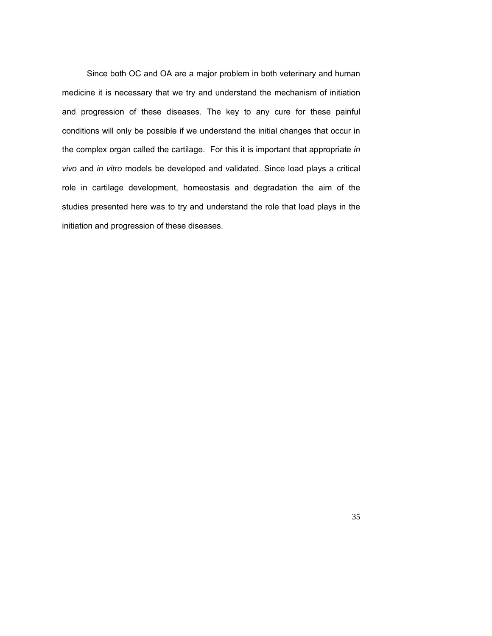Since both OC and OA are a major problem in both veterinary and human medicine it is necessary that we try and understand the mechanism of initiation and progression of these diseases. The key to any cure for these painful conditions will only be possible if we understand the initial changes that occur in the complex organ called the cartilage. For this it is important that appropriate *in vivo* and *in vitro* models be developed and validated. Since load plays a critical role in cartilage development, homeostasis and degradation the aim of the studies presented here was to try and understand the role that load plays in the initiation and progression of these diseases.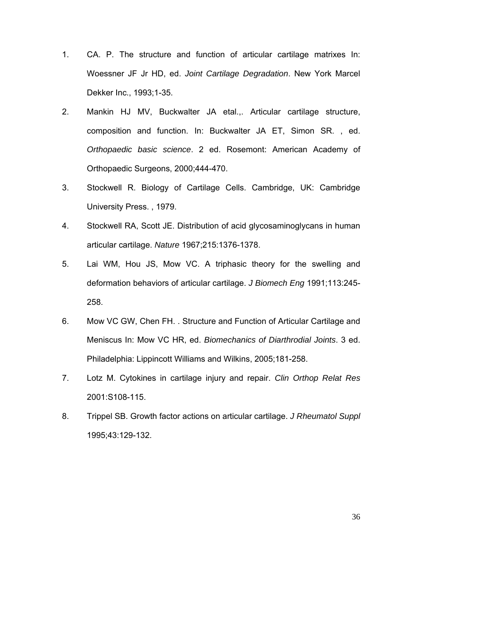- 1. CA. P. The structure and function of articular cartilage matrixes In: Woessner JF Jr HD, ed. *Joint Cartilage Degradation*. New York Marcel Dekker Inc., 1993;1-35.
- 2. Mankin HJ MV, Buckwalter JA etal.,. Articular cartilage structure, composition and function. In: Buckwalter JA ET, Simon SR. , ed. *Orthopaedic basic science*. 2 ed. Rosemont: American Academy of Orthopaedic Surgeons, 2000;444-470.
- 3. Stockwell R. Biology of Cartilage Cells. Cambridge, UK: Cambridge University Press. , 1979.
- 4. Stockwell RA, Scott JE. Distribution of acid glycosaminoglycans in human articular cartilage. *Nature* 1967;215:1376-1378.
- 5. Lai WM, Hou JS, Mow VC. A triphasic theory for the swelling and deformation behaviors of articular cartilage. *J Biomech Eng* 1991;113:245- 258.
- 6. Mow VC GW, Chen FH. . Structure and Function of Articular Cartilage and Meniscus In: Mow VC HR, ed. *Biomechanics of Diarthrodial Joints*. 3 ed. Philadelphia: Lippincott Williams and Wilkins, 2005;181-258.
- 7. Lotz M. Cytokines in cartilage injury and repair. *Clin Orthop Relat Res* 2001:S108-115.
- 8. Trippel SB. Growth factor actions on articular cartilage. *J Rheumatol Suppl* 1995;43:129-132.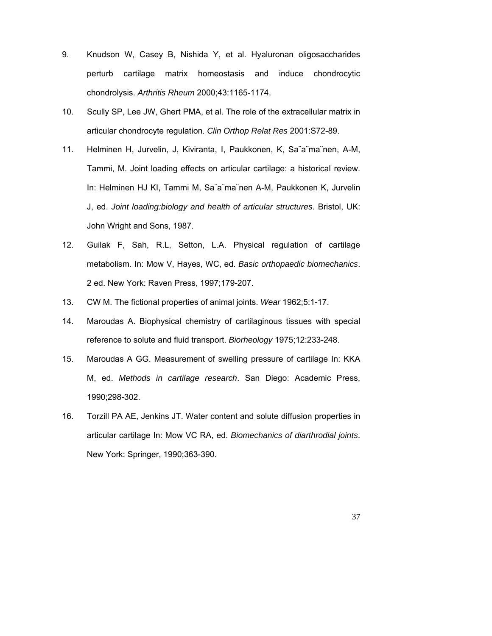- 9. Knudson W, Casey B, Nishida Y, et al. Hyaluronan oligosaccharides perturb cartilage matrix homeostasis and induce chondrocytic chondrolysis. *Arthritis Rheum* 2000;43:1165-1174.
- 10. Scully SP, Lee JW, Ghert PMA, et al. The role of the extracellular matrix in articular chondrocyte regulation. *Clin Orthop Relat Res* 2001:S72-89.
- 11. Helminen H, Jurvelin, J, Kiviranta, I, Paukkonen, K, Sa¨a¨ma¨nen, A-M, Tammi, M. Joint loading effects on articular cartilage: a historical review. In: Helminen HJ KI, Tammi M, Sa¨a¨ma¨nen A-M, Paukkonen K, Jurvelin J, ed. *Joint loading:biology and health of articular structures*. Bristol, UK: John Wright and Sons, 1987.
- 12. Guilak F, Sah, R.L, Setton, L.A. Physical regulation of cartilage metabolism. In: Mow V, Hayes, WC, ed. *Basic orthopaedic biomechanics*. 2 ed. New York: Raven Press, 1997;179-207.
- 13. CW M. The fictional properties of animal joints. *Wear* 1962;5:1-17.
- 14. Maroudas A. Biophysical chemistry of cartilaginous tissues with special reference to solute and fluid transport. *Biorheology* 1975;12:233-248.
- 15. Maroudas A GG. Measurement of swelling pressure of cartilage In: KKA M, ed. *Methods in cartilage research*. San Diego: Academic Press, 1990;298-302.
- 16. Torzill PA AE, Jenkins JT. Water content and solute diffusion properties in articular cartilage In: Mow VC RA, ed. *Biomechanics of diarthrodial joints*. New York: Springer, 1990;363-390.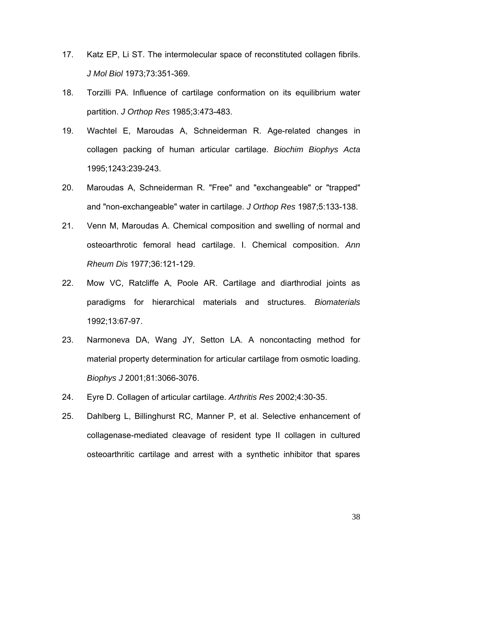- 17. Katz EP, Li ST. The intermolecular space of reconstituted collagen fibrils. *J Mol Biol* 1973;73:351-369.
- 18. Torzilli PA. Influence of cartilage conformation on its equilibrium water partition. *J Orthop Res* 1985;3:473-483.
- 19. Wachtel E, Maroudas A, Schneiderman R. Age-related changes in collagen packing of human articular cartilage. *Biochim Biophys Acta* 1995;1243:239-243.
- 20. Maroudas A, Schneiderman R. "Free" and "exchangeable" or "trapped" and "non-exchangeable" water in cartilage. *J Orthop Res* 1987;5:133-138.
- 21. Venn M, Maroudas A. Chemical composition and swelling of normal and osteoarthrotic femoral head cartilage. I. Chemical composition. *Ann Rheum Dis* 1977;36:121-129.
- 22. Mow VC, Ratcliffe A, Poole AR. Cartilage and diarthrodial joints as paradigms for hierarchical materials and structures. *Biomaterials* 1992;13:67-97.
- 23. Narmoneva DA, Wang JY, Setton LA. A noncontacting method for material property determination for articular cartilage from osmotic loading. *Biophys J* 2001;81:3066-3076.
- 24. Eyre D. Collagen of articular cartilage. *Arthritis Res* 2002;4:30-35.
- 25. Dahlberg L, Billinghurst RC, Manner P, et al. Selective enhancement of collagenase-mediated cleavage of resident type II collagen in cultured osteoarthritic cartilage and arrest with a synthetic inhibitor that spares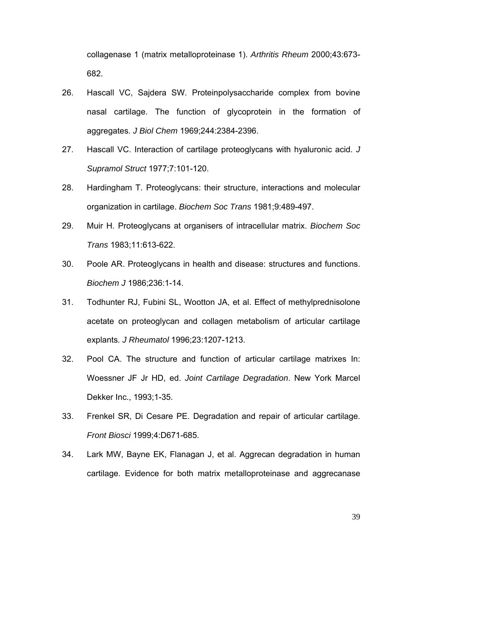collagenase 1 (matrix metalloproteinase 1). *Arthritis Rheum* 2000;43:673- 682.

- 26. Hascall VC, Sajdera SW. Proteinpolysaccharide complex from bovine nasal cartilage. The function of glycoprotein in the formation of aggregates. *J Biol Chem* 1969;244:2384-2396.
- 27. Hascall VC. Interaction of cartilage proteoglycans with hyaluronic acid. *J Supramol Struct* 1977;7:101-120.
- 28. Hardingham T. Proteoglycans: their structure, interactions and molecular organization in cartilage. *Biochem Soc Trans* 1981;9:489-497.
- 29. Muir H. Proteoglycans at organisers of intracellular matrix. *Biochem Soc Trans* 1983;11:613-622.
- 30. Poole AR. Proteoglycans in health and disease: structures and functions. *Biochem J* 1986;236:1-14.
- 31. Todhunter RJ, Fubini SL, Wootton JA, et al. Effect of methylprednisolone acetate on proteoglycan and collagen metabolism of articular cartilage explants. *J Rheumatol* 1996;23:1207-1213.
- 32. Pool CA. The structure and function of articular cartilage matrixes In: Woessner JF Jr HD, ed. *Joint Cartilage Degradation*. New York Marcel Dekker Inc., 1993;1-35.
- 33. Frenkel SR, Di Cesare PE. Degradation and repair of articular cartilage. *Front Biosci* 1999;4:D671-685.
- 34. Lark MW, Bayne EK, Flanagan J, et al. Aggrecan degradation in human cartilage. Evidence for both matrix metalloproteinase and aggrecanase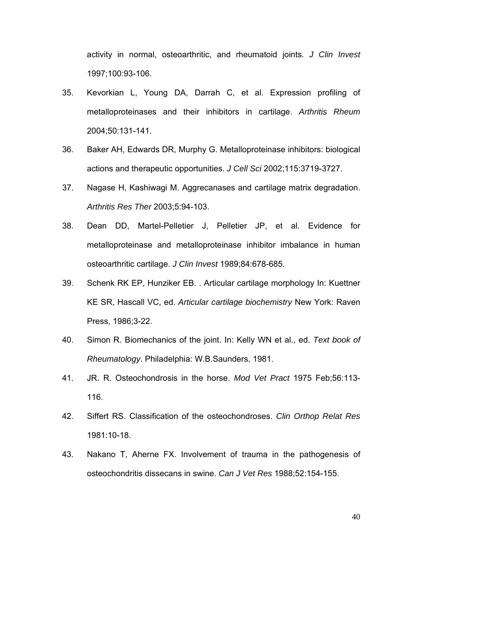activity in normal, osteoarthritic, and rheumatoid joints. *J Clin Invest* 1997;100:93-106.

- 35. Kevorkian L, Young DA, Darrah C, et al. Expression profiling of metalloproteinases and their inhibitors in cartilage. *Arthritis Rheum* 2004;50:131-141.
- 36. Baker AH, Edwards DR, Murphy G. Metalloproteinase inhibitors: biological actions and therapeutic opportunities. *J Cell Sci* 2002;115:3719-3727.
- 37. Nagase H, Kashiwagi M. Aggrecanases and cartilage matrix degradation. *Arthritis Res Ther* 2003;5:94-103.
- 38. Dean DD, Martel-Pelletier J, Pelletier JP, et al. Evidence for metalloproteinase and metalloproteinase inhibitor imbalance in human osteoarthritic cartilage. *J Clin Invest* 1989;84:678-685.
- 39. Schenk RK EP, Hunziker EB. . Articular cartilage morphology In: Kuettner KE SR, Hascall VC, ed. *Articular cartilage biochemistry* New York: Raven Press, 1986;3-22.
- 40. Simon R. Biomechanics of the joint. In: Kelly WN et al., ed. *Text book of Rheumatology*. Philadelphia: W.B.Saunders, 1981.
- 41. JR. R. Osteochondrosis in the horse. *Mod Vet Pract* 1975 Feb;56:113- 116.
- 42. Siffert RS. Classification of the osteochondroses. *Clin Orthop Relat Res* 1981:10-18.
- 43. Nakano T, Aherne FX. Involvement of trauma in the pathogenesis of osteochondritis dissecans in swine. *Can J Vet Res* 1988;52:154-155.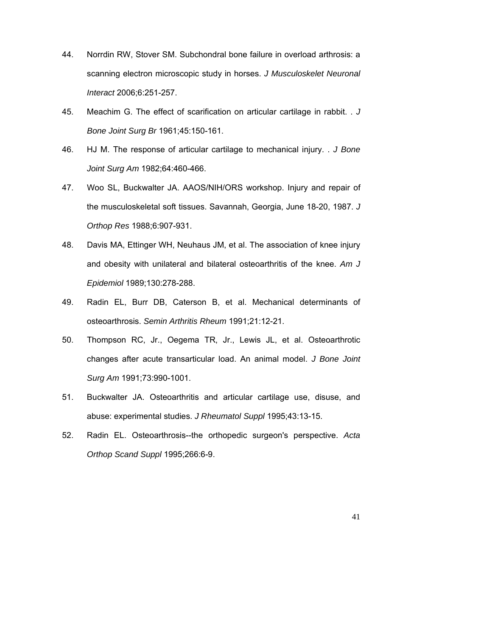- 44. Norrdin RW, Stover SM. Subchondral bone failure in overload arthrosis: a scanning electron microscopic study in horses. *J Musculoskelet Neuronal Interact* 2006;6:251-257.
- 45. Meachim G. The effect of scarification on articular cartilage in rabbit. . *J Bone Joint Surg Br* 1961;45:150-161.
- 46. HJ M. The response of articular cartilage to mechanical injury. . *J Bone Joint Surg Am* 1982;64:460-466.
- 47. Woo SL, Buckwalter JA. AAOS/NIH/ORS workshop. Injury and repair of the musculoskeletal soft tissues. Savannah, Georgia, June 18-20, 1987. *J Orthop Res* 1988;6:907-931.
- 48. Davis MA, Ettinger WH, Neuhaus JM, et al. The association of knee injury and obesity with unilateral and bilateral osteoarthritis of the knee. *Am J Epidemiol* 1989;130:278-288.
- 49. Radin EL, Burr DB, Caterson B, et al. Mechanical determinants of osteoarthrosis. *Semin Arthritis Rheum* 1991;21:12-21.
- 50. Thompson RC, Jr., Oegema TR, Jr., Lewis JL, et al. Osteoarthrotic changes after acute transarticular load. An animal model. *J Bone Joint Surg Am* 1991;73:990-1001.
- 51. Buckwalter JA. Osteoarthritis and articular cartilage use, disuse, and abuse: experimental studies. *J Rheumatol Suppl* 1995;43:13-15.
- 52. Radin EL. Osteoarthrosis--the orthopedic surgeon's perspective. *Acta Orthop Scand Suppl* 1995;266:6-9.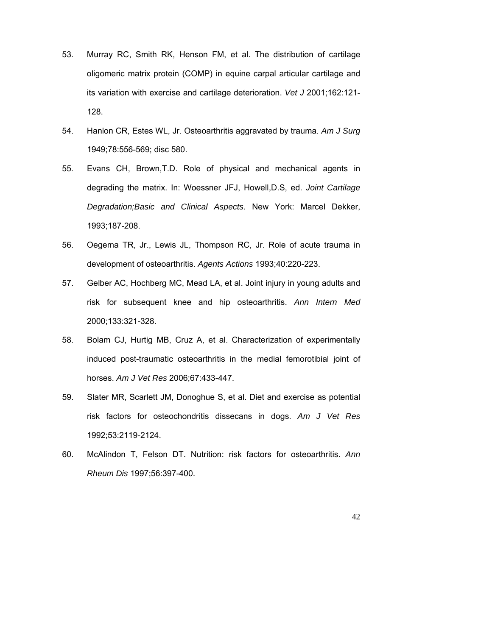- 53. Murray RC, Smith RK, Henson FM, et al. The distribution of cartilage oligomeric matrix protein (COMP) in equine carpal articular cartilage and its variation with exercise and cartilage deterioration. *Vet J* 2001;162:121- 128.
- 54. Hanlon CR, Estes WL, Jr. Osteoarthritis aggravated by trauma. *Am J Surg* 1949;78:556-569; disc 580.
- 55. Evans CH, Brown,T.D. Role of physical and mechanical agents in degrading the matrix. In: Woessner JFJ, Howell,D.S, ed. *Joint Cartilage Degradation;Basic and Clinical Aspects*. New York: Marcel Dekker, 1993;187-208.
- 56. Oegema TR, Jr., Lewis JL, Thompson RC, Jr. Role of acute trauma in development of osteoarthritis. *Agents Actions* 1993;40:220-223.
- 57. Gelber AC, Hochberg MC, Mead LA, et al. Joint injury in young adults and risk for subsequent knee and hip osteoarthritis. *Ann Intern Med* 2000;133:321-328.
- 58. Bolam CJ, Hurtig MB, Cruz A, et al. Characterization of experimentally induced post-traumatic osteoarthritis in the medial femorotibial joint of horses. *Am J Vet Res* 2006;67:433-447.
- 59. Slater MR, Scarlett JM, Donoghue S, et al. Diet and exercise as potential risk factors for osteochondritis dissecans in dogs. *Am J Vet Res* 1992;53:2119-2124.
- 60. McAlindon T, Felson DT. Nutrition: risk factors for osteoarthritis. *Ann Rheum Dis* 1997;56:397-400.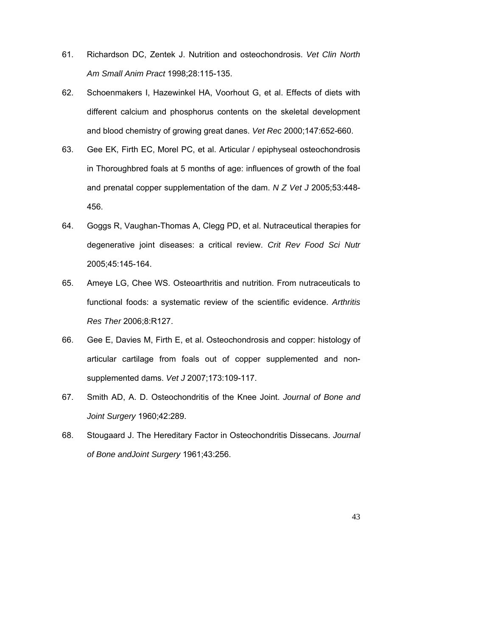- 61. Richardson DC, Zentek J. Nutrition and osteochondrosis. *Vet Clin North Am Small Anim Pract* 1998;28:115-135.
- 62. Schoenmakers I, Hazewinkel HA, Voorhout G, et al. Effects of diets with different calcium and phosphorus contents on the skeletal development and blood chemistry of growing great danes. *Vet Rec* 2000;147:652-660.
- 63. Gee EK, Firth EC, Morel PC, et al. Articular / epiphyseal osteochondrosis in Thoroughbred foals at 5 months of age: influences of growth of the foal and prenatal copper supplementation of the dam. *N Z Vet J* 2005;53:448- 456.
- 64. Goggs R, Vaughan-Thomas A, Clegg PD, et al. Nutraceutical therapies for degenerative joint diseases: a critical review. *Crit Rev Food Sci Nutr* 2005;45:145-164.
- 65. Ameye LG, Chee WS. Osteoarthritis and nutrition. From nutraceuticals to functional foods: a systematic review of the scientific evidence. *Arthritis Res Ther* 2006;8:R127.
- 66. Gee E, Davies M, Firth E, et al. Osteochondrosis and copper: histology of articular cartilage from foals out of copper supplemented and nonsupplemented dams. *Vet J* 2007;173:109-117.
- 67. Smith AD, A. D. Osteochondritis of the Knee Joint. *Journal of Bone and Joint Surgery* 1960;42:289.
- 68. Stougaard J. The Hereditary Factor in Osteochondritis Dissecans. *Journal of Bone andJoint Surgery* 1961;43:256.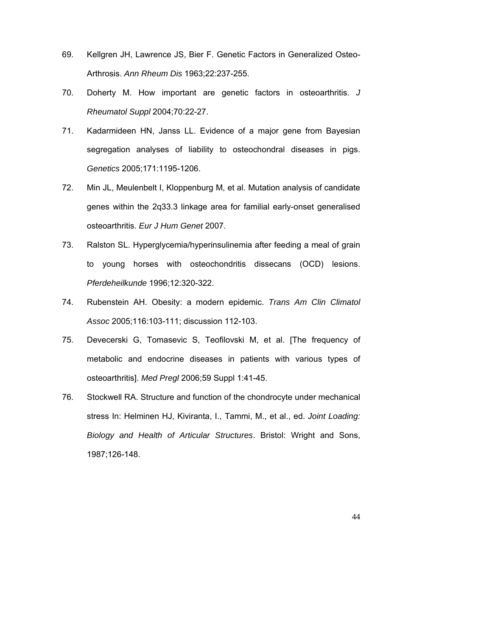- 69. Kellgren JH, Lawrence JS, Bier F. Genetic Factors in Generalized Osteo-Arthrosis. *Ann Rheum Dis* 1963;22:237-255.
- 70. Doherty M. How important are genetic factors in osteoarthritis. *J Rheumatol Suppl* 2004;70:22-27.
- 71. Kadarmideen HN, Janss LL. Evidence of a major gene from Bayesian segregation analyses of liability to osteochondral diseases in pigs. *Genetics* 2005;171:1195-1206.
- 72. Min JL, Meulenbelt I, Kloppenburg M, et al. Mutation analysis of candidate genes within the 2q33.3 linkage area for familial early-onset generalised osteoarthritis. *Eur J Hum Genet* 2007.
- 73. Ralston SL. Hyperglycemia/hyperinsulinemia after feeding a meal of grain to young horses with osteochondritis dissecans (OCD) lesions. *Pferdeheilkunde* 1996;12:320-322.
- 74. Rubenstein AH. Obesity: a modern epidemic. *Trans Am Clin Climatol Assoc* 2005;116:103-111; discussion 112-103.
- 75. Devecerski G, Tomasevic S, Teofilovski M, et al. [The frequency of metabolic and endocrine diseases in patients with various types of osteoarthritis]. *Med Pregl* 2006;59 Suppl 1:41-45.
- 76. Stockwell RA. Structure and function of the chondrocyte under mechanical stress In: Helminen HJ, Kiviranta, I., Tammi, M., et al., ed. *Joint Loading: Biology and Health of Articular Structures*. Bristol: Wright and Sons, 1987;126-148.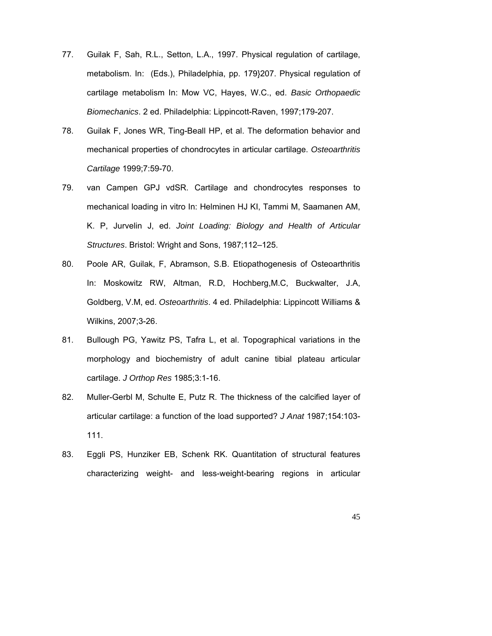- 77. Guilak F, Sah, R.L., Setton, L.A., 1997. Physical regulation of cartilage, metabolism. In: (Eds.), Philadelphia, pp. 179}207. Physical regulation of cartilage metabolism In: Mow VC, Hayes, W.C., ed. *Basic Orthopaedic Biomechanics*. 2 ed. Philadelphia: Lippincott-Raven, 1997;179-207.
- 78. Guilak F, Jones WR, Ting-Beall HP, et al. The deformation behavior and mechanical properties of chondrocytes in articular cartilage. *Osteoarthritis Cartilage* 1999;7:59-70.
- 79. van Campen GPJ vdSR. Cartilage and chondrocytes responses to mechanical loading in vitro In: Helminen HJ KI, Tammi M, Saamanen AM, K. P, Jurvelin J, ed. *Joint Loading: Biology and Health of Articular Structures*. Bristol: Wright and Sons, 1987;112–125.
- 80. Poole AR, Guilak, F, Abramson, S.B. Etiopathogenesis of Osteoarthritis In: Moskowitz RW, Altman, R.D, Hochberg,M.C, Buckwalter, J.A, Goldberg, V.M, ed. *Osteoarthritis*. 4 ed. Philadelphia: Lippincott Williams & Wilkins, 2007;3-26.
- 81. Bullough PG, Yawitz PS, Tafra L, et al. Topographical variations in the morphology and biochemistry of adult canine tibial plateau articular cartilage. *J Orthop Res* 1985;3:1-16.
- 82. Muller-Gerbl M, Schulte E, Putz R. The thickness of the calcified layer of articular cartilage: a function of the load supported? *J Anat* 1987;154:103- 111.
- 83. Eggli PS, Hunziker EB, Schenk RK. Quantitation of structural features characterizing weight- and less-weight-bearing regions in articular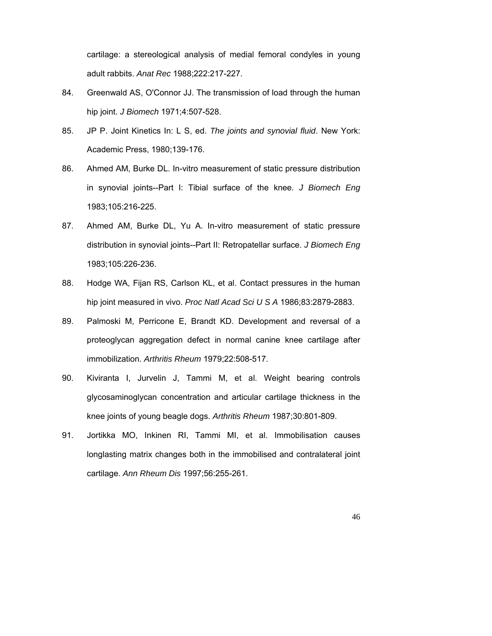cartilage: a stereological analysis of medial femoral condyles in young adult rabbits. *Anat Rec* 1988;222:217-227.

- 84. Greenwald AS, O'Connor JJ. The transmission of load through the human hip joint. *J Biomech* 1971;4:507-528.
- 85. JP P. Joint Kinetics In: L S, ed. *The joints and synovial fluid*. New York: Academic Press, 1980;139-176.
- 86. Ahmed AM, Burke DL. In-vitro measurement of static pressure distribution in synovial joints--Part I: Tibial surface of the knee. *J Biomech Eng* 1983;105:216-225.
- 87. Ahmed AM, Burke DL, Yu A. In-vitro measurement of static pressure distribution in synovial joints--Part II: Retropatellar surface. *J Biomech Eng* 1983;105:226-236.
- 88. Hodge WA, Fijan RS, Carlson KL, et al. Contact pressures in the human hip joint measured in vivo. *Proc Natl Acad Sci U S A* 1986;83:2879-2883.
- 89. Palmoski M, Perricone E, Brandt KD. Development and reversal of a proteoglycan aggregation defect in normal canine knee cartilage after immobilization. *Arthritis Rheum* 1979;22:508-517.
- 90. Kiviranta I, Jurvelin J, Tammi M, et al. Weight bearing controls glycosaminoglycan concentration and articular cartilage thickness in the knee joints of young beagle dogs. *Arthritis Rheum* 1987;30:801-809.
- 91. Jortikka MO, Inkinen RI, Tammi MI, et al. Immobilisation causes longlasting matrix changes both in the immobilised and contralateral joint cartilage. *Ann Rheum Dis* 1997;56:255-261.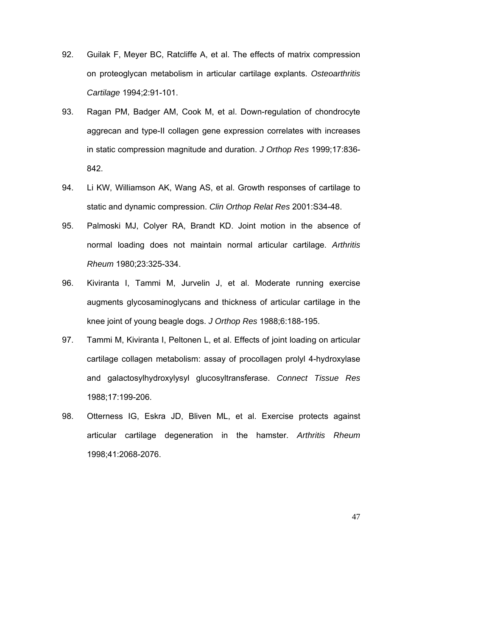- 92. Guilak F, Meyer BC, Ratcliffe A, et al. The effects of matrix compression on proteoglycan metabolism in articular cartilage explants. *Osteoarthritis Cartilage* 1994;2:91-101.
- 93. Ragan PM, Badger AM, Cook M, et al. Down-regulation of chondrocyte aggrecan and type-II collagen gene expression correlates with increases in static compression magnitude and duration. *J Orthop Res* 1999;17:836- 842.
- 94. Li KW, Williamson AK, Wang AS, et al. Growth responses of cartilage to static and dynamic compression. *Clin Orthop Relat Res* 2001:S34-48.
- 95. Palmoski MJ, Colyer RA, Brandt KD. Joint motion in the absence of normal loading does not maintain normal articular cartilage. *Arthritis Rheum* 1980;23:325-334.
- 96. Kiviranta I, Tammi M, Jurvelin J, et al. Moderate running exercise augments glycosaminoglycans and thickness of articular cartilage in the knee joint of young beagle dogs. *J Orthop Res* 1988;6:188-195.
- 97. Tammi M, Kiviranta I, Peltonen L, et al. Effects of joint loading on articular cartilage collagen metabolism: assay of procollagen prolyl 4-hydroxylase and galactosylhydroxylysyl glucosyltransferase. *Connect Tissue Res* 1988;17:199-206.
- 98. Otterness IG, Eskra JD, Bliven ML, et al. Exercise protects against articular cartilage degeneration in the hamster. *Arthritis Rheum* 1998;41:2068-2076.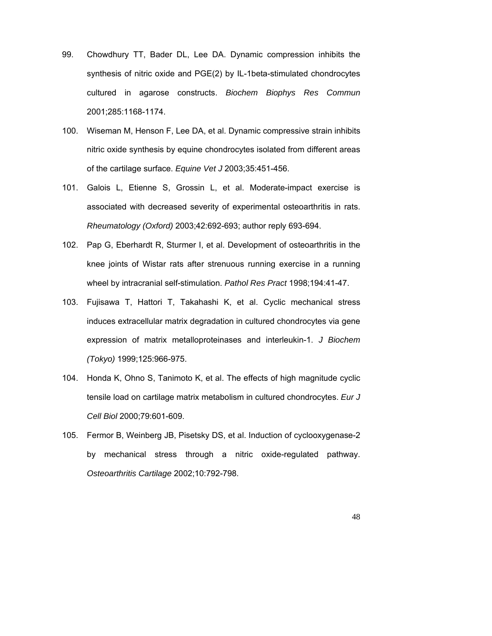- 99. Chowdhury TT, Bader DL, Lee DA. Dynamic compression inhibits the synthesis of nitric oxide and PGE(2) by IL-1beta-stimulated chondrocytes cultured in agarose constructs. *Biochem Biophys Res Commun* 2001;285:1168-1174.
- 100. Wiseman M, Henson F, Lee DA, et al. Dynamic compressive strain inhibits nitric oxide synthesis by equine chondrocytes isolated from different areas of the cartilage surface. *Equine Vet J* 2003;35:451-456.
- 101. Galois L, Etienne S, Grossin L, et al. Moderate-impact exercise is associated with decreased severity of experimental osteoarthritis in rats. *Rheumatology (Oxford)* 2003;42:692-693; author reply 693-694.
- 102. Pap G, Eberhardt R, Sturmer I, et al. Development of osteoarthritis in the knee joints of Wistar rats after strenuous running exercise in a running wheel by intracranial self-stimulation. *Pathol Res Pract* 1998;194:41-47.
- 103. Fujisawa T, Hattori T, Takahashi K, et al. Cyclic mechanical stress induces extracellular matrix degradation in cultured chondrocytes via gene expression of matrix metalloproteinases and interleukin-1. *J Biochem (Tokyo)* 1999;125:966-975.
- 104. Honda K, Ohno S, Tanimoto K, et al. The effects of high magnitude cyclic tensile load on cartilage matrix metabolism in cultured chondrocytes. *Eur J Cell Biol* 2000;79:601-609.
- 105. Fermor B, Weinberg JB, Pisetsky DS, et al. Induction of cyclooxygenase-2 by mechanical stress through a nitric oxide-regulated pathway. *Osteoarthritis Cartilage* 2002;10:792-798.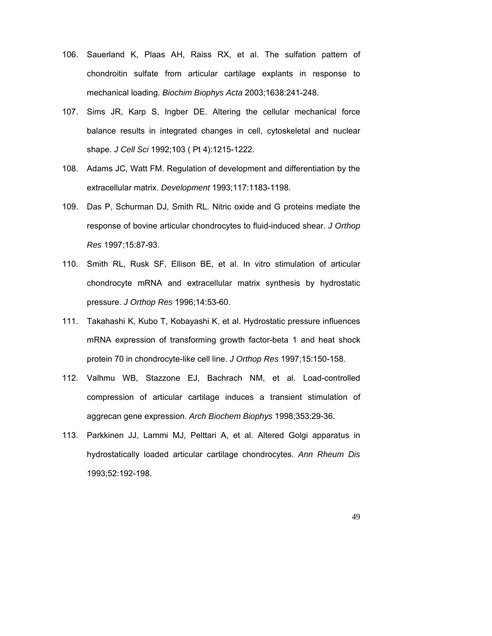- 106. Sauerland K, Plaas AH, Raiss RX, et al. The sulfation pattern of chondroitin sulfate from articular cartilage explants in response to mechanical loading. *Biochim Biophys Acta* 2003;1638:241-248.
- 107. Sims JR, Karp S, Ingber DE. Altering the cellular mechanical force balance results in integrated changes in cell, cytoskeletal and nuclear shape. *J Cell Sci* 1992;103 ( Pt 4):1215-1222.
- 108. Adams JC, Watt FM. Regulation of development and differentiation by the extracellular matrix. *Development* 1993;117:1183-1198.
- 109. Das P, Schurman DJ, Smith RL. Nitric oxide and G proteins mediate the response of bovine articular chondrocytes to fluid-induced shear. *J Orthop Res* 1997;15:87-93.
- 110. Smith RL, Rusk SF, Ellison BE, et al. In vitro stimulation of articular chondrocyte mRNA and extracellular matrix synthesis by hydrostatic pressure. *J Orthop Res* 1996;14:53-60.
- 111. Takahashi K, Kubo T, Kobayashi K, et al. Hydrostatic pressure influences mRNA expression of transforming growth factor-beta 1 and heat shock protein 70 in chondrocyte-like cell line. *J Orthop Res* 1997;15:150-158.
- 112. Valhmu WB, Stazzone EJ, Bachrach NM, et al. Load-controlled compression of articular cartilage induces a transient stimulation of aggrecan gene expression. *Arch Biochem Biophys* 1998;353:29-36.
- 113. Parkkinen JJ, Lammi MJ, Pelttari A, et al. Altered Golgi apparatus in hydrostatically loaded articular cartilage chondrocytes. *Ann Rheum Dis* 1993;52:192-198.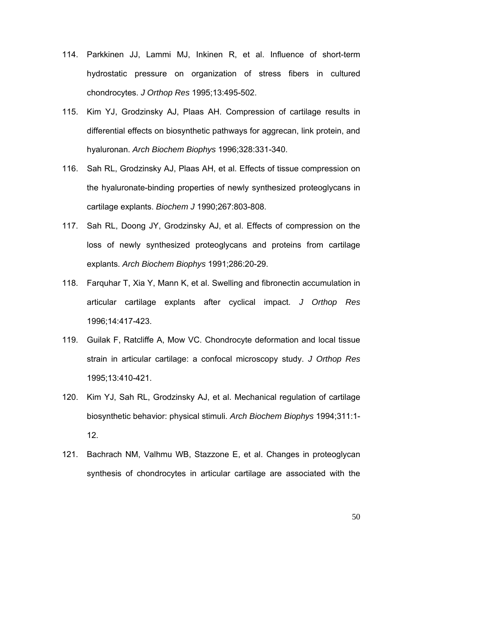- 114. Parkkinen JJ, Lammi MJ, Inkinen R, et al. Influence of short-term hydrostatic pressure on organization of stress fibers in cultured chondrocytes. *J Orthop Res* 1995;13:495-502.
- 115. Kim YJ, Grodzinsky AJ, Plaas AH. Compression of cartilage results in differential effects on biosynthetic pathways for aggrecan, link protein, and hyaluronan. *Arch Biochem Biophys* 1996;328:331-340.
- 116. Sah RL, Grodzinsky AJ, Plaas AH, et al. Effects of tissue compression on the hyaluronate-binding properties of newly synthesized proteoglycans in cartilage explants. *Biochem J* 1990;267:803-808.
- 117. Sah RL, Doong JY, Grodzinsky AJ, et al. Effects of compression on the loss of newly synthesized proteoglycans and proteins from cartilage explants. *Arch Biochem Biophys* 1991;286:20-29.
- 118. Farquhar T, Xia Y, Mann K, et al. Swelling and fibronectin accumulation in articular cartilage explants after cyclical impact. *J Orthop Res* 1996;14:417-423.
- 119. Guilak F, Ratcliffe A, Mow VC. Chondrocyte deformation and local tissue strain in articular cartilage: a confocal microscopy study. *J Orthop Res* 1995;13:410-421.
- 120. Kim YJ, Sah RL, Grodzinsky AJ, et al. Mechanical regulation of cartilage biosynthetic behavior: physical stimuli. *Arch Biochem Biophys* 1994;311:1- 12.
- 121. Bachrach NM, Valhmu WB, Stazzone E, et al. Changes in proteoglycan synthesis of chondrocytes in articular cartilage are associated with the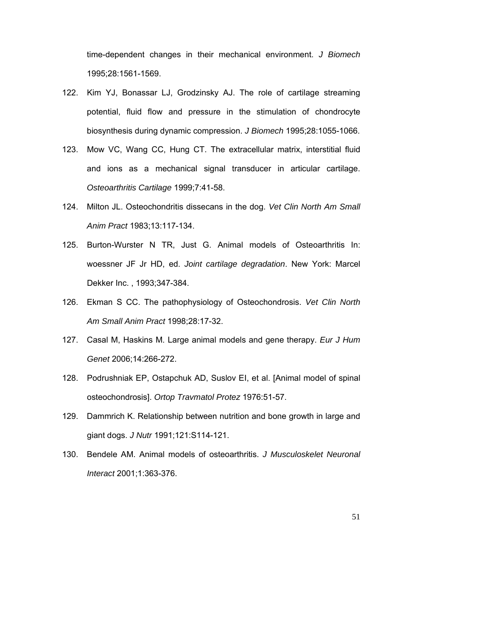time-dependent changes in their mechanical environment. *J Biomech* 1995;28:1561-1569.

- 122. Kim YJ, Bonassar LJ, Grodzinsky AJ. The role of cartilage streaming potential, fluid flow and pressure in the stimulation of chondrocyte biosynthesis during dynamic compression. *J Biomech* 1995;28:1055-1066.
- 123. Mow VC, Wang CC, Hung CT. The extracellular matrix, interstitial fluid and ions as a mechanical signal transducer in articular cartilage. *Osteoarthritis Cartilage* 1999;7:41-58.
- 124. Milton JL. Osteochondritis dissecans in the dog. *Vet Clin North Am Small Anim Pract* 1983;13:117-134.
- 125. Burton-Wurster N TR, Just G. Animal models of Osteoarthritis In: woessner JF Jr HD, ed. *Joint cartilage degradation*. New York: Marcel Dekker Inc. , 1993;347-384.
- 126. Ekman S CC. The pathophysiology of Osteochondrosis. *Vet Clin North Am Small Anim Pract* 1998;28:17-32.
- 127. Casal M, Haskins M. Large animal models and gene therapy. *Eur J Hum Genet* 2006;14:266-272.
- 128. Podrushniak EP, Ostapchuk AD, Suslov EI, et al. [Animal model of spinal osteochondrosis]. *Ortop Travmatol Protez* 1976:51-57.
- 129. Dammrich K. Relationship between nutrition and bone growth in large and giant dogs. *J Nutr* 1991;121:S114-121.
- 130. Bendele AM. Animal models of osteoarthritis. *J Musculoskelet Neuronal Interact* 2001;1:363-376.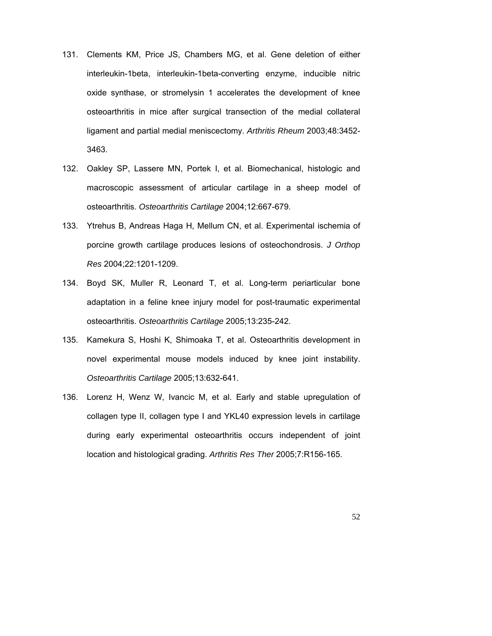- 131. Clements KM, Price JS, Chambers MG, et al. Gene deletion of either interleukin-1beta, interleukin-1beta-converting enzyme, inducible nitric oxide synthase, or stromelysin 1 accelerates the development of knee osteoarthritis in mice after surgical transection of the medial collateral ligament and partial medial meniscectomy. *Arthritis Rheum* 2003;48:3452- 3463.
- 132. Oakley SP, Lassere MN, Portek I, et al. Biomechanical, histologic and macroscopic assessment of articular cartilage in a sheep model of osteoarthritis. *Osteoarthritis Cartilage* 2004;12:667-679.
- 133. Ytrehus B, Andreas Haga H, Mellum CN, et al. Experimental ischemia of porcine growth cartilage produces lesions of osteochondrosis. *J Orthop Res* 2004;22:1201-1209.
- 134. Boyd SK, Muller R, Leonard T, et al. Long-term periarticular bone adaptation in a feline knee injury model for post-traumatic experimental osteoarthritis. *Osteoarthritis Cartilage* 2005;13:235-242.
- 135. Kamekura S, Hoshi K, Shimoaka T, et al. Osteoarthritis development in novel experimental mouse models induced by knee joint instability. *Osteoarthritis Cartilage* 2005;13:632-641.
- 136. Lorenz H, Wenz W, Ivancic M, et al. Early and stable upregulation of collagen type II, collagen type I and YKL40 expression levels in cartilage during early experimental osteoarthritis occurs independent of joint location and histological grading. *Arthritis Res Ther* 2005;7:R156-165.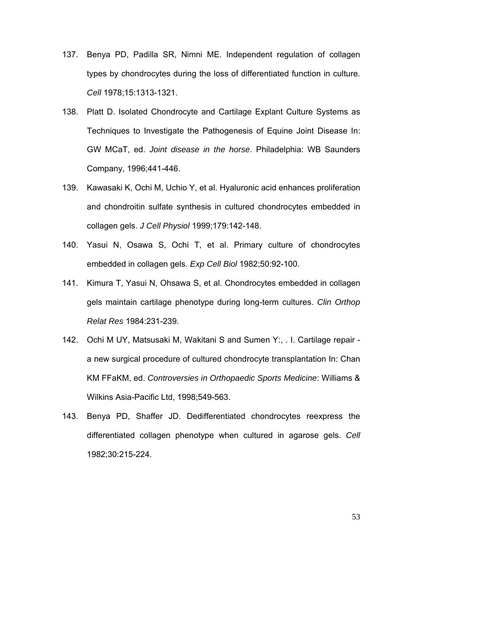- 137. Benya PD, Padilla SR, Nimni ME. Independent regulation of collagen types by chondrocytes during the loss of differentiated function in culture. *Cell* 1978;15:1313-1321.
- 138. Platt D. Isolated Chondrocyte and Cartilage Explant Culture Systems as Techniques to Investigate the Pathogenesis of Equine Joint Disease In: GW MCaT, ed. *Joint disease in the horse*. Philadelphia: WB Saunders Company, 1996;441-446.
- 139. Kawasaki K, Ochi M, Uchio Y, et al. Hyaluronic acid enhances proliferation and chondroitin sulfate synthesis in cultured chondrocytes embedded in collagen gels. *J Cell Physiol* 1999;179:142-148.
- 140. Yasui N, Osawa S, Ochi T, et al. Primary culture of chondrocytes embedded in collagen gels. *Exp Cell Biol* 1982;50:92-100.
- 141. Kimura T, Yasui N, Ohsawa S, et al. Chondrocytes embedded in collagen gels maintain cartilage phenotype during long-term cultures. *Clin Orthop Relat Res* 1984:231-239.
- 142. Ochi M UY, Matsusaki M, Wakitani S and Sumen Y:, . I. Cartilage repair a new surgical procedure of cultured chondrocyte transplantation In: Chan KM FFaKM, ed. *Controversies in Orthopaedic Sports Medicine*: Williams & Wilkins Asia-Pacific Ltd, 1998;549-563.
- 143. Benya PD, Shaffer JD. Dedifferentiated chondrocytes reexpress the differentiated collagen phenotype when cultured in agarose gels. *Cell* 1982;30:215-224.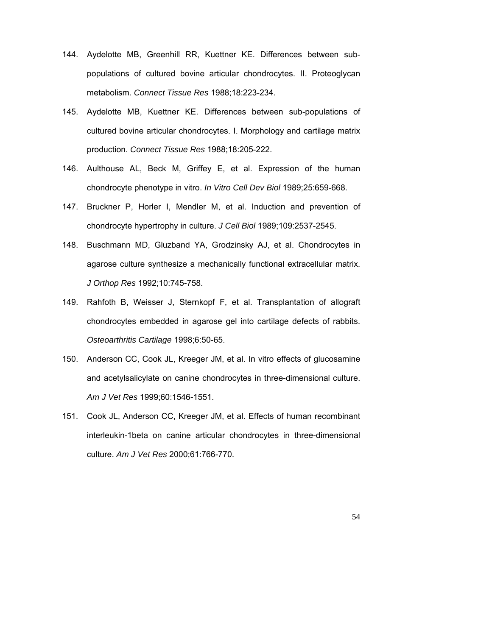- 144. Aydelotte MB, Greenhill RR, Kuettner KE. Differences between subpopulations of cultured bovine articular chondrocytes. II. Proteoglycan metabolism. *Connect Tissue Res* 1988;18:223-234.
- 145. Aydelotte MB, Kuettner KE. Differences between sub-populations of cultured bovine articular chondrocytes. I. Morphology and cartilage matrix production. *Connect Tissue Res* 1988;18:205-222.
- 146. Aulthouse AL, Beck M, Griffey E, et al. Expression of the human chondrocyte phenotype in vitro. *In Vitro Cell Dev Biol* 1989;25:659-668.
- 147. Bruckner P, Horler I, Mendler M, et al. Induction and prevention of chondrocyte hypertrophy in culture. *J Cell Biol* 1989;109:2537-2545.
- 148. Buschmann MD, Gluzband YA, Grodzinsky AJ, et al. Chondrocytes in agarose culture synthesize a mechanically functional extracellular matrix. *J Orthop Res* 1992;10:745-758.
- 149. Rahfoth B, Weisser J, Sternkopf F, et al. Transplantation of allograft chondrocytes embedded in agarose gel into cartilage defects of rabbits. *Osteoarthritis Cartilage* 1998;6:50-65.
- 150. Anderson CC, Cook JL, Kreeger JM, et al. In vitro effects of glucosamine and acetylsalicylate on canine chondrocytes in three-dimensional culture. *Am J Vet Res* 1999;60:1546-1551.
- 151. Cook JL, Anderson CC, Kreeger JM, et al. Effects of human recombinant interleukin-1beta on canine articular chondrocytes in three-dimensional culture. *Am J Vet Res* 2000;61:766-770.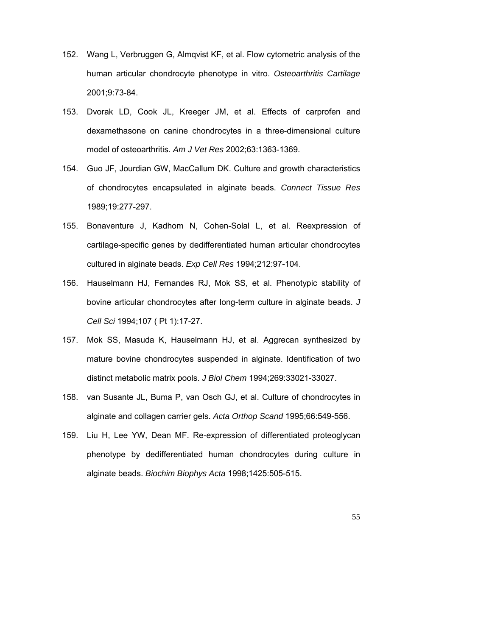- 152. Wang L, Verbruggen G, Almqvist KF, et al. Flow cytometric analysis of the human articular chondrocyte phenotype in vitro. *Osteoarthritis Cartilage* 2001;9:73-84.
- 153. Dvorak LD, Cook JL, Kreeger JM, et al. Effects of carprofen and dexamethasone on canine chondrocytes in a three-dimensional culture model of osteoarthritis. *Am J Vet Res* 2002;63:1363-1369.
- 154. Guo JF, Jourdian GW, MacCallum DK. Culture and growth characteristics of chondrocytes encapsulated in alginate beads. *Connect Tissue Res* 1989;19:277-297.
- 155. Bonaventure J, Kadhom N, Cohen-Solal L, et al. Reexpression of cartilage-specific genes by dedifferentiated human articular chondrocytes cultured in alginate beads. *Exp Cell Res* 1994;212:97-104.
- 156. Hauselmann HJ, Fernandes RJ, Mok SS, et al. Phenotypic stability of bovine articular chondrocytes after long-term culture in alginate beads. *J Cell Sci* 1994;107 ( Pt 1):17-27.
- 157. Mok SS, Masuda K, Hauselmann HJ, et al. Aggrecan synthesized by mature bovine chondrocytes suspended in alginate. Identification of two distinct metabolic matrix pools. *J Biol Chem* 1994;269:33021-33027.
- 158. van Susante JL, Buma P, van Osch GJ, et al. Culture of chondrocytes in alginate and collagen carrier gels. *Acta Orthop Scand* 1995;66:549-556.
- 159. Liu H, Lee YW, Dean MF. Re-expression of differentiated proteoglycan phenotype by dedifferentiated human chondrocytes during culture in alginate beads. *Biochim Biophys Acta* 1998;1425:505-515.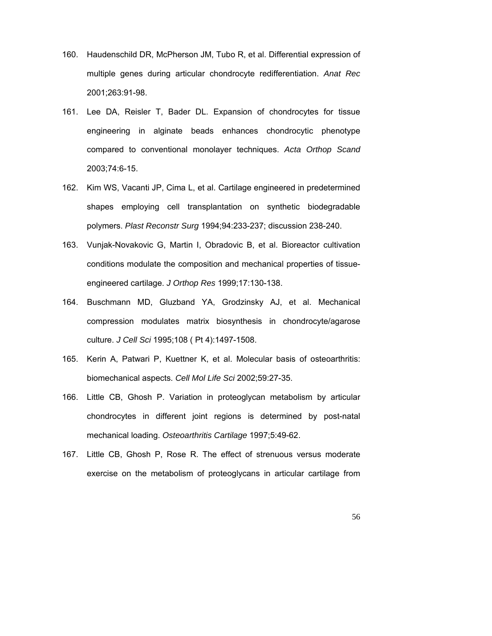- 160. Haudenschild DR, McPherson JM, Tubo R, et al. Differential expression of multiple genes during articular chondrocyte redifferentiation. *Anat Rec* 2001;263:91-98.
- 161. Lee DA, Reisler T, Bader DL. Expansion of chondrocytes for tissue engineering in alginate beads enhances chondrocytic phenotype compared to conventional monolayer techniques. *Acta Orthop Scand* 2003;74:6-15.
- 162. Kim WS, Vacanti JP, Cima L, et al. Cartilage engineered in predetermined shapes employing cell transplantation on synthetic biodegradable polymers. *Plast Reconstr Surg* 1994;94:233-237; discussion 238-240.
- 163. Vunjak-Novakovic G, Martin I, Obradovic B, et al. Bioreactor cultivation conditions modulate the composition and mechanical properties of tissueengineered cartilage. *J Orthop Res* 1999;17:130-138.
- 164. Buschmann MD, Gluzband YA, Grodzinsky AJ, et al. Mechanical compression modulates matrix biosynthesis in chondrocyte/agarose culture. *J Cell Sci* 1995;108 ( Pt 4):1497-1508.
- 165. Kerin A, Patwari P, Kuettner K, et al. Molecular basis of osteoarthritis: biomechanical aspects. *Cell Mol Life Sci* 2002;59:27-35.
- 166. Little CB, Ghosh P. Variation in proteoglycan metabolism by articular chondrocytes in different joint regions is determined by post-natal mechanical loading. *Osteoarthritis Cartilage* 1997;5:49-62.
- 167. Little CB, Ghosh P, Rose R. The effect of strenuous versus moderate exercise on the metabolism of proteoglycans in articular cartilage from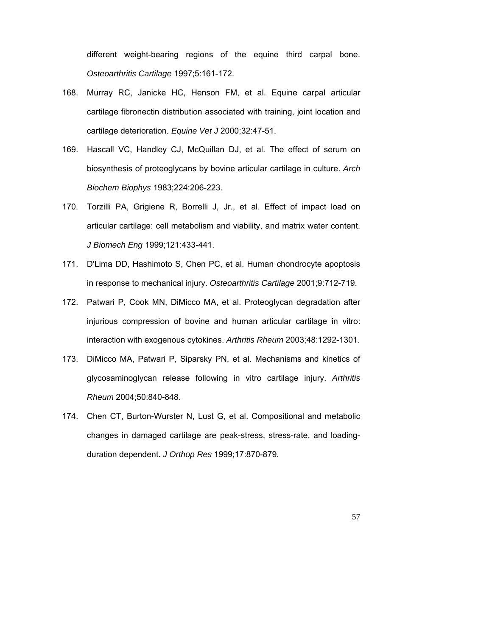different weight-bearing regions of the equine third carpal bone. *Osteoarthritis Cartilage* 1997;5:161-172.

- 168. Murray RC, Janicke HC, Henson FM, et al. Equine carpal articular cartilage fibronectin distribution associated with training, joint location and cartilage deterioration. *Equine Vet J* 2000;32:47-51.
- 169. Hascall VC, Handley CJ, McQuillan DJ, et al. The effect of serum on biosynthesis of proteoglycans by bovine articular cartilage in culture. *Arch Biochem Biophys* 1983;224:206-223.
- 170. Torzilli PA, Grigiene R, Borrelli J, Jr., et al. Effect of impact load on articular cartilage: cell metabolism and viability, and matrix water content. *J Biomech Eng* 1999;121:433-441.
- 171. D'Lima DD, Hashimoto S, Chen PC, et al. Human chondrocyte apoptosis in response to mechanical injury. *Osteoarthritis Cartilage* 2001;9:712-719.
- 172. Patwari P, Cook MN, DiMicco MA, et al. Proteoglycan degradation after injurious compression of bovine and human articular cartilage in vitro: interaction with exogenous cytokines. *Arthritis Rheum* 2003;48:1292-1301.
- 173. DiMicco MA, Patwari P, Siparsky PN, et al. Mechanisms and kinetics of glycosaminoglycan release following in vitro cartilage injury. *Arthritis Rheum* 2004;50:840-848.
- 174. Chen CT, Burton-Wurster N, Lust G, et al. Compositional and metabolic changes in damaged cartilage are peak-stress, stress-rate, and loadingduration dependent. *J Orthop Res* 1999;17:870-879.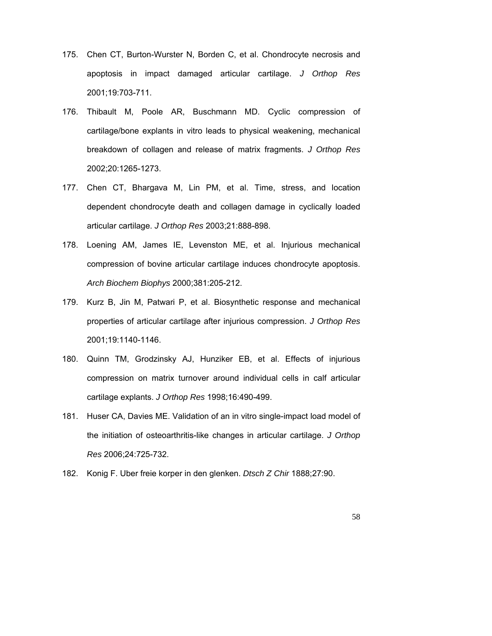- 175. Chen CT, Burton-Wurster N, Borden C, et al. Chondrocyte necrosis and apoptosis in impact damaged articular cartilage. *J Orthop Res* 2001;19:703-711.
- 176. Thibault M, Poole AR, Buschmann MD. Cyclic compression of cartilage/bone explants in vitro leads to physical weakening, mechanical breakdown of collagen and release of matrix fragments. *J Orthop Res* 2002;20:1265-1273.
- 177. Chen CT, Bhargava M, Lin PM, et al. Time, stress, and location dependent chondrocyte death and collagen damage in cyclically loaded articular cartilage. *J Orthop Res* 2003;21:888-898.
- 178. Loening AM, James IE, Levenston ME, et al. Injurious mechanical compression of bovine articular cartilage induces chondrocyte apoptosis. *Arch Biochem Biophys* 2000;381:205-212.
- 179. Kurz B, Jin M, Patwari P, et al. Biosynthetic response and mechanical properties of articular cartilage after injurious compression. *J Orthop Res* 2001;19:1140-1146.
- 180. Quinn TM, Grodzinsky AJ, Hunziker EB, et al. Effects of injurious compression on matrix turnover around individual cells in calf articular cartilage explants. *J Orthop Res* 1998;16:490-499.
- 181. Huser CA, Davies ME. Validation of an in vitro single-impact load model of the initiation of osteoarthritis-like changes in articular cartilage. *J Orthop Res* 2006;24:725-732.
- 182. Konig F. Uber freie korper in den glenken. *Dtsch Z Chir* 1888;27:90.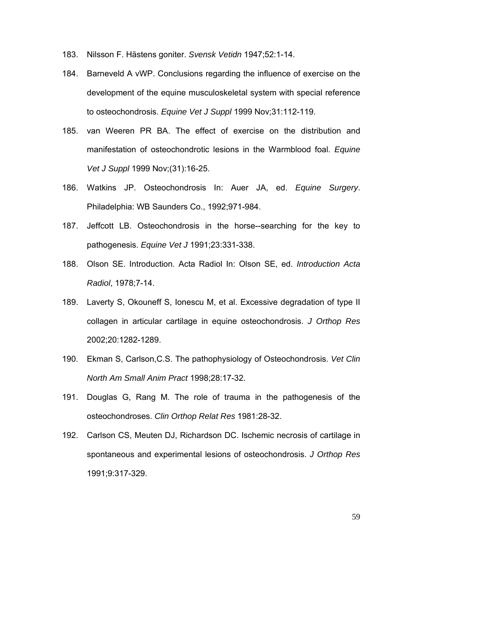- 183. Nilsson F. Hästens goniter. *Svensk Vetidn* 1947;52:1-14.
- 184. Barneveld A vWP. Conclusions regarding the influence of exercise on the development of the equine musculoskeletal system with special reference to osteochondrosis. *Equine Vet J Suppl* 1999 Nov;31:112-119.
- 185. van Weeren PR BA. The effect of exercise on the distribution and manifestation of osteochondrotic lesions in the Warmblood foal. *Equine Vet J Suppl* 1999 Nov;(31):16-25.
- 186. Watkins JP. Osteochondrosis In: Auer JA, ed. *Equine Surgery*. Philadelphia: WB Saunders Co., 1992;971-984.
- 187. Jeffcott LB. Osteochondrosis in the horse--searching for the key to pathogenesis. *Equine Vet J* 1991;23:331-338.
- 188. Olson SE. Introduction. Acta Radiol In: Olson SE, ed. *Introduction Acta Radiol*, 1978;7-14.
- 189. Laverty S, Okouneff S, Ionescu M, et al. Excessive degradation of type II collagen in articular cartilage in equine osteochondrosis. *J Orthop Res* 2002;20:1282-1289.
- 190. Ekman S, Carlson,C.S. The pathophysiology of Osteochondrosis. *Vet Clin North Am Small Anim Pract* 1998;28:17-32.
- 191. Douglas G, Rang M. The role of trauma in the pathogenesis of the osteochondroses. *Clin Orthop Relat Res* 1981:28-32.
- 192. Carlson CS, Meuten DJ, Richardson DC. Ischemic necrosis of cartilage in spontaneous and experimental lesions of osteochondrosis. *J Orthop Res* 1991;9:317-329.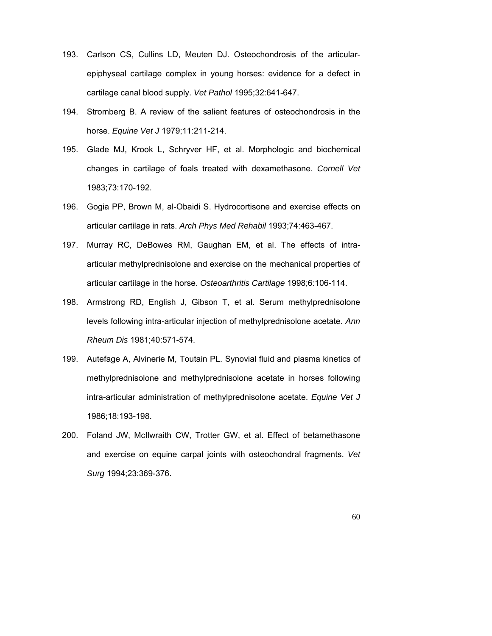- 193. Carlson CS, Cullins LD, Meuten DJ. Osteochondrosis of the articularepiphyseal cartilage complex in young horses: evidence for a defect in cartilage canal blood supply. *Vet Pathol* 1995;32:641-647.
- 194. Stromberg B. A review of the salient features of osteochondrosis in the horse. *Equine Vet J* 1979;11:211-214.
- 195. Glade MJ, Krook L, Schryver HF, et al. Morphologic and biochemical changes in cartilage of foals treated with dexamethasone. *Cornell Vet* 1983;73:170-192.
- 196. Gogia PP, Brown M, al-Obaidi S. Hydrocortisone and exercise effects on articular cartilage in rats. *Arch Phys Med Rehabil* 1993;74:463-467.
- 197. Murray RC, DeBowes RM, Gaughan EM, et al. The effects of intraarticular methylprednisolone and exercise on the mechanical properties of articular cartilage in the horse. *Osteoarthritis Cartilage* 1998;6:106-114.
- 198. Armstrong RD, English J, Gibson T, et al. Serum methylprednisolone levels following intra-articular injection of methylprednisolone acetate. *Ann Rheum Dis* 1981;40:571-574.
- 199. Autefage A, Alvinerie M, Toutain PL. Synovial fluid and plasma kinetics of methylprednisolone and methylprednisolone acetate in horses following intra-articular administration of methylprednisolone acetate. *Equine Vet J* 1986;18:193-198.
- 200. Foland JW, McIlwraith CW, Trotter GW, et al. Effect of betamethasone and exercise on equine carpal joints with osteochondral fragments. *Vet Surg* 1994;23:369-376.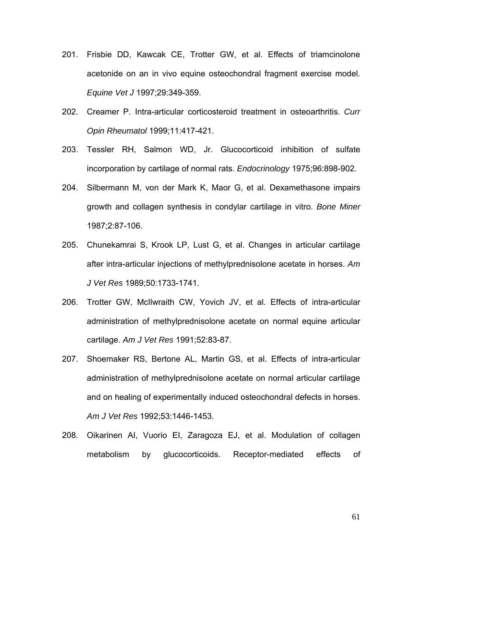- 201. Frisbie DD, Kawcak CE, Trotter GW, et al. Effects of triamcinolone acetonide on an in vivo equine osteochondral fragment exercise model. *Equine Vet J* 1997;29:349-359.
- 202. Creamer P. Intra-articular corticosteroid treatment in osteoarthritis. *Curr Opin Rheumatol* 1999;11:417-421.
- 203. Tessler RH, Salmon WD, Jr. Glucocorticoid inhibition of sulfate incorporation by cartilage of normal rats. *Endocrinology* 1975;96:898-902.
- 204. Silbermann M, von der Mark K, Maor G, et al. Dexamethasone impairs growth and collagen synthesis in condylar cartilage in vitro. *Bone Miner* 1987;2:87-106.
- 205. Chunekamrai S, Krook LP, Lust G, et al. Changes in articular cartilage after intra-articular injections of methylprednisolone acetate in horses. *Am J Vet Res* 1989;50:1733-1741.
- 206. Trotter GW, McIlwraith CW, Yovich JV, et al. Effects of intra-articular administration of methylprednisolone acetate on normal equine articular cartilage. *Am J Vet Res* 1991;52:83-87.
- 207. Shoemaker RS, Bertone AL, Martin GS, et al. Effects of intra-articular administration of methylprednisolone acetate on normal articular cartilage and on healing of experimentally induced osteochondral defects in horses. *Am J Vet Res* 1992;53:1446-1453.
- 208. Oikarinen AI, Vuorio EI, Zaragoza EJ, et al. Modulation of collagen metabolism by glucocorticoids. Receptor-mediated effects of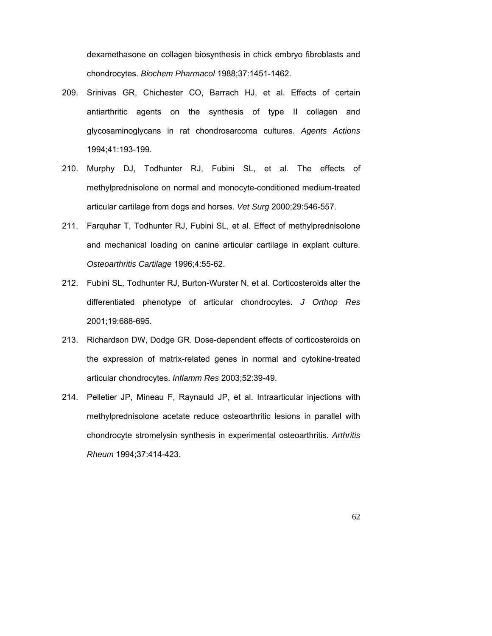dexamethasone on collagen biosynthesis in chick embryo fibroblasts and chondrocytes. *Biochem Pharmacol* 1988;37:1451-1462.

- 209. Srinivas GR, Chichester CO, Barrach HJ, et al. Effects of certain antiarthritic agents on the synthesis of type II collagen and glycosaminoglycans in rat chondrosarcoma cultures. *Agents Actions* 1994;41:193-199.
- 210. Murphy DJ, Todhunter RJ, Fubini SL, et al. The effects of methylprednisolone on normal and monocyte-conditioned medium-treated articular cartilage from dogs and horses. *Vet Surg* 2000;29:546-557.
- 211. Farquhar T, Todhunter RJ, Fubini SL, et al. Effect of methylprednisolone and mechanical loading on canine articular cartilage in explant culture. *Osteoarthritis Cartilage* 1996;4:55-62.
- 212. Fubini SL, Todhunter RJ, Burton-Wurster N, et al. Corticosteroids alter the differentiated phenotype of articular chondrocytes. *J Orthop Res* 2001;19:688-695.
- 213. Richardson DW, Dodge GR. Dose-dependent effects of corticosteroids on the expression of matrix-related genes in normal and cytokine-treated articular chondrocytes. *Inflamm Res* 2003;52:39-49.
- 214. Pelletier JP, Mineau F, Raynauld JP, et al. Intraarticular injections with methylprednisolone acetate reduce osteoarthritic lesions in parallel with chondrocyte stromelysin synthesis in experimental osteoarthritis. *Arthritis Rheum* 1994;37:414-423.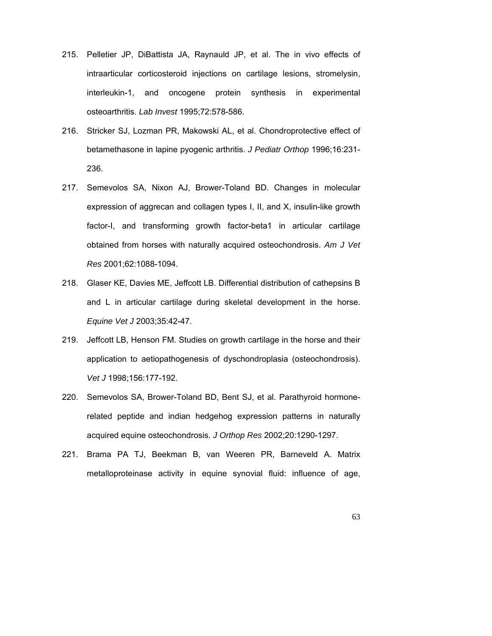- 215. Pelletier JP, DiBattista JA, Raynauld JP, et al. The in vivo effects of intraarticular corticosteroid injections on cartilage lesions, stromelysin, interleukin-1, and oncogene protein synthesis in experimental osteoarthritis. *Lab Invest* 1995;72:578-586.
- 216. Stricker SJ, Lozman PR, Makowski AL, et al. Chondroprotective effect of betamethasone in lapine pyogenic arthritis. *J Pediatr Orthop* 1996;16:231- 236.
- 217. Semevolos SA, Nixon AJ, Brower-Toland BD. Changes in molecular expression of aggrecan and collagen types I, II, and X, insulin-like growth factor-I, and transforming growth factor-beta1 in articular cartilage obtained from horses with naturally acquired osteochondrosis. *Am J Vet Res* 2001;62:1088-1094.
- 218. Glaser KE, Davies ME, Jeffcott LB. Differential distribution of cathepsins B and L in articular cartilage during skeletal development in the horse. *Equine Vet J* 2003;35:42-47.
- 219. Jeffcott LB, Henson FM. Studies on growth cartilage in the horse and their application to aetiopathogenesis of dyschondroplasia (osteochondrosis). *Vet J* 1998;156:177-192.
- 220. Semevolos SA, Brower-Toland BD, Bent SJ, et al. Parathyroid hormonerelated peptide and indian hedgehog expression patterns in naturally acquired equine osteochondrosis. *J Orthop Res* 2002;20:1290-1297.
- 221. Brama PA TJ, Beekman B, van Weeren PR, Barneveld A. Matrix metalloproteinase activity in equine synovial fluid: influence of age,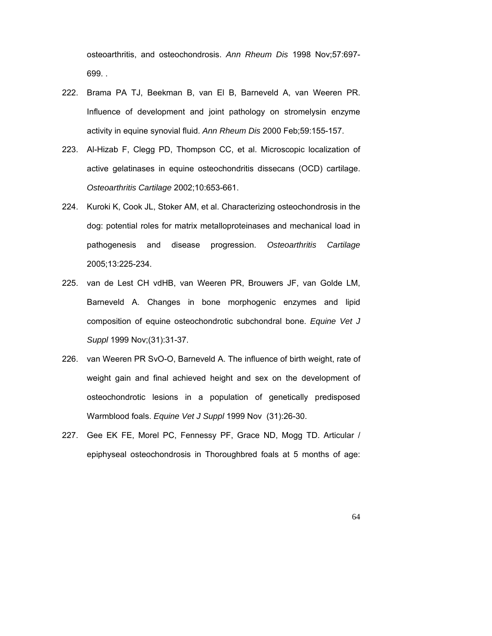osteoarthritis, and osteochondrosis. *Ann Rheum Dis* 1998 Nov;57:697- 699. .

- 222. Brama PA TJ, Beekman B, van El B, Barneveld A, van Weeren PR. Influence of development and joint pathology on stromelysin enzyme activity in equine synovial fluid. *Ann Rheum Dis* 2000 Feb;59:155-157.
- 223. Al-Hizab F, Clegg PD, Thompson CC, et al. Microscopic localization of active gelatinases in equine osteochondritis dissecans (OCD) cartilage. *Osteoarthritis Cartilage* 2002;10:653-661.
- 224. Kuroki K, Cook JL, Stoker AM, et al. Characterizing osteochondrosis in the dog: potential roles for matrix metalloproteinases and mechanical load in pathogenesis and disease progression. *Osteoarthritis Cartilage* 2005;13:225-234.
- 225. van de Lest CH vdHB, van Weeren PR, Brouwers JF, van Golde LM, Barneveld A. Changes in bone morphogenic enzymes and lipid composition of equine osteochondrotic subchondral bone. *Equine Vet J Suppl* 1999 Nov;(31):31-37.
- 226. van Weeren PR SvO-O, Barneveld A. The influence of birth weight, rate of weight gain and final achieved height and sex on the development of osteochondrotic lesions in a population of genetically predisposed Warmblood foals. *Equine Vet J Suppl* 1999 Nov (31):26-30.
- 227. Gee EK FE, Morel PC, Fennessy PF, Grace ND, Mogg TD. Articular / epiphyseal osteochondrosis in Thoroughbred foals at 5 months of age: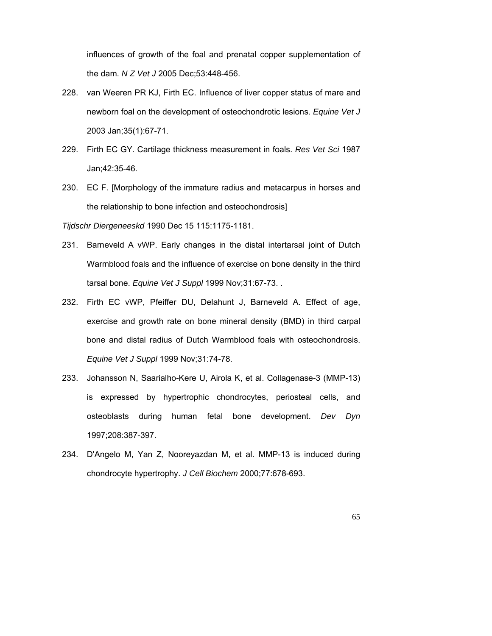influences of growth of the foal and prenatal copper supplementation of the dam. *N Z Vet J* 2005 Dec;53:448-456.

- 228. van Weeren PR KJ, Firth EC. Influence of liver copper status of mare and newborn foal on the development of osteochondrotic lesions. *Equine Vet J* 2003 Jan;35(1):67-71.
- 229. Firth EC GY. Cartilage thickness measurement in foals. *Res Vet Sci* 1987 Jan;42:35-46.
- 230. EC F. [Morphology of the immature radius and metacarpus in horses and the relationship to bone infection and osteochondrosis]

*Tijdschr Diergeneeskd* 1990 Dec 15 115:1175-1181.

- 231. Barneveld A vWP. Early changes in the distal intertarsal joint of Dutch Warmblood foals and the influence of exercise on bone density in the third tarsal bone. *Equine Vet J Suppl* 1999 Nov;31:67-73. .
- 232. Firth EC vWP, Pfeiffer DU, Delahunt J, Barneveld A. Effect of age, exercise and growth rate on bone mineral density (BMD) in third carpal bone and distal radius of Dutch Warmblood foals with osteochondrosis. *Equine Vet J Suppl* 1999 Nov;31:74-78.
- 233. Johansson N, Saarialho-Kere U, Airola K, et al. Collagenase-3 (MMP-13) is expressed by hypertrophic chondrocytes, periosteal cells, and osteoblasts during human fetal bone development. *Dev Dyn* 1997;208:387-397.
- 234. D'Angelo M, Yan Z, Nooreyazdan M, et al. MMP-13 is induced during chondrocyte hypertrophy. *J Cell Biochem* 2000;77:678-693.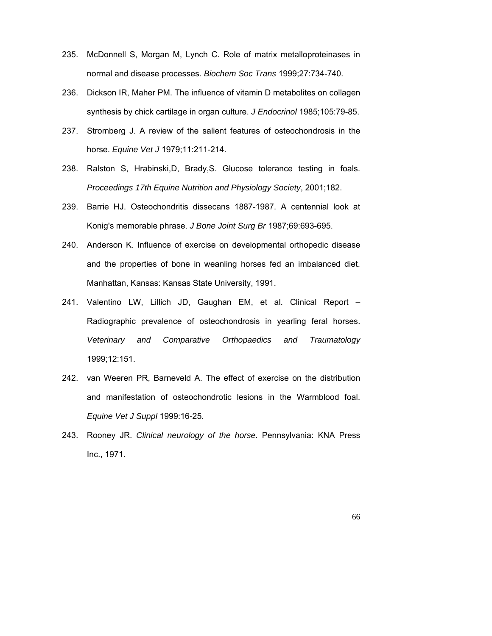- 235. McDonnell S, Morgan M, Lynch C. Role of matrix metalloproteinases in normal and disease processes. *Biochem Soc Trans* 1999;27:734-740.
- 236. Dickson IR, Maher PM. The influence of vitamin D metabolites on collagen synthesis by chick cartilage in organ culture. *J Endocrinol* 1985;105:79-85.
- 237. Stromberg J. A review of the salient features of osteochondrosis in the horse. *Equine Vet J* 1979;11:211-214.
- 238. Ralston S, Hrabinski,D, Brady,S. Glucose tolerance testing in foals. *Proceedings 17th Equine Nutrition and Physiology Society*, 2001;182.
- 239. Barrie HJ. Osteochondritis dissecans 1887-1987. A centennial look at Konig's memorable phrase. *J Bone Joint Surg Br* 1987;69:693-695.
- 240. Anderson K. Influence of exercise on developmental orthopedic disease and the properties of bone in weanling horses fed an imbalanced diet. Manhattan, Kansas: Kansas State University, 1991.
- 241. Valentino LW, Lillich JD, Gaughan EM, et al. Clinical Report Radiographic prevalence of osteochondrosis in yearling feral horses. *Veterinary and Comparative Orthopaedics and Traumatology* 1999;12:151.
- 242. van Weeren PR, Barneveld A. The effect of exercise on the distribution and manifestation of osteochondrotic lesions in the Warmblood foal. *Equine Vet J Suppl* 1999:16-25.
- 243. Rooney JR. *Clinical neurology of the horse*. Pennsylvania: KNA Press Inc., 1971.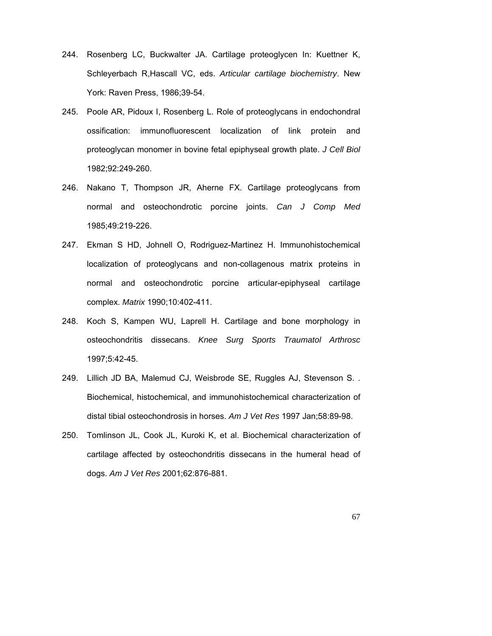- 244. Rosenberg LC, Buckwalter JA. Cartilage proteoglycen In: Kuettner K, Schleyerbach R,Hascall VC, eds. *Articular cartilage biochemistry*. New York: Raven Press, 1986;39-54.
- 245. Poole AR, Pidoux I, Rosenberg L. Role of proteoglycans in endochondral ossification: immunofluorescent localization of link protein and proteoglycan monomer in bovine fetal epiphyseal growth plate. *J Cell Biol* 1982;92:249-260.
- 246. Nakano T, Thompson JR, Aherne FX. Cartilage proteoglycans from normal and osteochondrotic porcine joints. *Can J Comp Med* 1985;49:219-226.
- 247. Ekman S HD, Johnell O, Rodriguez-Martinez H. Immunohistochemical localization of proteoglycans and non-collagenous matrix proteins in normal and osteochondrotic porcine articular-epiphyseal cartilage complex. *Matrix* 1990;10:402-411.
- 248. Koch S, Kampen WU, Laprell H. Cartilage and bone morphology in osteochondritis dissecans. *Knee Surg Sports Traumatol Arthrosc* 1997;5:42-45.
- 249. Lillich JD BA, Malemud CJ, Weisbrode SE, Ruggles AJ, Stevenson S. . Biochemical, histochemical, and immunohistochemical characterization of distal tibial osteochondrosis in horses. *Am J Vet Res* 1997 Jan;58:89-98.
- 250. Tomlinson JL, Cook JL, Kuroki K, et al. Biochemical characterization of cartilage affected by osteochondritis dissecans in the humeral head of dogs. *Am J Vet Res* 2001;62:876-881.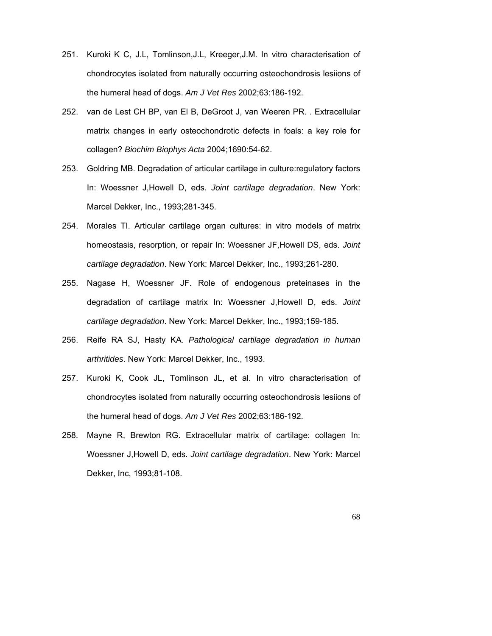- 251. Kuroki K C, J.L, Tomlinson,J.L, Kreeger,J.M. In vitro characterisation of chondrocytes isolated from naturally occurring osteochondrosis lesiions of the humeral head of dogs. *Am J Vet Res* 2002;63:186-192.
- 252. van de Lest CH BP, van El B, DeGroot J, van Weeren PR. . Extracellular matrix changes in early osteochondrotic defects in foals: a key role for collagen? *Biochim Biophys Acta* 2004;1690:54-62.
- 253. Goldring MB. Degradation of articular cartilage in culture:regulatory factors In: Woessner J,Howell D, eds. *Joint cartilage degradation*. New York: Marcel Dekker, Inc., 1993;281-345.
- 254. Morales TI. Articular cartilage organ cultures: in vitro models of matrix homeostasis, resorption, or repair In: Woessner JF,Howell DS, eds. *Joint cartilage degradation*. New York: Marcel Dekker, Inc., 1993;261-280.
- 255. Nagase H, Woessner JF. Role of endogenous preteinases in the degradation of cartilage matrix In: Woessner J,Howell D, eds. *Joint cartilage degradation*. New York: Marcel Dekker, Inc., 1993;159-185.
- 256. Reife RA SJ, Hasty KA. *Pathological cartilage degradation in human arthritides*. New York: Marcel Dekker, Inc., 1993.
- 257. Kuroki K, Cook JL, Tomlinson JL, et al. In vitro characterisation of chondrocytes isolated from naturally occurring osteochondrosis lesiions of the humeral head of dogs. *Am J Vet Res* 2002;63:186-192.
- 258. Mayne R, Brewton RG. Extracellular matrix of cartilage: collagen In: Woessner J,Howell D, eds. *Joint cartilage degradation*. New York: Marcel Dekker, Inc, 1993;81-108.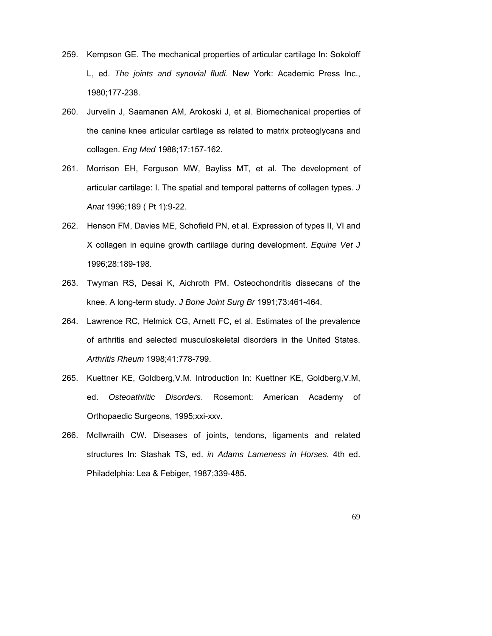- 259. Kempson GE. The mechanical properties of articular cartilage In: Sokoloff L, ed. *The joints and synovial fludi*. New York: Academic Press Inc., 1980;177-238.
- 260. Jurvelin J, Saamanen AM, Arokoski J, et al. Biomechanical properties of the canine knee articular cartilage as related to matrix proteoglycans and collagen. *Eng Med* 1988;17:157-162.
- 261. Morrison EH, Ferguson MW, Bayliss MT, et al. The development of articular cartilage: I. The spatial and temporal patterns of collagen types. *J Anat* 1996;189 ( Pt 1):9-22.
- 262. Henson FM, Davies ME, Schofield PN, et al. Expression of types II, VI and X collagen in equine growth cartilage during development. *Equine Vet J* 1996;28:189-198.
- 263. Twyman RS, Desai K, Aichroth PM. Osteochondritis dissecans of the knee. A long-term study. *J Bone Joint Surg Br* 1991;73:461-464.
- 264. Lawrence RC, Helmick CG, Arnett FC, et al. Estimates of the prevalence of arthritis and selected musculoskeletal disorders in the United States. *Arthritis Rheum* 1998;41:778-799.
- 265. Kuettner KE, Goldberg,V.M. Introduction In: Kuettner KE, Goldberg,V.M, ed. *Osteoathritic Disorders*. Rosemont: American Academy of Orthopaedic Surgeons, 1995;xxi-xxv.
- 266. McIlwraith CW. Diseases of joints, tendons, ligaments and related structures In: Stashak TS, ed. *in Adams Lameness in Horses*. 4th ed. Philadelphia: Lea & Febiger, 1987;339-485.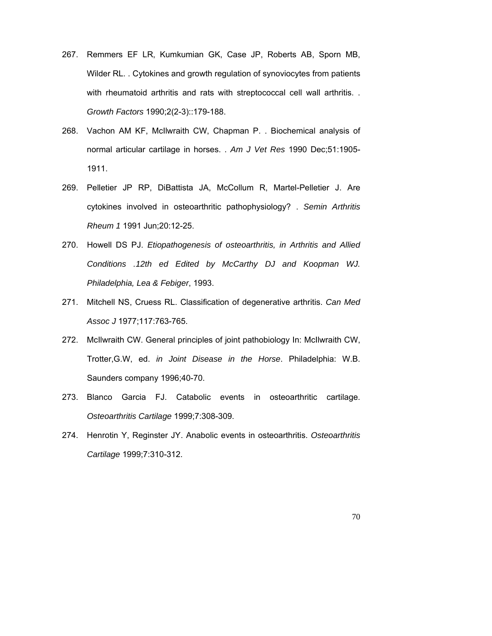- 267. Remmers EF LR, Kumkumian GK, Case JP, Roberts AB, Sporn MB, Wilder RL. . Cytokines and growth regulation of synoviocytes from patients with rheumatoid arthritis and rats with streptococcal cell wall arthritis. . *Growth Factors* 1990;2(2-3)::179-188.
- 268. Vachon AM KF, McIlwraith CW, Chapman P. . Biochemical analysis of normal articular cartilage in horses. . *Am J Vet Res* 1990 Dec;51:1905- 1911.
- 269. Pelletier JP RP, DiBattista JA, McCollum R, Martel-Pelletier J. Are cytokines involved in osteoarthritic pathophysiology? . *Semin Arthritis Rheum 1* 1991 Jun;20:12-25.
- 270. Howell DS PJ. *Etiopathogenesis of osteoarthritis, in Arthritis and Allied Conditions .12th ed Edited by McCarthy DJ and Koopman WJ. Philadelphia, Lea & Febiger*, 1993.
- 271. Mitchell NS, Cruess RL. Classification of degenerative arthritis. *Can Med Assoc J* 1977;117:763-765.
- 272. McIlwraith CW. General principles of joint pathobiology In: McIlwraith CW, Trotter,G.W, ed. *in Joint Disease in the Horse*. Philadelphia: W.B. Saunders company 1996;40-70.
- 273. Blanco Garcia FJ. Catabolic events in osteoarthritic cartilage. *Osteoarthritis Cartilage* 1999;7:308-309.
- 274. Henrotin Y, Reginster JY. Anabolic events in osteoarthritis. *Osteoarthritis Cartilage* 1999;7:310-312.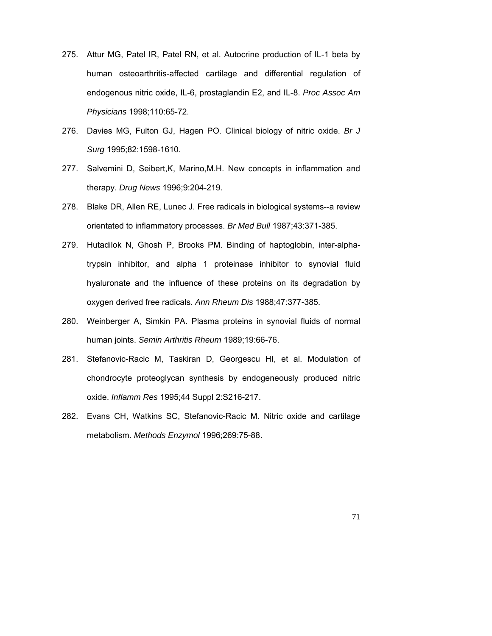- 275. Attur MG, Patel IR, Patel RN, et al. Autocrine production of IL-1 beta by human osteoarthritis-affected cartilage and differential regulation of endogenous nitric oxide, IL-6, prostaglandin E2, and IL-8. *Proc Assoc Am Physicians* 1998;110:65-72.
- 276. Davies MG, Fulton GJ, Hagen PO. Clinical biology of nitric oxide. *Br J Surg* 1995;82:1598-1610.
- 277. Salvemini D, Seibert,K, Marino,M.H. New concepts in inflammation and therapy. *Drug News* 1996;9:204-219.
- 278. Blake DR, Allen RE, Lunec J. Free radicals in biological systems--a review orientated to inflammatory processes. *Br Med Bull* 1987;43:371-385.
- 279. Hutadilok N, Ghosh P, Brooks PM. Binding of haptoglobin, inter-alphatrypsin inhibitor, and alpha 1 proteinase inhibitor to synovial fluid hyaluronate and the influence of these proteins on its degradation by oxygen derived free radicals. *Ann Rheum Dis* 1988;47:377-385.
- 280. Weinberger A, Simkin PA. Plasma proteins in synovial fluids of normal human joints. *Semin Arthritis Rheum* 1989;19:66-76.
- 281. Stefanovic-Racic M, Taskiran D, Georgescu HI, et al. Modulation of chondrocyte proteoglycan synthesis by endogeneously produced nitric oxide. *Inflamm Res* 1995;44 Suppl 2:S216-217.
- 282. Evans CH, Watkins SC, Stefanovic-Racic M. Nitric oxide and cartilage metabolism. *Methods Enzymol* 1996;269:75-88.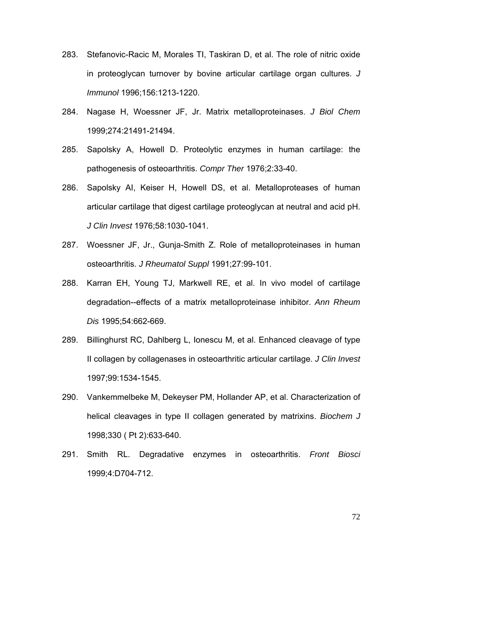- 283. Stefanovic-Racic M, Morales TI, Taskiran D, et al. The role of nitric oxide in proteoglycan turnover by bovine articular cartilage organ cultures. *J Immunol* 1996;156:1213-1220.
- 284. Nagase H, Woessner JF, Jr. Matrix metalloproteinases. *J Biol Chem* 1999;274:21491-21494.
- 285. Sapolsky A, Howell D. Proteolytic enzymes in human cartilage: the pathogenesis of osteoarthritis. *Compr Ther* 1976;2:33-40.
- 286. Sapolsky AI, Keiser H, Howell DS, et al. Metalloproteases of human articular cartilage that digest cartilage proteoglycan at neutral and acid pH. *J Clin Invest* 1976;58:1030-1041.
- 287. Woessner JF, Jr., Gunja-Smith Z. Role of metalloproteinases in human osteoarthritis. *J Rheumatol Suppl* 1991;27:99-101.
- 288. Karran EH, Young TJ, Markwell RE, et al. In vivo model of cartilage degradation--effects of a matrix metalloproteinase inhibitor. *Ann Rheum Dis* 1995;54:662-669.
- 289. Billinghurst RC, Dahlberg L, Ionescu M, et al. Enhanced cleavage of type II collagen by collagenases in osteoarthritic articular cartilage. *J Clin Invest* 1997;99:1534-1545.
- 290. Vankemmelbeke M, Dekeyser PM, Hollander AP, et al. Characterization of helical cleavages in type II collagen generated by matrixins. *Biochem J* 1998;330 ( Pt 2):633-640.
- 291. Smith RL. Degradative enzymes in osteoarthritis. *Front Biosci* 1999;4:D704-712.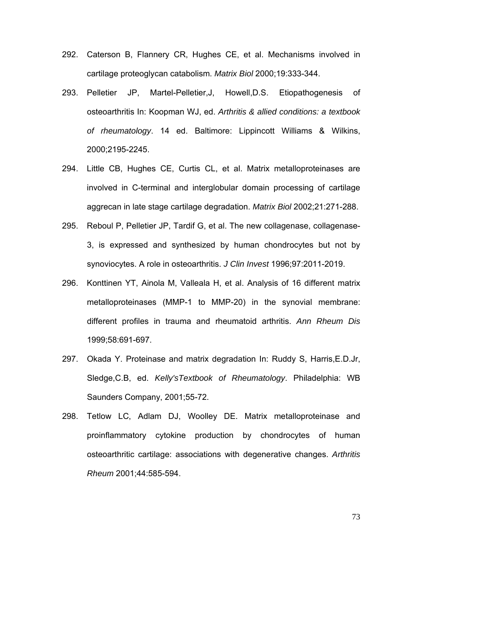- 292. Caterson B, Flannery CR, Hughes CE, et al. Mechanisms involved in cartilage proteoglycan catabolism. *Matrix Biol* 2000;19:333-344.
- 293. Pelletier JP, Martel-Pelletier,J, Howell,D.S. Etiopathogenesis of osteoarthritis In: Koopman WJ, ed. *Arthritis & allied conditions: a textbook of rheumatology*. 14 ed. Baltimore: Lippincott Williams & Wilkins, 2000;2195-2245.
- 294. Little CB, Hughes CE, Curtis CL, et al. Matrix metalloproteinases are involved in C-terminal and interglobular domain processing of cartilage aggrecan in late stage cartilage degradation. *Matrix Biol* 2002;21:271-288.
- 295. Reboul P, Pelletier JP, Tardif G, et al. The new collagenase, collagenase-3, is expressed and synthesized by human chondrocytes but not by synoviocytes. A role in osteoarthritis. *J Clin Invest* 1996;97:2011-2019.
- 296. Konttinen YT, Ainola M, Valleala H, et al. Analysis of 16 different matrix metalloproteinases (MMP-1 to MMP-20) in the synovial membrane: different profiles in trauma and rheumatoid arthritis. *Ann Rheum Dis* 1999;58:691-697.
- 297. Okada Y. Proteinase and matrix degradation In: Ruddy S, Harris,E.D.Jr, Sledge,C.B, ed. *Kelly'sTextbook of Rheumatology*. Philadelphia: WB Saunders Company, 2001;55-72.
- 298. Tetlow LC, Adlam DJ, Woolley DE. Matrix metalloproteinase and proinflammatory cytokine production by chondrocytes of human osteoarthritic cartilage: associations with degenerative changes. *Arthritis Rheum* 2001;44:585-594.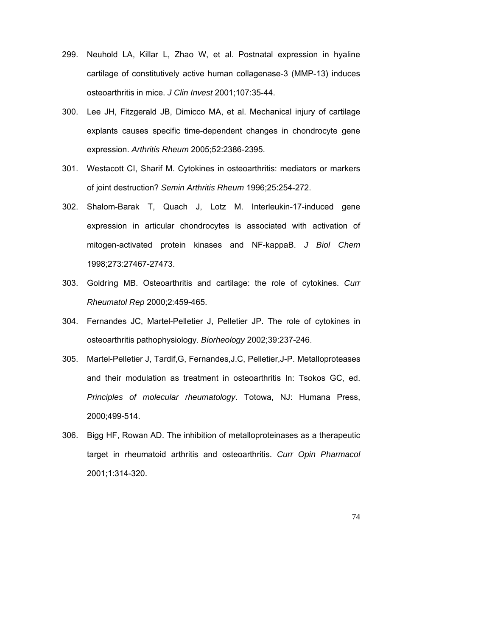- 299. Neuhold LA, Killar L, Zhao W, et al. Postnatal expression in hyaline cartilage of constitutively active human collagenase-3 (MMP-13) induces osteoarthritis in mice. *J Clin Invest* 2001;107:35-44.
- 300. Lee JH, Fitzgerald JB, Dimicco MA, et al. Mechanical injury of cartilage explants causes specific time-dependent changes in chondrocyte gene expression. *Arthritis Rheum* 2005;52:2386-2395.
- 301. Westacott CI, Sharif M. Cytokines in osteoarthritis: mediators or markers of joint destruction? *Semin Arthritis Rheum* 1996;25:254-272.
- 302. Shalom-Barak T, Quach J, Lotz M. Interleukin-17-induced gene expression in articular chondrocytes is associated with activation of mitogen-activated protein kinases and NF-kappaB. *J Biol Chem* 1998;273:27467-27473.
- 303. Goldring MB. Osteoarthritis and cartilage: the role of cytokines. *Curr Rheumatol Rep* 2000;2:459-465.
- 304. Fernandes JC, Martel-Pelletier J, Pelletier JP. The role of cytokines in osteoarthritis pathophysiology. *Biorheology* 2002;39:237-246.
- 305. Martel-Pelletier J, Tardif,G, Fernandes,J.C, Pelletier,J-P. Metalloproteases and their modulation as treatment in osteoarthritis In: Tsokos GC, ed. *Principles of molecular rheumatology*. Totowa, NJ: Humana Press, 2000;499-514.
- 306. Bigg HF, Rowan AD. The inhibition of metalloproteinases as a therapeutic target in rheumatoid arthritis and osteoarthritis. *Curr Opin Pharmacol* 2001;1:314-320.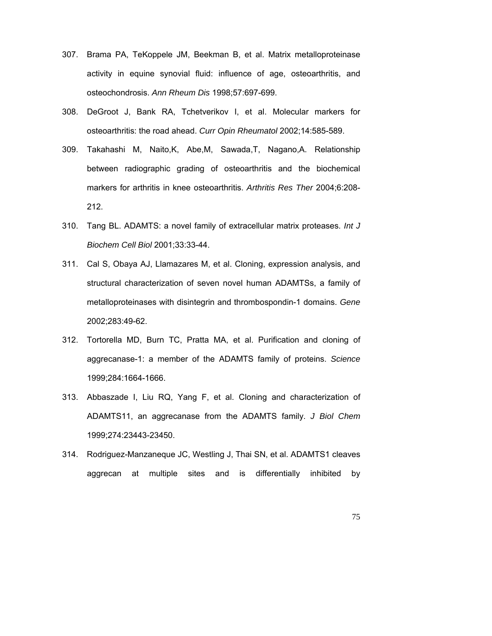- 307. Brama PA, TeKoppele JM, Beekman B, et al. Matrix metalloproteinase activity in equine synovial fluid: influence of age, osteoarthritis, and osteochondrosis. *Ann Rheum Dis* 1998;57:697-699.
- 308. DeGroot J, Bank RA, Tchetverikov I, et al. Molecular markers for osteoarthritis: the road ahead. *Curr Opin Rheumatol* 2002;14:585-589.
- 309. Takahashi M, Naito,K, Abe,M, Sawada,T, Nagano,A. Relationship between radiographic grading of osteoarthritis and the biochemical markers for arthritis in knee osteoarthritis. *Arthritis Res Ther* 2004;6:208- 212.
- 310. Tang BL. ADAMTS: a novel family of extracellular matrix proteases. *Int J Biochem Cell Biol* 2001;33:33-44.
- 311. Cal S, Obaya AJ, Llamazares M, et al. Cloning, expression analysis, and structural characterization of seven novel human ADAMTSs, a family of metalloproteinases with disintegrin and thrombospondin-1 domains. *Gene* 2002;283:49-62.
- 312. Tortorella MD, Burn TC, Pratta MA, et al. Purification and cloning of aggrecanase-1: a member of the ADAMTS family of proteins. *Science* 1999;284:1664-1666.
- 313. Abbaszade I, Liu RQ, Yang F, et al. Cloning and characterization of ADAMTS11, an aggrecanase from the ADAMTS family. *J Biol Chem* 1999;274:23443-23450.
- 314. Rodriguez-Manzaneque JC, Westling J, Thai SN, et al. ADAMTS1 cleaves aggrecan at multiple sites and is differentially inhibited by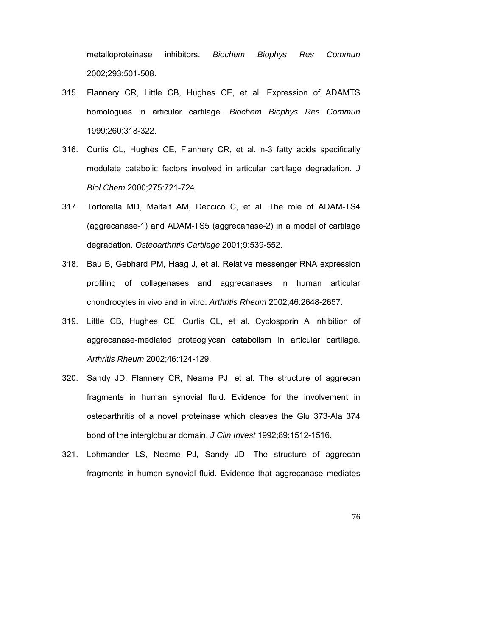metalloproteinase inhibitors. *Biochem Biophys Res Commun* 2002;293:501-508.

- 315. Flannery CR, Little CB, Hughes CE, et al. Expression of ADAMTS homologues in articular cartilage. *Biochem Biophys Res Commun* 1999;260:318-322.
- 316. Curtis CL, Hughes CE, Flannery CR, et al. n-3 fatty acids specifically modulate catabolic factors involved in articular cartilage degradation. *J Biol Chem* 2000;275:721-724.
- 317. Tortorella MD, Malfait AM, Deccico C, et al. The role of ADAM-TS4 (aggrecanase-1) and ADAM-TS5 (aggrecanase-2) in a model of cartilage degradation. *Osteoarthritis Cartilage* 2001;9:539-552.
- 318. Bau B, Gebhard PM, Haag J, et al. Relative messenger RNA expression profiling of collagenases and aggrecanases in human articular chondrocytes in vivo and in vitro. *Arthritis Rheum* 2002;46:2648-2657.
- 319. Little CB, Hughes CE, Curtis CL, et al. Cyclosporin A inhibition of aggrecanase-mediated proteoglycan catabolism in articular cartilage. *Arthritis Rheum* 2002;46:124-129.
- 320. Sandy JD, Flannery CR, Neame PJ, et al. The structure of aggrecan fragments in human synovial fluid. Evidence for the involvement in osteoarthritis of a novel proteinase which cleaves the Glu 373-Ala 374 bond of the interglobular domain. *J Clin Invest* 1992;89:1512-1516.
- 321. Lohmander LS, Neame PJ, Sandy JD. The structure of aggrecan fragments in human synovial fluid. Evidence that aggrecanase mediates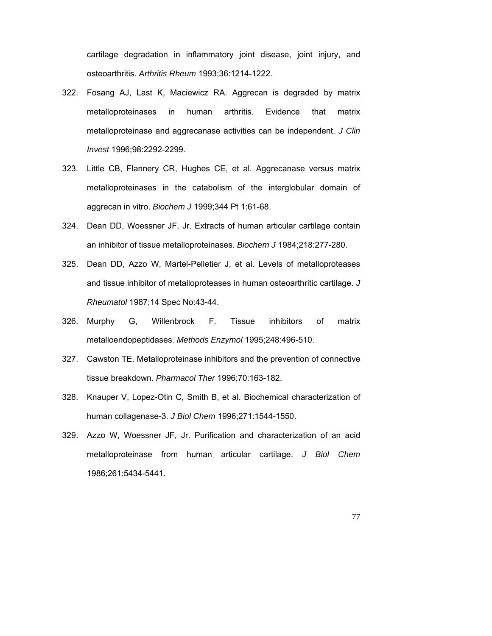cartilage degradation in inflammatory joint disease, joint injury, and osteoarthritis. *Arthritis Rheum* 1993;36:1214-1222.

- 322. Fosang AJ, Last K, Maciewicz RA. Aggrecan is degraded by matrix metalloproteinases in human arthritis. Evidence that matrix metalloproteinase and aggrecanase activities can be independent. *J Clin Invest* 1996;98:2292-2299.
- 323. Little CB, Flannery CR, Hughes CE, et al. Aggrecanase versus matrix metalloproteinases in the catabolism of the interglobular domain of aggrecan in vitro. *Biochem J* 1999;344 Pt 1:61-68.
- 324. Dean DD, Woessner JF, Jr. Extracts of human articular cartilage contain an inhibitor of tissue metalloproteinases. *Biochem J* 1984;218:277-280.
- 325. Dean DD, Azzo W, Martel-Pelletier J, et al. Levels of metalloproteases and tissue inhibitor of metalloproteases in human osteoarthritic cartilage. *J Rheumatol* 1987;14 Spec No:43-44.
- 326. Murphy G, Willenbrock F. Tissue inhibitors of matrix metalloendopeptidases. *Methods Enzymol* 1995;248:496-510.
- 327. Cawston TE. Metalloproteinase inhibitors and the prevention of connective tissue breakdown. *Pharmacol Ther* 1996;70:163-182.
- 328. Knauper V, Lopez-Otin C, Smith B, et al. Biochemical characterization of human collagenase-3. *J Biol Chem* 1996;271:1544-1550.
- 329. Azzo W, Woessner JF, Jr. Purification and characterization of an acid metalloproteinase from human articular cartilage. *J Biol Chem* 1986;261:5434-5441.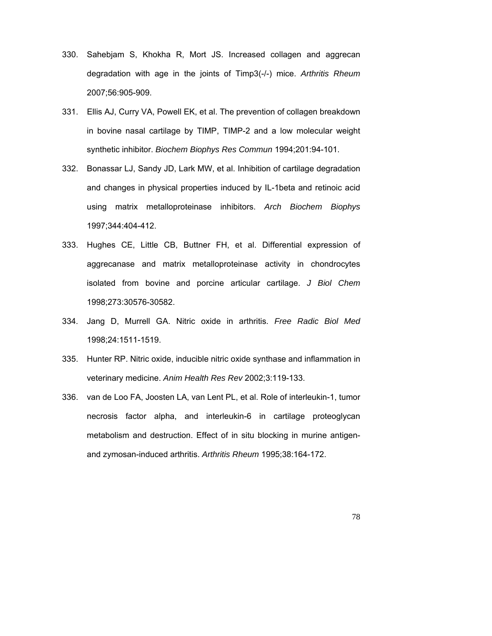- 330. Sahebjam S, Khokha R, Mort JS. Increased collagen and aggrecan degradation with age in the joints of Timp3(-/-) mice. *Arthritis Rheum* 2007;56:905-909.
- 331. Ellis AJ, Curry VA, Powell EK, et al. The prevention of collagen breakdown in bovine nasal cartilage by TIMP, TIMP-2 and a low molecular weight synthetic inhibitor. *Biochem Biophys Res Commun* 1994;201:94-101.
- 332. Bonassar LJ, Sandy JD, Lark MW, et al. Inhibition of cartilage degradation and changes in physical properties induced by IL-1beta and retinoic acid using matrix metalloproteinase inhibitors. *Arch Biochem Biophys* 1997;344:404-412.
- 333. Hughes CE, Little CB, Buttner FH, et al. Differential expression of aggrecanase and matrix metalloproteinase activity in chondrocytes isolated from bovine and porcine articular cartilage. *J Biol Chem* 1998;273:30576-30582.
- 334. Jang D, Murrell GA. Nitric oxide in arthritis. *Free Radic Biol Med* 1998;24:1511-1519.
- 335. Hunter RP. Nitric oxide, inducible nitric oxide synthase and inflammation in veterinary medicine. *Anim Health Res Rev* 2002;3:119-133.
- 336. van de Loo FA, Joosten LA, van Lent PL, et al. Role of interleukin-1, tumor necrosis factor alpha, and interleukin-6 in cartilage proteoglycan metabolism and destruction. Effect of in situ blocking in murine antigenand zymosan-induced arthritis. *Arthritis Rheum* 1995;38:164-172.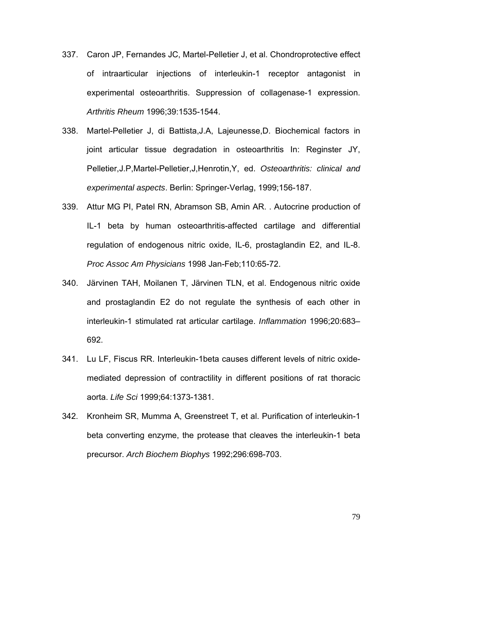- 337. Caron JP, Fernandes JC, Martel-Pelletier J, et al. Chondroprotective effect of intraarticular injections of interleukin-1 receptor antagonist in experimental osteoarthritis. Suppression of collagenase-1 expression. *Arthritis Rheum* 1996;39:1535-1544.
- 338. Martel-Pelletier J, di Battista,J.A, Lajeunesse,D. Biochemical factors in joint articular tissue degradation in osteoarthritis In: Reginster JY, Pelletier,J.P,Martel-Pelletier,J,Henrotin,Y, ed. *Osteoarthritis: clinical and experimental aspects*. Berlin: Springer-Verlag, 1999;156-187.
- 339. Attur MG PI, Patel RN, Abramson SB, Amin AR. . Autocrine production of IL-1 beta by human osteoarthritis-affected cartilage and differential regulation of endogenous nitric oxide, IL-6, prostaglandin E2, and IL-8. *Proc Assoc Am Physicians* 1998 Jan-Feb;110:65-72.
- 340. Järvinen TAH, Moilanen T, Järvinen TLN, et al. Endogenous nitric oxide and prostaglandin E2 do not regulate the synthesis of each other in interleukin-1 stimulated rat articular cartilage. *Inflammation* 1996;20:683– 692.
- 341. Lu LF, Fiscus RR. Interleukin-1beta causes different levels of nitric oxidemediated depression of contractility in different positions of rat thoracic aorta. *Life Sci* 1999;64:1373-1381.
- 342. Kronheim SR, Mumma A, Greenstreet T, et al. Purification of interleukin-1 beta converting enzyme, the protease that cleaves the interleukin-1 beta precursor. *Arch Biochem Biophys* 1992;296:698-703.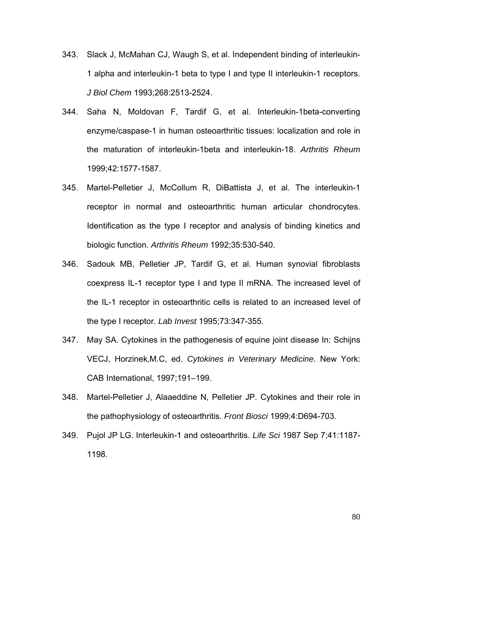- 343. Slack J, McMahan CJ, Waugh S, et al. Independent binding of interleukin-1 alpha and interleukin-1 beta to type I and type II interleukin-1 receptors. *J Biol Chem* 1993;268:2513-2524.
- 344. Saha N, Moldovan F, Tardif G, et al. Interleukin-1beta-converting enzyme/caspase-1 in human osteoarthritic tissues: localization and role in the maturation of interleukin-1beta and interleukin-18. *Arthritis Rheum* 1999;42:1577-1587.
- 345. Martel-Pelletier J, McCollum R, DiBattista J, et al. The interleukin-1 receptor in normal and osteoarthritic human articular chondrocytes. Identification as the type I receptor and analysis of binding kinetics and biologic function. *Arthritis Rheum* 1992;35:530-540.
- 346. Sadouk MB, Pelletier JP, Tardif G, et al. Human synovial fibroblasts coexpress IL-1 receptor type I and type II mRNA. The increased level of the IL-1 receptor in osteoarthritic cells is related to an increased level of the type I receptor. *Lab Invest* 1995;73:347-355.
- 347. May SA. Cytokines in the pathogenesis of equine joint disease In: Schijns VECJ, Horzinek,M.C, ed. *Cytokines in Veterinary Medicine*. New York: CAB International, 1997;191–199.
- 348. Martel-Pelletier J, Alaaeddine N, Pelletier JP. Cytokines and their role in the pathophysiology of osteoarthritis. *Front Biosci* 1999;4:D694-703.
- 349. Pujol JP LG. Interleukin-1 and osteoarthritis. *Life Sci* 1987 Sep 7;41:1187- 1198.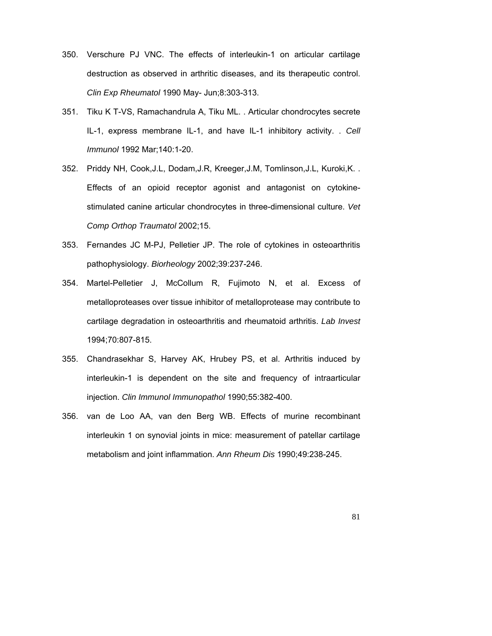- 350. Verschure PJ VNC. The effects of interleukin-1 on articular cartilage destruction as observed in arthritic diseases, and its therapeutic control. *Clin Exp Rheumatol* 1990 May- Jun;8:303-313.
- 351. Tiku K T-VS, Ramachandrula A, Tiku ML. . Articular chondrocytes secrete IL-1, express membrane IL-1, and have IL-1 inhibitory activity. . *Cell Immunol* 1992 Mar;140:1-20.
- 352. Priddy NH, Cook,J.L, Dodam,J.R, Kreeger,J.M, Tomlinson,J.L, Kuroki,K. . Effects of an opioid receptor agonist and antagonist on cytokinestimulated canine articular chondrocytes in three-dimensional culture. *Vet Comp Orthop Traumatol* 2002;15.
- 353. Fernandes JC M-PJ, Pelletier JP. The role of cytokines in osteoarthritis pathophysiology. *Biorheology* 2002;39:237-246.
- 354. Martel-Pelletier J, McCollum R, Fujimoto N, et al. Excess of metalloproteases over tissue inhibitor of metalloprotease may contribute to cartilage degradation in osteoarthritis and rheumatoid arthritis. *Lab Invest* 1994;70:807-815.
- 355. Chandrasekhar S, Harvey AK, Hrubey PS, et al. Arthritis induced by interleukin-1 is dependent on the site and frequency of intraarticular injection. *Clin Immunol Immunopathol* 1990;55:382-400.
- 356. van de Loo AA, van den Berg WB. Effects of murine recombinant interleukin 1 on synovial joints in mice: measurement of patellar cartilage metabolism and joint inflammation. *Ann Rheum Dis* 1990;49:238-245.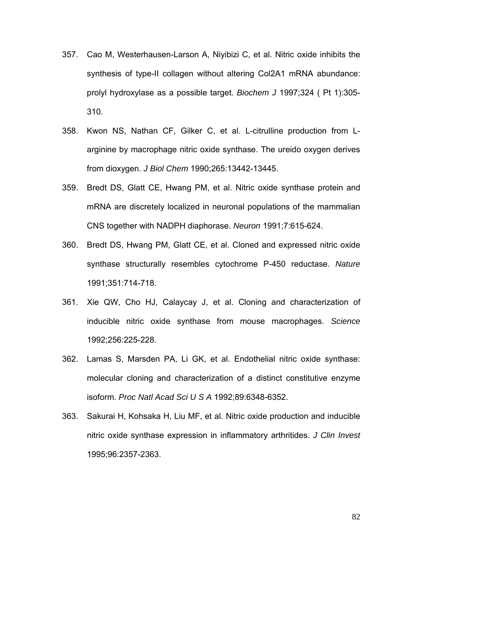- 357. Cao M, Westerhausen-Larson A, Niyibizi C, et al. Nitric oxide inhibits the synthesis of type-II collagen without altering Col2A1 mRNA abundance: prolyl hydroxylase as a possible target. *Biochem J* 1997;324 ( Pt 1):305- 310.
- 358. Kwon NS, Nathan CF, Gilker C, et al. L-citrulline production from Larginine by macrophage nitric oxide synthase. The ureido oxygen derives from dioxygen. *J Biol Chem* 1990;265:13442-13445.
- 359. Bredt DS, Glatt CE, Hwang PM, et al. Nitric oxide synthase protein and mRNA are discretely localized in neuronal populations of the mammalian CNS together with NADPH diaphorase. *Neuron* 1991;7:615-624.
- 360. Bredt DS, Hwang PM, Glatt CE, et al. Cloned and expressed nitric oxide synthase structurally resembles cytochrome P-450 reductase. *Nature* 1991;351:714-718.
- 361. Xie QW, Cho HJ, Calaycay J, et al. Cloning and characterization of inducible nitric oxide synthase from mouse macrophages. *Science* 1992;256:225-228.
- 362. Lamas S, Marsden PA, Li GK, et al. Endothelial nitric oxide synthase: molecular cloning and characterization of a distinct constitutive enzyme isoform. *Proc Natl Acad Sci U S A* 1992;89:6348-6352.
- 363. Sakurai H, Kohsaka H, Liu MF, et al. Nitric oxide production and inducible nitric oxide synthase expression in inflammatory arthritides. *J Clin Invest* 1995;96:2357-2363.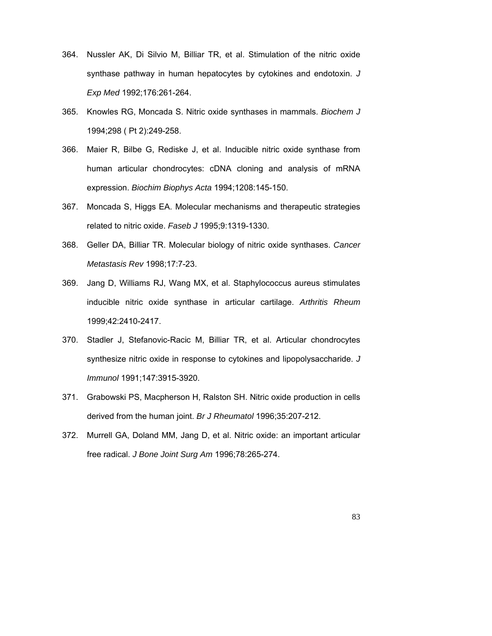- 364. Nussler AK, Di Silvio M, Billiar TR, et al. Stimulation of the nitric oxide synthase pathway in human hepatocytes by cytokines and endotoxin. *J Exp Med* 1992;176:261-264.
- 365. Knowles RG, Moncada S. Nitric oxide synthases in mammals. *Biochem J* 1994;298 ( Pt 2):249-258.
- 366. Maier R, Bilbe G, Rediske J, et al. Inducible nitric oxide synthase from human articular chondrocytes: cDNA cloning and analysis of mRNA expression. *Biochim Biophys Acta* 1994;1208:145-150.
- 367. Moncada S, Higgs EA. Molecular mechanisms and therapeutic strategies related to nitric oxide. *Faseb J* 1995;9:1319-1330.
- 368. Geller DA, Billiar TR. Molecular biology of nitric oxide synthases. *Cancer Metastasis Rev* 1998;17:7-23.
- 369. Jang D, Williams RJ, Wang MX, et al. Staphylococcus aureus stimulates inducible nitric oxide synthase in articular cartilage. *Arthritis Rheum* 1999;42:2410-2417.
- 370. Stadler J, Stefanovic-Racic M, Billiar TR, et al. Articular chondrocytes synthesize nitric oxide in response to cytokines and lipopolysaccharide. *J Immunol* 1991;147:3915-3920.
- 371. Grabowski PS, Macpherson H, Ralston SH. Nitric oxide production in cells derived from the human joint. *Br J Rheumatol* 1996;35:207-212.
- 372. Murrell GA, Doland MM, Jang D, et al. Nitric oxide: an important articular free radical. *J Bone Joint Surg Am* 1996;78:265-274.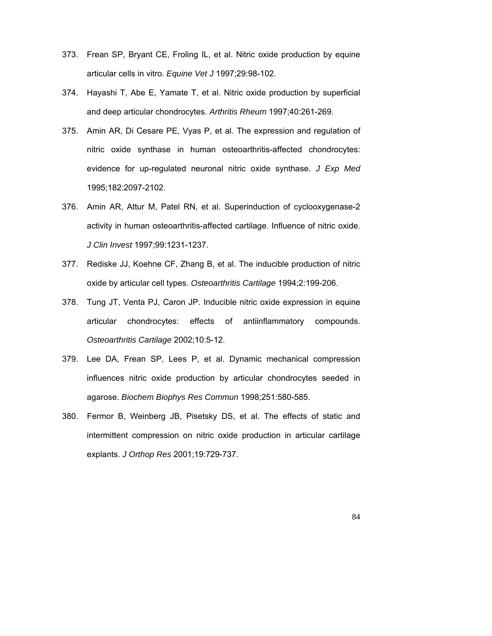- 373. Frean SP, Bryant CE, Froling IL, et al. Nitric oxide production by equine articular cells in vitro. *Equine Vet J* 1997;29:98-102.
- 374. Hayashi T, Abe E, Yamate T, et al. Nitric oxide production by superficial and deep articular chondrocytes. *Arthritis Rheum* 1997;40:261-269.
- 375. Amin AR, Di Cesare PE, Vyas P, et al. The expression and regulation of nitric oxide synthase in human osteoarthritis-affected chondrocytes: evidence for up-regulated neuronal nitric oxide synthase. *J Exp Med* 1995;182:2097-2102.
- 376. Amin AR, Attur M, Patel RN, et al. Superinduction of cyclooxygenase-2 activity in human osteoarthritis-affected cartilage. Influence of nitric oxide. *J Clin Invest* 1997;99:1231-1237.
- 377. Rediske JJ, Koehne CF, Zhang B, et al. The inducible production of nitric oxide by articular cell types. *Osteoarthritis Cartilage* 1994;2:199-206.
- 378. Tung JT, Venta PJ, Caron JP. Inducible nitric oxide expression in equine articular chondrocytes: effects of antiinflammatory compounds. *Osteoarthritis Cartilage* 2002;10:5-12.
- 379. Lee DA, Frean SP, Lees P, et al. Dynamic mechanical compression influences nitric oxide production by articular chondrocytes seeded in agarose. *Biochem Biophys Res Commun* 1998;251:580-585.
- 380. Fermor B, Weinberg JB, Pisetsky DS, et al. The effects of static and intermittent compression on nitric oxide production in articular cartilage explants. *J Orthop Res* 2001;19:729-737.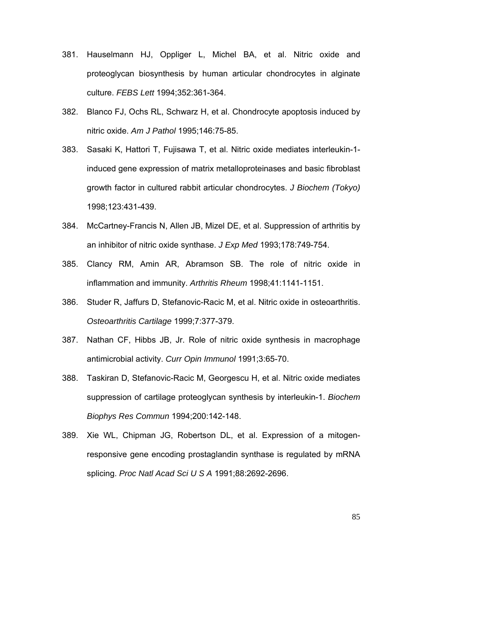- 381. Hauselmann HJ, Oppliger L, Michel BA, et al. Nitric oxide and proteoglycan biosynthesis by human articular chondrocytes in alginate culture. *FEBS Lett* 1994;352:361-364.
- 382. Blanco FJ, Ochs RL, Schwarz H, et al. Chondrocyte apoptosis induced by nitric oxide. *Am J Pathol* 1995;146:75-85.
- 383. Sasaki K, Hattori T, Fujisawa T, et al. Nitric oxide mediates interleukin-1 induced gene expression of matrix metalloproteinases and basic fibroblast growth factor in cultured rabbit articular chondrocytes. *J Biochem (Tokyo)* 1998;123:431-439.
- 384. McCartney-Francis N, Allen JB, Mizel DE, et al. Suppression of arthritis by an inhibitor of nitric oxide synthase. *J Exp Med* 1993;178:749-754.
- 385. Clancy RM, Amin AR, Abramson SB. The role of nitric oxide in inflammation and immunity. *Arthritis Rheum* 1998;41:1141-1151.
- 386. Studer R, Jaffurs D, Stefanovic-Racic M, et al. Nitric oxide in osteoarthritis. *Osteoarthritis Cartilage* 1999;7:377-379.
- 387. Nathan CF, Hibbs JB, Jr. Role of nitric oxide synthesis in macrophage antimicrobial activity. *Curr Opin Immunol* 1991;3:65-70.
- 388. Taskiran D, Stefanovic-Racic M, Georgescu H, et al. Nitric oxide mediates suppression of cartilage proteoglycan synthesis by interleukin-1. *Biochem Biophys Res Commun* 1994;200:142-148.
- 389. Xie WL, Chipman JG, Robertson DL, et al. Expression of a mitogenresponsive gene encoding prostaglandin synthase is regulated by mRNA splicing. *Proc Natl Acad Sci U S A* 1991;88:2692-2696.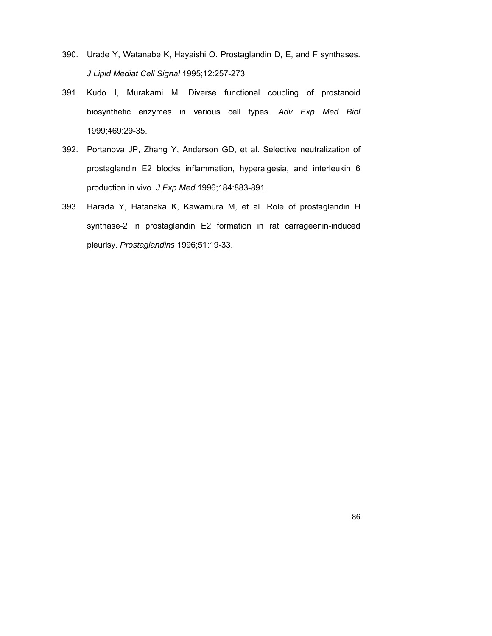- 390. Urade Y, Watanabe K, Hayaishi O. Prostaglandin D, E, and F synthases. *J Lipid Mediat Cell Signal* 1995;12:257-273.
- 391. Kudo I, Murakami M. Diverse functional coupling of prostanoid biosynthetic enzymes in various cell types. *Adv Exp Med Biol* 1999;469:29-35.
- 392. Portanova JP, Zhang Y, Anderson GD, et al. Selective neutralization of prostaglandin E2 blocks inflammation, hyperalgesia, and interleukin 6 production in vivo. *J Exp Med* 1996;184:883-891.
- 393. Harada Y, Hatanaka K, Kawamura M, et al. Role of prostaglandin H synthase-2 in prostaglandin E2 formation in rat carrageenin-induced pleurisy. *Prostaglandins* 1996;51:19-33.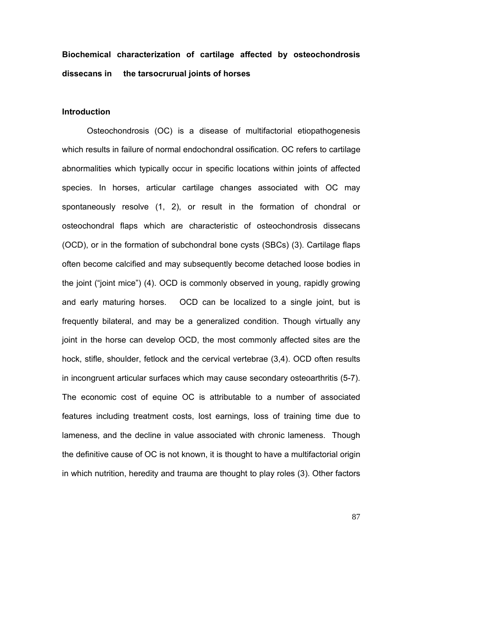## **Biochemical characterization of cartilage affected by osteochondrosis dissecans in the tarsocrurual joints of horses**

## **Introduction**

Osteochondrosis (OC) is a disease of multifactorial etiopathogenesis which results in failure of normal endochondral ossification. OC refers to cartilage abnormalities which typically occur in specific locations within joints of affected species. In horses, articular cartilage changes associated with OC may spontaneously resolve (1, 2), or result in the formation of chondral or osteochondral flaps which are characteristic of osteochondrosis dissecans (OCD), or in the formation of subchondral bone cysts (SBCs) (3). Cartilage flaps often become calcified and may subsequently become detached loose bodies in the joint ("joint mice") (4). OCD is commonly observed in young, rapidly growing and early maturing horses. OCD can be localized to a single joint, but is frequently bilateral, and may be a generalized condition. Though virtually any joint in the horse can develop OCD, the most commonly affected sites are the hock, stifle, shoulder, fetlock and the cervical vertebrae (3,4). OCD often results in incongruent articular surfaces which may cause secondary osteoarthritis (5-7). The economic cost of equine OC is attributable to a number of associated features including treatment costs, lost earnings, loss of training time due to lameness, and the decline in value associated with chronic lameness. Though the definitive cause of OC is not known, it is thought to have a multifactorial origin in which nutrition, heredity and trauma are thought to play roles (3). Other factors

87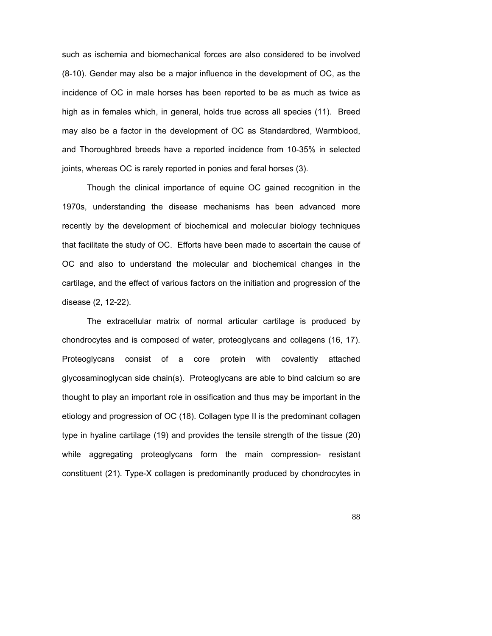such as ischemia and biomechanical forces are also considered to be involved (8-10). Gender may also be a major influence in the development of OC, as the incidence of OC in male horses has been reported to be as much as twice as high as in females which, in general, holds true across all species (11). Breed may also be a factor in the development of OC as Standardbred, Warmblood, and Thoroughbred breeds have a reported incidence from 10-35% in selected joints, whereas OC is rarely reported in ponies and feral horses (3).

Though the clinical importance of equine OC gained recognition in the 1970s, understanding the disease mechanisms has been advanced more recently by the development of biochemical and molecular biology techniques that facilitate the study of OC. Efforts have been made to ascertain the cause of OC and also to understand the molecular and biochemical changes in the cartilage, and the effect of various factors on the initiation and progression of the disease (2, 12-22).

The extracellular matrix of normal articular cartilage is produced by chondrocytes and is composed of water, proteoglycans and collagens (16, 17). Proteoglycans consist of a core protein with covalently attached glycosaminoglycan side chain(s). Proteoglycans are able to bind calcium so are thought to play an important role in ossification and thus may be important in the etiology and progression of OC (18). Collagen type II is the predominant collagen type in hyaline cartilage (19) and provides the tensile strength of the tissue (20) while aggregating proteoglycans form the main compression- resistant constituent (21). Type-X collagen is predominantly produced by chondrocytes in

88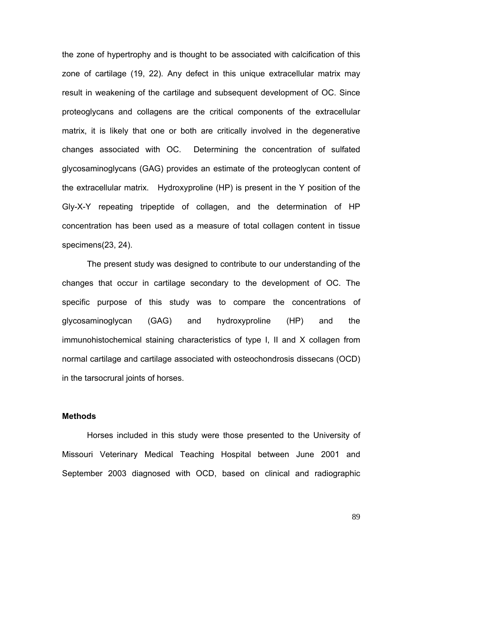the zone of hypertrophy and is thought to be associated with calcification of this zone of cartilage (19, 22). Any defect in this unique extracellular matrix may result in weakening of the cartilage and subsequent development of OC. Since proteoglycans and collagens are the critical components of the extracellular matrix, it is likely that one or both are critically involved in the degenerative changes associated with OC. Determining the concentration of sulfated glycosaminoglycans (GAG) provides an estimate of the proteoglycan content of the extracellular matrix. Hydroxyproline (HP) is present in the Y position of the Gly-X-Y repeating tripeptide of collagen, and the determination of HP concentration has been used as a measure of total collagen content in tissue specimens(23, 24).

The present study was designed to contribute to our understanding of the changes that occur in cartilage secondary to the development of OC. The specific purpose of this study was to compare the concentrations of glycosaminoglycan (GAG) and hydroxyproline (HP) and the immunohistochemical staining characteristics of type I, II and X collagen from normal cartilage and cartilage associated with osteochondrosis dissecans (OCD) in the tarsocrural joints of horses.

## **Methods**

Horses included in this study were those presented to the University of Missouri Veterinary Medical Teaching Hospital between June 2001 and September 2003 diagnosed with OCD, based on clinical and radiographic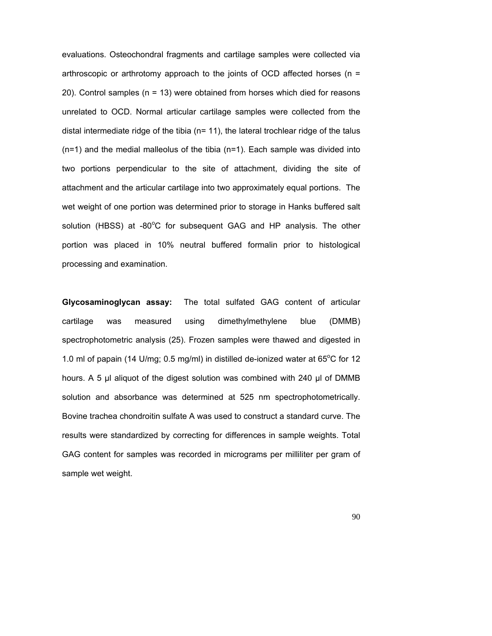evaluations. Osteochondral fragments and cartilage samples were collected via arthroscopic or arthrotomy approach to the joints of OCD affected horses (n = 20). Control samples (n = 13) were obtained from horses which died for reasons unrelated to OCD. Normal articular cartilage samples were collected from the distal intermediate ridge of the tibia  $(n= 11)$ , the lateral trochlear ridge of the talus (n=1) and the medial malleolus of the tibia (n=1). Each sample was divided into two portions perpendicular to the site of attachment, dividing the site of attachment and the articular cartilage into two approximately equal portions. The wet weight of one portion was determined prior to storage in Hanks buffered salt solution (HBSS) at -80°C for subsequent GAG and HP analysis. The other portion was placed in 10% neutral buffered formalin prior to histological processing and examination.

**Glycosaminoglycan assay:** The total sulfated GAG content of articular cartilage was measured using dimethylmethylene blue (DMMB) spectrophotometric analysis (25). Frozen samples were thawed and digested in 1.0 ml of papain (14 U/mg; 0.5 mg/ml) in distilled de-ionized water at  $65^{\circ}$ C for 12 hours. A 5 µl aliquot of the digest solution was combined with 240 µl of DMMB solution and absorbance was determined at 525 nm spectrophotometrically. Bovine trachea chondroitin sulfate A was used to construct a standard curve. The results were standardized by correcting for differences in sample weights. Total GAG content for samples was recorded in micrograms per milliliter per gram of sample wet weight.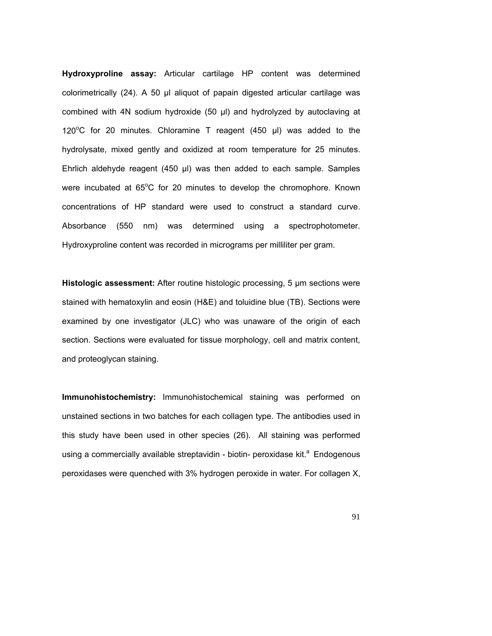**Hydroxyproline assay:** Articular cartilage HP content was determined colorimetrically (24). A 50 µl aliquot of papain digested articular cartilage was combined with 4N sodium hydroxide (50 µl) and hydrolyzed by autoclaving at 120 $^{\circ}$ C for 20 minutes. Chloramine T reagent (450  $\mu$ I) was added to the hydrolysate, mixed gently and oxidized at room temperature for 25 minutes. Ehrlich aldehyde reagent (450 µl) was then added to each sample. Samples were incubated at 65°C for 20 minutes to develop the chromophore. Known concentrations of HP standard were used to construct a standard curve. Absorbance (550 nm) was determined using a spectrophotometer. Hydroxyproline content was recorded in micrograms per milliliter per gram.

**Histologic assessment:** After routine histologic processing, 5 µm sections were stained with hematoxylin and eosin (H&E) and toluidine blue (TB). Sections were examined by one investigator (JLC) who was unaware of the origin of each section. Sections were evaluated for tissue morphology, cell and matrix content, and proteoglycan staining.

**Immunohistochemistry:** Immunohistochemical staining was performed on unstained sections in two batches for each collagen type. The antibodies used in this study have been used in other species (26). All staining was performed using a commercially available streptavidin - biotin- peroxidase kit.<sup>a</sup> Endogenous peroxidases were quenched with 3% hydrogen peroxide in water. For collagen X,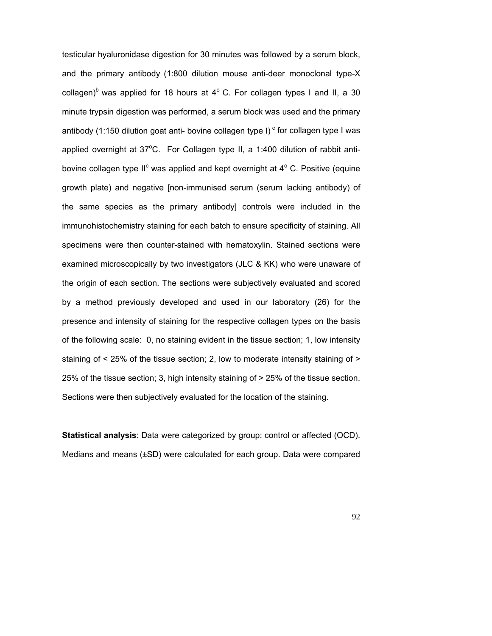testicular hyaluronidase digestion for 30 minutes was followed by a serum block, and the primary antibody (1:800 dilution mouse anti-deer monoclonal type-X collagen)<sup>b</sup> was applied for 18 hours at  $4^{\circ}$  C. For collagen types I and II, a 30 minute trypsin digestion was performed, a serum block was used and the primary antibody (1:150 dilution goat anti- bovine collagen type I)<sup>c</sup> for collagen type I was applied overnight at  $37^{\circ}$ C. For Collagen type II, a 1:400 dilution of rabbit antibovine collagen type II<sup>c</sup> was applied and kept overnight at  $4^{\circ}$  C. Positive (equine growth plate) and negative [non-immunised serum (serum lacking antibody) of the same species as the primary antibody] controls were included in the immunohistochemistry staining for each batch to ensure specificity of staining. All specimens were then counter-stained with hematoxylin. Stained sections were examined microscopically by two investigators (JLC & KK) who were unaware of the origin of each section. The sections were subjectively evaluated and scored by a method previously developed and used in our laboratory (26) for the presence and intensity of staining for the respective collagen types on the basis of the following scale: 0, no staining evident in the tissue section; 1, low intensity staining of < 25% of the tissue section; 2, low to moderate intensity staining of > 25% of the tissue section; 3, high intensity staining of > 25% of the tissue section. Sections were then subjectively evaluated for the location of the staining.

**Statistical analysis**: Data were categorized by group: control or affected (OCD). Medians and means (±SD) were calculated for each group. Data were compared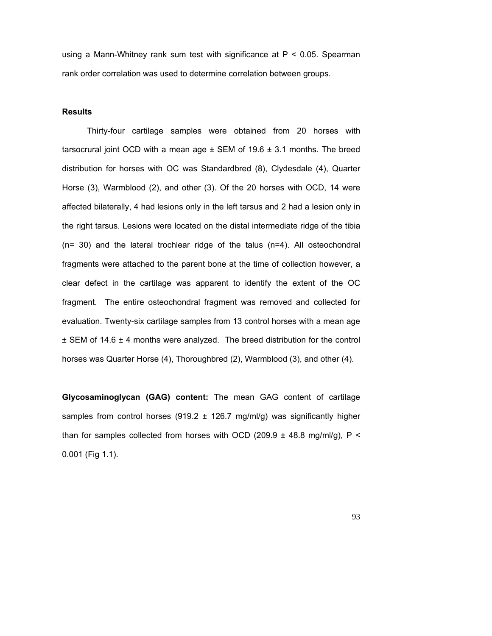using a Mann-Whitney rank sum test with significance at P < 0.05. Spearman rank order correlation was used to determine correlation between groups.

#### **Results**

Thirty-four cartilage samples were obtained from 20 horses with tarsocrural joint OCD with a mean age  $\pm$  SEM of 19.6  $\pm$  3.1 months. The breed distribution for horses with OC was Standardbred (8), Clydesdale (4), Quarter Horse (3), Warmblood (2), and other (3). Of the 20 horses with OCD, 14 were affected bilaterally, 4 had lesions only in the left tarsus and 2 had a lesion only in the right tarsus. Lesions were located on the distal intermediate ridge of the tibia (n= 30) and the lateral trochlear ridge of the talus (n=4). All osteochondral fragments were attached to the parent bone at the time of collection however, a clear defect in the cartilage was apparent to identify the extent of the OC fragment. The entire osteochondral fragment was removed and collected for evaluation. Twenty-six cartilage samples from 13 control horses with a mean age ± SEM of 14.6 ± 4 months were analyzed. The breed distribution for the control horses was Quarter Horse (4), Thoroughbred (2), Warmblood (3), and other (4).

**Glycosaminoglycan (GAG) content:** The mean GAG content of cartilage samples from control horses (919.2  $\pm$  126.7 mg/ml/g) was significantly higher than for samples collected from horses with OCD (209.9  $\pm$  48.8 mg/ml/g), P < 0.001 (Fig 1.1).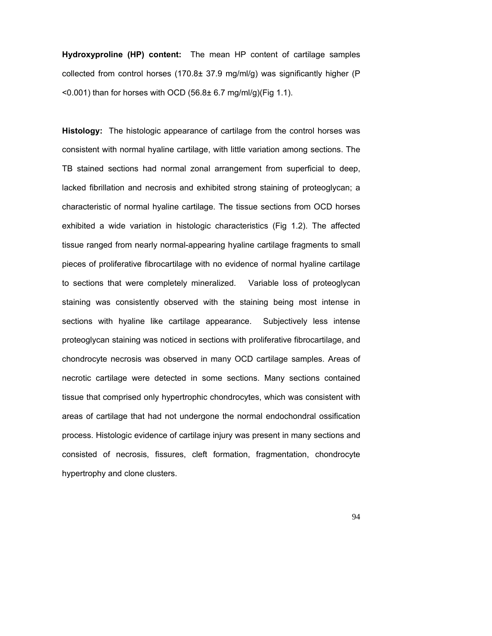**Hydroxyproline (HP) content:** The mean HP content of cartilage samples collected from control horses  $(170.8\pm 37.9 \text{ mg/ml/q})$  was significantly higher (P)  $<$  0.001) than for horses with OCD (56.8 $\pm$  6.7 mg/ml/g)(Fig 1.1).

**Histology:** The histologic appearance of cartilage from the control horses was consistent with normal hyaline cartilage, with little variation among sections. The TB stained sections had normal zonal arrangement from superficial to deep, lacked fibrillation and necrosis and exhibited strong staining of proteoglycan; a characteristic of normal hyaline cartilage. The tissue sections from OCD horses exhibited a wide variation in histologic characteristics (Fig 1.2). The affected tissue ranged from nearly normal-appearing hyaline cartilage fragments to small pieces of proliferative fibrocartilage with no evidence of normal hyaline cartilage to sections that were completely mineralized. Variable loss of proteoglycan staining was consistently observed with the staining being most intense in sections with hyaline like cartilage appearance. Subjectively less intense proteoglycan staining was noticed in sections with proliferative fibrocartilage, and chondrocyte necrosis was observed in many OCD cartilage samples. Areas of necrotic cartilage were detected in some sections. Many sections contained tissue that comprised only hypertrophic chondrocytes, which was consistent with areas of cartilage that had not undergone the normal endochondral ossification process. Histologic evidence of cartilage injury was present in many sections and consisted of necrosis, fissures, cleft formation, fragmentation, chondrocyte hypertrophy and clone clusters.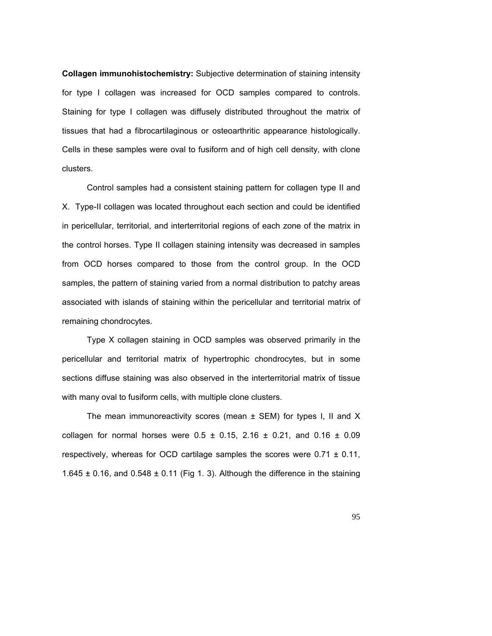**Collagen immunohistochemistry:** Subjective determination of staining intensity for type I collagen was increased for OCD samples compared to controls. Staining for type I collagen was diffusely distributed throughout the matrix of tissues that had a fibrocartilaginous or osteoarthritic appearance histologically. Cells in these samples were oval to fusiform and of high cell density, with clone clusters.

Control samples had a consistent staining pattern for collagen type II and X. Type-II collagen was located throughout each section and could be identified in pericellular, territorial, and interterritorial regions of each zone of the matrix in the control horses. Type II collagen staining intensity was decreased in samples from OCD horses compared to those from the control group. In the OCD samples, the pattern of staining varied from a normal distribution to patchy areas associated with islands of staining within the pericellular and territorial matrix of remaining chondrocytes.

Type X collagen staining in OCD samples was observed primarily in the pericellular and territorial matrix of hypertrophic chondrocytes, but in some sections diffuse staining was also observed in the interterritorial matrix of tissue with many oval to fusiform cells, with multiple clone clusters.

The mean immunoreactivity scores (mean  $\pm$  SEM) for types I, II and X collagen for normal horses were  $0.5 \pm 0.15$ , 2.16  $\pm$  0.21, and 0.16  $\pm$  0.09 respectively, whereas for OCD cartilage samples the scores were  $0.71 \pm 0.11$ , 1.645  $\pm$  0.16, and 0.548  $\pm$  0.11 (Fig 1.3). Although the difference in the staining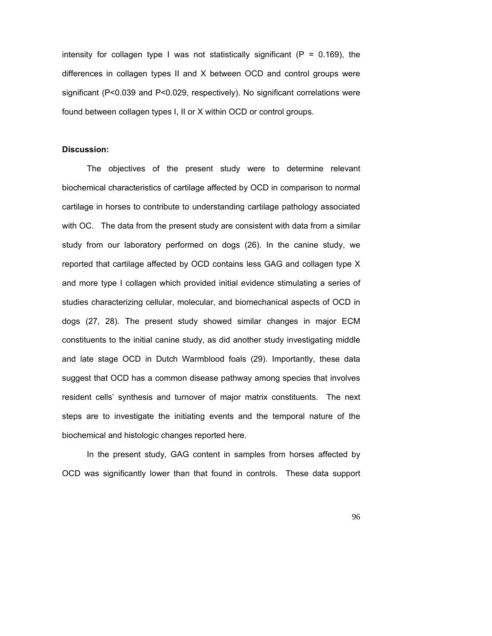intensity for collagen type I was not statistically significant  $(P = 0.169)$ , the differences in collagen types II and X between OCD and control groups were significant (P<0.039 and P<0.029, respectively). No significant correlations were found between collagen types I, II or X within OCD or control groups.

#### **Discussion:**

The objectives of the present study were to determine relevant biochemical characteristics of cartilage affected by OCD in comparison to normal cartilage in horses to contribute to understanding cartilage pathology associated with OC. The data from the present study are consistent with data from a similar study from our laboratory performed on dogs (26). In the canine study, we reported that cartilage affected by OCD contains less GAG and collagen type X and more type I collagen which provided initial evidence stimulating a series of studies characterizing cellular, molecular, and biomechanical aspects of OCD in dogs (27, 28). The present study showed similar changes in major ECM constituents to the initial canine study, as did another study investigating middle and late stage OCD in Dutch Warmblood foals (29). Importantly, these data suggest that OCD has a common disease pathway among species that involves resident cells' synthesis and turnover of major matrix constituents. The next steps are to investigate the initiating events and the temporal nature of the biochemical and histologic changes reported here.

In the present study, GAG content in samples from horses affected by OCD was significantly lower than that found in controls. These data support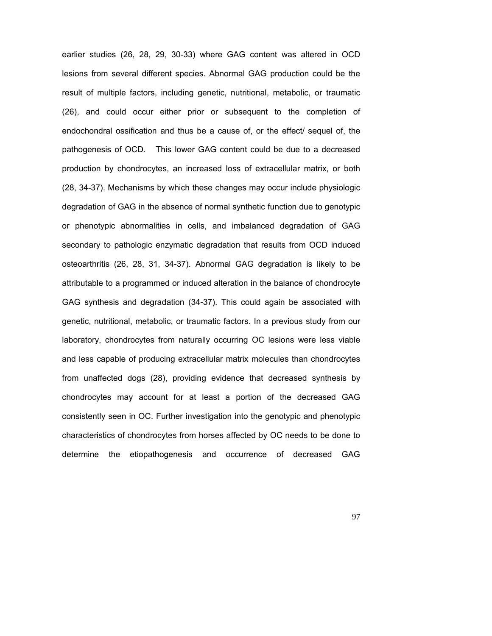earlier studies (26, 28, 29, 30-33) where GAG content was altered in OCD lesions from several different species. Abnormal GAG production could be the result of multiple factors, including genetic, nutritional, metabolic, or traumatic (26), and could occur either prior or subsequent to the completion of endochondral ossification and thus be a cause of, or the effect/ sequel of, the pathogenesis of OCD. This lower GAG content could be due to a decreased production by chondrocytes, an increased loss of extracellular matrix, or both (28, 34-37). Mechanisms by which these changes may occur include physiologic degradation of GAG in the absence of normal synthetic function due to genotypic or phenotypic abnormalities in cells, and imbalanced degradation of GAG secondary to pathologic enzymatic degradation that results from OCD induced osteoarthritis (26, 28, 31, 34-37). Abnormal GAG degradation is likely to be attributable to a programmed or induced alteration in the balance of chondrocyte GAG synthesis and degradation (34-37). This could again be associated with genetic, nutritional, metabolic, or traumatic factors. In a previous study from our laboratory, chondrocytes from naturally occurring OC lesions were less viable and less capable of producing extracellular matrix molecules than chondrocytes from unaffected dogs (28), providing evidence that decreased synthesis by chondrocytes may account for at least a portion of the decreased GAG consistently seen in OC. Further investigation into the genotypic and phenotypic characteristics of chondrocytes from horses affected by OC needs to be done to determine the etiopathogenesis and occurrence of decreased GAG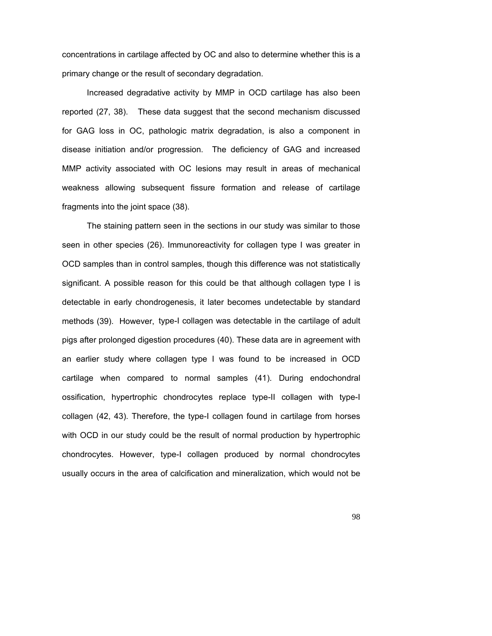concentrations in cartilage affected by OC and also to determine whether this is a primary change or the result of secondary degradation.

Increased degradative activity by MMP in OCD cartilage has also been reported (27, 38). These data suggest that the second mechanism discussed for GAG loss in OC, pathologic matrix degradation, is also a component in disease initiation and/or progression. The deficiency of GAG and increased MMP activity associated with OC lesions may result in areas of mechanical weakness allowing subsequent fissure formation and release of cartilage fragments into the joint space (38).

The staining pattern seen in the sections in our study was similar to those seen in other species (26). Immunoreactivity for collagen type I was greater in OCD samples than in control samples, though this difference was not statistically significant. A possible reason for this could be that although collagen type I is detectable in early chondrogenesis, it later becomes undetectable by standard methods (39). However, type-I collagen was detectable in the cartilage of adult pigs after prolonged digestion procedures (40). These data are in agreement with an earlier study where collagen type I was found to be increased in OCD cartilage when compared to normal samples (41). During endochondral ossification, hypertrophic chondrocytes replace type-II collagen with type-I collagen (42, 43). Therefore, the type-I collagen found in cartilage from horses with OCD in our study could be the result of normal production by hypertrophic chondrocytes. However, type-I collagen produced by normal chondrocytes usually occurs in the area of calcification and mineralization, which would not be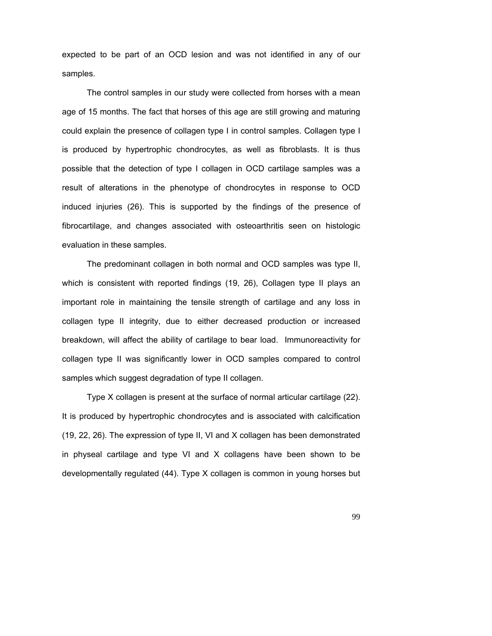expected to be part of an OCD lesion and was not identified in any of our samples.

The control samples in our study were collected from horses with a mean age of 15 months. The fact that horses of this age are still growing and maturing could explain the presence of collagen type I in control samples. Collagen type I is produced by hypertrophic chondrocytes, as well as fibroblasts. It is thus possible that the detection of type I collagen in OCD cartilage samples was a result of alterations in the phenotype of chondrocytes in response to OCD induced injuries (26). This is supported by the findings of the presence of fibrocartilage, and changes associated with osteoarthritis seen on histologic evaluation in these samples.

The predominant collagen in both normal and OCD samples was type II, which is consistent with reported findings (19, 26), Collagen type II plays an important role in maintaining the tensile strength of cartilage and any loss in collagen type II integrity, due to either decreased production or increased breakdown, will affect the ability of cartilage to bear load. Immunoreactivity for collagen type II was significantly lower in OCD samples compared to control samples which suggest degradation of type II collagen.

Type X collagen is present at the surface of normal articular cartilage (22). It is produced by hypertrophic chondrocytes and is associated with calcification (19, 22, 26). The expression of type II, VI and X collagen has been demonstrated in physeal cartilage and type VI and X collagens have been shown to be developmentally regulated (44). Type X collagen is common in young horses but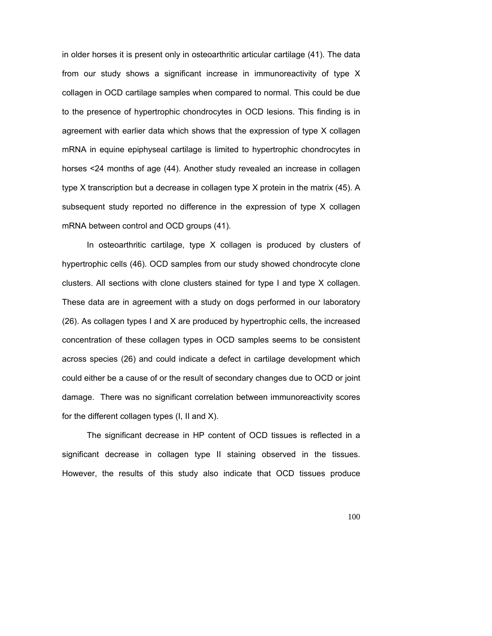in older horses it is present only in osteoarthritic articular cartilage (41). The data from our study shows a significant increase in immunoreactivity of type X collagen in OCD cartilage samples when compared to normal. This could be due to the presence of hypertrophic chondrocytes in OCD lesions. This finding is in agreement with earlier data which shows that the expression of type X collagen mRNA in equine epiphyseal cartilage is limited to hypertrophic chondrocytes in horses <24 months of age (44). Another study revealed an increase in collagen type X transcription but a decrease in collagen type X protein in the matrix (45). A subsequent study reported no difference in the expression of type X collagen mRNA between control and OCD groups (41).

In osteoarthritic cartilage, type X collagen is produced by clusters of hypertrophic cells (46). OCD samples from our study showed chondrocyte clone clusters. All sections with clone clusters stained for type I and type  $X$  collagen. These data are in agreement with a study on dogs performed in our laboratory (26). As collagen types I and X are produced by hypertrophic cells, the increased concentration of these collagen types in OCD samples seems to be consistent across species (26) and could indicate a defect in cartilage development which could either be a cause of or the result of secondary changes due to OCD or joint damage. There was no significant correlation between immunoreactivity scores for the different collagen types (I, II and X).

The significant decrease in HP content of OCD tissues is reflected in a significant decrease in collagen type II staining observed in the tissues. However, the results of this study also indicate that OCD tissues produce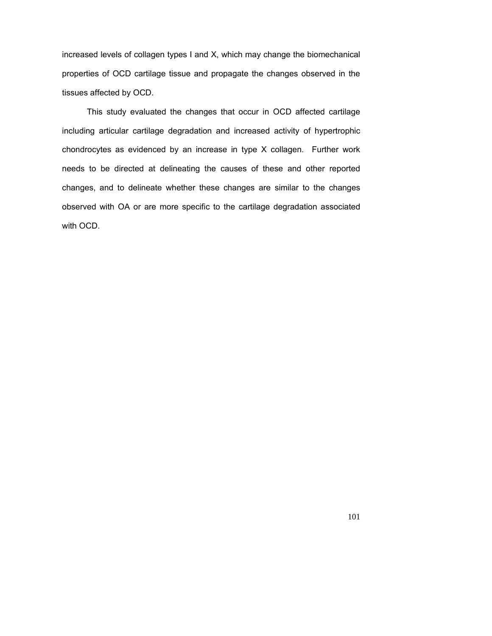increased levels of collagen types I and X, which may change the biomechanical properties of OCD cartilage tissue and propagate the changes observed in the tissues affected by OCD.

This study evaluated the changes that occur in OCD affected cartilage including articular cartilage degradation and increased activity of hypertrophic chondrocytes as evidenced by an increase in type X collagen. Further work needs to be directed at delineating the causes of these and other reported changes, and to delineate whether these changes are similar to the changes observed with OA or are more specific to the cartilage degradation associated with OCD.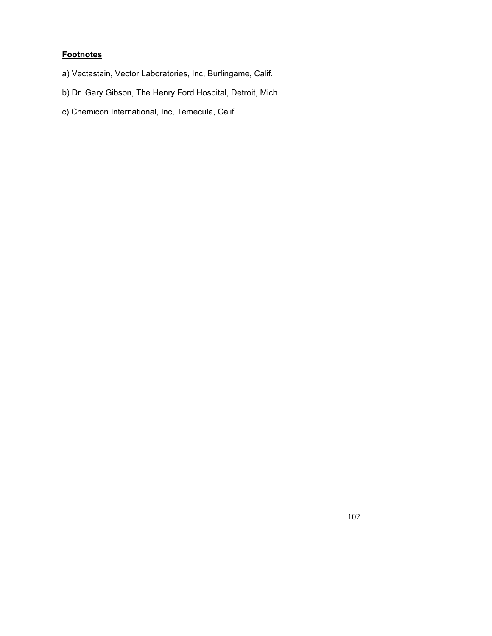# **Footnotes**

- a) Vectastain, Vector Laboratories, Inc, Burlingame, Calif.
- b) Dr. Gary Gibson, The Henry Ford Hospital, Detroit, Mich.
- c) Chemicon International, Inc, Temecula, Calif.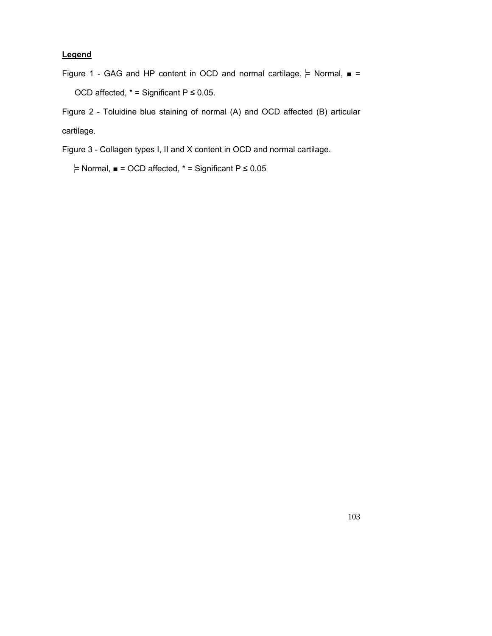## **Legend**

Figure 1 - GAG and HP content in OCD and normal cartilage.  $\models$  Normal,  $\blacksquare$  = OCD affected,  $*$  = Significant P  $\leq$  0.05.

Figure 2 - Toluidine blue staining of normal (A) and OCD affected (B) articular cartilage.

Figure 3 - Collagen types I, II and X content in OCD and normal cartilage.

 $=$  Normal,  $\blacksquare$  = OCD affected, \* = Significant P  $\leq$  0.05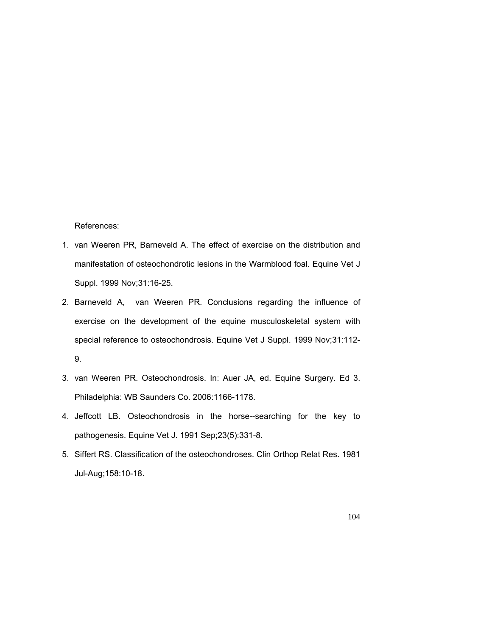References:

- 1. van Weeren PR, Barneveld A. The effect of exercise on the distribution and manifestation of osteochondrotic lesions in the Warmblood foal. Equine Vet J Suppl. 1999 Nov;31:16-25.
- 2. Barneveld A, van Weeren PR. Conclusions regarding the influence of exercise on the development of the equine musculoskeletal system with special reference to osteochondrosis. Equine Vet J Suppl. 1999 Nov;31:112- 9.
- 3. van Weeren PR. Osteochondrosis. In: Auer JA, ed. Equine Surgery. Ed 3. Philadelphia: WB Saunders Co. 2006:1166-1178.
- 4. Jeffcott LB. Osteochondrosis in the horse--searching for the key to pathogenesis. Equine Vet J. 1991 Sep;23(5):331-8.
- 5. Siffert RS. Classification of the osteochondroses. Clin Orthop Relat Res. 1981 Jul-Aug;158:10-18.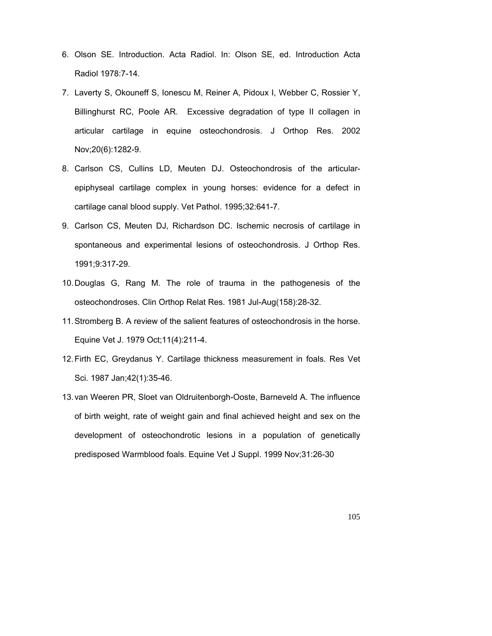- 6. Olson SE. Introduction. Acta Radiol. In: Olson SE, ed. Introduction Acta Radiol 1978:7-14.
- 7. Laverty S, Okouneff S, Ionescu M, Reiner A, Pidoux I, Webber C, [Rossier Y,](http://www.ncbi.nlm.nih.gov/entrez/query.fcgi?db=pubmed&cmd=Search&itool=pubmed_AbstractPlus&term=%22Rossier+Y%22%5BAuthor%5D) [Billinghurst RC,](http://www.ncbi.nlm.nih.gov/entrez/query.fcgi?db=pubmed&cmd=Search&itool=pubmed_AbstractPlus&term=%22Billinghurst+RC%22%5BAuthor%5D) [Poole AR.](http://www.ncbi.nlm.nih.gov/entrez/query.fcgi?db=pubmed&cmd=Search&itool=pubmed_AbstractPlus&term=%22Poole+AR%22%5BAuthor%5D) Excessive degradation of type II collagen in articular cartilage in equine osteochondrosis. J Orthop Res. 2002 Nov;20(6):1282-9.
- 8. Carlson CS, Cullins LD, Meuten DJ. Osteochondrosis of the articularepiphyseal cartilage complex in young horses: evidence for a defect in cartilage canal blood supply. Vet Pathol. 1995;32:641-7.
- 9. Carlson CS, Meuten DJ, Richardson DC. Ischemic necrosis of cartilage in spontaneous and experimental lesions of osteochondrosis. J Orthop Res. 1991;9:317-29.
- 10. Douglas G, Rang M. The role of trauma in the pathogenesis of the osteochondroses. Clin Orthop Relat Res. 1981 Jul-Aug(158):28-32.
- 11. Stromberg B. A review of the salient features of osteochondrosis in the horse. Equine Vet J. 1979 Oct;11(4):211-4.
- 12. Firth EC, Greydanus Y. Cartilage thickness measurement in foals. Res Vet Sci. 1987 Jan;42(1):35-46.
- 13. van Weeren PR, Sloet van Oldruitenborgh-Ooste, Barneveld A. The influence of birth weight, rate of weight gain and final achieved height and sex on the development of osteochondrotic lesions in a population of genetically predisposed Warmblood foals. Equine Vet J Suppl. 1999 Nov;31:26-30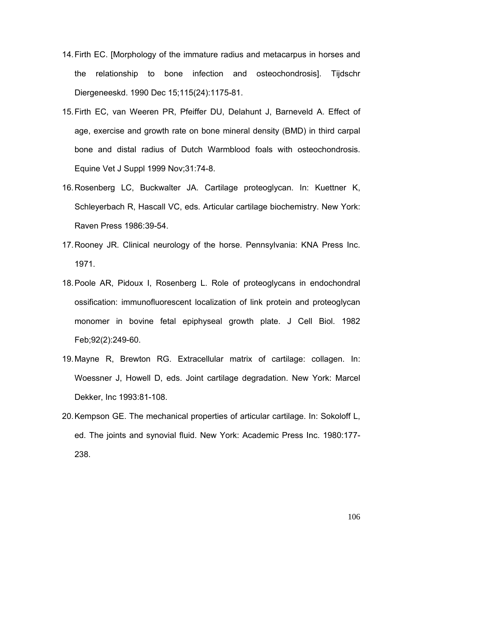- 14. Firth EC. [Morphology of the immature radius and metacarpus in horses and the relationship to bone infection and osteochondrosis]. Tijdschr Diergeneeskd. 1990 Dec 15;115(24):1175-81.
- 15. Firth EC, van Weeren PR, Pfeiffer DU, Delahunt J, Barneveld A. Effect of age, exercise and growth rate on bone mineral density (BMD) in third carpal bone and distal radius of Dutch Warmblood foals with osteochondrosis. Equine Vet J Suppl 1999 Nov;31:74-8.
- 16. Rosenberg LC, Buckwalter JA. Cartilage proteoglycan. In: Kuettner K, Schleyerbach R, Hascall VC, eds. Articular cartilage biochemistry. New York: Raven Press 1986:39-54.
- 17. Rooney JR. Clinical neurology of the horse. Pennsylvania: KNA Press Inc. 1971.
- 18. Poole AR, Pidoux I, Rosenberg L. Role of proteoglycans in endochondral ossification: immunofluorescent localization of link protein and proteoglycan monomer in bovine fetal epiphyseal growth plate. J Cell Biol. 1982 Feb;92(2):249-60.
- 19. Mayne R, Brewton RG. Extracellular matrix of cartilage: collagen. In: Woessner J, Howell D, eds. Joint cartilage degradation. New York: Marcel Dekker, Inc 1993:81-108.
- 20. Kempson GE. The mechanical properties of articular cartilage. In: Sokoloff L, ed. The joints and synovial fluid. New York: Academic Press Inc. 1980:177- 238.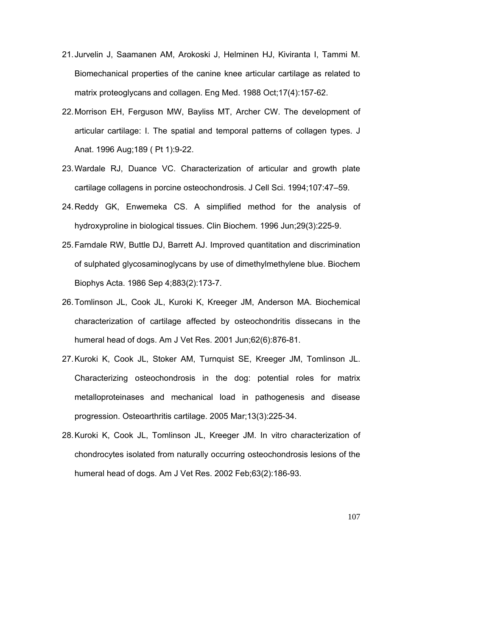- 21. Jurvelin J, Saamanen AM, Arokoski J, Helminen HJ, Kiviranta I, Tammi M. Biomechanical properties of the canine knee articular cartilage as related to matrix proteoglycans and collagen. Eng Med. 1988 Oct;17(4):157-62.
- 22. Morrison EH, Ferguson MW, Bayliss MT, Archer CW. The development of articular cartilage: I. The spatial and temporal patterns of collagen types. J Anat. 1996 Aug;189 ( Pt 1):9-22.
- 23. Wardale RJ, Duance VC. Characterization of articular and growth plate cartilage collagens in porcine osteochondrosis. J Cell Sci. 1994;107:47–59.
- 24. Reddy GK, Enwemeka CS. A simplified method for the analysis of hydroxyproline in biological tissues. Clin Biochem. 1996 Jun;29(3):225-9.
- 25. Farndale RW, Buttle DJ, Barrett AJ. Improved quantitation and discrimination of sulphated glycosaminoglycans by use of dimethylmethylene blue. Biochem Biophys Acta. 1986 Sep 4;883(2):173-7.
- 26. Tomlinson JL, Cook JL, Kuroki K, Kreeger JM, Anderson MA. Biochemical characterization of cartilage affected by osteochondritis dissecans in the humeral head of dogs. Am J Vet Res. 2001 Jun;62(6):876-81.
- 27. Kuroki K, Cook JL, Stoker AM, Turnquist SE, Kreeger JM, Tomlinson JL. Characterizing osteochondrosis in the dog: potential roles for matrix metalloproteinases and mechanical load in pathogenesis and disease progression. Osteoarthritis cartilage. 2005 Mar;13(3):225-34.
- 28. Kuroki K, Cook JL, Tomlinson JL, Kreeger JM. In vitro characterization of chondrocytes isolated from naturally occurring osteochondrosis lesions of the humeral head of dogs. Am J Vet Res. 2002 Feb;63(2):186-93.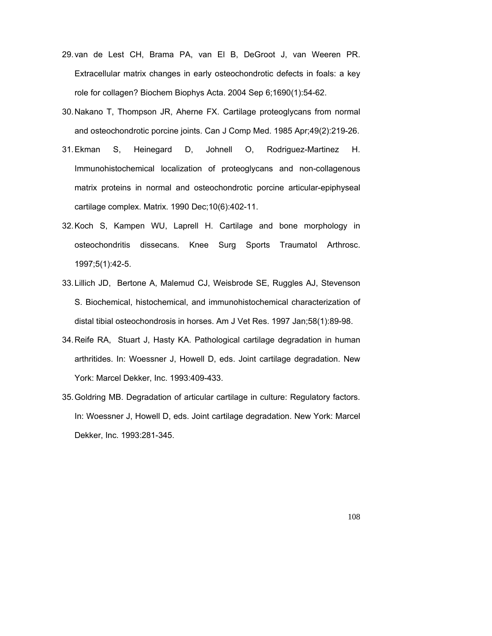- 29. van de Lest CH, Brama PA, van El B, DeGroot J, van Weeren PR. Extracellular matrix changes in early osteochondrotic defects in foals: a key role for collagen? Biochem Biophys Acta. 2004 Sep 6;1690(1):54-62.
- 30. Nakano T, Thompson JR, Aherne FX. Cartilage proteoglycans from normal and osteochondrotic porcine joints. Can J Comp Med. 1985 Apr;49(2):219-26.
- 31. Ekman S, Heinegard D, Johnell O, Rodriguez-Martinez H. Immunohistochemical localization of proteoglycans and non-collagenous matrix proteins in normal and osteochondrotic porcine articular-epiphyseal cartilage complex. Matrix. 1990 Dec;10(6):402-11.
- 32. Koch S, Kampen WU, Laprell H. Cartilage and bone morphology in osteochondritis dissecans. Knee Surg Sports Traumatol Arthrosc. 1997;5(1):42-5.
- 33. Lillich JD, Bertone A, Malemud CJ, Weisbrode SE, Ruggles AJ, Stevenson S. Biochemical, histochemical, and immunohistochemical characterization of distal tibial osteochondrosis in horses. Am J Vet Res. 1997 Jan;58(1):89-98.
- 34. Reife RA, Stuart J, Hasty KA. Pathological cartilage degradation in human arthritides. In: Woessner J, Howell D, eds. Joint cartilage degradation. New York: Marcel Dekker, Inc. 1993:409-433.
- 35. Goldring MB. Degradation of articular cartilage in culture: Regulatory factors. In: Woessner J, Howell D, eds. Joint cartilage degradation. New York: Marcel Dekker, Inc. 1993:281-345.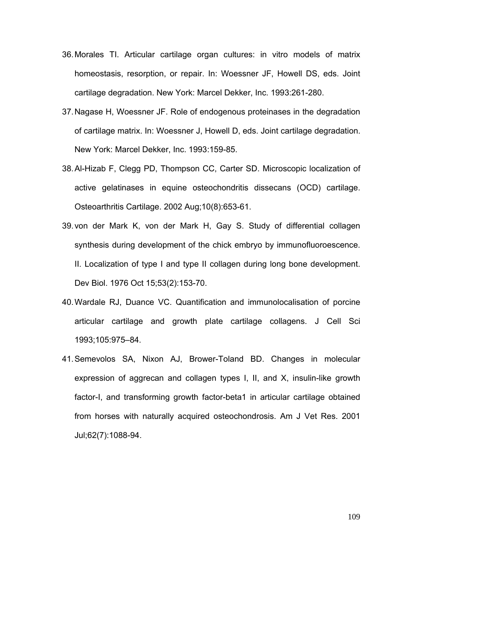- 36. Morales TI. Articular cartilage organ cultures: in vitro models of matrix homeostasis, resorption, or repair. In: Woessner JF, Howell DS, eds. Joint cartilage degradation. New York: Marcel Dekker, Inc. 1993:261-280.
- 37. Nagase H, Woessner JF. Role of endogenous proteinases in the degradation of cartilage matrix. In: Woessner J, Howell D, eds. Joint cartilage degradation. New York: Marcel Dekker, Inc. 1993:159-85.
- 38. Al-Hizab F, Clegg PD, Thompson CC, Carter SD. Microscopic localization of active gelatinases in equine osteochondritis dissecans (OCD) cartilage. Osteoarthritis Cartilage. 2002 Aug;10(8):653-61.
- 39. von der Mark K, von der Mark H, Gay S. Study of differential collagen synthesis during development of the chick embryo by immunofluoroescence. II. Localization of type I and type II collagen during long bone development. Dev Biol. 1976 Oct 15;53(2):153-70.
- 40. Wardale RJ, Duance VC. Quantification and immunolocalisation of porcine articular cartilage and growth plate cartilage collagens. J Cell Sci 1993;105:975–84.
- 41. Semevolos SA, Nixon AJ, Brower-Toland BD. Changes in molecular expression of aggrecan and collagen types I, II, and X, insulin-like growth factor-I, and transforming growth factor-beta1 in articular cartilage obtained from horses with naturally acquired osteochondrosis. Am J Vet Res. 2001 Jul;62(7):1088-94.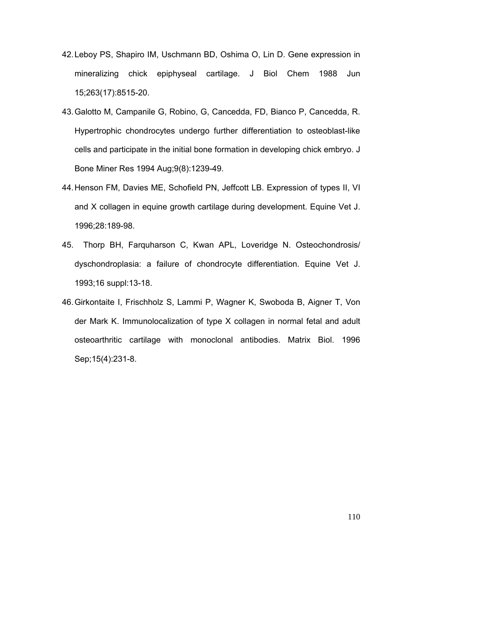- 42. Leboy PS, Shapiro IM, Uschmann BD, Oshima O, Lin D. Gene expression in mineralizing chick epiphyseal cartilage. J Biol Chem 1988 Jun 15;263(17):8515-20.
- 43. Galotto M, Campanile G, Robino, G, Cancedda, FD, Bianco P, Cancedda, R. Hypertrophic chondrocytes undergo further differentiation to osteoblast-like cells and participate in the initial bone formation in developing chick embryo. J Bone Miner Res 1994 Aug;9(8):1239-49.
- 44. Henson FM, Davies ME, Schofield PN, Jeffcott LB. Expression of types II, VI and X collagen in equine growth cartilage during development. Equine Vet J. 1996;28:189-98.
- 45. Thorp BH, Farquharson C, Kwan APL, Loveridge N. Osteochondrosis/ dyschondroplasia: a failure of chondrocyte differentiation. Equine Vet J. 1993;16 suppl:13-18.
- 46. Girkontaite I, Frischholz S, Lammi P, Wagner K, Swoboda B, Aigner T, Von der Mark K. Immunolocalization of type X collagen in normal fetal and adult osteoarthritic cartilage with monoclonal antibodies. Matrix Biol. 1996 Sep;15(4):231-8.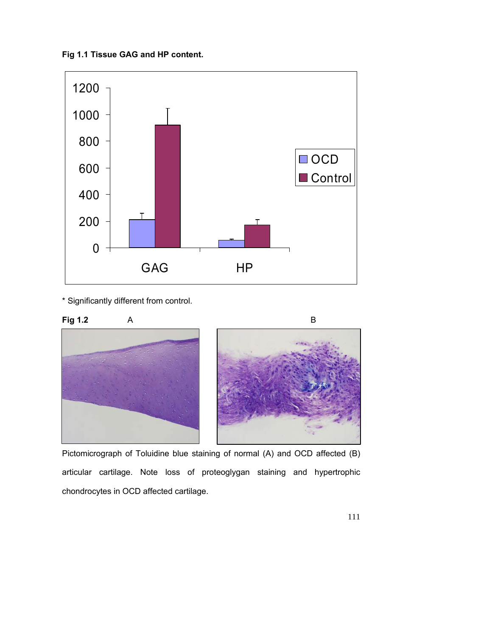**Fig 1.1 Tissue GAG and HP content.** 



\* Significantly different from control.



Pictomicrograph of Toluidine blue staining of normal (A) and OCD affected (B) articular cartilage. Note loss of proteoglygan staining and hypertrophic chondrocytes in OCD affected cartilage.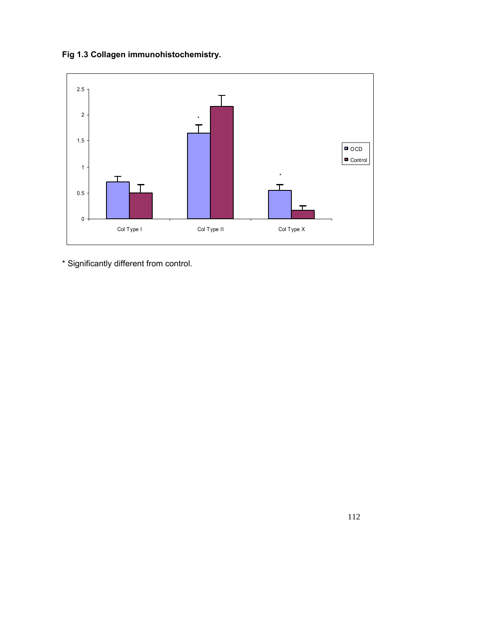**Fig 1.3 Collagen immunohistochemistry.** 



\* Significantly different from control.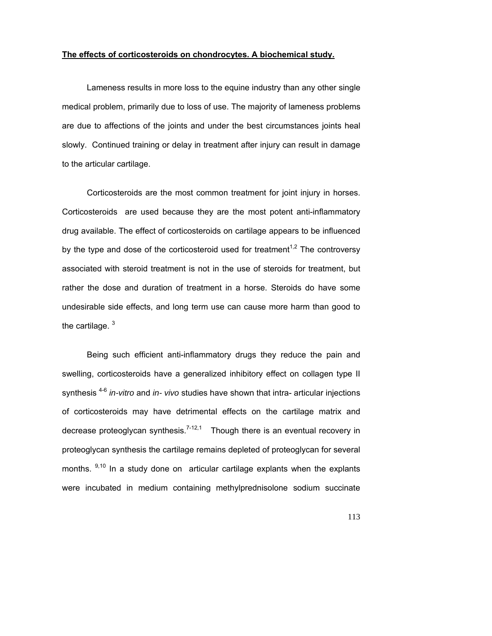#### **The effects of corticosteroids on chondrocytes. A biochemical study.**

Lameness results in more loss to the equine industry than any other single medical problem, primarily due to loss of use. The majority of lameness problems are due to affections of the joints and under the best circumstances joints heal slowly. Continued training or delay in treatment after injury can result in damage to the articular cartilage.

Corticosteroids are the most common treatment for joint injury in horses. Corticosteroids are used because they are the most potent anti-inflammatory drug available. The effect of corticosteroids on cartilage appears to be influenced by the type and dose of the corticosteroid used for treatment<sup>1,2</sup> The controversy associated with steroid treatment is not in the use of steroids for treatment, but rather the dose and duration of treatment in a horse. Steroids do have some undesirable side effects, and long term use can cause more harm than good to the cartilage.  $3$ 

Being such efficient anti-inflammatory drugs they reduce the pain and swelling, corticosteroids have a generalized inhibitory effect on collagen type II synthesis 4-6 *in-vitro* and *in- vivo* studies have shown that intra- articular injections of corticosteroids may have detrimental effects on the cartilage matrix and decrease proteoglycan synthesis.<sup>7-12,1</sup> Though there is an eventual recovery in proteoglycan synthesis the cartilage remains depleted of proteoglycan for several months.  $9,10$  In a study done on articular cartilage explants when the explants were incubated in medium containing methylprednisolone sodium succinate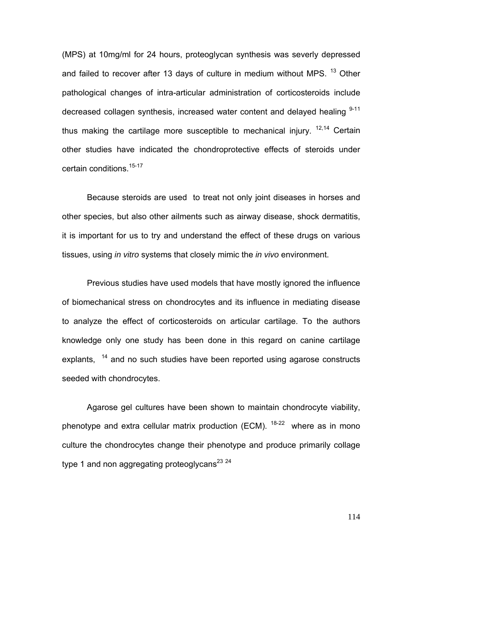(MPS) at 10mg/ml for 24 hours, proteoglycan synthesis was severly depressed and failed to recover after 13 days of culture in medium without MPS. <sup>13</sup> Other pathological changes of intra-articular administration of corticosteroids include decreased collagen synthesis, increased water content and delayed healing  $9-11$ thus making the cartilage more susceptible to mechanical injury.  $12,14$  Certain other studies have indicated the chondroprotective effects of steroids under certain conditions.<sup>15-17</sup>

Because steroids are used to treat not only joint diseases in horses and other species, but also other ailments such as airway disease, shock dermatitis, it is important for us to try and understand the effect of these drugs on various tissues, using *in vitro* systems that closely mimic the *in vivo* environment.

Previous studies have used models that have mostly ignored the influence of biomechanical stress on chondrocytes and its influence in mediating disease to analyze the effect of corticosteroids on articular cartilage. To the authors knowledge only one study has been done in this regard on canine cartilage explants, <sup>14</sup> and no such studies have been reported using agarose constructs seeded with chondrocytes.

Agarose gel cultures have been shown to maintain chondrocyte viability, phenotype and extra cellular matrix production (ECM).  $18-22$  where as in mono culture the chondrocytes change their phenotype and produce primarily collage type 1 and non aggregating proteoglycans<sup>23 24</sup>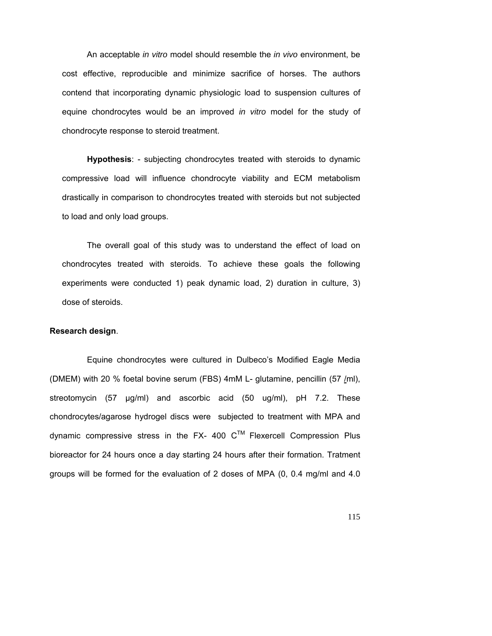An acceptable *in vitro* model should resemble the *in vivo* environment, be cost effective, reproducible and minimize sacrifice of horses. The authors contend that incorporating dynamic physiologic load to suspension cultures of equine chondrocytes would be an improved *in vitro* model for the study of chondrocyte response to steroid treatment.

**Hypothesis**: - subjecting chondrocytes treated with steroids to dynamic compressive load will influence chondrocyte viability and ECM metabolism drastically in comparison to chondrocytes treated with steroids but not subjected to load and only load groups.

The overall goal of this study was to understand the effect of load on chondrocytes treated with steroids. To achieve these goals the following experiments were conducted 1) peak dynamic load, 2) duration in culture, 3) dose of steroids.

## **Research design**.

Equine chondrocytes were cultured in Dulbeco's Modified Eagle Media (DMEM) with 20 % foetal bovine serum (FBS) 4mM L- glutamine, pencillin (57 /ml), streotomycin (57 µg/ml) and ascorbic acid (50 ug/ml), pH 7.2. These chondrocytes/agarose hydrogel discs were subjected to treatment with MPA and dynamic compressive stress in the FX- 400  $C^{TM}$  Flexercell Compression Plus bioreactor for 24 hours once a day starting 24 hours after their formation. Tratment groups will be formed for the evaluation of 2 doses of MPA (0, 0.4 mg/ml and 4.0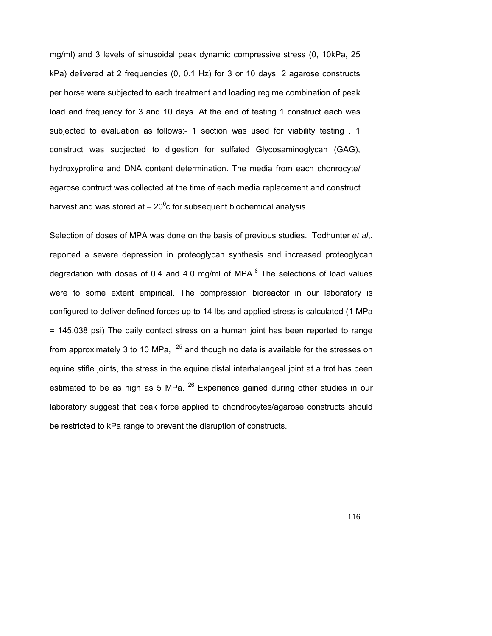mg/ml) and 3 levels of sinusoidal peak dynamic compressive stress (0, 10kPa, 25 kPa) delivered at 2 frequencies (0, 0.1 Hz) for 3 or 10 days. 2 agarose constructs per horse were subjected to each treatment and loading regime combination of peak load and frequency for 3 and 10 days. At the end of testing 1 construct each was subjected to evaluation as follows:- 1 section was used for viability testing . 1 construct was subjected to digestion for sulfated Glycosaminoglycan (GAG), hydroxyproline and DNA content determination. The media from each chonrocyte/ agarose contruct was collected at the time of each media replacement and construct harvest and was stored at  $-20^0$ c for subsequent biochemical analysis.

Selection of doses of MPA was done on the basis of previous studies. Todhunter *et al*,. reported a severe depression in proteoglycan synthesis and increased proteoglycan degradation with doses of 0.4 and 4.0 mg/ml of MPA. $^6$  The selections of load values were to some extent empirical. The compression bioreactor in our laboratory is configured to deliver defined forces up to 14 lbs and applied stress is calculated (1 MPa = 145.038 psi) The daily contact stress on a human joint has been reported to range from approximately 3 to 10 MPa,  $25$  and though no data is available for the stresses on equine stifle joints, the stress in the equine distal interhalangeal joint at a trot has been estimated to be as high as 5 MPa.  $^{26}$  Experience gained during other studies in our laboratory suggest that peak force applied to chondrocytes/agarose constructs should be restricted to kPa range to prevent the disruption of constructs.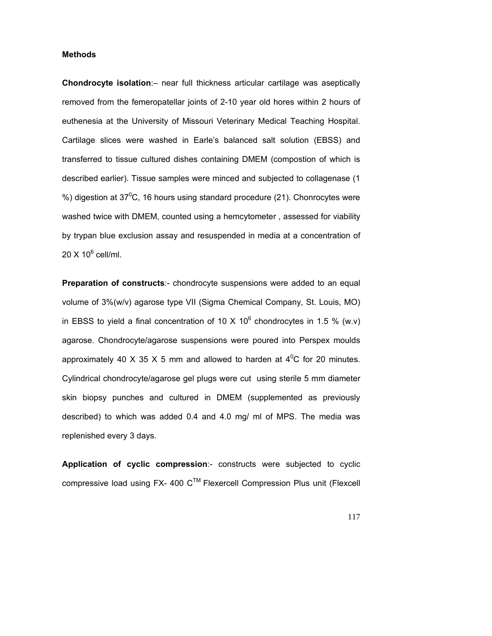## **Methods**

**Chondrocyte isolation**:– near full thickness articular cartilage was aseptically removed from the femeropatellar joints of 2-10 year old hores within 2 hours of euthenesia at the University of Missouri Veterinary Medical Teaching Hospital. Cartilage slices were washed in Earle's balanced salt solution (EBSS) and transferred to tissue cultured dishes containing DMEM (compostion of which is described earlier). Tissue samples were minced and subjected to collagenase (1 %) digestion at 37 $\mathrm{^0C}$ , 16 hours using standard procedure (21). Chonrocytes were washed twice with DMEM, counted using a hemcytometer , assessed for viability by trypan blue exclusion assay and resuspended in media at a concentration of 20 X 10<sup>6</sup> cell/ml.

**Preparation of constructs**:- chondrocyte suspensions were added to an equal volume of 3%(w/v) agarose type VII (Sigma Chemical Company, St. Louis, MO) in EBSS to yield a final concentration of 10 X 10<sup>6</sup> chondrocytes in 1.5 % (w.v) agarose. Chondrocyte/agarose suspensions were poured into Perspex moulds approximately 40 X 35 X 5 mm and allowed to harden at 4<sup>0</sup>C for 20 minutes. Cylindrical chondrocyte/agarose gel plugs were cut using sterile 5 mm diameter skin biopsy punches and cultured in DMEM (supplemented as previously described) to which was added 0.4 and 4.0 mg/ ml of MPS. The media was replenished every 3 days.

**Application of cyclic compression**:- constructs were subjected to cyclic compressive load using FX- 400  $C^{TM}$  Flexercell Compression Plus unit (Flexcell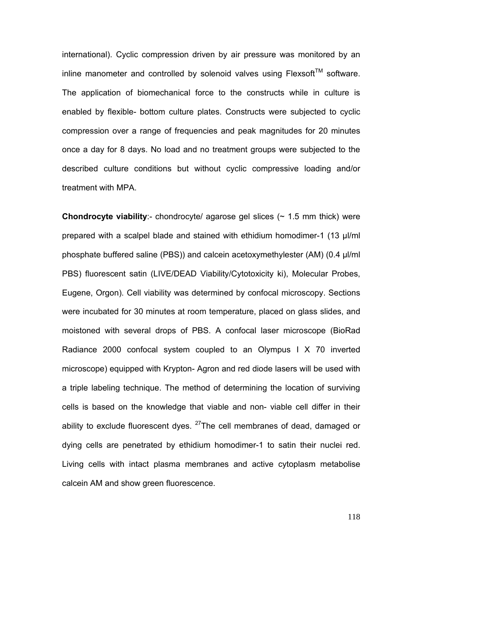international). Cyclic compression driven by air pressure was monitored by an inline manometer and controlled by solenoid valves using  $F$ lexsoft<sup>TM</sup> software. The application of biomechanical force to the constructs while in culture is enabled by flexible- bottom culture plates. Constructs were subjected to cyclic compression over a range of frequencies and peak magnitudes for 20 minutes once a day for 8 days. No load and no treatment groups were subjected to the described culture conditions but without cyclic compressive loading and/or treatment with MPA.

**Chondrocyte viability**:- chondrocyte/ agarose gel slices (~ 1.5 mm thick) were prepared with a scalpel blade and stained with ethidium homodimer-1 (13 µl/ml phosphate buffered saline (PBS)) and calcein acetoxymethylester (AM) (0.4 µl/ml PBS) fluorescent satin (LIVE/DEAD Viability/Cytotoxicity ki), Molecular Probes, Eugene, Orgon). Cell viability was determined by confocal microscopy. Sections were incubated for 30 minutes at room temperature, placed on glass slides, and moistoned with several drops of PBS. A confocal laser microscope (BioRad Radiance 2000 confocal system coupled to an Olympus I X 70 inverted microscope) equipped with Krypton- Agron and red diode lasers will be used with a triple labeling technique. The method of determining the location of surviving cells is based on the knowledge that viable and non- viable cell differ in their ability to exclude fluorescent dyes. <sup>27</sup>The cell membranes of dead, damaged or dying cells are penetrated by ethidium homodimer-1 to satin their nuclei red. Living cells with intact plasma membranes and active cytoplasm metabolise calcein AM and show green fluorescence.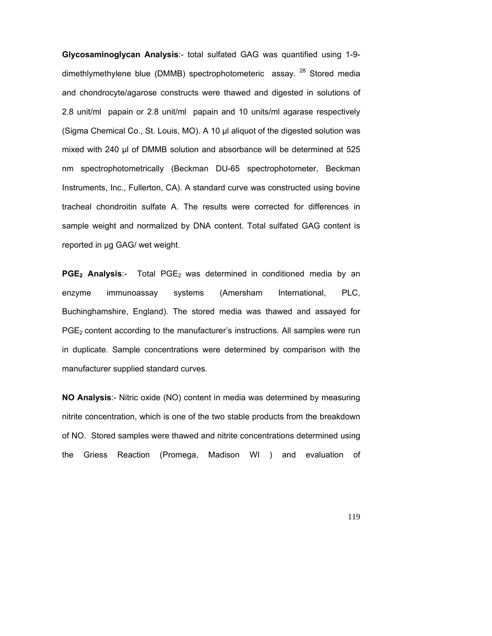**Glycosaminoglycan Analysis**:- total sulfated GAG was quantified using 1-9 dimethlymethylene blue (DMMB) spectrophotometeric assay. <sup>28</sup> Stored media and chondrocyte/agarose constructs were thawed and digested in solutions of 2.8 unit/ml papain or 2.8 unit/ml papain and 10 units/ml agarase respectively (Sigma Chemical Co., St. Louis, MO). A 10 µl aliquot of the digested solution was mixed with 240 µl of DMMB solution and absorbance will be determined at 525 nm spectrophotometrically (Beckman DU-65 spectrophotometer, Beckman Instruments, Inc., Fullerton, CA). A standard curve was constructed using bovine tracheal chondroitin sulfate A. The results were corrected for differences in sample weight and normalized by DNA content. Total sulfated GAG content is reported in µg GAG/ wet weight.

**PGE<sub>2</sub> Analysis**:- Total PGE<sub>2</sub> was determined in conditioned media by an enzyme immunoassay systems (Amersham International, PLC, Buchinghamshire, England). The stored media was thawed and assayed for PGE<sub>2</sub> content according to the manufacturer's instructions. All samples were run in duplicate. Sample concentrations were determined by comparison with the manufacturer supplied standard curves.

**NO Analysis**:- Nitric oxide (NO) content in media was determined by measuring nitrite concentration, which is one of the two stable products from the breakdown of NO. Stored samples were thawed and nitrite concentrations determined using the Griess Reaction (Promega, Madison WI ) and evaluation of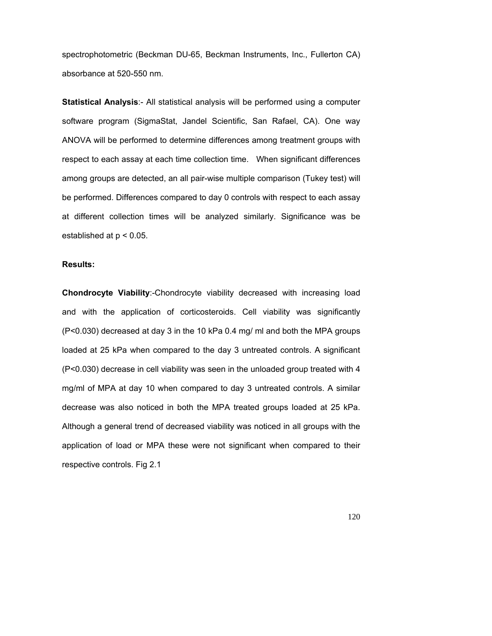spectrophotometric (Beckman DU-65, Beckman Instruments, Inc., Fullerton CA) absorbance at 520-550 nm.

**Statistical Analysis**:- All statistical analysis will be performed using a computer software program (SigmaStat, Jandel Scientific, San Rafael, CA). One way ANOVA will be performed to determine differences among treatment groups with respect to each assay at each time collection time. When significant differences among groups are detected, an all pair-wise multiple comparison (Tukey test) will be performed. Differences compared to day 0 controls with respect to each assay at different collection times will be analyzed similarly. Significance was be established at  $p < 0.05$ .

#### **Results:**

**Chondrocyte Viability**:-Chondrocyte viability decreased with increasing load and with the application of corticosteroids. Cell viability was significantly (P<0.030) decreased at day 3 in the 10 kPa 0.4 mg/ ml and both the MPA groups loaded at 25 kPa when compared to the day 3 untreated controls. A significant (P<0.030) decrease in cell viability was seen in the unloaded group treated with 4 mg/ml of MPA at day 10 when compared to day 3 untreated controls. A similar decrease was also noticed in both the MPA treated groups loaded at 25 kPa. Although a general trend of decreased viability was noticed in all groups with the application of load or MPA these were not significant when compared to their respective controls. Fig 2.1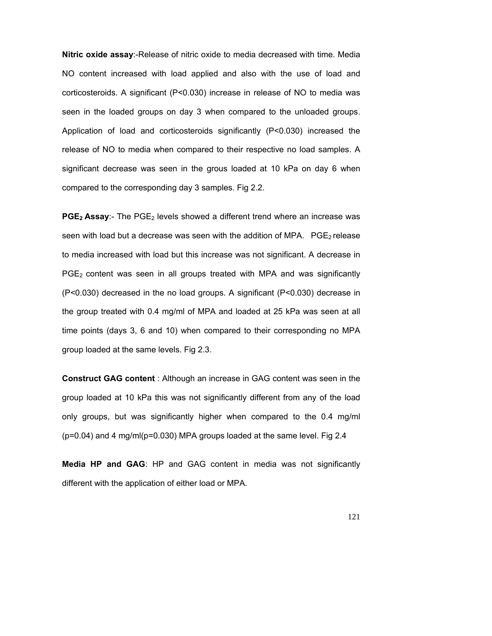**Nitric oxide assay**:-Release of nitric oxide to media decreased with time. Media NO content increased with load applied and also with the use of load and corticosteroids. A significant (P<0.030) increase in release of NO to media was seen in the loaded groups on day 3 when compared to the unloaded groups. Application of load and corticosteroids significantly (P<0.030) increased the release of NO to media when compared to their respective no load samples. A significant decrease was seen in the grous loaded at 10 kPa on day 6 when compared to the corresponding day 3 samples. Fig 2.2.

**PGE<sub>2</sub> Assay:-** The PGE<sub>2</sub> levels showed a different trend where an increase was seen with load but a decrease was seen with the addition of MPA.  $PGE<sub>2</sub>$  release to media increased with load but this increase was not significant. A decrease in  $PGE<sub>2</sub>$  content was seen in all groups treated with MPA and was significantly (P<0.030) decreased in the no load groups. A significant (P<0.030) decrease in the group treated with 0.4 mg/ml of MPA and loaded at 25 kPa was seen at all time points (days 3, 6 and 10) when compared to their corresponding no MPA group loaded at the same levels. Fig 2.3.

**Construct GAG content** : Although an increase in GAG content was seen in the group loaded at 10 kPa this was not significantly different from any of the load only groups, but was significantly higher when compared to the 0.4 mg/ml (p=0.04) and 4 mg/ml(p=0.030) MPA groups loaded at the same level. Fig 2.4

**Media HP and GAG**: HP and GAG content in media was not significantly different with the application of either load or MPA.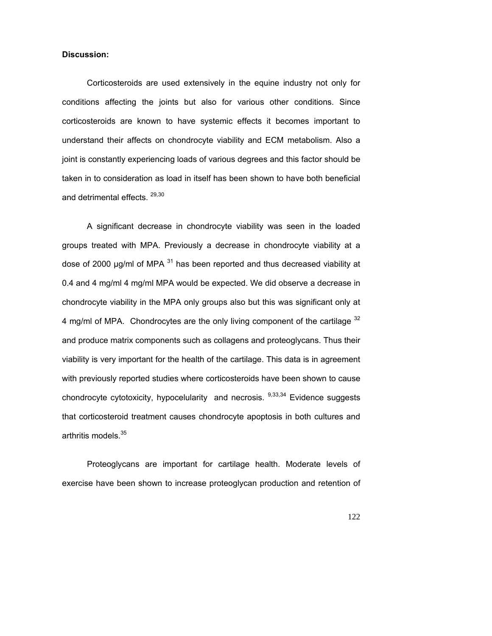## **Discussion:**

Corticosteroids are used extensively in the equine industry not only for conditions affecting the joints but also for various other conditions. Since corticosteroids are known to have systemic effects it becomes important to understand their affects on chondrocyte viability and ECM metabolism. Also a joint is constantly experiencing loads of various degrees and this factor should be taken in to consideration as load in itself has been shown to have both beneficial and detrimental effects. <sup>29,30</sup>

A significant decrease in chondrocyte viability was seen in the loaded groups treated with MPA. Previously a decrease in chondrocyte viability at a dose of 2000  $\mu q$ /ml of MPA  $^{31}$  has been reported and thus decreased viability at 0.4 and 4 mg/ml 4 mg/ml MPA would be expected. We did observe a decrease in chondrocyte viability in the MPA only groups also but this was significant only at 4 mg/ml of MPA. Chondrocytes are the only living component of the cartilage  $32$ and produce matrix components such as collagens and proteoglycans. Thus their viability is very important for the health of the cartilage. This data is in agreement with previously reported studies where corticosteroids have been shown to cause chondrocyte cytotoxicity, hypocelularity and necrosis.  $9,33,34$  Evidence suggests that corticosteroid treatment causes chondrocyte apoptosis in both cultures and arthritis models.<sup>35</sup>

Proteoglycans are important for cartilage health. Moderate levels of exercise have been shown to increase proteoglycan production and retention of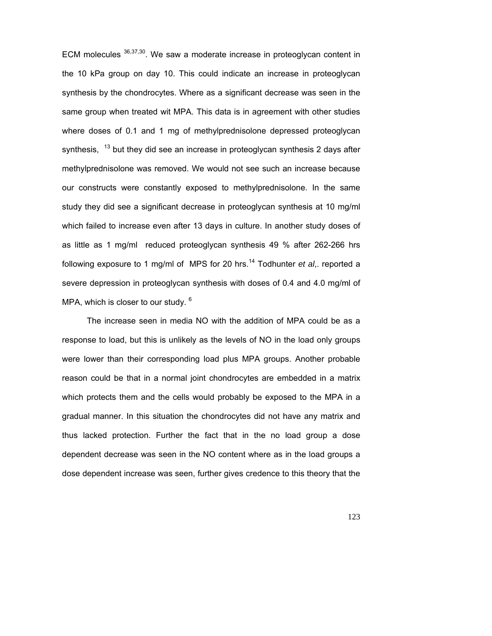ECM molecules  $36,37,30$ . We saw a moderate increase in proteoglycan content in the 10 kPa group on day 10. This could indicate an increase in proteoglycan synthesis by the chondrocytes. Where as a significant decrease was seen in the same group when treated wit MPA. This data is in agreement with other studies where doses of 0.1 and 1 mg of methylprednisolone depressed proteoglycan synthesis,  $13$  but they did see an increase in proteoglycan synthesis 2 days after methylprednisolone was removed. We would not see such an increase because our constructs were constantly exposed to methylprednisolone. In the same study they did see a significant decrease in proteoglycan synthesis at 10 mg/ml which failed to increase even after 13 days in culture. In another study doses of as little as 1 mg/ml reduced proteoglycan synthesis 49 % after 262-266 hrs following exposure to 1 mg/ml of MPS for 20 hrs.<sup>14</sup> Todhunter *et al*,. reported a severe depression in proteoglycan synthesis with doses of 0.4 and 4.0 mg/ml of MPA, which is closer to our study.  $6$ 

The increase seen in media NO with the addition of MPA could be as a response to load, but this is unlikely as the levels of NO in the load only groups were lower than their corresponding load plus MPA groups. Another probable reason could be that in a normal joint chondrocytes are embedded in a matrix which protects them and the cells would probably be exposed to the MPA in a gradual manner. In this situation the chondrocytes did not have any matrix and thus lacked protection. Further the fact that in the no load group a dose dependent decrease was seen in the NO content where as in the load groups a dose dependent increase was seen, further gives credence to this theory that the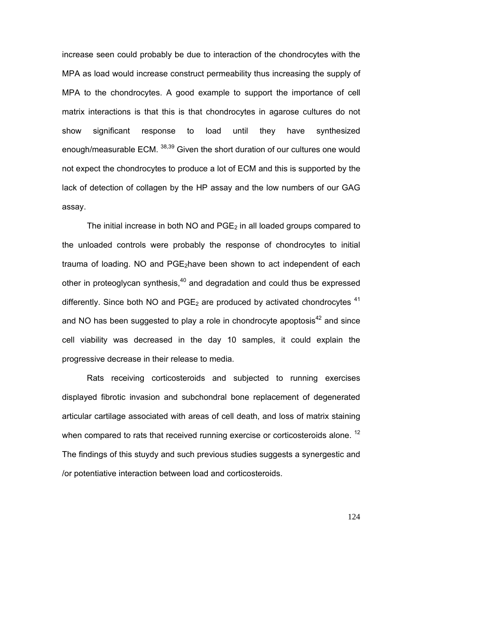increase seen could probably be due to interaction of the chondrocytes with the MPA as load would increase construct permeability thus increasing the supply of MPA to the chondrocytes. A good example to support the importance of cell matrix interactions is that this is that chondrocytes in agarose cultures do not show significant response to load until they have synthesized enough/measurable ECM. <sup>38,39</sup> Given the short duration of our cultures one would not expect the chondrocytes to produce a lot of ECM and this is supported by the lack of detection of collagen by the HP assay and the low numbers of our GAG assay.

The initial increase in both NO and  $PGE_2$  in all loaded groups compared to the unloaded controls were probably the response of chondrocytes to initial trauma of loading. NO and  $PGE<sub>2</sub>$ have been shown to act independent of each other in proteoglycan synthesis, $40$  and degradation and could thus be expressed differently. Since both NO and  $PGE<sub>2</sub>$  are produced by activated chondrocytes  $41$ and NO has been suggested to play a role in chondrocyte apoptosis<sup>42</sup> and since cell viability was decreased in the day 10 samples, it could explain the progressive decrease in their release to media.

Rats receiving corticosteroids and subjected to running exercises displayed fibrotic invasion and subchondral bone replacement of degenerated articular cartilage associated with areas of cell death, and loss of matrix staining when compared to rats that received running exercise or corticosteroids alone.<sup>12</sup> The findings of this stuydy and such previous studies suggests a synergestic and /or potentiative interaction between load and corticosteroids.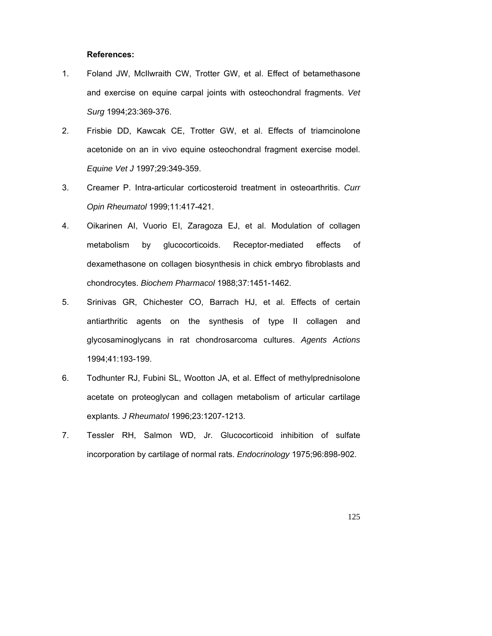### **References:**

- 1. Foland JW, McIlwraith CW, Trotter GW, et al. Effect of betamethasone and exercise on equine carpal joints with osteochondral fragments. *Vet Surg* 1994;23:369-376.
- 2. Frisbie DD, Kawcak CE, Trotter GW, et al. Effects of triamcinolone acetonide on an in vivo equine osteochondral fragment exercise model. *Equine Vet J* 1997;29:349-359.
- 3. Creamer P. Intra-articular corticosteroid treatment in osteoarthritis. *Curr Opin Rheumatol* 1999;11:417-421.
- 4. Oikarinen AI, Vuorio EI, Zaragoza EJ, et al. Modulation of collagen metabolism by glucocorticoids. Receptor-mediated effects of dexamethasone on collagen biosynthesis in chick embryo fibroblasts and chondrocytes. *Biochem Pharmacol* 1988;37:1451-1462.
- 5. Srinivas GR, Chichester CO, Barrach HJ, et al. Effects of certain antiarthritic agents on the synthesis of type II collagen and glycosaminoglycans in rat chondrosarcoma cultures. *Agents Actions* 1994;41:193-199.
- 6. Todhunter RJ, Fubini SL, Wootton JA, et al. Effect of methylprednisolone acetate on proteoglycan and collagen metabolism of articular cartilage explants. *J Rheumatol* 1996;23:1207-1213.
- 7. Tessler RH, Salmon WD, Jr. Glucocorticoid inhibition of sulfate incorporation by cartilage of normal rats. *Endocrinology* 1975;96:898-902.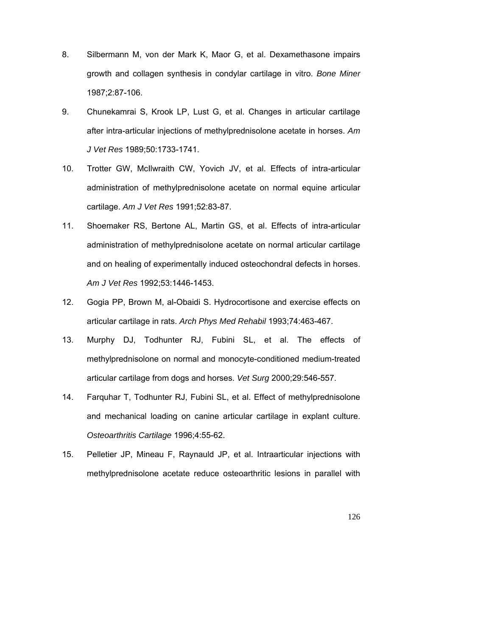- 8. Silbermann M, von der Mark K, Maor G, et al. Dexamethasone impairs growth and collagen synthesis in condylar cartilage in vitro. *Bone Miner* 1987;2:87-106.
- 9. Chunekamrai S, Krook LP, Lust G, et al. Changes in articular cartilage after intra-articular injections of methylprednisolone acetate in horses. *Am J Vet Res* 1989;50:1733-1741.
- 10. Trotter GW, McIlwraith CW, Yovich JV, et al. Effects of intra-articular administration of methylprednisolone acetate on normal equine articular cartilage. *Am J Vet Res* 1991;52:83-87.
- 11. Shoemaker RS, Bertone AL, Martin GS, et al. Effects of intra-articular administration of methylprednisolone acetate on normal articular cartilage and on healing of experimentally induced osteochondral defects in horses. *Am J Vet Res* 1992;53:1446-1453.
- 12. Gogia PP, Brown M, al-Obaidi S. Hydrocortisone and exercise effects on articular cartilage in rats. *Arch Phys Med Rehabil* 1993;74:463-467.
- 13. Murphy DJ, Todhunter RJ, Fubini SL, et al. The effects of methylprednisolone on normal and monocyte-conditioned medium-treated articular cartilage from dogs and horses. *Vet Surg* 2000;29:546-557.
- 14. Farquhar T, Todhunter RJ, Fubini SL, et al. Effect of methylprednisolone and mechanical loading on canine articular cartilage in explant culture. *Osteoarthritis Cartilage* 1996;4:55-62.
- 15. Pelletier JP, Mineau F, Raynauld JP, et al. Intraarticular injections with methylprednisolone acetate reduce osteoarthritic lesions in parallel with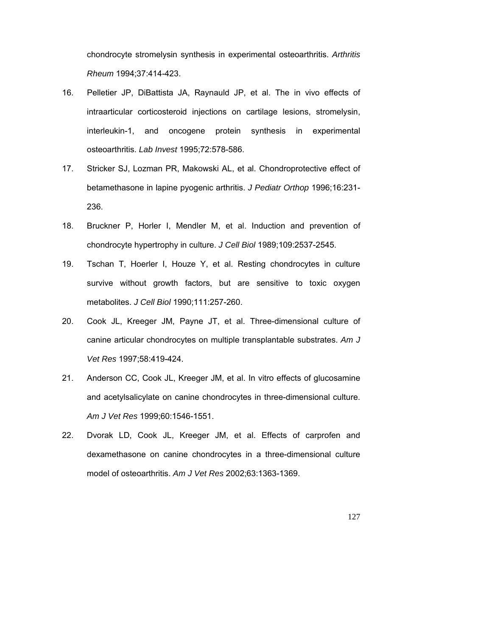chondrocyte stromelysin synthesis in experimental osteoarthritis. *Arthritis Rheum* 1994;37:414-423.

- 16. Pelletier JP, DiBattista JA, Raynauld JP, et al. The in vivo effects of intraarticular corticosteroid injections on cartilage lesions, stromelysin, interleukin-1, and oncogene protein synthesis in experimental osteoarthritis. *Lab Invest* 1995;72:578-586.
- 17. Stricker SJ, Lozman PR, Makowski AL, et al. Chondroprotective effect of betamethasone in lapine pyogenic arthritis. *J Pediatr Orthop* 1996;16:231- 236.
- 18. Bruckner P, Horler I, Mendler M, et al. Induction and prevention of chondrocyte hypertrophy in culture. *J Cell Biol* 1989;109:2537-2545.
- 19. Tschan T, Hoerler I, Houze Y, et al. Resting chondrocytes in culture survive without growth factors, but are sensitive to toxic oxygen metabolites. *J Cell Biol* 1990;111:257-260.
- 20. Cook JL, Kreeger JM, Payne JT, et al. Three-dimensional culture of canine articular chondrocytes on multiple transplantable substrates. *Am J Vet Res* 1997;58:419-424.
- 21. Anderson CC, Cook JL, Kreeger JM, et al. In vitro effects of glucosamine and acetylsalicylate on canine chondrocytes in three-dimensional culture. *Am J Vet Res* 1999;60:1546-1551.
- 22. Dvorak LD, Cook JL, Kreeger JM, et al. Effects of carprofen and dexamethasone on canine chondrocytes in a three-dimensional culture model of osteoarthritis. *Am J Vet Res* 2002;63:1363-1369.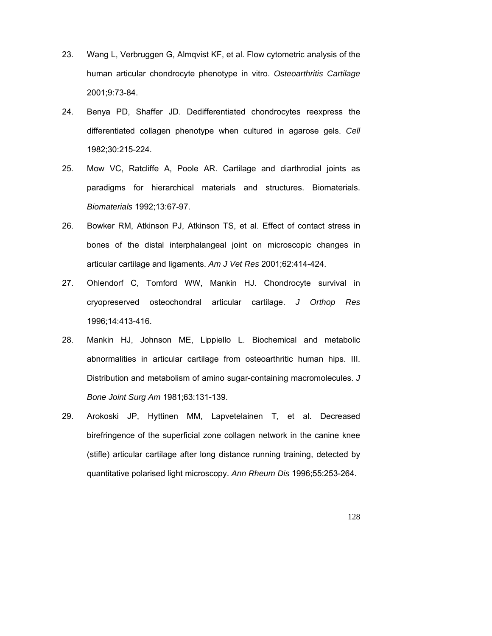- 23. Wang L, Verbruggen G, Almqvist KF, et al. Flow cytometric analysis of the human articular chondrocyte phenotype in vitro. *Osteoarthritis Cartilage* 2001;9:73-84.
- 24. Benya PD, Shaffer JD. Dedifferentiated chondrocytes reexpress the differentiated collagen phenotype when cultured in agarose gels. *Cell* 1982;30:215-224.
- 25. Mow VC, Ratcliffe A, Poole AR. Cartilage and diarthrodial joints as paradigms for hierarchical materials and structures. Biomaterials. *Biomaterials* 1992;13:67-97.
- 26. Bowker RM, Atkinson PJ, Atkinson TS, et al. Effect of contact stress in bones of the distal interphalangeal joint on microscopic changes in articular cartilage and ligaments. *Am J Vet Res* 2001;62:414-424.
- 27. Ohlendorf C, Tomford WW, Mankin HJ. Chondrocyte survival in cryopreserved osteochondral articular cartilage. *J Orthop Res* 1996;14:413-416.
- 28. Mankin HJ, Johnson ME, Lippiello L. Biochemical and metabolic abnormalities in articular cartilage from osteoarthritic human hips. III. Distribution and metabolism of amino sugar-containing macromolecules. *J Bone Joint Surg Am* 1981;63:131-139.
- 29. Arokoski JP, Hyttinen MM, Lapvetelainen T, et al. Decreased birefringence of the superficial zone collagen network in the canine knee (stifle) articular cartilage after long distance running training, detected by quantitative polarised light microscopy. *Ann Rheum Dis* 1996;55:253-264.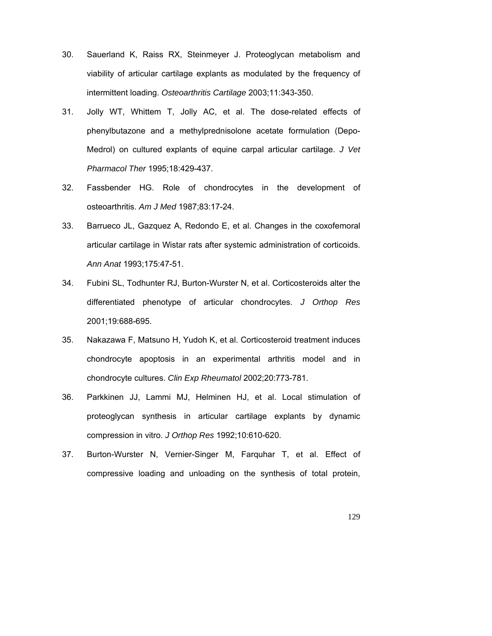- 30. Sauerland K, Raiss RX, Steinmeyer J. Proteoglycan metabolism and viability of articular cartilage explants as modulated by the frequency of intermittent loading. *Osteoarthritis Cartilage* 2003;11:343-350.
- 31. Jolly WT, Whittem T, Jolly AC, et al. The dose-related effects of phenylbutazone and a methylprednisolone acetate formulation (Depo-Medrol) on cultured explants of equine carpal articular cartilage. *J Vet Pharmacol Ther* 1995;18:429-437.
- 32. Fassbender HG. Role of chondrocytes in the development of osteoarthritis. *Am J Med* 1987;83:17-24.
- 33. Barrueco JL, Gazquez A, Redondo E, et al. Changes in the coxofemoral articular cartilage in Wistar rats after systemic administration of corticoids. *Ann Anat* 1993;175:47-51.
- 34. Fubini SL, Todhunter RJ, Burton-Wurster N, et al. Corticosteroids alter the differentiated phenotype of articular chondrocytes. *J Orthop Res* 2001;19:688-695.
- 35. Nakazawa F, Matsuno H, Yudoh K, et al. Corticosteroid treatment induces chondrocyte apoptosis in an experimental arthritis model and in chondrocyte cultures. *Clin Exp Rheumatol* 2002;20:773-781.
- 36. Parkkinen JJ, Lammi MJ, Helminen HJ, et al. Local stimulation of proteoglycan synthesis in articular cartilage explants by dynamic compression in vitro. *J Orthop Res* 1992;10:610-620.
- 37. Burton-Wurster N, Vernier-Singer M, Farquhar T, et al. Effect of compressive loading and unloading on the synthesis of total protein,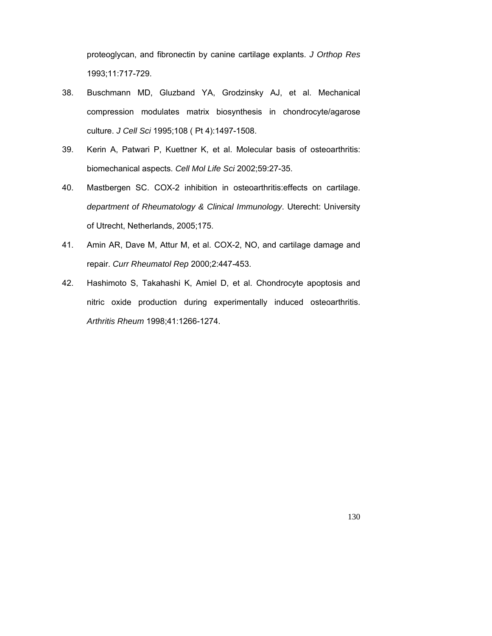proteoglycan, and fibronectin by canine cartilage explants. *J Orthop Res* 1993;11:717-729.

- 38. Buschmann MD, Gluzband YA, Grodzinsky AJ, et al. Mechanical compression modulates matrix biosynthesis in chondrocyte/agarose culture. *J Cell Sci* 1995;108 ( Pt 4):1497-1508.
- 39. Kerin A, Patwari P, Kuettner K, et al. Molecular basis of osteoarthritis: biomechanical aspects. *Cell Mol Life Sci* 2002;59:27-35.
- 40. Mastbergen SC. COX-2 inhibition in osteoarthritis:effects on cartilage. *department of Rheumatology & Clinical Immunology*. Uterecht: University of Utrecht, Netherlands, 2005;175.
- 41. Amin AR, Dave M, Attur M, et al. COX-2, NO, and cartilage damage and repair. *Curr Rheumatol Rep* 2000;2:447-453.
- 42. Hashimoto S, Takahashi K, Amiel D, et al. Chondrocyte apoptosis and nitric oxide production during experimentally induced osteoarthritis. *Arthritis Rheum* 1998;41:1266-1274.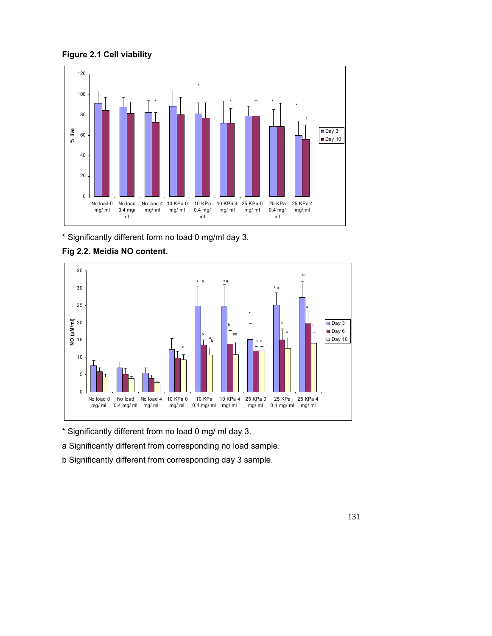**Figure 2.1 Cell viability** 



\* Significantly different form no load 0 mg/ml day 3.



# **Fig 2.2. Meidia NO content.**

\* Significantly different from no load 0 mg/ ml day 3.

a Significantly different from corresponding no load sample.

b Significantly different from corresponding day 3 sample.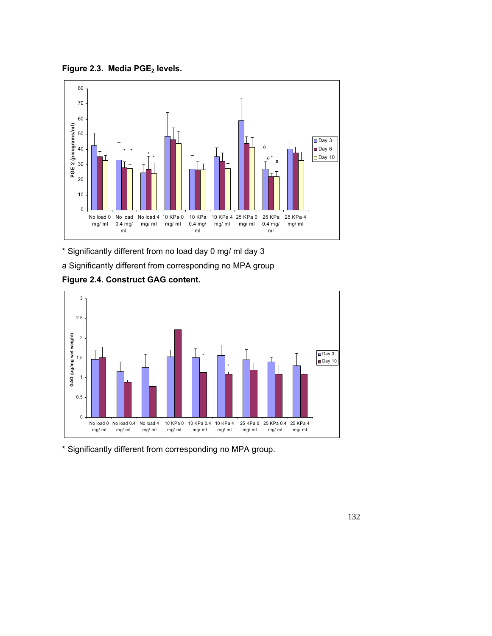



\* Significantly different from no load day 0 mg/ ml day 3

a Significantly different from corresponding no MPA group





\* Significantly different from corresponding no MPA group.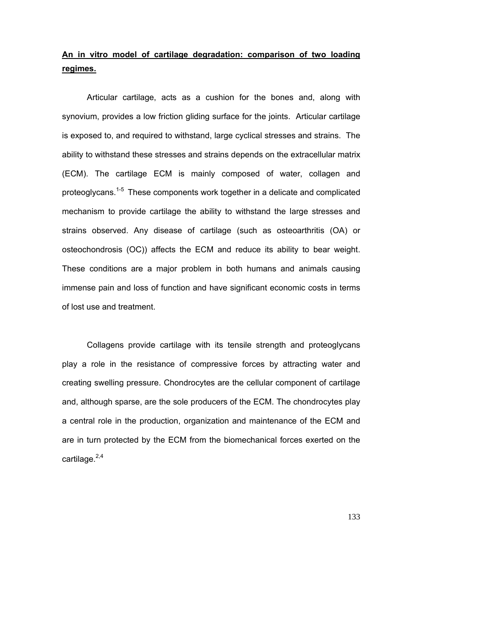# **An in vitro model of cartilage degradation: comparison of two loading regimes.**

Articular cartilage, acts as a cushion for the bones and, along with synovium, provides a low friction gliding surface for the joints. Articular cartilage is exposed to, and required to withstand, large cyclical stresses and strains. The ability to withstand these stresses and strains depends on the extracellular matrix (ECM). The cartilage ECM is mainly composed of water, collagen and proteoglycans.<sup>1-5</sup> These components work together in a delicate and complicated mechanism to provide cartilage the ability to withstand the large stresses and strains observed. Any disease of cartilage (such as osteoarthritis (OA) or osteochondrosis (OC)) affects the ECM and reduce its ability to bear weight. These conditions are a major problem in both humans and animals causing immense pain and loss of function and have significant economic costs in terms of lost use and treatment.

Collagens provide cartilage with its tensile strength and proteoglycans play a role in the resistance of compressive forces by attracting water and creating swelling pressure. Chondrocytes are the cellular component of cartilage and, although sparse, are the sole producers of the ECM. The chondrocytes play a central role in the production, organization and maintenance of the ECM and are in turn protected by the ECM from the biomechanical forces exerted on the cartilage. $2,4$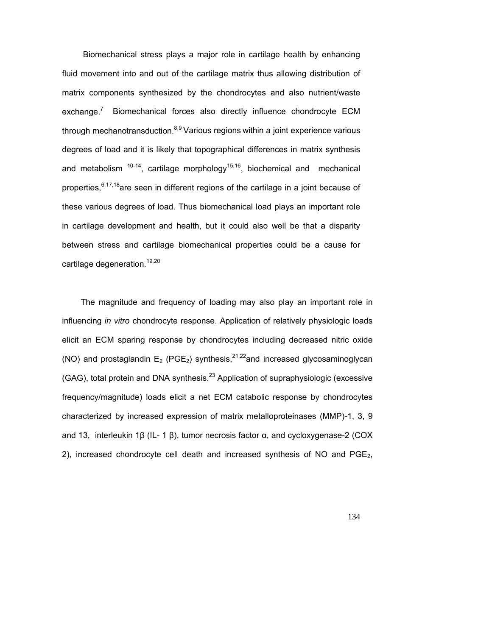Biomechanical stress plays a major role in cartilage health by enhancing fluid movement into and out of the cartilage matrix thus allowing distribution of matrix components synthesized by the chondrocytes and also nutrient/waste exchange.<sup>7</sup> Biomechanical forces also directly influence chondrocyte ECM through mechanotransduction. $8,9$  Various regions within a joint experience various degrees of load and it is likely that topographical differences in matrix synthesis and metabolism  $10^{-14}$ , cartilage morphology<sup>15,16</sup>, biochemical and mechanical properties,  $6,17,18$  are seen in different regions of the cartilage in a joint because of these various degrees of load. Thus biomechanical load plays an important role in cartilage development and health, but it could also well be that a disparity between stress and cartilage biomechanical properties could be a cause for cartilage degeneration.<sup>19,20</sup>

The magnitude and frequency of loading may also play an important role in influencing *in vitro* chondrocyte response. Application of relatively physiologic loads elicit an ECM sparing response by chondrocytes including decreased nitric oxide (NO) and prostaglandin  $E_2$  (PGE<sub>2</sub>) synthesis,<sup>21,22</sup>and increased glycosaminoglycan (GAG), total protein and DNA synthesis.<sup>23</sup> Application of supraphysiologic (excessive frequency/magnitude) loads elicit a net ECM catabolic response by chondrocytes characterized by increased expression of matrix metalloproteinases (MMP)-1, 3, 9 and 13, interleukin 1β (IL- 1 β), tumor necrosis factor  $\alpha$ , and cycloxygenase-2 (COX 2), increased chondrocyte cell death and increased synthesis of NO and  $PGE_2$ ,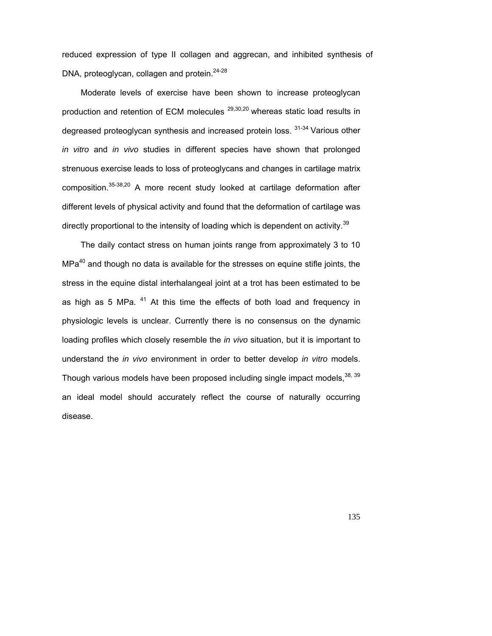reduced expression of type II collagen and aggrecan, and inhibited synthesis of DNA, proteoglycan, collagen and protein.<sup>24-28</sup>

Moderate levels of exercise have been shown to increase proteoglycan production and retention of ECM molecules <sup>29,30,20</sup> whereas static load results in degreased proteoglycan synthesis and increased protein loss. <sup>31-34</sup> Various other *in vitro* and *in vivo* studies in different species have shown that prolonged strenuous exercise leads to loss of proteoglycans and changes in cartilage matrix composition.35-38,20 A more recent study looked at cartilage deformation after different levels of physical activity and found that the deformation of cartilage was directly proportional to the intensity of loading which is dependent on activity.<sup>39</sup>

The daily contact stress on human joints range from approximately 3 to 10  $MPa<sup>40</sup>$  and though no data is available for the stresses on equine stifle joints, the stress in the equine distal interhalangeal joint at a trot has been estimated to be as high as 5 MPa.  $41$  At this time the effects of both load and frequency in physiologic levels is unclear. Currently there is no consensus on the dynamic loading profiles which closely resemble the *in vivo* situation, but it is important to understand the *in vivo* environment in order to better develop *in vitro* models. Though various models have been proposed including single impact models,  $38$ ,  $39$ an ideal model should accurately reflect the course of naturally occurring disease.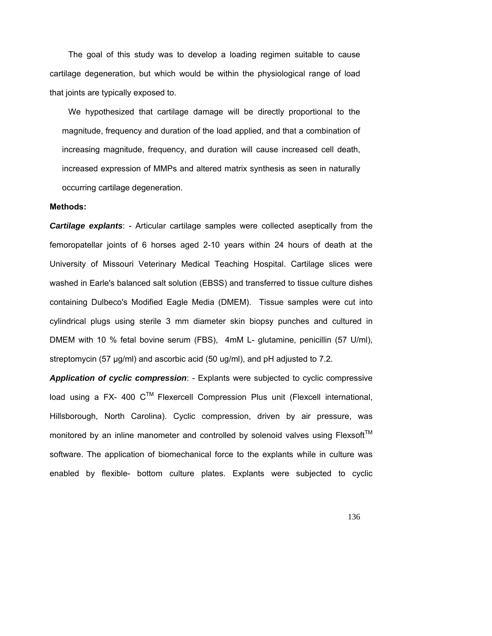The goal of this study was to develop a loading regimen suitable to cause cartilage degeneration, but which would be within the physiological range of load that joints are typically exposed to.

We hypothesized that cartilage damage will be directly proportional to the magnitude, frequency and duration of the load applied, and that a combination of increasing magnitude, frequency, and duration will cause increased cell death, increased expression of MMPs and altered matrix synthesis as seen in naturally occurring cartilage degeneration.

#### **Methods:**

*Cartilage explants*: - Articular cartilage samples were collected aseptically from the femoropatellar joints of 6 horses aged 2-10 years within 24 hours of death at the University of Missouri Veterinary Medical Teaching Hospital. Cartilage slices were washed in Earle's balanced salt solution (EBSS) and transferred to tissue culture dishes containing Dulbeco's Modified Eagle Media (DMEM). Tissue samples were cut into cylindrical plugs using sterile 3 mm diameter skin biopsy punches and cultured in DMEM with 10 % fetal bovine serum (FBS), 4mM L- glutamine, penicillin (57 U/ml), streptomycin (57 µg/ml) and ascorbic acid (50 ug/ml), and pH adjusted to 7.2.

*Application of cyclic compression*: - Explants were subjected to cyclic compressive load using a FX- 400  $C^{TM}$  Flexercell Compression Plus unit (Flexcell international, Hillsborough, North Carolina). Cyclic compression, driven by air pressure, was monitored by an inline manometer and controlled by solenoid valves using  $Flexsoft^{TM}$ software. The application of biomechanical force to the explants while in culture was enabled by flexible- bottom culture plates. Explants were subjected to cyclic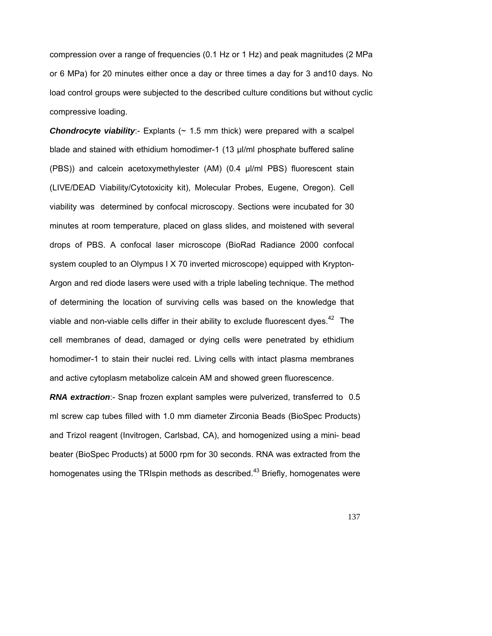compression over a range of frequencies (0.1 Hz or 1 Hz) and peak magnitudes (2 MPa or 6 MPa) for 20 minutes either once a day or three times a day for 3 and10 days. No load control groups were subjected to the described culture conditions but without cyclic compressive loading.

**Chondrocyte viability**:- Explants  $($   $\sim$  1.5 mm thick) were prepared with a scalpel blade and stained with ethidium homodimer-1 (13 µl/ml phosphate buffered saline (PBS)) and calcein acetoxymethylester (AM) (0.4 µl/ml PBS) fluorescent stain (LIVE/DEAD Viability/Cytotoxicity kit), Molecular Probes, Eugene, Oregon). Cell viability was determined by confocal microscopy. Sections were incubated for 30 minutes at room temperature, placed on glass slides, and moistened with several drops of PBS. A confocal laser microscope (BioRad Radiance 2000 confocal system coupled to an Olympus I X 70 inverted microscope) equipped with Krypton-Argon and red diode lasers were used with a triple labeling technique. The method of determining the location of surviving cells was based on the knowledge that viable and non-viable cells differ in their ability to exclude fluorescent dyes.<sup>42</sup> The cell membranes of dead, damaged or dying cells were penetrated by ethidium homodimer-1 to stain their nuclei red. Living cells with intact plasma membranes and active cytoplasm metabolize calcein AM and showed green fluorescence.

*RNA extraction*:- Snap frozen explant samples were pulverized, transferred to 0.5 ml screw cap tubes filled with 1.0 mm diameter Zirconia Beads (BioSpec Products) and Trizol reagent (Invitrogen, Carlsbad, CA), and homogenized using a mini- bead beater (BioSpec Products) at 5000 rpm for 30 seconds. RNA was extracted from the homogenates using the TRIspin methods as described.<sup>43</sup> Briefly, homogenates were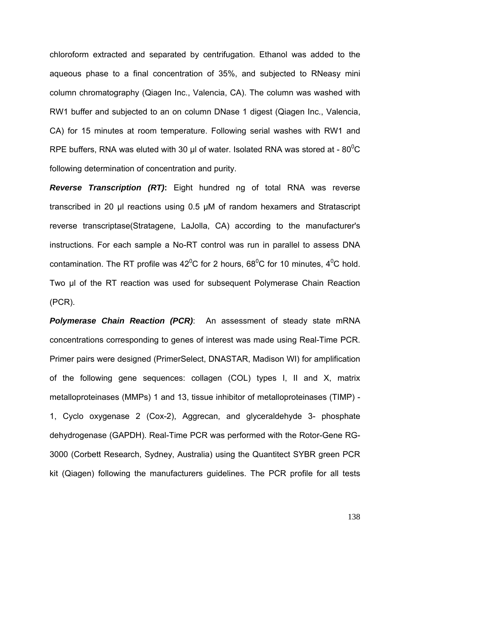chloroform extracted and separated by centrifugation. Ethanol was added to the aqueous phase to a final concentration of 35%, and subjected to RNeasy mini column chromatography (Qiagen Inc., Valencia, CA). The column was washed with RW1 buffer and subjected to an on column DNase 1 digest (Qiagen Inc., Valencia, CA) for 15 minutes at room temperature. Following serial washes with RW1 and RPE buffers, RNA was eluted with 30 µl of water. Isolated RNA was stored at - 80 $^{\circ}$ C following determination of concentration and purity.

*Reverse Transcription (RT)***:** Eight hundred ng of total RNA was reverse transcribed in 20 µl reactions using 0.5 µM of random hexamers and Stratascript reverse transcriptase(Stratagene, LaJolla, CA) according to the manufacturer's instructions. For each sample a No-RT control was run in parallel to assess DNA contamination. The RT profile was 42<sup>o</sup>C for 2 hours, 68<sup>o</sup>C for 10 minutes, 4<sup>o</sup>C hold. Two µl of the RT reaction was used for subsequent Polymerase Chain Reaction (PCR).

*Polymerase Chain Reaction (PCR)*: An assessment of steady state mRNA concentrations corresponding to genes of interest was made using Real-Time PCR. Primer pairs were designed (PrimerSelect, DNASTAR, Madison WI) for amplification of the following gene sequences: collagen (COL) types I, II and X, matrix metalloproteinases (MMPs) 1 and 13, tissue inhibitor of metalloproteinases (TIMP) - 1, Cyclo oxygenase 2 (Cox-2), Aggrecan, and glyceraldehyde 3- phosphate dehydrogenase (GAPDH). Real-Time PCR was performed with the Rotor-Gene RG-3000 (Corbett Research, Sydney, Australia) using the Quantitect SYBR green PCR kit (Qiagen) following the manufacturers guidelines. The PCR profile for all tests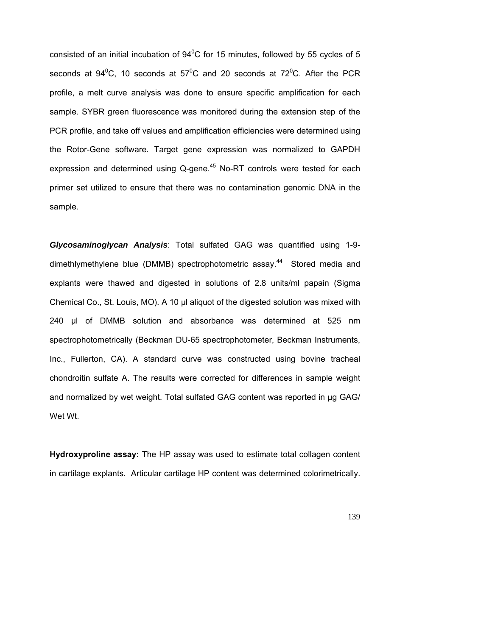consisted of an initial incubation of  $94^{\circ}$ C for 15 minutes, followed by 55 cycles of 5 seconds at  $94^0C$ , 10 seconds at  $57^0C$  and 20 seconds at  $72^0C$ . After the PCR profile, a melt curve analysis was done to ensure specific amplification for each sample. SYBR green fluorescence was monitored during the extension step of the PCR profile, and take off values and amplification efficiencies were determined using the Rotor-Gene software. Target gene expression was normalized to GAPDH expression and determined using  $Q$ -gene.<sup>45</sup> No-RT controls were tested for each primer set utilized to ensure that there was no contamination genomic DNA in the sample.

*Glycosaminoglycan Analysis*: Total sulfated GAG was quantified using 1-9 dimethlymethylene blue (DMMB) spectrophotometric assay.<sup>44</sup> Stored media and explants were thawed and digested in solutions of 2.8 units/ml papain (Sigma Chemical Co., St. Louis, MO). A 10 µl aliquot of the digested solution was mixed with 240 µl of DMMB solution and absorbance was determined at 525 nm spectrophotometrically (Beckman DU-65 spectrophotometer, Beckman Instruments, Inc., Fullerton, CA). A standard curve was constructed using bovine tracheal chondroitin sulfate A. The results were corrected for differences in sample weight and normalized by wet weight. Total sulfated GAG content was reported in µg GAG/ Wet Wt.

**Hydroxyproline assay:** The HP assay was used to estimate total collagen content in cartilage explants. Articular cartilage HP content was determined colorimetrically.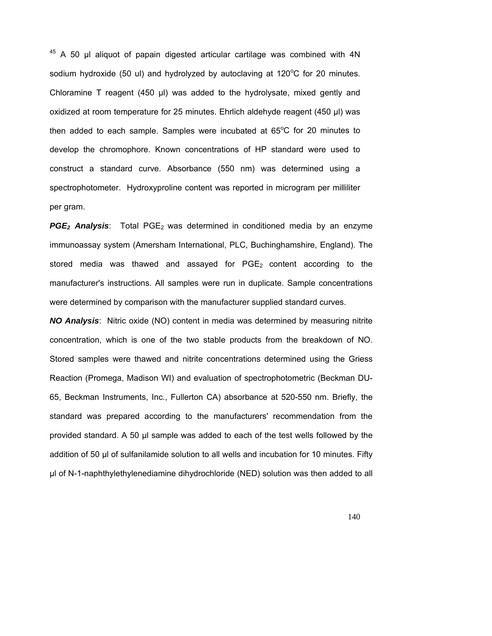<sup>45</sup> A 50 µl aliquot of papain digested articular cartilage was combined with 4N sodium hydroxide (50 ul) and hydrolyzed by autoclaving at 120 $\mathrm{^{\circ}C}$  for 20 minutes. Chloramine T reagent (450 µl) was added to the hydrolysate, mixed gently and oxidized at room temperature for 25 minutes. Ehrlich aldehyde reagent (450 µl) was then added to each sample. Samples were incubated at  $65^{\circ}$ C for 20 minutes to develop the chromophore. Known concentrations of HP standard were used to construct a standard curve. Absorbance (550 nm) was determined using a spectrophotometer. Hydroxyproline content was reported in microgram per milliliter per gram.

PGE<sub>2</sub> Analysis: Total PGE<sub>2</sub> was determined in conditioned media by an enzyme immunoassay system (Amersham International, PLC, Buchinghamshire, England). The stored media was thawed and assayed for  $PGE_2$  content according to the manufacturer's instructions. All samples were run in duplicate. Sample concentrations were determined by comparison with the manufacturer supplied standard curves.

*NO Analysis*: Nitric oxide (NO) content in media was determined by measuring nitrite concentration, which is one of the two stable products from the breakdown of NO. Stored samples were thawed and nitrite concentrations determined using the Griess Reaction (Promega, Madison WI) and evaluation of spectrophotometric (Beckman DU-65, Beckman Instruments, Inc., Fullerton CA) absorbance at 520-550 nm. Briefly, the standard was prepared according to the manufacturers' recommendation from the provided standard. A 50 µl sample was added to each of the test wells followed by the addition of 50 µl of sulfanilamide solution to all wells and incubation for 10 minutes. Fifty µl of N-1-naphthylethylenediamine dihydrochloride (NED) solution was then added to all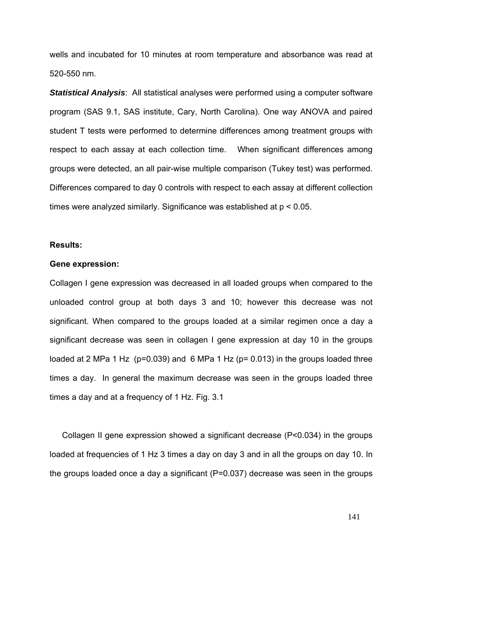wells and incubated for 10 minutes at room temperature and absorbance was read at 520-550 nm.

*Statistical Analysis*: All statistical analyses were performed using a computer software program (SAS 9.1, SAS institute, Cary, North Carolina). One way ANOVA and paired student T tests were performed to determine differences among treatment groups with respect to each assay at each collection time. When significant differences among groups were detected, an all pair-wise multiple comparison (Tukey test) was performed. Differences compared to day 0 controls with respect to each assay at different collection times were analyzed similarly. Significance was established at p < 0.05.

### **Results:**

#### **Gene expression:**

Collagen I gene expression was decreased in all loaded groups when compared to the unloaded control group at both days 3 and 10; however this decrease was not significant. When compared to the groups loaded at a similar regimen once a day a significant decrease was seen in collagen I gene expression at day 10 in the groups loaded at 2 MPa 1 Hz (p=0.039) and 6 MPa 1 Hz (p= 0.013) in the groups loaded three times a day. In general the maximum decrease was seen in the groups loaded three times a day and at a frequency of 1 Hz. Fig. 3.1

Collagen II gene expression showed a significant decrease (P<0.034) in the groups loaded at frequencies of 1 Hz 3 times a day on day 3 and in all the groups on day 10. In the groups loaded once a day a significant (P=0.037) decrease was seen in the groups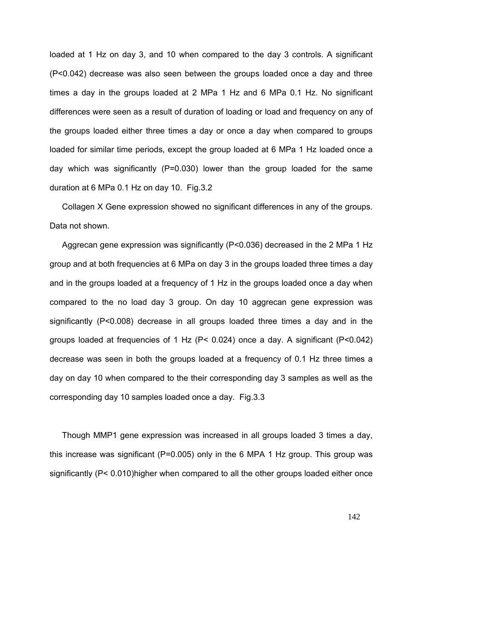loaded at 1 Hz on day 3, and 10 when compared to the day 3 controls. A significant (P<0.042) decrease was also seen between the groups loaded once a day and three times a day in the groups loaded at 2 MPa 1 Hz and 6 MPa 0.1 Hz. No significant differences were seen as a result of duration of loading or load and frequency on any of the groups loaded either three times a day or once a day when compared to groups loaded for similar time periods, except the group loaded at 6 MPa 1 Hz loaded once a day which was significantly  $(P=0.030)$  lower than the group loaded for the same duration at 6 MPa 0.1 Hz on day 10. Fig.3.2

Collagen X Gene expression showed no significant differences in any of the groups. Data not shown.

Aggrecan gene expression was significantly (P<0.036) decreased in the 2 MPa 1 Hz group and at both frequencies at 6 MPa on day 3 in the groups loaded three times a day and in the groups loaded at a frequency of 1 Hz in the groups loaded once a day when compared to the no load day 3 group. On day 10 aggrecan gene expression was significantly (P<0.008) decrease in all groups loaded three times a day and in the groups loaded at frequencies of 1 Hz (P< 0.024) once a day. A significant (P<0.042) decrease was seen in both the groups loaded at a frequency of 0.1 Hz three times a day on day 10 when compared to the their corresponding day 3 samples as well as the corresponding day 10 samples loaded once a day. Fig.3.3

Though MMP1 gene expression was increased in all groups loaded 3 times a day, this increase was significant (P=0.005) only in the 6 MPA 1 Hz group. This group was significantly (P< 0.010)higher when compared to all the other groups loaded either once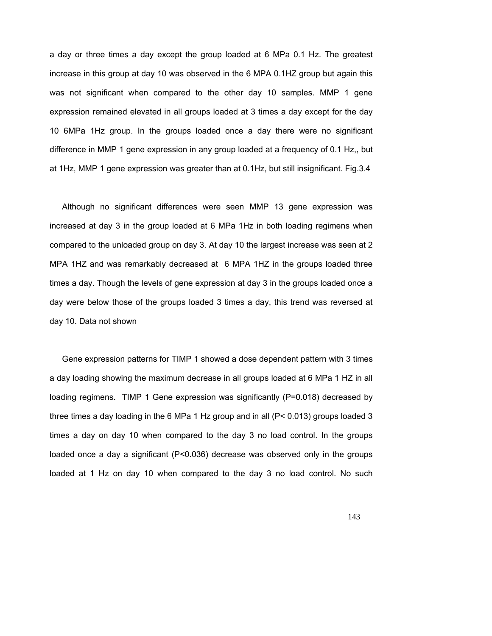a day or three times a day except the group loaded at 6 MPa 0.1 Hz. The greatest increase in this group at day 10 was observed in the 6 MPA 0.1HZ group but again this was not significant when compared to the other day 10 samples. MMP 1 gene expression remained elevated in all groups loaded at 3 times a day except for the day 10 6MPa 1Hz group. In the groups loaded once a day there were no significant difference in MMP 1 gene expression in any group loaded at a frequency of 0.1 Hz,, but at 1Hz, MMP 1 gene expression was greater than at 0.1Hz, but still insignificant. Fig.3.4

Although no significant differences were seen MMP 13 gene expression was increased at day 3 in the group loaded at 6 MPa 1Hz in both loading regimens when compared to the unloaded group on day 3. At day 10 the largest increase was seen at 2 MPA 1HZ and was remarkably decreased at 6 MPA 1HZ in the groups loaded three times a day. Though the levels of gene expression at day 3 in the groups loaded once a day were below those of the groups loaded 3 times a day, this trend was reversed at day 10. Data not shown

Gene expression patterns for TIMP 1 showed a dose dependent pattern with 3 times a day loading showing the maximum decrease in all groups loaded at 6 MPa 1 HZ in all loading regimens. TIMP 1 Gene expression was significantly (P=0.018) decreased by three times a day loading in the 6 MPa 1 Hz group and in all  $(P< 0.013)$  groups loaded 3 times a day on day 10 when compared to the day 3 no load control. In the groups loaded once a day a significant (P<0.036) decrease was observed only in the groups loaded at 1 Hz on day 10 when compared to the day 3 no load control. No such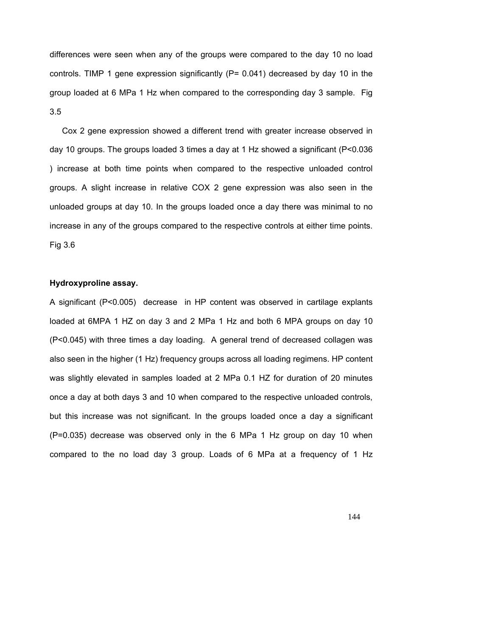differences were seen when any of the groups were compared to the day 10 no load controls. TIMP 1 gene expression significantly (P= 0.041) decreased by day 10 in the group loaded at 6 MPa 1 Hz when compared to the corresponding day 3 sample. Fig 3.5

Cox 2 gene expression showed a different trend with greater increase observed in day 10 groups. The groups loaded 3 times a day at 1 Hz showed a significant (P<0.036 ) increase at both time points when compared to the respective unloaded control groups. A slight increase in relative COX 2 gene expression was also seen in the unloaded groups at day 10. In the groups loaded once a day there was minimal to no increase in any of the groups compared to the respective controls at either time points. Fig 3.6

## **Hydroxyproline assay.**

A significant (P<0.005) decrease in HP content was observed in cartilage explants loaded at 6MPA 1 HZ on day 3 and 2 MPa 1 Hz and both 6 MPA groups on day 10 (P<0.045) with three times a day loading. A general trend of decreased collagen was also seen in the higher (1 Hz) frequency groups across all loading regimens. HP content was slightly elevated in samples loaded at 2 MPa 0.1 HZ for duration of 20 minutes once a day at both days 3 and 10 when compared to the respective unloaded controls, but this increase was not significant. In the groups loaded once a day a significant (P=0.035) decrease was observed only in the 6 MPa 1 Hz group on day 10 when compared to the no load day 3 group. Loads of 6 MPa at a frequency of 1 Hz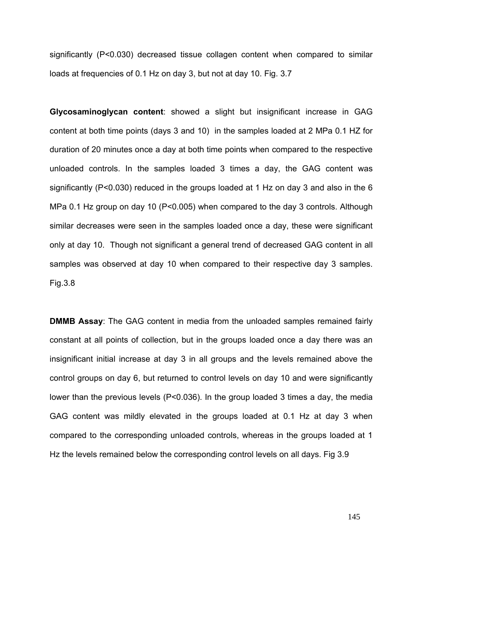significantly (P<0.030) decreased tissue collagen content when compared to similar loads at frequencies of 0.1 Hz on day 3, but not at day 10. Fig. 3.7

**Glycosaminoglycan content**: showed a slight but insignificant increase in GAG content at both time points (days 3 and 10) in the samples loaded at 2 MPa 0.1 HZ for duration of 20 minutes once a day at both time points when compared to the respective unloaded controls. In the samples loaded 3 times a day, the GAG content was significantly ( $P < 0.030$ ) reduced in the groups loaded at 1 Hz on day 3 and also in the 6 MPa 0.1 Hz group on day 10 (P<0.005) when compared to the day 3 controls. Although similar decreases were seen in the samples loaded once a day, these were significant only at day 10. Though not significant a general trend of decreased GAG content in all samples was observed at day 10 when compared to their respective day 3 samples. Fig.3.8

**DMMB Assay:** The GAG content in media from the unloaded samples remained fairly constant at all points of collection, but in the groups loaded once a day there was an insignificant initial increase at day 3 in all groups and the levels remained above the control groups on day 6, but returned to control levels on day 10 and were significantly lower than the previous levels (P<0.036). In the group loaded 3 times a day, the media GAG content was mildly elevated in the groups loaded at 0.1 Hz at day 3 when compared to the corresponding unloaded controls, whereas in the groups loaded at 1 Hz the levels remained below the corresponding control levels on all days. Fig 3.9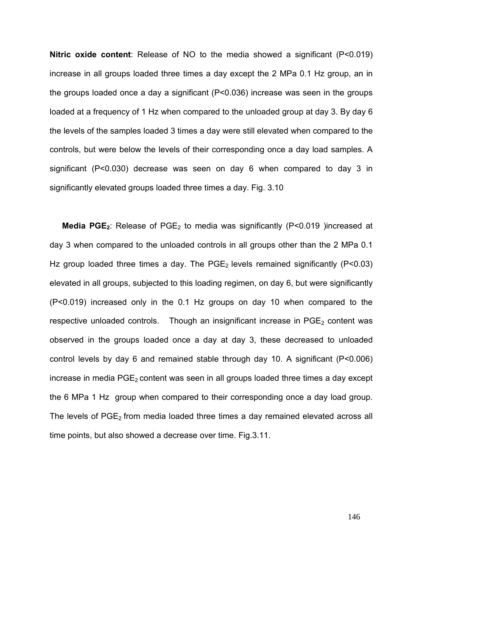**Nitric oxide content**: Release of NO to the media showed a significant (P<0.019) increase in all groups loaded three times a day except the 2 MPa 0.1 Hz group, an in the groups loaded once a day a significant (P<0.036) increase was seen in the groups loaded at a frequency of 1 Hz when compared to the unloaded group at day 3. By day 6 the levels of the samples loaded 3 times a day were still elevated when compared to the controls, but were below the levels of their corresponding once a day load samples. A significant  $(P<0.030)$  decrease was seen on day 6 when compared to day 3 in significantly elevated groups loaded three times a day. Fig. 3.10

Media PGE<sub>2</sub>: Release of PGE<sub>2</sub> to media was significantly (P<0.019 )increased at day 3 when compared to the unloaded controls in all groups other than the 2 MPa 0.1 Hz group loaded three times a day. The  $PGE<sub>2</sub>$  levels remained significantly (P<0.03) elevated in all groups, subjected to this loading regimen, on day 6, but were significantly (P<0.019) increased only in the 0.1 Hz groups on day 10 when compared to the respective unloaded controls. Though an insignificant increase in  $PGE<sub>2</sub>$  content was observed in the groups loaded once a day at day 3, these decreased to unloaded control levels by day 6 and remained stable through day 10. A significant (P<0.006) increase in media  $PGE_2$  content was seen in all groups loaded three times a day except the 6 MPa 1 Hz group when compared to their corresponding once a day load group. The levels of  $PGE_2$  from media loaded three times a day remained elevated across all time points, but also showed a decrease over time. Fig.3.11.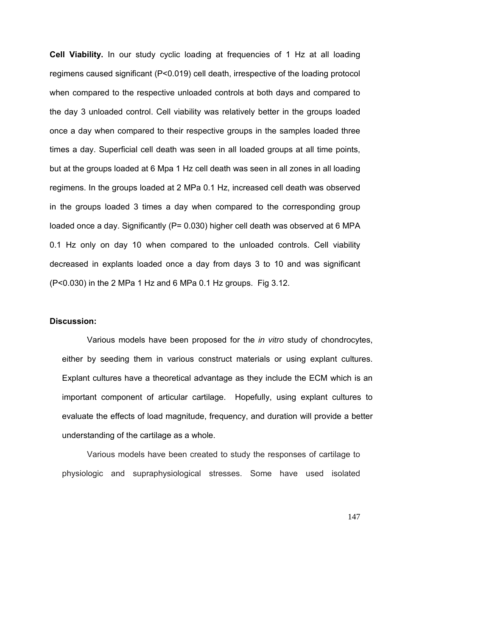**Cell Viability.** In our study cyclic loading at frequencies of 1 Hz at all loading regimens caused significant (P<0.019) cell death, irrespective of the loading protocol when compared to the respective unloaded controls at both days and compared to the day 3 unloaded control. Cell viability was relatively better in the groups loaded once a day when compared to their respective groups in the samples loaded three times a day. Superficial cell death was seen in all loaded groups at all time points, but at the groups loaded at 6 Mpa 1 Hz cell death was seen in all zones in all loading regimens. In the groups loaded at 2 MPa 0.1 Hz, increased cell death was observed in the groups loaded 3 times a day when compared to the corresponding group loaded once a day. Significantly (P= 0.030) higher cell death was observed at 6 MPA 0.1 Hz only on day 10 when compared to the unloaded controls. Cell viability decreased in explants loaded once a day from days 3 to 10 and was significant (P<0.030) in the 2 MPa 1 Hz and 6 MPa 0.1 Hz groups. Fig 3.12.

#### **Discussion:**

Various models have been proposed for the *in vitro* study of chondrocytes, either by seeding them in various construct materials or using explant cultures. Explant cultures have a theoretical advantage as they include the ECM which is an important component of articular cartilage. Hopefully, using explant cultures to evaluate the effects of load magnitude, frequency, and duration will provide a better understanding of the cartilage as a whole.

Various models have been created to study the responses of cartilage to physiologic and supraphysiological stresses. Some have used isolated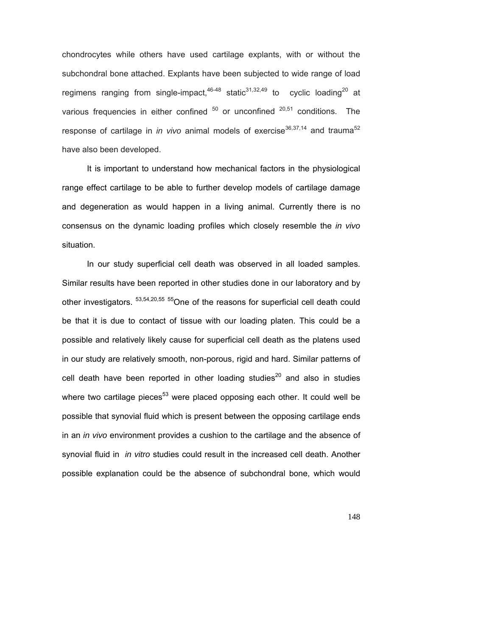chondrocytes while others have used cartilage explants, with or without the subchondral bone attached. Explants have been subjected to wide range of load regimens ranging from single-impact,  $46-48$  static<sup>31,32,49</sup> to cyclic loading<sup>20</sup> at various frequencies in either confined  $50$  or unconfined  $20,51$  conditions. The response of cartilage in *in vivo* animal models of exercise<sup>36,37,14</sup> and trauma<sup>52</sup> have also been developed.

 It is important to understand how mechanical factors in the physiological range effect cartilage to be able to further develop models of cartilage damage and degeneration as would happen in a living animal. Currently there is no consensus on the dynamic loading profiles which closely resemble the *in vivo* situation.

In our study superficial cell death was observed in all loaded samples. Similar results have been reported in other studies done in our laboratory and by other investigators.  $53,54,20,55$  55 One of the reasons for superficial cell death could be that it is due to contact of tissue with our loading platen. This could be a possible and relatively likely cause for superficial cell death as the platens used in our study are relatively smooth, non-porous, rigid and hard. Similar patterns of cell death have been reported in other loading studies<sup>20</sup> and also in studies where two cartilage pieces<sup>53</sup> were placed opposing each other. It could well be possible that synovial fluid which is present between the opposing cartilage ends in an *in vivo* environment provides a cushion to the cartilage and the absence of synovial fluid in *in vitro* studies could result in the increased cell death. Another possible explanation could be the absence of subchondral bone, which would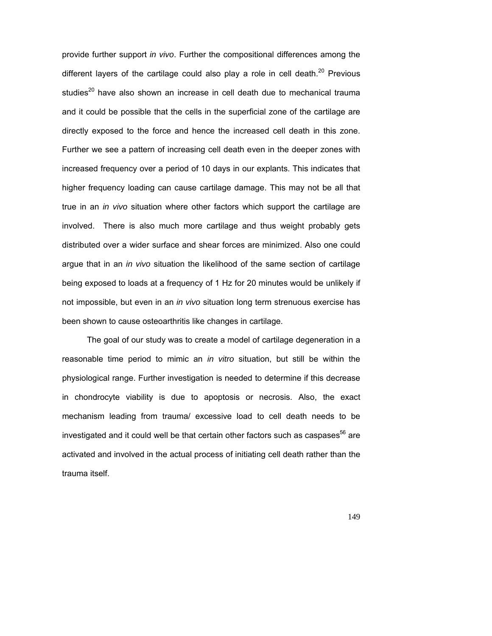provide further support *in vivo*. Further the compositional differences among the different layers of the cartilage could also play a role in cell death. $20$  Previous studies<sup>20</sup> have also shown an increase in cell death due to mechanical trauma and it could be possible that the cells in the superficial zone of the cartilage are directly exposed to the force and hence the increased cell death in this zone. Further we see a pattern of increasing cell death even in the deeper zones with increased frequency over a period of 10 days in our explants. This indicates that higher frequency loading can cause cartilage damage. This may not be all that true in an *in vivo* situation where other factors which support the cartilage are involved. There is also much more cartilage and thus weight probably gets distributed over a wider surface and shear forces are minimized. Also one could argue that in an *in vivo* situation the likelihood of the same section of cartilage being exposed to loads at a frequency of 1 Hz for 20 minutes would be unlikely if not impossible, but even in an *in vivo* situation long term strenuous exercise has been shown to cause osteoarthritis like changes in cartilage.

The goal of our study was to create a model of cartilage degeneration in a reasonable time period to mimic an *in vitro* situation, but still be within the physiological range. Further investigation is needed to determine if this decrease in chondrocyte viability is due to apoptosis or necrosis. Also, the exact mechanism leading from trauma/ excessive load to cell death needs to be investigated and it could well be that certain other factors such as caspases $^{56}$  are activated and involved in the actual process of initiating cell death rather than the trauma itself.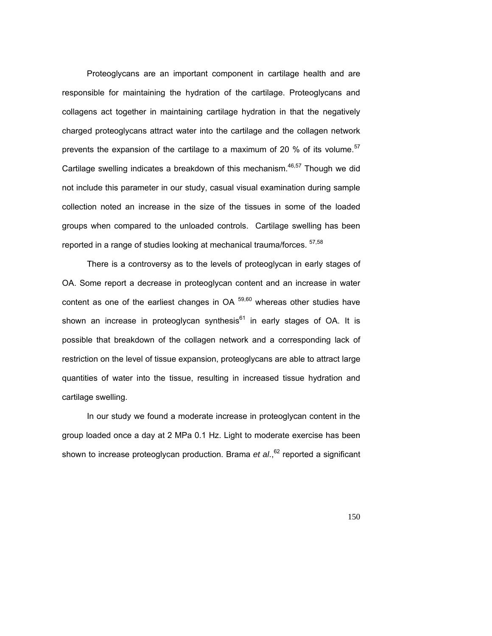Proteoglycans are an important component in cartilage health and are responsible for maintaining the hydration of the cartilage. Proteoglycans and collagens act together in maintaining cartilage hydration in that the negatively charged proteoglycans attract water into the cartilage and the collagen network prevents the expansion of the cartilage to a maximum of 20  $%$  of its volume.<sup>57</sup> Cartilage swelling indicates a breakdown of this mechanism. $46,57$  Though we did not include this parameter in our study, casual visual examination during sample collection noted an increase in the size of the tissues in some of the loaded groups when compared to the unloaded controls. Cartilage swelling has been reported in a range of studies looking at mechanical trauma/forces. <sup>57,58</sup>

There is a controversy as to the levels of proteoglycan in early stages of OA. Some report a decrease in proteoglycan content and an increase in water content as one of the earliest changes in  $OA$   $59,60$  whereas other studies have shown an increase in proteoglycan synthesis<sup>61</sup> in early stages of OA. It is possible that breakdown of the collagen network and a corresponding lack of restriction on the level of tissue expansion, proteoglycans are able to attract large quantities of water into the tissue, resulting in increased tissue hydration and cartilage swelling.

In our study we found a moderate increase in proteoglycan content in the group loaded once a day at 2 MPa 0.1 Hz. Light to moderate exercise has been shown to increase proteoglycan production. Brama *et al.*,<sup>62</sup> reported a significant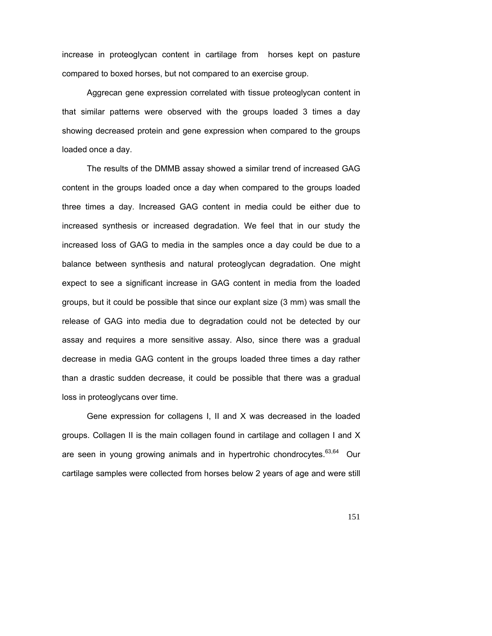increase in proteoglycan content in cartilage from horses kept on pasture compared to boxed horses, but not compared to an exercise group.

Aggrecan gene expression correlated with tissue proteoglycan content in that similar patterns were observed with the groups loaded 3 times a day showing decreased protein and gene expression when compared to the groups loaded once a day.

The results of the DMMB assay showed a similar trend of increased GAG content in the groups loaded once a day when compared to the groups loaded three times a day. Increased GAG content in media could be either due to increased synthesis or increased degradation. We feel that in our study the increased loss of GAG to media in the samples once a day could be due to a balance between synthesis and natural proteoglycan degradation. One might expect to see a significant increase in GAG content in media from the loaded groups, but it could be possible that since our explant size (3 mm) was small the release of GAG into media due to degradation could not be detected by our assay and requires a more sensitive assay. Also, since there was a gradual decrease in media GAG content in the groups loaded three times a day rather than a drastic sudden decrease, it could be possible that there was a gradual loss in proteoglycans over time.

Gene expression for collagens I, II and X was decreased in the loaded groups. Collagen II is the main collagen found in cartilage and collagen I and X are seen in young growing animals and in hypertrohic chondrocytes.<sup>63,64</sup> Our cartilage samples were collected from horses below 2 years of age and were still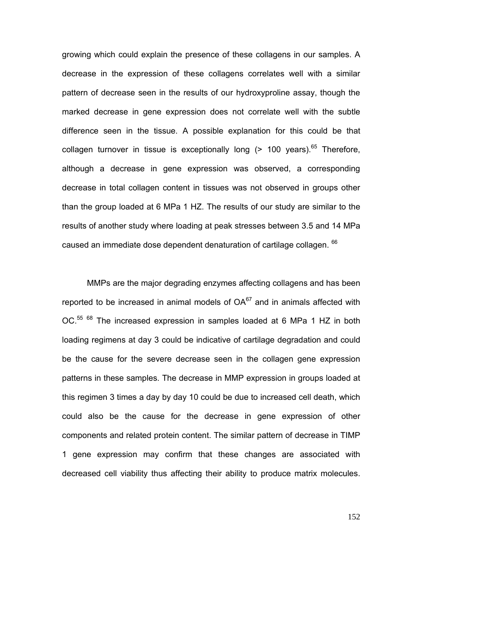growing which could explain the presence of these collagens in our samples. A decrease in the expression of these collagens correlates well with a similar pattern of decrease seen in the results of our hydroxyproline assay, though the marked decrease in gene expression does not correlate well with the subtle difference seen in the tissue. A possible explanation for this could be that collagen turnover in tissue is exceptionally long  $(> 100 \text{ years})$ .<sup>65</sup> Therefore, although a decrease in gene expression was observed, a corresponding decrease in total collagen content in tissues was not observed in groups other than the group loaded at 6 MPa 1 HZ. The results of our study are similar to the results of another study where loading at peak stresses between 3.5 and 14 MPa caused an immediate dose dependent denaturation of cartilage collagen. <sup>66</sup>

MMPs are the major degrading enzymes affecting collagens and has been reported to be increased in animal models of  $OA^{67}$  and in animals affected with OC.<sup>55 68</sup> The increased expression in samples loaded at 6 MPa 1 HZ in both loading regimens at day 3 could be indicative of cartilage degradation and could be the cause for the severe decrease seen in the collagen gene expression patterns in these samples. The decrease in MMP expression in groups loaded at this regimen 3 times a day by day 10 could be due to increased cell death, which could also be the cause for the decrease in gene expression of other components and related protein content. The similar pattern of decrease in TIMP 1 gene expression may confirm that these changes are associated with decreased cell viability thus affecting their ability to produce matrix molecules.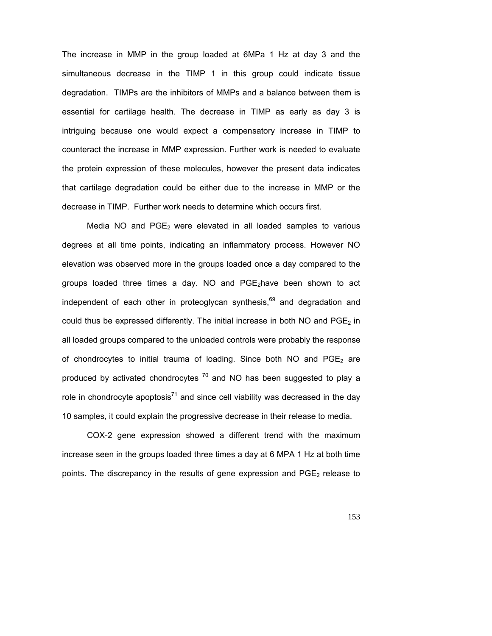The increase in MMP in the group loaded at 6MPa 1 Hz at day 3 and the simultaneous decrease in the TIMP 1 in this group could indicate tissue degradation. TIMPs are the inhibitors of MMPs and a balance between them is essential for cartilage health. The decrease in TIMP as early as day 3 is intriguing because one would expect a compensatory increase in TIMP to counteract the increase in MMP expression. Further work is needed to evaluate the protein expression of these molecules, however the present data indicates that cartilage degradation could be either due to the increase in MMP or the decrease in TIMP. Further work needs to determine which occurs first.

Media NO and PGE2 were elevated in all loaded samples to various degrees at all time points, indicating an inflammatory process. However NO elevation was observed more in the groups loaded once a day compared to the groups loaded three times a day. NO and  $PGE<sub>2</sub>$ have been shown to act independent of each other in proteoglycan synthesis,<sup>69</sup> and degradation and could thus be expressed differently. The initial increase in both NO and  $PGE<sub>2</sub>$  in all loaded groups compared to the unloaded controls were probably the response of chondrocytes to initial trauma of loading. Since both NO and  $PGE_2$  are produced by activated chondrocytes  $70$  and NO has been suggested to play a role in chondrocyte apoptosis<sup>71</sup> and since cell viability was decreased in the day 10 samples, it could explain the progressive decrease in their release to media.

COX-2 gene expression showed a different trend with the maximum increase seen in the groups loaded three times a day at 6 MPA 1 Hz at both time points. The discrepancy in the results of gene expression and  $PGE_2$  release to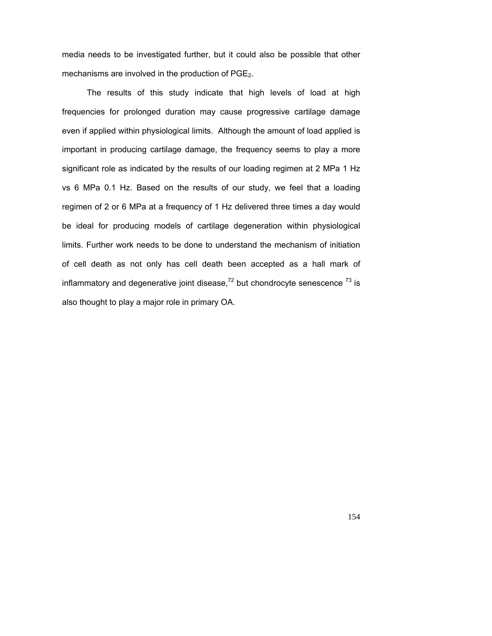media needs to be investigated further, but it could also be possible that other mechanisms are involved in the production of  $PGE_2$ .

The results of this study indicate that high levels of load at high frequencies for prolonged duration may cause progressive cartilage damage even if applied within physiological limits. Although the amount of load applied is important in producing cartilage damage, the frequency seems to play a more significant role as indicated by the results of our loading regimen at 2 MPa 1 Hz vs 6 MPa 0.1 Hz. Based on the results of our study, we feel that a loading regimen of 2 or 6 MPa at a frequency of 1 Hz delivered three times a day would be ideal for producing models of cartilage degeneration within physiological limits. Further work needs to be done to understand the mechanism of initiation of cell death as not only has cell death been accepted as a hall mark of inflammatory and degenerative joint disease, $72$  but chondrocyte senescence  $73$  is also thought to play a major role in primary OA.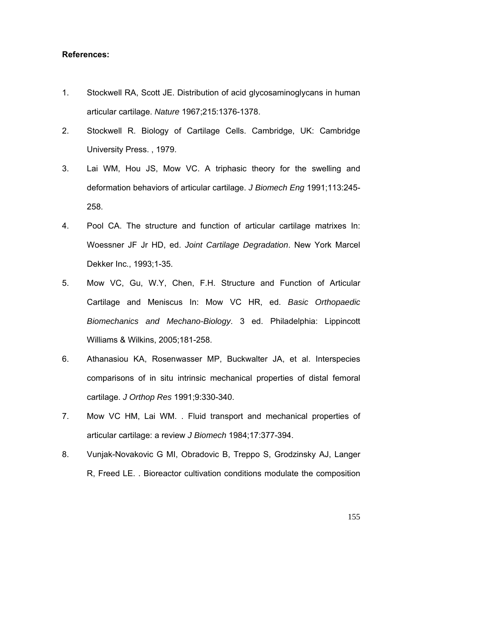#### **References:**

- 1. Stockwell RA, Scott JE. Distribution of acid glycosaminoglycans in human articular cartilage. *Nature* 1967;215:1376-1378.
- 2. Stockwell R. Biology of Cartilage Cells. Cambridge, UK: Cambridge University Press. , 1979.
- 3. Lai WM, Hou JS, Mow VC. A triphasic theory for the swelling and deformation behaviors of articular cartilage. *J Biomech Eng* 1991;113:245- 258.
- 4. Pool CA. The structure and function of articular cartilage matrixes In: Woessner JF Jr HD, ed. *Joint Cartilage Degradation*. New York Marcel Dekker Inc., 1993;1-35.
- 5. Mow VC, Gu, W.Y, Chen, F.H. Structure and Function of Articular Cartilage and Meniscus In: Mow VC HR, ed. *Basic Orthopaedic Biomechanics and Mechano-Biology*. 3 ed. Philadelphia: Lippincott Williams & Wilkins, 2005;181-258.
- 6. Athanasiou KA, Rosenwasser MP, Buckwalter JA, et al. Interspecies comparisons of in situ intrinsic mechanical properties of distal femoral cartilage. *J Orthop Res* 1991;9:330-340.
- 7. Mow VC HM, Lai WM. . Fluid transport and mechanical properties of articular cartilage: a review *J Biomech* 1984;17:377-394.
- 8. Vunjak-Novakovic G MI, Obradovic B, Treppo S, Grodzinsky AJ, Langer R, Freed LE. . Bioreactor cultivation conditions modulate the composition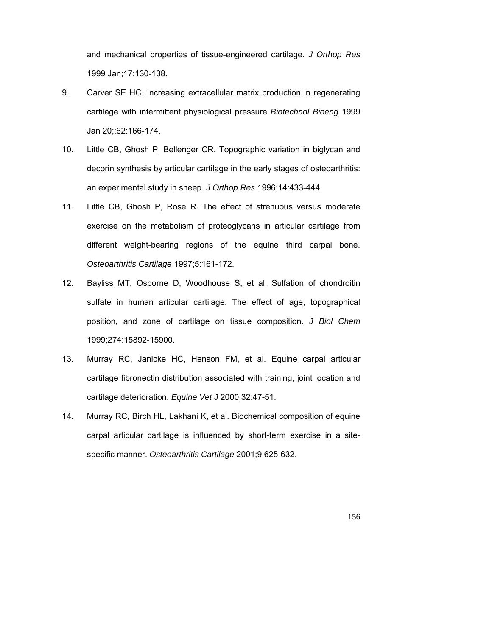and mechanical properties of tissue-engineered cartilage. *J Orthop Res* 1999 Jan;17:130-138.

- 9. Carver SE HC. Increasing extracellular matrix production in regenerating cartilage with intermittent physiological pressure *Biotechnol Bioeng* 1999 Jan 20;;62:166-174.
- 10. Little CB, Ghosh P, Bellenger CR. Topographic variation in biglycan and decorin synthesis by articular cartilage in the early stages of osteoarthritis: an experimental study in sheep. *J Orthop Res* 1996;14:433-444.
- 11. Little CB, Ghosh P, Rose R. The effect of strenuous versus moderate exercise on the metabolism of proteoglycans in articular cartilage from different weight-bearing regions of the equine third carpal bone. *Osteoarthritis Cartilage* 1997;5:161-172.
- 12. Bayliss MT, Osborne D, Woodhouse S, et al. Sulfation of chondroitin sulfate in human articular cartilage. The effect of age, topographical position, and zone of cartilage on tissue composition. *J Biol Chem* 1999;274:15892-15900.
- 13. Murray RC, Janicke HC, Henson FM, et al. Equine carpal articular cartilage fibronectin distribution associated with training, joint location and cartilage deterioration. *Equine Vet J* 2000;32:47-51.
- 14. Murray RC, Birch HL, Lakhani K, et al. Biochemical composition of equine carpal articular cartilage is influenced by short-term exercise in a sitespecific manner. *Osteoarthritis Cartilage* 2001;9:625-632.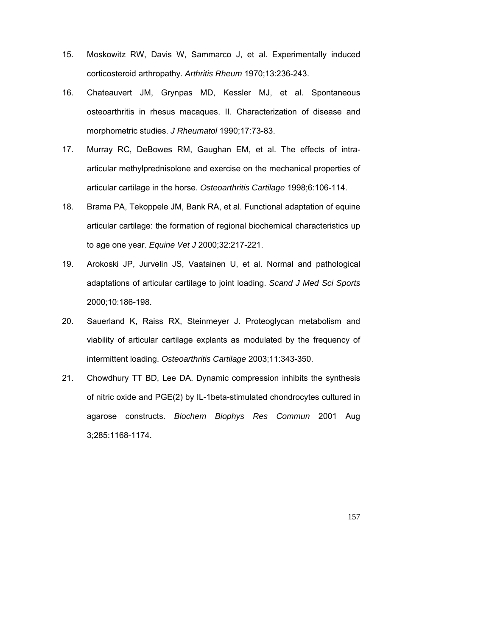- 15. Moskowitz RW, Davis W, Sammarco J, et al. Experimentally induced corticosteroid arthropathy. *Arthritis Rheum* 1970;13:236-243.
- 16. Chateauvert JM, Grynpas MD, Kessler MJ, et al. Spontaneous osteoarthritis in rhesus macaques. II. Characterization of disease and morphometric studies. *J Rheumatol* 1990;17:73-83.
- 17. Murray RC, DeBowes RM, Gaughan EM, et al. The effects of intraarticular methylprednisolone and exercise on the mechanical properties of articular cartilage in the horse. *Osteoarthritis Cartilage* 1998;6:106-114.
- 18. Brama PA, Tekoppele JM, Bank RA, et al. Functional adaptation of equine articular cartilage: the formation of regional biochemical characteristics up to age one year. *Equine Vet J* 2000;32:217-221.
- 19. Arokoski JP, Jurvelin JS, Vaatainen U, et al. Normal and pathological adaptations of articular cartilage to joint loading. *Scand J Med Sci Sports* 2000;10:186-198.
- 20. Sauerland K, Raiss RX, Steinmeyer J. Proteoglycan metabolism and viability of articular cartilage explants as modulated by the frequency of intermittent loading. *Osteoarthritis Cartilage* 2003;11:343-350.
- 21. Chowdhury TT BD, Lee DA. Dynamic compression inhibits the synthesis of nitric oxide and PGE(2) by IL-1beta-stimulated chondrocytes cultured in agarose constructs. *Biochem Biophys Res Commun* 2001 Aug 3;285:1168-1174.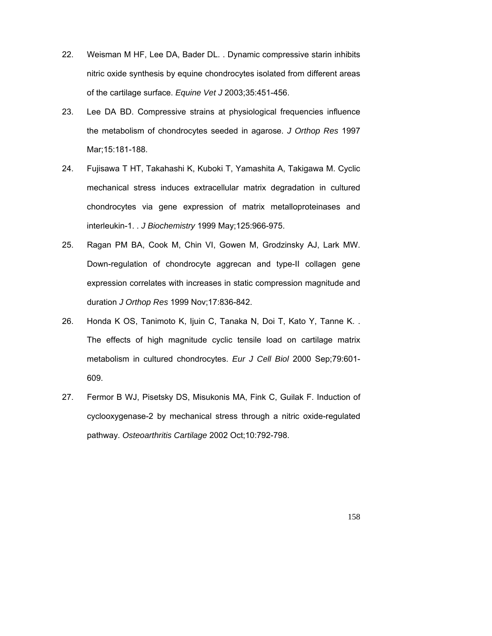- 22. Weisman M HF, Lee DA, Bader DL. . Dynamic compressive starin inhibits nitric oxide synthesis by equine chondrocytes isolated from different areas of the cartilage surface. *Equine Vet J* 2003;35:451-456.
- 23. Lee DA BD. Compressive strains at physiological frequencies influence the metabolism of chondrocytes seeded in agarose. *J Orthop Res* 1997 Mar;15:181-188.
- 24. Fujisawa T HT, Takahashi K, Kuboki T, Yamashita A, Takigawa M. Cyclic mechanical stress induces extracellular matrix degradation in cultured chondrocytes via gene expression of matrix metalloproteinases and interleukin-1. . *J Biochemistry* 1999 May;125:966-975.
- 25. Ragan PM BA, Cook M, Chin VI, Gowen M, Grodzinsky AJ, Lark MW. Down-regulation of chondrocyte aggrecan and type-II collagen gene expression correlates with increases in static compression magnitude and duration *J Orthop Res* 1999 Nov;17:836-842.
- 26. Honda K OS, Tanimoto K, Ijuin C, Tanaka N, Doi T, Kato Y, Tanne K. . The effects of high magnitude cyclic tensile load on cartilage matrix metabolism in cultured chondrocytes. *Eur J Cell Biol* 2000 Sep;79:601- 609.
- 27. Fermor B WJ, Pisetsky DS, Misukonis MA, Fink C, Guilak F. Induction of cyclooxygenase-2 by mechanical stress through a nitric oxide-regulated pathway. *Osteoarthritis Cartilage* 2002 Oct;10:792-798.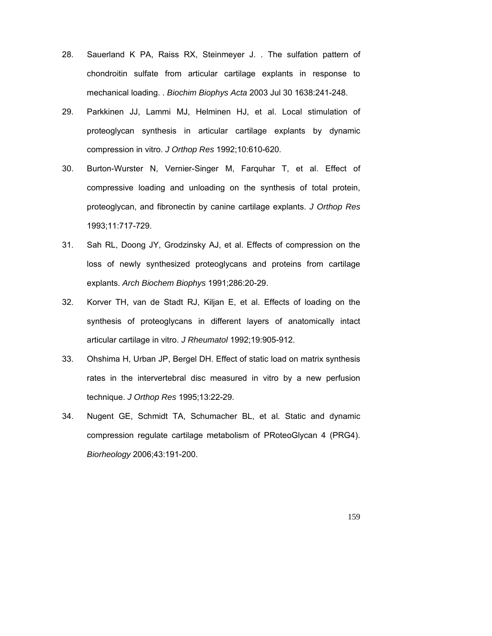- 28. Sauerland K PA, Raiss RX, Steinmeyer J. . The sulfation pattern of chondroitin sulfate from articular cartilage explants in response to mechanical loading. . *Biochim Biophys Acta* 2003 Jul 30 1638:241-248.
- 29. Parkkinen JJ, Lammi MJ, Helminen HJ, et al. Local stimulation of proteoglycan synthesis in articular cartilage explants by dynamic compression in vitro. *J Orthop Res* 1992;10:610-620.
- 30. Burton-Wurster N, Vernier-Singer M, Farquhar T, et al. Effect of compressive loading and unloading on the synthesis of total protein, proteoglycan, and fibronectin by canine cartilage explants. *J Orthop Res* 1993;11:717-729.
- 31. Sah RL, Doong JY, Grodzinsky AJ, et al. Effects of compression on the loss of newly synthesized proteoglycans and proteins from cartilage explants. *Arch Biochem Biophys* 1991;286:20-29.
- 32. Korver TH, van de Stadt RJ, Kiljan E, et al. Effects of loading on the synthesis of proteoglycans in different layers of anatomically intact articular cartilage in vitro. *J Rheumatol* 1992;19:905-912.
- 33. Ohshima H, Urban JP, Bergel DH. Effect of static load on matrix synthesis rates in the intervertebral disc measured in vitro by a new perfusion technique. *J Orthop Res* 1995;13:22-29.
- 34. Nugent GE, Schmidt TA, Schumacher BL, et al. Static and dynamic compression regulate cartilage metabolism of PRoteoGlycan 4 (PRG4). *Biorheology* 2006;43:191-200.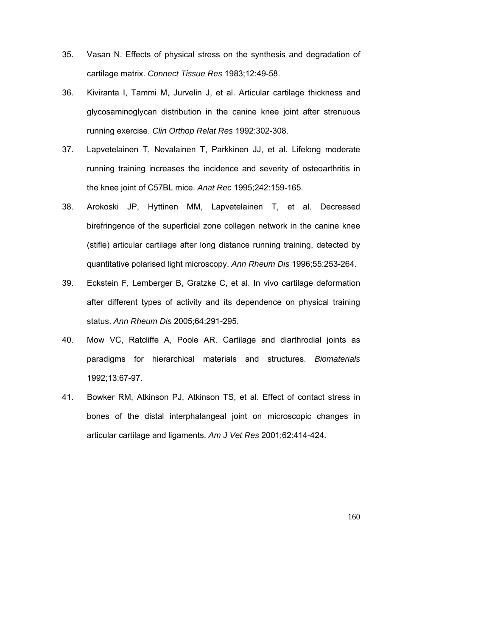- 35. Vasan N. Effects of physical stress on the synthesis and degradation of cartilage matrix. *Connect Tissue Res* 1983;12:49-58.
- 36. Kiviranta I, Tammi M, Jurvelin J, et al. Articular cartilage thickness and glycosaminoglycan distribution in the canine knee joint after strenuous running exercise. *Clin Orthop Relat Res* 1992:302-308.
- 37. Lapvetelainen T, Nevalainen T, Parkkinen JJ, et al. Lifelong moderate running training increases the incidence and severity of osteoarthritis in the knee joint of C57BL mice. *Anat Rec* 1995;242:159-165.
- 38. Arokoski JP, Hyttinen MM, Lapvetelainen T, et al. Decreased birefringence of the superficial zone collagen network in the canine knee (stifle) articular cartilage after long distance running training, detected by quantitative polarised light microscopy. *Ann Rheum Dis* 1996;55:253-264.
- 39. Eckstein F, Lemberger B, Gratzke C, et al. In vivo cartilage deformation after different types of activity and its dependence on physical training status. *Ann Rheum Dis* 2005;64:291-295.
- 40. Mow VC, Ratcliffe A, Poole AR. Cartilage and diarthrodial joints as paradigms for hierarchical materials and structures. *Biomaterials* 1992;13:67-97.
- 41. Bowker RM, Atkinson PJ, Atkinson TS, et al. Effect of contact stress in bones of the distal interphalangeal joint on microscopic changes in articular cartilage and ligaments. *Am J Vet Res* 2001;62:414-424.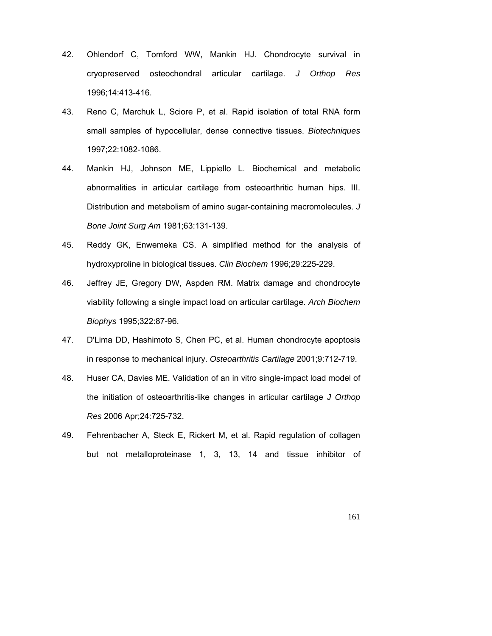- 42. Ohlendorf C, Tomford WW, Mankin HJ. Chondrocyte survival in cryopreserved osteochondral articular cartilage. *J Orthop Res* 1996;14:413-416.
- 43. Reno C, Marchuk L, Sciore P, et al. Rapid isolation of total RNA form small samples of hypocellular, dense connective tissues. *Biotechniques* 1997;22:1082-1086.
- 44. Mankin HJ, Johnson ME, Lippiello L. Biochemical and metabolic abnormalities in articular cartilage from osteoarthritic human hips. III. Distribution and metabolism of amino sugar-containing macromolecules. *J Bone Joint Surg Am* 1981;63:131-139.
- 45. Reddy GK, Enwemeka CS. A simplified method for the analysis of hydroxyproline in biological tissues. *Clin Biochem* 1996;29:225-229.
- 46. Jeffrey JE, Gregory DW, Aspden RM. Matrix damage and chondrocyte viability following a single impact load on articular cartilage. *Arch Biochem Biophys* 1995;322:87-96.
- 47. D'Lima DD, Hashimoto S, Chen PC, et al. Human chondrocyte apoptosis in response to mechanical injury. *Osteoarthritis Cartilage* 2001;9:712-719.
- 48. Huser CA, Davies ME. Validation of an in vitro single-impact load model of the initiation of osteoarthritis-like changes in articular cartilage *J Orthop Res* 2006 Apr;24:725-732.
- 49. Fehrenbacher A, Steck E, Rickert M, et al. Rapid regulation of collagen but not metalloproteinase 1, 3, 13, 14 and tissue inhibitor of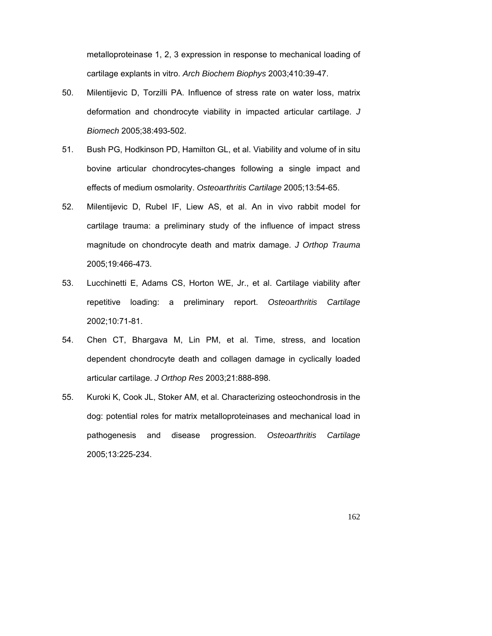metalloproteinase 1, 2, 3 expression in response to mechanical loading of cartilage explants in vitro. *Arch Biochem Biophys* 2003;410:39-47.

- 50. Milentijevic D, Torzilli PA. Influence of stress rate on water loss, matrix deformation and chondrocyte viability in impacted articular cartilage. *J Biomech* 2005;38:493-502.
- 51. Bush PG, Hodkinson PD, Hamilton GL, et al. Viability and volume of in situ bovine articular chondrocytes-changes following a single impact and effects of medium osmolarity. *Osteoarthritis Cartilage* 2005;13:54-65.
- 52. Milentijevic D, Rubel IF, Liew AS, et al. An in vivo rabbit model for cartilage trauma: a preliminary study of the influence of impact stress magnitude on chondrocyte death and matrix damage. *J Orthop Trauma* 2005;19:466-473.
- 53. Lucchinetti E, Adams CS, Horton WE, Jr., et al. Cartilage viability after repetitive loading: a preliminary report. *Osteoarthritis Cartilage* 2002;10:71-81.
- 54. Chen CT, Bhargava M, Lin PM, et al. Time, stress, and location dependent chondrocyte death and collagen damage in cyclically loaded articular cartilage. *J Orthop Res* 2003;21:888-898.
- 55. Kuroki K, Cook JL, Stoker AM, et al. Characterizing osteochondrosis in the dog: potential roles for matrix metalloproteinases and mechanical load in pathogenesis and disease progression. *Osteoarthritis Cartilage* 2005;13:225-234.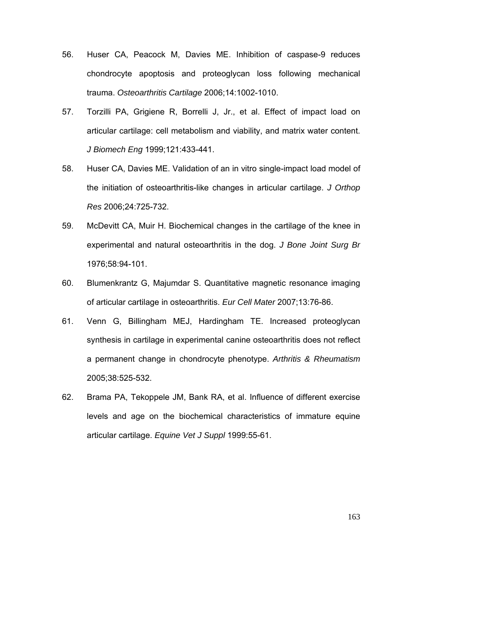- 56. Huser CA, Peacock M, Davies ME. Inhibition of caspase-9 reduces chondrocyte apoptosis and proteoglycan loss following mechanical trauma. *Osteoarthritis Cartilage* 2006;14:1002-1010.
- 57. Torzilli PA, Grigiene R, Borrelli J, Jr., et al. Effect of impact load on articular cartilage: cell metabolism and viability, and matrix water content. *J Biomech Eng* 1999;121:433-441.
- 58. Huser CA, Davies ME. Validation of an in vitro single-impact load model of the initiation of osteoarthritis-like changes in articular cartilage. *J Orthop Res* 2006;24:725-732.
- 59. McDevitt CA, Muir H. Biochemical changes in the cartilage of the knee in experimental and natural osteoarthritis in the dog. *J Bone Joint Surg Br* 1976;58:94-101.
- 60. Blumenkrantz G, Majumdar S. Quantitative magnetic resonance imaging of articular cartilage in osteoarthritis. *Eur Cell Mater* 2007;13:76-86.
- 61. Venn G, Billingham MEJ, Hardingham TE. Increased proteoglycan synthesis in cartilage in experimental canine osteoarthritis does not reflect a permanent change in chondrocyte phenotype. *Arthritis & Rheumatism* 2005;38:525-532.
- 62. Brama PA, Tekoppele JM, Bank RA, et al. Influence of different exercise levels and age on the biochemical characteristics of immature equine articular cartilage. *Equine Vet J Suppl* 1999:55-61.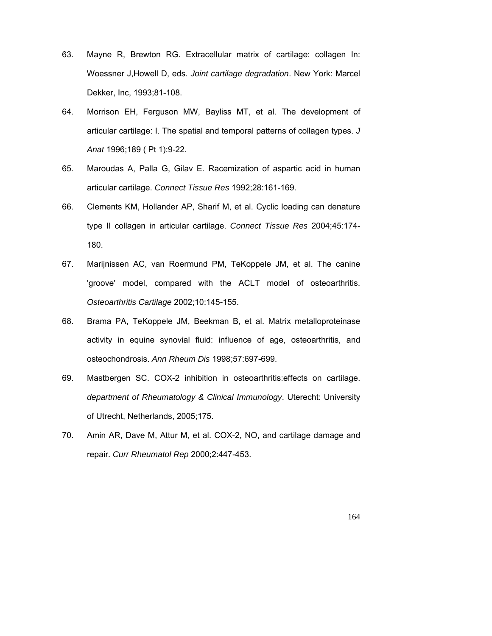- 63. Mayne R, Brewton RG. Extracellular matrix of cartilage: collagen In: Woessner J,Howell D, eds. *Joint cartilage degradation*. New York: Marcel Dekker, Inc, 1993;81-108.
- 64. Morrison EH, Ferguson MW, Bayliss MT, et al. The development of articular cartilage: I. The spatial and temporal patterns of collagen types. *J Anat* 1996;189 ( Pt 1):9-22.
- 65. Maroudas A, Palla G, Gilav E. Racemization of aspartic acid in human articular cartilage. *Connect Tissue Res* 1992;28:161-169.
- 66. Clements KM, Hollander AP, Sharif M, et al. Cyclic loading can denature type II collagen in articular cartilage. *Connect Tissue Res* 2004;45:174- 180.
- 67. Marijnissen AC, van Roermund PM, TeKoppele JM, et al. The canine 'groove' model, compared with the ACLT model of osteoarthritis. *Osteoarthritis Cartilage* 2002;10:145-155.
- 68. Brama PA, TeKoppele JM, Beekman B, et al. Matrix metalloproteinase activity in equine synovial fluid: influence of age, osteoarthritis, and osteochondrosis. *Ann Rheum Dis* 1998;57:697-699.
- 69. Mastbergen SC. COX-2 inhibition in osteoarthritis:effects on cartilage. *department of Rheumatology & Clinical Immunology*. Uterecht: University of Utrecht, Netherlands, 2005;175.
- 70. Amin AR, Dave M, Attur M, et al. COX-2, NO, and cartilage damage and repair. *Curr Rheumatol Rep* 2000;2:447-453.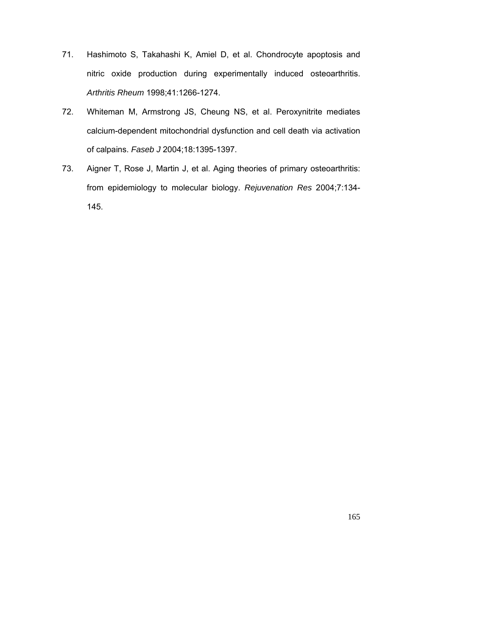- 71. Hashimoto S, Takahashi K, Amiel D, et al. Chondrocyte apoptosis and nitric oxide production during experimentally induced osteoarthritis. *Arthritis Rheum* 1998;41:1266-1274.
- 72. Whiteman M, Armstrong JS, Cheung NS, et al. Peroxynitrite mediates calcium-dependent mitochondrial dysfunction and cell death via activation of calpains. *Faseb J* 2004;18:1395-1397.
- 73. Aigner T, Rose J, Martin J, et al. Aging theories of primary osteoarthritis: from epidemiology to molecular biology. *Rejuvenation Res* 2004;7:134- 145.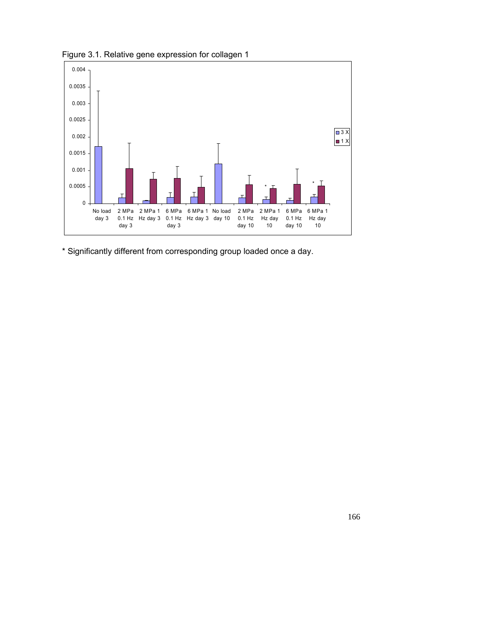

Figure 3.1. Relative gene expression for collagen 1

\* Significantly different from corresponding group loaded once a day.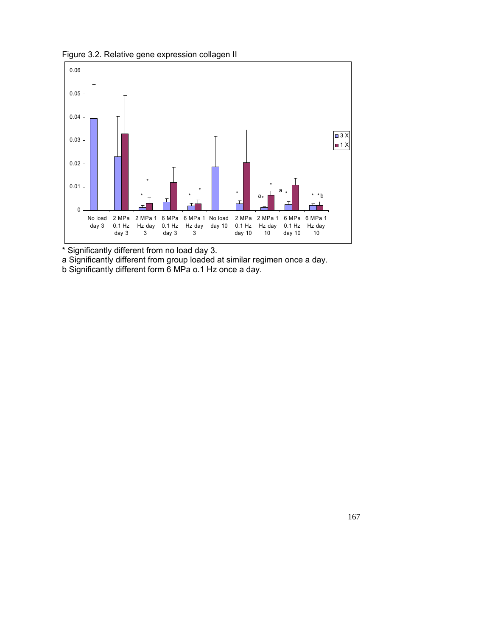Figure 3.2. Relative gene expression collagen II



\* Significantly different from no load day 3.

a Significantly different from group loaded at similar regimen once a day.

b Significantly different form 6 MPa o.1 Hz once a day.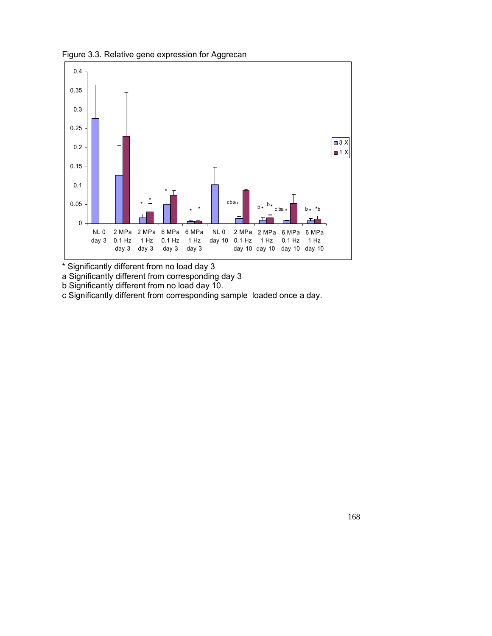Figure 3.3. Relative gene expression for Aggrecan



\* Significantly different from no load day 3

a Significantly different from corresponding day 3

b Significantly different from no load day 10.

c Significantly different from corresponding sample loaded once a day.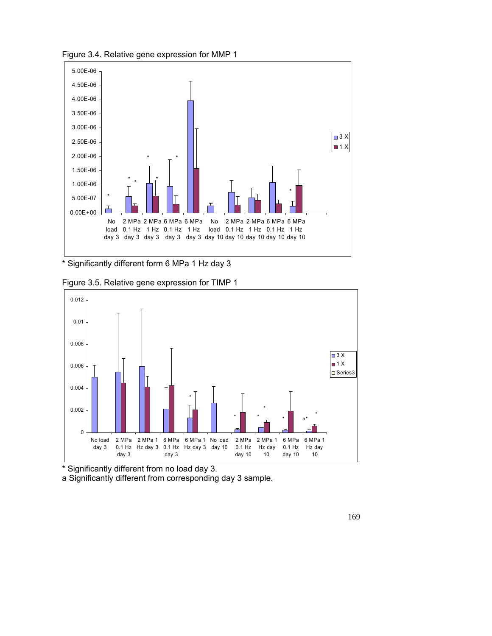Figure 3.4. Relative gene expression for MMP 1



\* Significantly different form 6 MPa 1 Hz day 3





\* Significantly different from no load day 3.

a Significantly different from corresponding day 3 sample.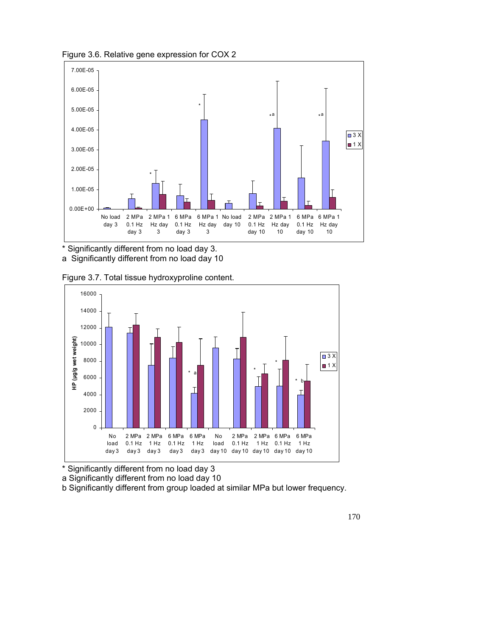

Figure 3.6. Relative gene expression for COX 2

\* Significantly different from no load day 3. a Significantly different from no load day 10

Figure 3.7. Total tissue hydroxyproline content.



\* Significantly different from no load day 3

a Significantly different from no load day 10

b Significantly different from group loaded at similar MPa but lower frequency.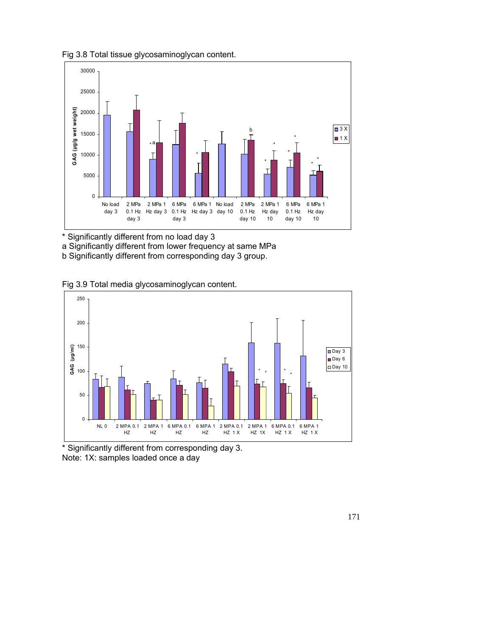Fig 3.8 Total tissue glycosaminoglycan content.



\* Significantly different from no load day 3

a Significantly different from lower frequency at same MPa

b Significantly different from corresponding day 3 group.

Fig 3.9 Total media glycosaminoglycan content.



\* Significantly different from corresponding day 3. Note: 1X: samples loaded once a day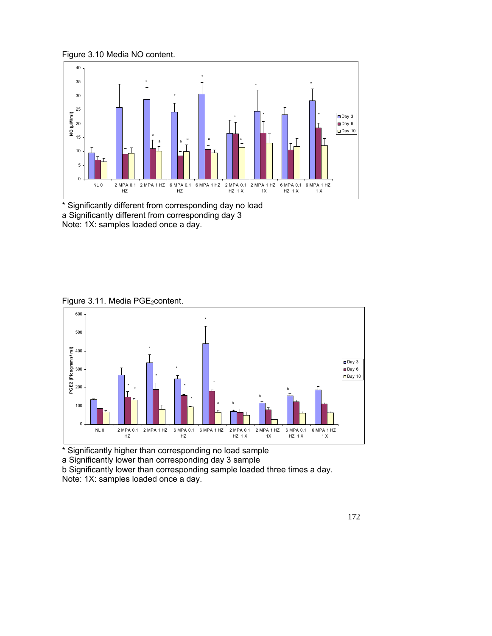Figure 3.10 Media NO content.



\* Significantly different from corresponding day no load a Significantly different from corresponding day 3 Note: 1X: samples loaded once a day.

Figure 3.11. Media PGE<sub>2</sub>content.



\* Significantly higher than corresponding no load sample a Significantly lower than corresponding day 3 sample b Significantly lower than corresponding sample loaded three times a day. Note: 1X: samples loaded once a day.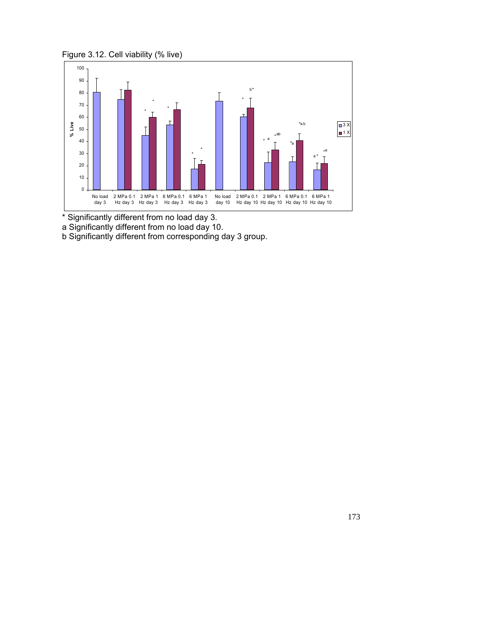Figure 3.12. Cell viability (% live)



\* Significantly different from no load day 3.

a Significantly different from no load day 10.

b Significantly different from corresponding day 3 group.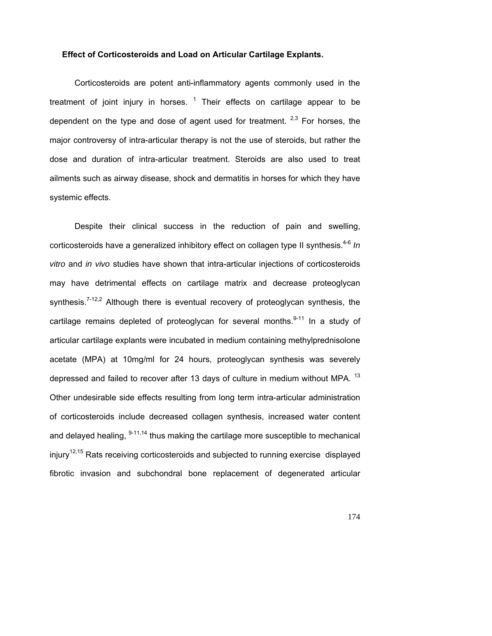## **Effect of Corticosteroids and Load on Articular Cartilage Explants.**

Corticosteroids are potent anti-inflammatory agents commonly used in the treatment of joint injury in horses.  $1$  Their effects on cartilage appear to be dependent on the type and dose of agent used for treatment.  $2.3$  For horses, the major controversy of intra-articular therapy is not the use of steroids, but rather the dose and duration of intra-articular treatment. Steroids are also used to treat ailments such as airway disease, shock and dermatitis in horses for which they have systemic effects.

Despite their clinical success in the reduction of pain and swelling, corticosteroids have a generalized inhibitory effect on collagen type II synthesis.<sup>4-6</sup> *In vitro* and *in vivo* studies have shown that intra-articular injections of corticosteroids may have detrimental effects on cartilage matrix and decrease proteoglycan synthesis.<sup> $7-12,2$ </sup> Although there is eventual recovery of proteoglycan synthesis, the cartilage remains depleted of proteoglycan for several months. $9-11$  In a study of articular cartilage explants were incubated in medium containing methylprednisolone acetate (MPA) at 10mg/ml for 24 hours, proteoglycan synthesis was severely depressed and failed to recover after 13 days of culture in medium without MPA. <sup>13</sup> Other undesirable side effects resulting from long term intra-articular administration of corticosteroids include decreased collagen synthesis, increased water content and delayed healing,  $9-11,14$  thus making the cartilage more susceptible to mechanical  $injury<sup>12,15</sup>$  Rats receiving corticosteroids and subjected to running exercise displayed fibrotic invasion and subchondral bone replacement of degenerated articular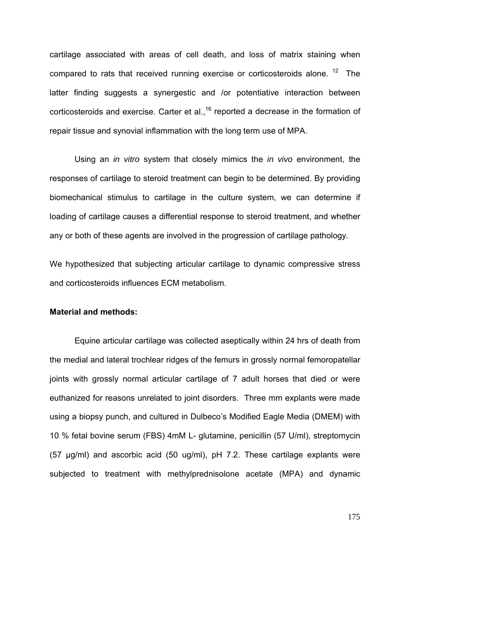cartilage associated with areas of cell death, and loss of matrix staining when compared to rats that received running exercise or corticosteroids alone.  $12$  The latter finding suggests a synergestic and /or potentiative interaction between corticosteroids and exercise. Carter et al.,<sup>16</sup> reported a decrease in the formation of repair tissue and synovial inflammation with the long term use of MPA.

Using an *in vitro* system that closely mimics the *in vivo* environment, the responses of cartilage to steroid treatment can begin to be determined. By providing biomechanical stimulus to cartilage in the culture system, we can determine if loading of cartilage causes a differential response to steroid treatment, and whether any or both of these agents are involved in the progression of cartilage pathology.

We hypothesized that subjecting articular cartilage to dynamic compressive stress and corticosteroids influences ECM metabolism.

## **Material and methods:**

Equine articular cartilage was collected aseptically within 24 hrs of death from the medial and lateral trochlear ridges of the femurs in grossly normal femoropatellar joints with grossly normal articular cartilage of 7 adult horses that died or were euthanized for reasons unrelated to joint disorders. Three mm explants were made using a biopsy punch, and cultured in Dulbeco's Modified Eagle Media (DMEM) with 10 % fetal bovine serum (FBS) 4mM L- glutamine, penicillin (57 U/ml), streptomycin (57 µg/ml) and ascorbic acid (50 ug/ml), pH 7.2. These cartilage explants were subjected to treatment with methylprednisolone acetate (MPA) and dynamic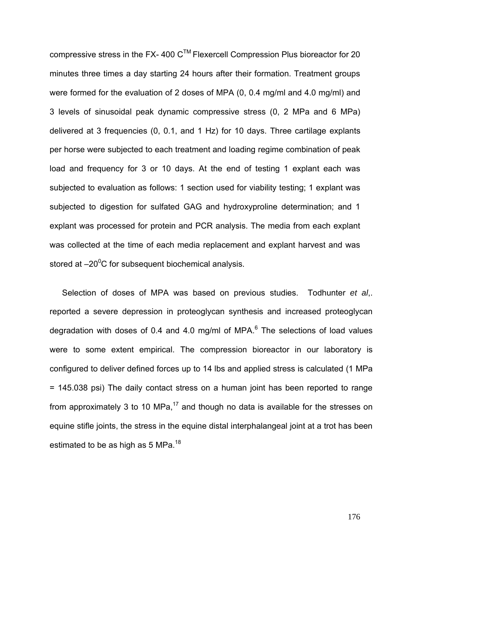compressive stress in the FX- 400  $C^{TM}$  Flexercell Compression Plus bioreactor for 20 minutes three times a day starting 24 hours after their formation. Treatment groups were formed for the evaluation of 2 doses of MPA (0, 0.4 mg/ml and 4.0 mg/ml) and 3 levels of sinusoidal peak dynamic compressive stress (0, 2 MPa and 6 MPa) delivered at 3 frequencies (0, 0.1, and 1 Hz) for 10 days. Three cartilage explants per horse were subjected to each treatment and loading regime combination of peak load and frequency for 3 or 10 days. At the end of testing 1 explant each was subjected to evaluation as follows: 1 section used for viability testing; 1 explant was subjected to digestion for sulfated GAG and hydroxyproline determination; and 1 explant was processed for protein and PCR analysis. The media from each explant was collected at the time of each media replacement and explant harvest and was stored at  $-20^0C$  for subsequent biochemical analysis.

Selection of doses of MPA was based on previous studies. Todhunter *et al*,. reported a severe depression in proteoglycan synthesis and increased proteoglycan degradation with doses of 0.4 and 4.0 mg/ml of MPA. $^6$  The selections of load values were to some extent empirical. The compression bioreactor in our laboratory is configured to deliver defined forces up to 14 lbs and applied stress is calculated (1 MPa = 145.038 psi) The daily contact stress on a human joint has been reported to range from approximately 3 to 10 MPa, $^{17}$  and though no data is available for the stresses on equine stifle joints, the stress in the equine distal interphalangeal joint at a trot has been estimated to be as high as 5 MPa.<sup>18</sup>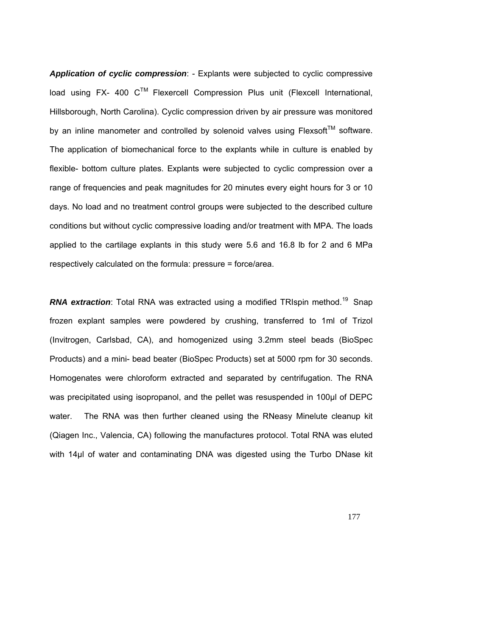*Application of cyclic compression*: - Explants were subjected to cyclic compressive load using FX- 400  $C^{TM}$  Flexercell Compression Plus unit (Flexcell International, Hillsborough, North Carolina). Cyclic compression driven by air pressure was monitored by an inline manometer and controlled by solenoid valves using  $F$ lexsoft<sup>TM</sup> software. The application of biomechanical force to the explants while in culture is enabled by flexible- bottom culture plates. Explants were subjected to cyclic compression over a range of frequencies and peak magnitudes for 20 minutes every eight hours for 3 or 10 days. No load and no treatment control groups were subjected to the described culture conditions but without cyclic compressive loading and/or treatment with MPA. The loads applied to the cartilage explants in this study were 5.6 and 16.8 lb for 2 and 6 MPa respectively calculated on the formula: pressure = force/area.

**RNA extraction**: Total RNA was extracted using a modified TRIspin method.<sup>19</sup> Snap frozen explant samples were powdered by crushing, transferred to 1ml of Trizol (Invitrogen, Carlsbad, CA), and homogenized using 3.2mm steel beads (BioSpec Products) and a mini- bead beater (BioSpec Products) set at 5000 rpm for 30 seconds. Homogenates were chloroform extracted and separated by centrifugation. The RNA was precipitated using isopropanol, and the pellet was resuspended in 100µl of DEPC water. The RNA was then further cleaned using the RNeasy Minelute cleanup kit (Qiagen Inc., Valencia, CA) following the manufactures protocol. Total RNA was eluted with 14µl of water and contaminating DNA was digested using the Turbo DNase kit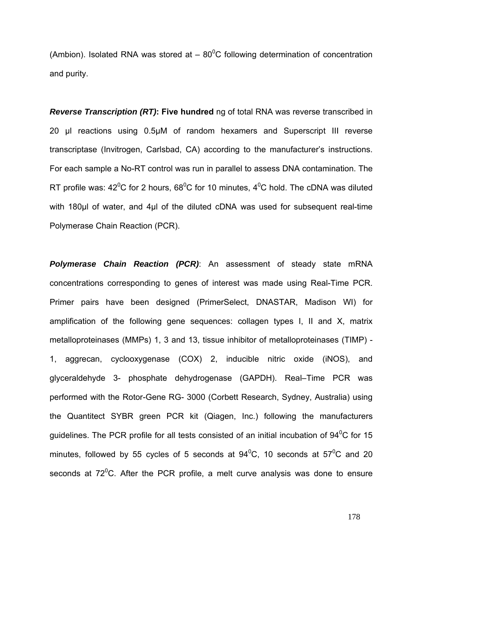(Ambion). Isolated RNA was stored at  $-80^{\circ}$ C following determination of concentration and purity.

*Reverse Transcription (RT)***: Five hundred** ng of total RNA was reverse transcribed in 20 µl reactions using 0.5µM of random hexamers and Superscript III reverse transcriptase (Invitrogen, Carlsbad, CA) according to the manufacturer's instructions. For each sample a No-RT control was run in parallel to assess DNA contamination. The RT profile was: 42<sup>°</sup>C for 2 hours, 68<sup>°</sup>C for 10 minutes, 4<sup>°</sup>C hold. The cDNA was diluted with 180 $\mu$  of water, and 4 $\mu$  of the diluted cDNA was used for subsequent real-time Polymerase Chain Reaction (PCR).

*Polymerase Chain Reaction (PCR)*: An assessment of steady state mRNA concentrations corresponding to genes of interest was made using Real-Time PCR. Primer pairs have been designed (PrimerSelect, DNASTAR, Madison WI) for amplification of the following gene sequences: collagen types I, II and X, matrix metalloproteinases (MMPs) 1, 3 and 13, tissue inhibitor of metalloproteinases (TIMP) - 1, aggrecan, cyclooxygenase (COX) 2, inducible nitric oxide (iNOS), and glyceraldehyde 3- phosphate dehydrogenase (GAPDH). Real–Time PCR was performed with the Rotor-Gene RG- 3000 (Corbett Research, Sydney, Australia) using the Quantitect SYBR green PCR kit (Qiagen, Inc.) following the manufacturers guidelines. The PCR profile for all tests consisted of an initial incubation of 94<sup>0</sup>C for 15 minutes, followed by 55 cycles of 5 seconds at  $94^0C$ , 10 seconds at  $57^0C$  and 20 seconds at  $72^{\circ}$ C. After the PCR profile, a melt curve analysis was done to ensure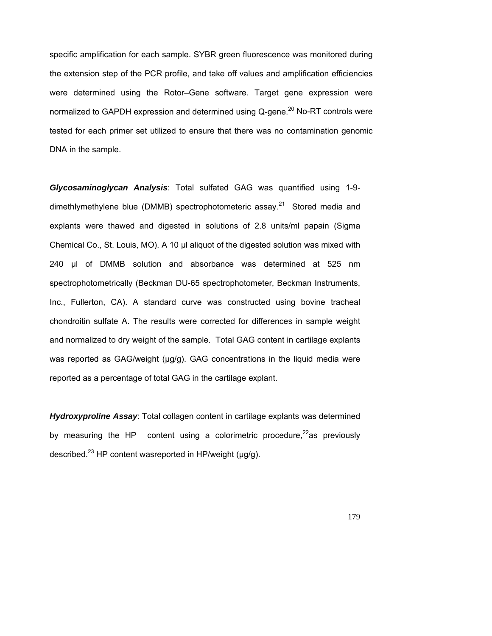specific amplification for each sample. SYBR green fluorescence was monitored during the extension step of the PCR profile, and take off values and amplification efficiencies were determined using the Rotor–Gene software. Target gene expression were normalized to GAPDH expression and determined using  $Q$ -gene.<sup>20</sup> No-RT controls were tested for each primer set utilized to ensure that there was no contamination genomic DNA in the sample.

*Glycosaminoglycan Analysis*: Total sulfated GAG was quantified using 1-9 dimethlymethylene blue (DMMB) spectrophotometeric assay.<sup>21</sup> Stored media and explants were thawed and digested in solutions of 2.8 units/ml papain (Sigma Chemical Co., St. Louis, MO). A 10 µl aliquot of the digested solution was mixed with 240 µl of DMMB solution and absorbance was determined at 525 nm spectrophotometrically (Beckman DU-65 spectrophotometer, Beckman Instruments, Inc., Fullerton, CA). A standard curve was constructed using bovine tracheal chondroitin sulfate A. The results were corrected for differences in sample weight and normalized to dry weight of the sample. Total GAG content in cartilage explants was reported as GAG/weight (μg/g). GAG concentrations in the liquid media were reported as a percentage of total GAG in the cartilage explant.

*Hydroxyproline Assay*: Total collagen content in cartilage explants was determined by measuring the HP content using a colorimetric procedure, $^{22}$ as previously described.<sup>23</sup> HP content was reported in HP/weight ( $\mu$ g/g).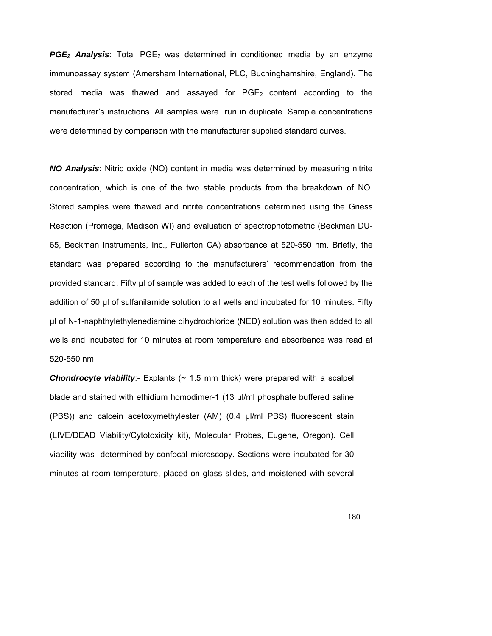**PGE<sub>2</sub> Analysis**: Total PGE<sub>2</sub> was determined in conditioned media by an enzyme immunoassay system (Amersham International, PLC, Buchinghamshire, England). The stored media was thawed and assayed for  $PGE<sub>2</sub>$  content according to the manufacturer's instructions. All samples were run in duplicate. Sample concentrations were determined by comparison with the manufacturer supplied standard curves.

*NO Analysis*: Nitric oxide (NO) content in media was determined by measuring nitrite concentration, which is one of the two stable products from the breakdown of NO. Stored samples were thawed and nitrite concentrations determined using the Griess Reaction (Promega, Madison WI) and evaluation of spectrophotometric (Beckman DU-65, Beckman Instruments, Inc., Fullerton CA) absorbance at 520-550 nm. Briefly, the standard was prepared according to the manufacturers' recommendation from the provided standard. Fifty µl of sample was added to each of the test wells followed by the addition of 50 µl of sulfanilamide solution to all wells and incubated for 10 minutes. Fifty µl of N-1-naphthylethylenediamine dihydrochloride (NED) solution was then added to all wells and incubated for 10 minutes at room temperature and absorbance was read at 520-550 nm.

**Chondrocyte viability**:- Explants (~ 1.5 mm thick) were prepared with a scalpel blade and stained with ethidium homodimer-1 (13 µl/ml phosphate buffered saline (PBS)) and calcein acetoxymethylester (AM) (0.4 µl/ml PBS) fluorescent stain (LIVE/DEAD Viability/Cytotoxicity kit), Molecular Probes, Eugene, Oregon). Cell viability was determined by confocal microscopy. Sections were incubated for 30 minutes at room temperature, placed on glass slides, and moistened with several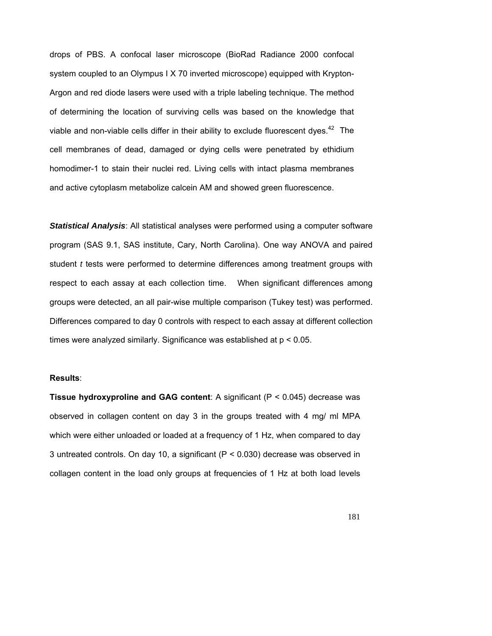drops of PBS. A confocal laser microscope (BioRad Radiance 2000 confocal system coupled to an Olympus I X 70 inverted microscope) equipped with Krypton-Argon and red diode lasers were used with a triple labeling technique. The method of determining the location of surviving cells was based on the knowledge that viable and non-viable cells differ in their ability to exclude fluorescent dyes.<sup>42</sup> The cell membranes of dead, damaged or dying cells were penetrated by ethidium homodimer-1 to stain their nuclei red. Living cells with intact plasma membranes and active cytoplasm metabolize calcein AM and showed green fluorescence.

*Statistical Analysis*: All statistical analyses were performed using a computer software program (SAS 9.1, SAS institute, Cary, North Carolina). One way ANOVA and paired student *t* tests were performed to determine differences among treatment groups with respect to each assay at each collection time. When significant differences among groups were detected, an all pair-wise multiple comparison (Tukey test) was performed. Differences compared to day 0 controls with respect to each assay at different collection times were analyzed similarly. Significance was established at p < 0.05.

## **Results**:

**Tissue hydroxyproline and GAG content**: A significant (P < 0.045) decrease was observed in collagen content on day 3 in the groups treated with 4 mg/ ml MPA which were either unloaded or loaded at a frequency of 1 Hz, when compared to day 3 untreated controls. On day 10, a significant (P < 0.030) decrease was observed in collagen content in the load only groups at frequencies of 1 Hz at both load levels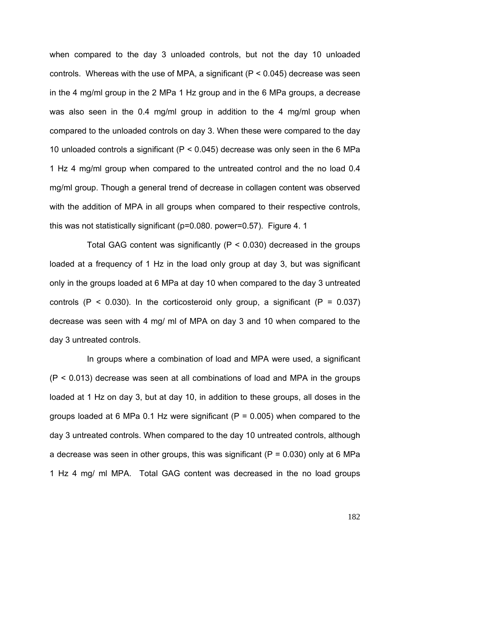when compared to the day 3 unloaded controls, but not the day 10 unloaded controls. Whereas with the use of MPA, a significant  $(P < 0.045)$  decrease was seen in the 4 mg/ml group in the 2 MPa 1 Hz group and in the 6 MPa groups, a decrease was also seen in the 0.4 mg/ml group in addition to the 4 mg/ml group when compared to the unloaded controls on day 3. When these were compared to the day 10 unloaded controls a significant ( $P < 0.045$ ) decrease was only seen in the 6 MPa 1 Hz 4 mg/ml group when compared to the untreated control and the no load 0.4 mg/ml group. Though a general trend of decrease in collagen content was observed with the addition of MPA in all groups when compared to their respective controls, this was not statistically significant (p=0.080. power=0.57). Figure 4. 1

Total GAG content was significantly ( $P < 0.030$ ) decreased in the groups loaded at a frequency of 1 Hz in the load only group at day 3, but was significant only in the groups loaded at 6 MPa at day 10 when compared to the day 3 untreated controls ( $P < 0.030$ ). In the corticosteroid only group, a significant ( $P = 0.037$ ) decrease was seen with 4 mg/ ml of MPA on day 3 and 10 when compared to the day 3 untreated controls.

In groups where a combination of load and MPA were used, a significant (P < 0.013) decrease was seen at all combinations of load and MPA in the groups loaded at 1 Hz on day 3, but at day 10, in addition to these groups, all doses in the groups loaded at 6 MPa 0.1 Hz were significant ( $P = 0.005$ ) when compared to the day 3 untreated controls. When compared to the day 10 untreated controls, although a decrease was seen in other groups, this was significant ( $P = 0.030$ ) only at 6 MPa 1 Hz 4 mg/ ml MPA. Total GAG content was decreased in the no load groups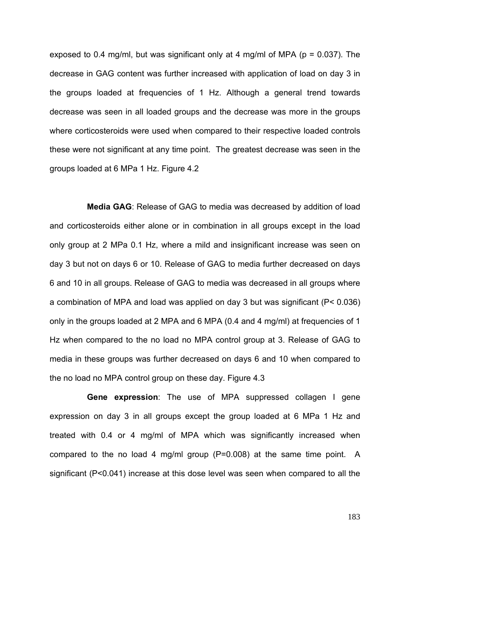exposed to 0.4 mg/ml, but was significant only at 4 mg/ml of MPA ( $p = 0.037$ ). The decrease in GAG content was further increased with application of load on day 3 in the groups loaded at frequencies of 1 Hz. Although a general trend towards decrease was seen in all loaded groups and the decrease was more in the groups where corticosteroids were used when compared to their respective loaded controls these were not significant at any time point. The greatest decrease was seen in the groups loaded at 6 MPa 1 Hz. Figure 4.2

**Media GAG**: Release of GAG to media was decreased by addition of load and corticosteroids either alone or in combination in all groups except in the load only group at 2 MPa 0.1 Hz, where a mild and insignificant increase was seen on day 3 but not on days 6 or 10. Release of GAG to media further decreased on days 6 and 10 in all groups. Release of GAG to media was decreased in all groups where a combination of MPA and load was applied on day 3 but was significant (P< 0.036) only in the groups loaded at 2 MPA and 6 MPA (0.4 and 4 mg/ml) at frequencies of 1 Hz when compared to the no load no MPA control group at 3. Release of GAG to media in these groups was further decreased on days 6 and 10 when compared to the no load no MPA control group on these day. Figure 4.3

**Gene expression**: The use of MPA suppressed collagen I gene expression on day 3 in all groups except the group loaded at 6 MPa 1 Hz and treated with 0.4 or 4 mg/ml of MPA which was significantly increased when compared to the no load 4 mg/ml group (P=0.008) at the same time point. A significant (P<0.041) increase at this dose level was seen when compared to all the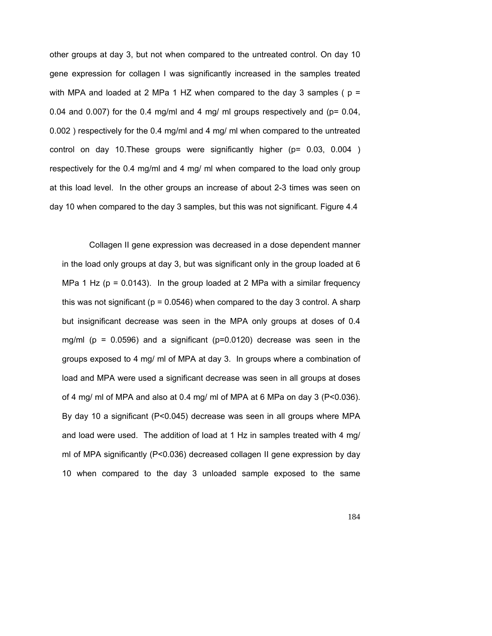other groups at day 3, but not when compared to the untreated control. On day 10 gene expression for collagen I was significantly increased in the samples treated with MPA and loaded at 2 MPa 1 HZ when compared to the day 3 samples ( $p =$ 0.04 and 0.007) for the 0.4 mg/ml and 4 mg/ ml groups respectively and ( $p = 0.04$ , 0.002 ) respectively for the 0.4 mg/ml and 4 mg/ ml when compared to the untreated control on day 10.These groups were significantly higher (p= 0.03, 0.004 ) respectively for the 0.4 mg/ml and 4 mg/ ml when compared to the load only group at this load level. In the other groups an increase of about 2-3 times was seen on day 10 when compared to the day 3 samples, but this was not significant. Figure 4.4

 Collagen II gene expression was decreased in a dose dependent manner in the load only groups at day 3, but was significant only in the group loaded at 6 MPa 1 Hz ( $p = 0.0143$ ). In the group loaded at 2 MPa with a similar frequency this was not significant ( $p = 0.0546$ ) when compared to the day 3 control. A sharp but insignificant decrease was seen in the MPA only groups at doses of 0.4 mg/ml (p = 0.0596) and a significant (p=0.0120) decrease was seen in the groups exposed to 4 mg/ ml of MPA at day 3. In groups where a combination of load and MPA were used a significant decrease was seen in all groups at doses of 4 mg/ ml of MPA and also at 0.4 mg/ ml of MPA at 6 MPa on day 3 (P<0.036). By day 10 a significant (P<0.045) decrease was seen in all groups where MPA and load were used. The addition of load at 1 Hz in samples treated with 4 mg/ ml of MPA significantly (P<0.036) decreased collagen II gene expression by day 10 when compared to the day 3 unloaded sample exposed to the same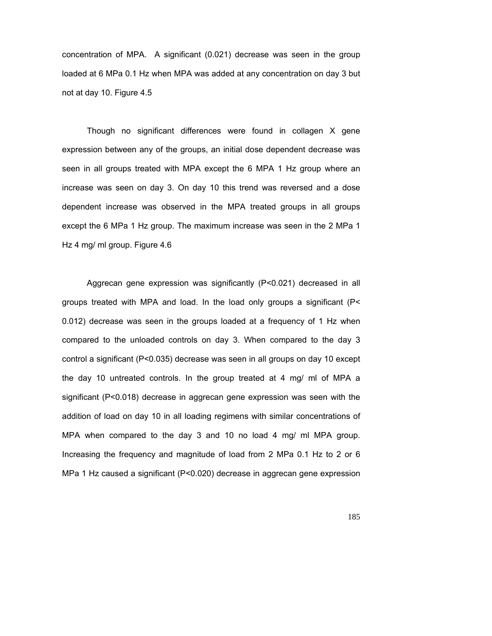concentration of MPA. A significant (0.021) decrease was seen in the group loaded at 6 MPa 0.1 Hz when MPA was added at any concentration on day 3 but not at day 10. Figure 4.5

Though no significant differences were found in collagen X gene expression between any of the groups, an initial dose dependent decrease was seen in all groups treated with MPA except the 6 MPA 1 Hz group where an increase was seen on day 3. On day 10 this trend was reversed and a dose dependent increase was observed in the MPA treated groups in all groups except the 6 MPa 1 Hz group. The maximum increase was seen in the 2 MPa 1 Hz 4 mg/ ml group. Figure 4.6

Aggrecan gene expression was significantly (P<0.021) decreased in all groups treated with MPA and load. In the load only groups a significant (P< 0.012) decrease was seen in the groups loaded at a frequency of 1 Hz when compared to the unloaded controls on day 3. When compared to the day 3 control a significant (P<0.035) decrease was seen in all groups on day 10 except the day 10 untreated controls. In the group treated at 4 mg/ ml of MPA a significant (P<0.018) decrease in aggrecan gene expression was seen with the addition of load on day 10 in all loading regimens with similar concentrations of MPA when compared to the day 3 and 10 no load 4 mg/ ml MPA group. Increasing the frequency and magnitude of load from 2 MPa 0.1 Hz to 2 or 6 MPa 1 Hz caused a significant (P<0.020) decrease in aggrecan gene expression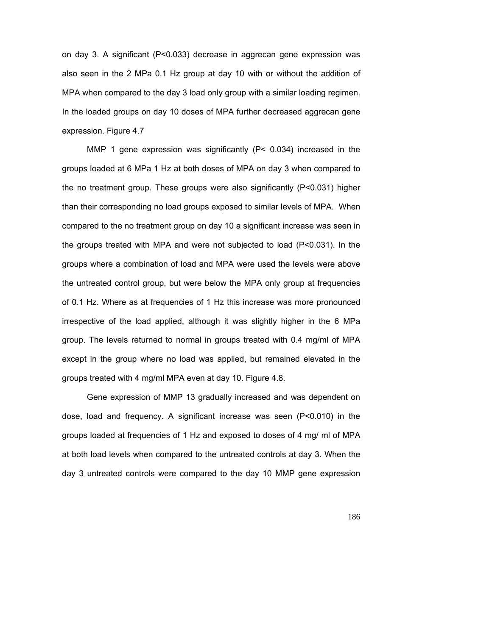on day 3. A significant (P<0.033) decrease in aggrecan gene expression was also seen in the 2 MPa 0.1 Hz group at day 10 with or without the addition of MPA when compared to the day 3 load only group with a similar loading regimen. In the loaded groups on day 10 doses of MPA further decreased aggrecan gene expression. Figure 4.7

MMP 1 gene expression was significantly (P< 0.034) increased in the groups loaded at 6 MPa 1 Hz at both doses of MPA on day 3 when compared to the no treatment group. These groups were also significantly (P<0.031) higher than their corresponding no load groups exposed to similar levels of MPA. When compared to the no treatment group on day 10 a significant increase was seen in the groups treated with MPA and were not subjected to load (P<0.031). In the groups where a combination of load and MPA were used the levels were above the untreated control group, but were below the MPA only group at frequencies of 0.1 Hz. Where as at frequencies of 1 Hz this increase was more pronounced irrespective of the load applied, although it was slightly higher in the 6 MPa group. The levels returned to normal in groups treated with 0.4 mg/ml of MPA except in the group where no load was applied, but remained elevated in the groups treated with 4 mg/ml MPA even at day 10. Figure 4.8.

Gene expression of MMP 13 gradually increased and was dependent on dose, load and frequency. A significant increase was seen (P<0.010) in the groups loaded at frequencies of 1 Hz and exposed to doses of 4 mg/ ml of MPA at both load levels when compared to the untreated controls at day 3. When the day 3 untreated controls were compared to the day 10 MMP gene expression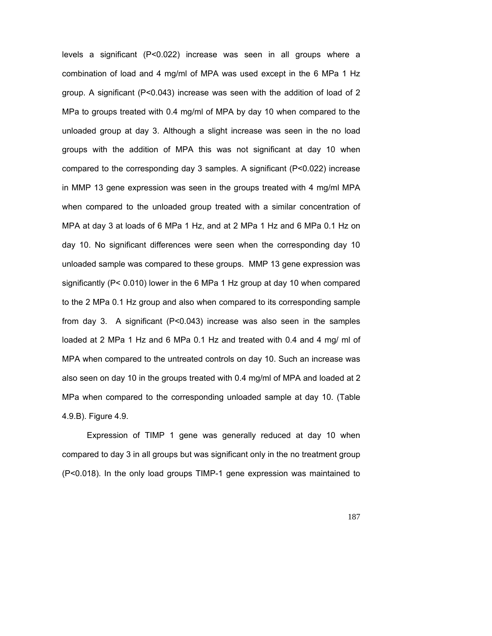levels a significant (P<0.022) increase was seen in all groups where a combination of load and 4 mg/ml of MPA was used except in the 6 MPa 1 Hz group. A significant (P<0.043) increase was seen with the addition of load of 2 MPa to groups treated with 0.4 mg/ml of MPA by day 10 when compared to the unloaded group at day 3. Although a slight increase was seen in the no load groups with the addition of MPA this was not significant at day 10 when compared to the corresponding day 3 samples. A significant (P<0.022) increase in MMP 13 gene expression was seen in the groups treated with 4 mg/ml MPA when compared to the unloaded group treated with a similar concentration of MPA at day 3 at loads of 6 MPa 1 Hz, and at 2 MPa 1 Hz and 6 MPa 0.1 Hz on day 10. No significant differences were seen when the corresponding day 10 unloaded sample was compared to these groups. MMP 13 gene expression was significantly (P< 0.010) lower in the 6 MPa 1 Hz group at day 10 when compared to the 2 MPa 0.1 Hz group and also when compared to its corresponding sample from day 3. A significant (P<0.043) increase was also seen in the samples loaded at 2 MPa 1 Hz and 6 MPa 0.1 Hz and treated with 0.4 and 4 mg/ ml of MPA when compared to the untreated controls on day 10. Such an increase was also seen on day 10 in the groups treated with 0.4 mg/ml of MPA and loaded at 2 MPa when compared to the corresponding unloaded sample at day 10. (Table 4.9.B). Figure 4.9.

Expression of TIMP 1 gene was generally reduced at day 10 when compared to day 3 in all groups but was significant only in the no treatment group (P<0.018). In the only load groups TIMP-1 gene expression was maintained to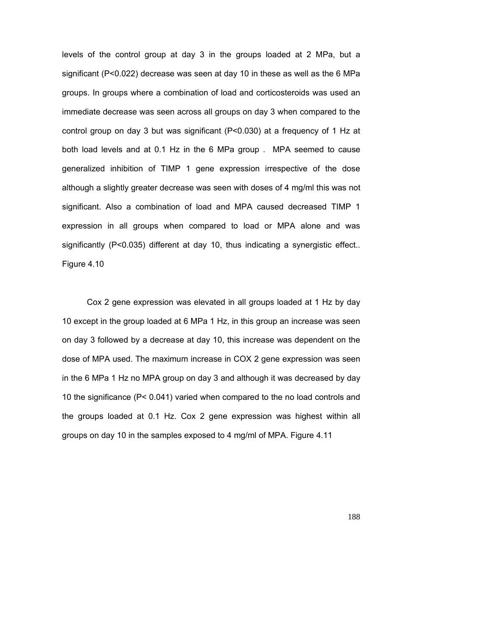levels of the control group at day 3 in the groups loaded at 2 MPa, but a significant (P<0.022) decrease was seen at day 10 in these as well as the 6 MPa groups. In groups where a combination of load and corticosteroids was used an immediate decrease was seen across all groups on day 3 when compared to the control group on day 3 but was significant (P<0.030) at a frequency of 1 Hz at both load levels and at 0.1 Hz in the 6 MPa group . MPA seemed to cause generalized inhibition of TIMP 1 gene expression irrespective of the dose although a slightly greater decrease was seen with doses of 4 mg/ml this was not significant. Also a combination of load and MPA caused decreased TIMP 1 expression in all groups when compared to load or MPA alone and was significantly (P<0.035) different at day 10, thus indicating a synergistic effect.. Figure 4.10

Cox 2 gene expression was elevated in all groups loaded at 1 Hz by day 10 except in the group loaded at 6 MPa 1 Hz, in this group an increase was seen on day 3 followed by a decrease at day 10, this increase was dependent on the dose of MPA used. The maximum increase in COX 2 gene expression was seen in the 6 MPa 1 Hz no MPA group on day 3 and although it was decreased by day 10 the significance (P< 0.041) varied when compared to the no load controls and the groups loaded at 0.1 Hz. Cox 2 gene expression was highest within all groups on day 10 in the samples exposed to 4 mg/ml of MPA. Figure 4.11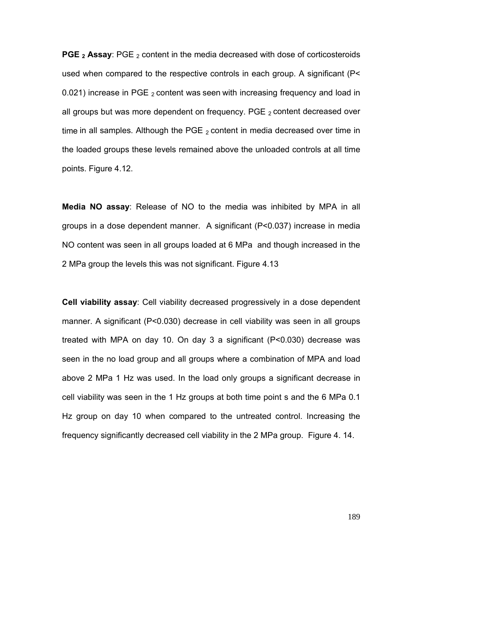**PGE <sub>2</sub> Assay:** PGE <sub>2</sub> content in the media decreased with dose of corticosteroids used when compared to the respective controls in each group. A significant (P< 0.021) increase in PGE  $_2$  content was seen with increasing frequency and load in all groups but was more dependent on frequency. PGE  $_2$  content decreased over time in all samples. Although the PGE  $_2$  content in media decreased over time in the loaded groups these levels remained above the unloaded controls at all time points. Figure 4.12.

**Media NO assay**: Release of NO to the media was inhibited by MPA in all groups in a dose dependent manner. A significant (P<0.037) increase in media NO content was seen in all groups loaded at 6 MPa and though increased in the 2 MPa group the levels this was not significant. Figure 4.13

**Cell viability assay**: Cell viability decreased progressively in a dose dependent manner. A significant (P<0.030) decrease in cell viability was seen in all groups treated with MPA on day 10. On day 3 a significant (P<0.030) decrease was seen in the no load group and all groups where a combination of MPA and load above 2 MPa 1 Hz was used. In the load only groups a significant decrease in cell viability was seen in the 1 Hz groups at both time point s and the 6 MPa 0.1 Hz group on day 10 when compared to the untreated control. Increasing the frequency significantly decreased cell viability in the 2 MPa group. Figure 4. 14.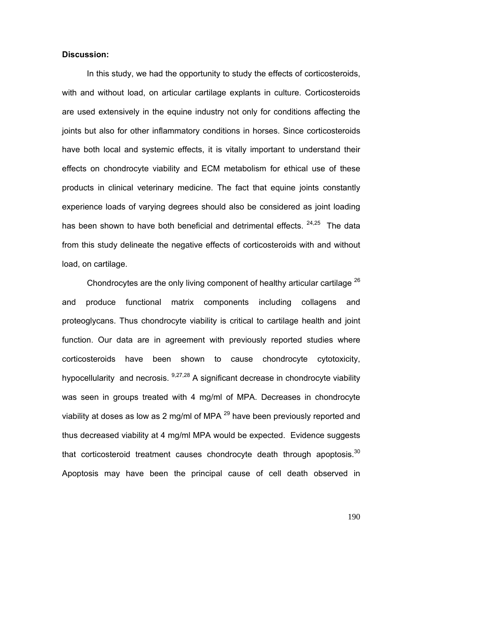## **Discussion:**

In this study, we had the opportunity to study the effects of corticosteroids, with and without load, on articular cartilage explants in culture. Corticosteroids are used extensively in the equine industry not only for conditions affecting the joints but also for other inflammatory conditions in horses. Since corticosteroids have both local and systemic effects, it is vitally important to understand their effects on chondrocyte viability and ECM metabolism for ethical use of these products in clinical veterinary medicine. The fact that equine joints constantly experience loads of varying degrees should also be considered as joint loading has been shown to have both beneficial and detrimental effects. <sup>24,25</sup> The data from this study delineate the negative effects of corticosteroids with and without load, on cartilage.

Chondrocytes are the only living component of healthy articular cartilage  $^{26}$ and produce functional matrix components including collagens and proteoglycans. Thus chondrocyte viability is critical to cartilage health and joint function. Our data are in agreement with previously reported studies where corticosteroids have been shown to cause chondrocyte cytotoxicity, hypocellularity and necrosis. <sup>9,27,28</sup> A significant decrease in chondrocyte viability was seen in groups treated with 4 mg/ml of MPA. Decreases in chondrocyte viability at doses as low as 2 mg/ml of MPA  $^{29}$  have been previously reported and thus decreased viability at 4 mg/ml MPA would be expected. Evidence suggests that corticosteroid treatment causes chondrocyte death through apoptosis. $30$ Apoptosis may have been the principal cause of cell death observed in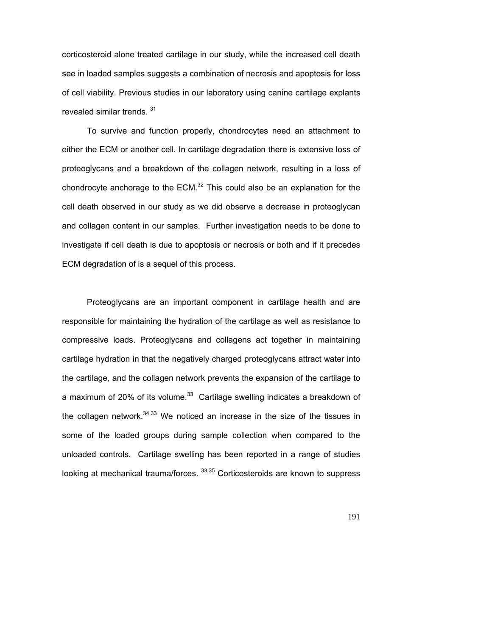corticosteroid alone treated cartilage in our study, while the increased cell death see in loaded samples suggests a combination of necrosis and apoptosis for loss of cell viability. Previous studies in our laboratory using canine cartilage explants revealed similar trends. 31

To survive and function properly, chondrocytes need an attachment to either the ECM or another cell. In cartilage degradation there is extensive loss of proteoglycans and a breakdown of the collagen network, resulting in a loss of chondrocyte anchorage to the ECM. $32$  This could also be an explanation for the cell death observed in our study as we did observe a decrease in proteoglycan and collagen content in our samples. Further investigation needs to be done to investigate if cell death is due to apoptosis or necrosis or both and if it precedes ECM degradation of is a sequel of this process.

Proteoglycans are an important component in cartilage health and are responsible for maintaining the hydration of the cartilage as well as resistance to compressive loads. Proteoglycans and collagens act together in maintaining cartilage hydration in that the negatively charged proteoglycans attract water into the cartilage, and the collagen network prevents the expansion of the cartilage to a maximum of 20% of its volume. $33$  Cartilage swelling indicates a breakdown of the collagen network. $34,33$  We noticed an increase in the size of the tissues in some of the loaded groups during sample collection when compared to the unloaded controls. Cartilage swelling has been reported in a range of studies looking at mechanical trauma/forces.  $^{33,35}$  Corticosteroids are known to suppress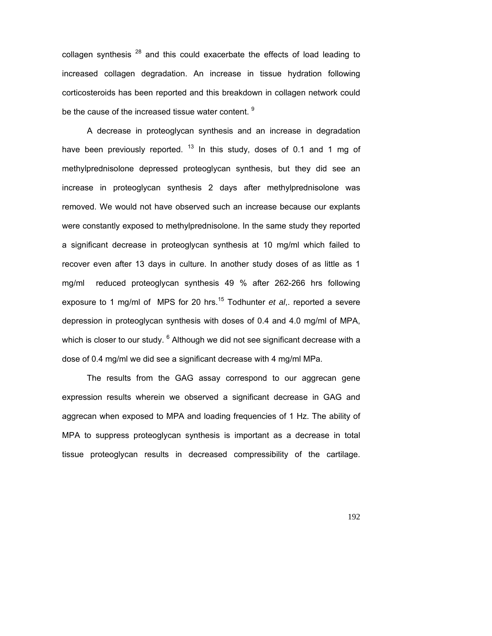collagen synthesis  $^{28}$  and this could exacerbate the effects of load leading to increased collagen degradation. An increase in tissue hydration following corticosteroids has been reported and this breakdown in collagen network could be the cause of the increased tissue water content. <sup>9</sup>

A decrease in proteoglycan synthesis and an increase in degradation have been previously reported.  $13$  In this study, doses of 0.1 and 1 mg of methylprednisolone depressed proteoglycan synthesis, but they did see an increase in proteoglycan synthesis 2 days after methylprednisolone was removed. We would not have observed such an increase because our explants were constantly exposed to methylprednisolone. In the same study they reported a significant decrease in proteoglycan synthesis at 10 mg/ml which failed to recover even after 13 days in culture. In another study doses of as little as 1 mg/ml reduced proteoglycan synthesis 49 % after 262-266 hrs following exposure to 1 mg/ml of MPS for 20 hrs.<sup>15</sup> Todhunter *et al*,. reported a severe depression in proteoglycan synthesis with doses of 0.4 and 4.0 mg/ml of MPA, which is closer to our study.  $^6$  Although we did not see significant decrease with a dose of 0.4 mg/ml we did see a significant decrease with 4 mg/ml MPa.

The results from the GAG assay correspond to our aggrecan gene expression results wherein we observed a significant decrease in GAG and aggrecan when exposed to MPA and loading frequencies of 1 Hz. The ability of MPA to suppress proteoglycan synthesis is important as a decrease in total tissue proteoglycan results in decreased compressibility of the cartilage.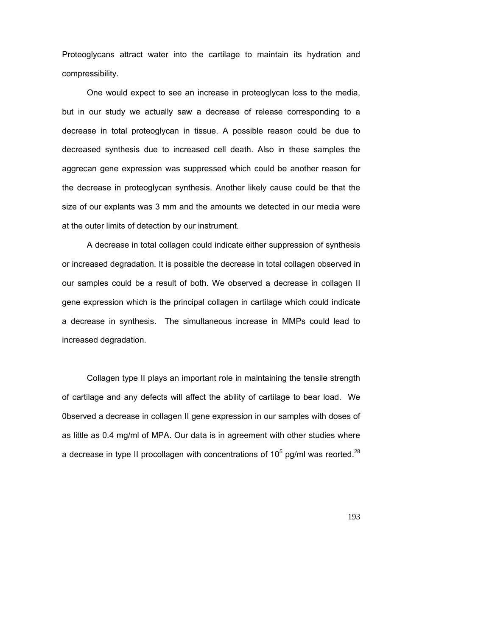Proteoglycans attract water into the cartilage to maintain its hydration and compressibility.

One would expect to see an increase in proteoglycan loss to the media, but in our study we actually saw a decrease of release corresponding to a decrease in total proteoglycan in tissue. A possible reason could be due to decreased synthesis due to increased cell death. Also in these samples the aggrecan gene expression was suppressed which could be another reason for the decrease in proteoglycan synthesis. Another likely cause could be that the size of our explants was 3 mm and the amounts we detected in our media were at the outer limits of detection by our instrument.

A decrease in total collagen could indicate either suppression of synthesis or increased degradation. It is possible the decrease in total collagen observed in our samples could be a result of both. We observed a decrease in collagen II gene expression which is the principal collagen in cartilage which could indicate a decrease in synthesis. The simultaneous increase in MMPs could lead to increased degradation.

Collagen type II plays an important role in maintaining the tensile strength of cartilage and any defects will affect the ability of cartilage to bear load. We 0bserved a decrease in collagen II gene expression in our samples with doses of as little as 0.4 mg/ml of MPA. Our data is in agreement with other studies where a decrease in type II procollagen with concentrations of 10<sup>5</sup> pg/ml was reorted.<sup>28</sup>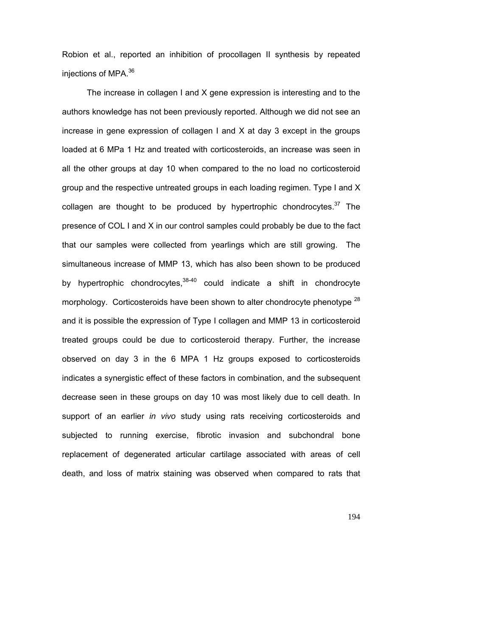Robion et al., reported an inhibition of procollagen II synthesis by repeated injections of MPA.<sup>36</sup>

The increase in collagen I and X gene expression is interesting and to the authors knowledge has not been previously reported. Although we did not see an increase in gene expression of collagen I and X at day 3 except in the groups loaded at 6 MPa 1 Hz and treated with corticosteroids, an increase was seen in all the other groups at day 10 when compared to the no load no corticosteroid group and the respective untreated groups in each loading regimen. Type I and X collagen are thought to be produced by hypertrophic chondrocytes. $37$  The presence of COL I and X in our control samples could probably be due to the fact that our samples were collected from yearlings which are still growing. The simultaneous increase of MMP 13, which has also been shown to be produced by hypertrophic chondrocytes,  $38-40$  could indicate a shift in chondrocyte morphology. Corticosteroids have been shown to alter chondrocyte phenotype  $^{28}$ and it is possible the expression of Type I collagen and MMP 13 in corticosteroid treated groups could be due to corticosteroid therapy. Further, the increase observed on day 3 in the 6 MPA 1 Hz groups exposed to corticosteroids indicates a synergistic effect of these factors in combination, and the subsequent decrease seen in these groups on day 10 was most likely due to cell death. In support of an earlier *in vivo* study using rats receiving corticosteroids and subjected to running exercise, fibrotic invasion and subchondral bone replacement of degenerated articular cartilage associated with areas of cell death, and loss of matrix staining was observed when compared to rats that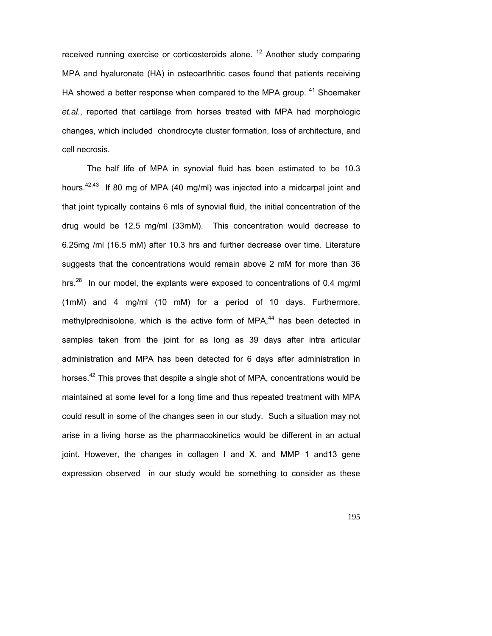received running exercise or corticosteroids alone.  $12$  Another study comparing MPA and hyaluronate (HA) in osteoarthritic cases found that patients receiving HA showed a better response when compared to the MPA group.  $41$  Shoemaker *et.al*., reported that cartilage from horses treated with MPA had morphologic changes, which included chondrocyte cluster formation, loss of architecture, and cell necrosis.

The half life of MPA in synovial fluid has been estimated to be 10.3 hours.<sup>42,43</sup> If 80 mg of MPA (40 mg/ml) was injected into a midcarpal joint and that joint typically contains 6 mls of synovial fluid, the initial concentration of the drug would be 12.5 mg/ml (33mM). This concentration would decrease to 6.25mg /ml (16.5 mM) after 10.3 hrs and further decrease over time. Literature suggests that the concentrations would remain above 2 mM for more than 36 hrs.<sup>28</sup> In our model, the explants were exposed to concentrations of 0.4 mg/ml (1mM) and 4 mg/ml (10 mM) for a period of 10 days. Furthermore, methylprednisolone, which is the active form of MPA, $44$  has been detected in samples taken from the joint for as long as 39 days after intra articular administration and MPA has been detected for 6 days after administration in horses.<sup>42</sup> This proves that despite a single shot of MPA, concentrations would be maintained at some level for a long time and thus repeated treatment with MPA could result in some of the changes seen in our study. Such a situation may not arise in a living horse as the pharmacokinetics would be different in an actual joint. However, the changes in collagen I and X, and MMP 1 and13 gene expression observed in our study would be something to consider as these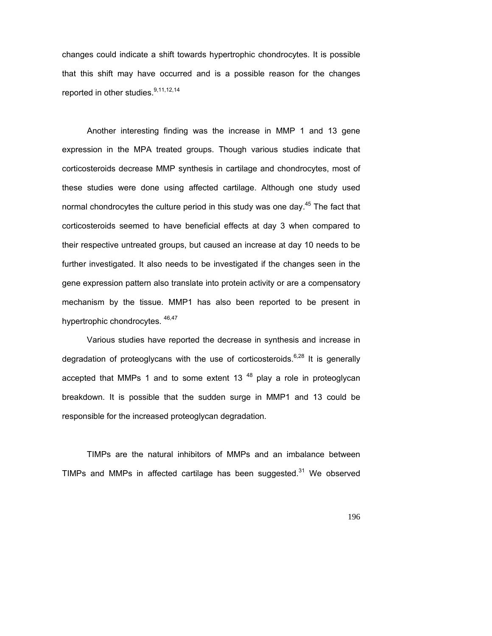changes could indicate a shift towards hypertrophic chondrocytes. It is possible that this shift may have occurred and is a possible reason for the changes reported in other studies.<sup>9,11,12,14</sup>

Another interesting finding was the increase in MMP 1 and 13 gene expression in the MPA treated groups. Though various studies indicate that corticosteroids decrease MMP synthesis in cartilage and chondrocytes, most of these studies were done using affected cartilage. Although one study used normal chondrocytes the culture period in this study was one day.<sup>45</sup> The fact that corticosteroids seemed to have beneficial effects at day 3 when compared to their respective untreated groups, but caused an increase at day 10 needs to be further investigated. It also needs to be investigated if the changes seen in the gene expression pattern also translate into protein activity or are a compensatory mechanism by the tissue. MMP1 has also been reported to be present in hypertrophic chondrocytes.  $46,47$ 

Various studies have reported the decrease in synthesis and increase in degradation of proteoglycans with the use of corticosteroids.<sup>6,28</sup> It is generally accepted that MMPs 1 and to some extent 13 $48$  play a role in proteoglycan breakdown. It is possible that the sudden surge in MMP1 and 13 could be responsible for the increased proteoglycan degradation.

TIMPs are the natural inhibitors of MMPs and an imbalance between TIMPs and MMPs in affected cartilage has been suggested.<sup>31</sup> We observed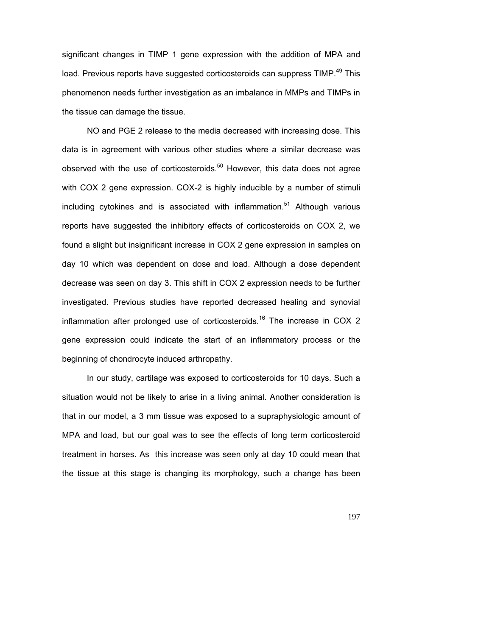significant changes in TIMP 1 gene expression with the addition of MPA and load. Previous reports have suggested corticosteroids can suppress TIMP.<sup>49</sup> This phenomenon needs further investigation as an imbalance in MMPs and TIMPs in the tissue can damage the tissue.

NO and PGE 2 release to the media decreased with increasing dose. This data is in agreement with various other studies where a similar decrease was observed with the use of corticosteroids.<sup>50</sup> However, this data does not agree with COX 2 gene expression. COX-2 is highly inducible by a number of stimuli including cytokines and is associated with inflammation.<sup>51</sup> Although various reports have suggested the inhibitory effects of corticosteroids on COX 2, we found a slight but insignificant increase in COX 2 gene expression in samples on day 10 which was dependent on dose and load. Although a dose dependent decrease was seen on day 3. This shift in COX 2 expression needs to be further investigated. Previous studies have reported decreased healing and synovial inflammation after prolonged use of corticosteroids.<sup>16</sup> The increase in COX 2 gene expression could indicate the start of an inflammatory process or the beginning of chondrocyte induced arthropathy.

 In our study, cartilage was exposed to corticosteroids for 10 days. Such a situation would not be likely to arise in a living animal. Another consideration is that in our model, a 3 mm tissue was exposed to a supraphysiologic amount of MPA and load, but our goal was to see the effects of long term corticosteroid treatment in horses. As this increase was seen only at day 10 could mean that the tissue at this stage is changing its morphology, such a change has been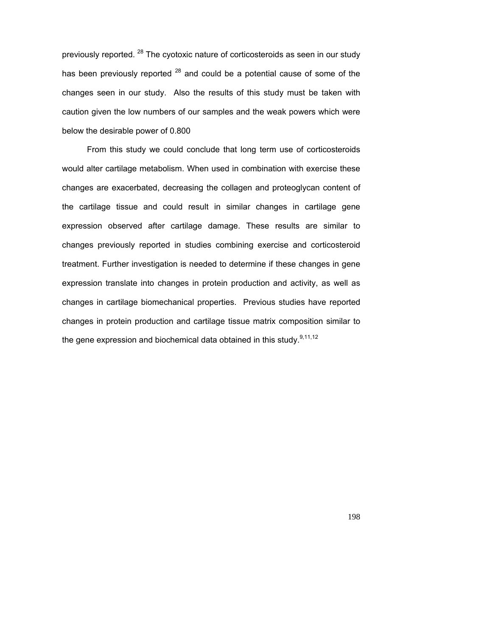previously reported. <sup>28</sup> The cyotoxic nature of corticosteroids as seen in our study has been previously reported  $^{28}$  and could be a potential cause of some of the changes seen in our study. Also the results of this study must be taken with caution given the low numbers of our samples and the weak powers which were below the desirable power of 0.800

From this study we could conclude that long term use of corticosteroids would alter cartilage metabolism. When used in combination with exercise these changes are exacerbated, decreasing the collagen and proteoglycan content of the cartilage tissue and could result in similar changes in cartilage gene expression observed after cartilage damage. These results are similar to changes previously reported in studies combining exercise and corticosteroid treatment. Further investigation is needed to determine if these changes in gene expression translate into changes in protein production and activity, as well as changes in cartilage biomechanical properties. Previous studies have reported changes in protein production and cartilage tissue matrix composition similar to the gene expression and biochemical data obtained in this study.<sup>9,11,12</sup>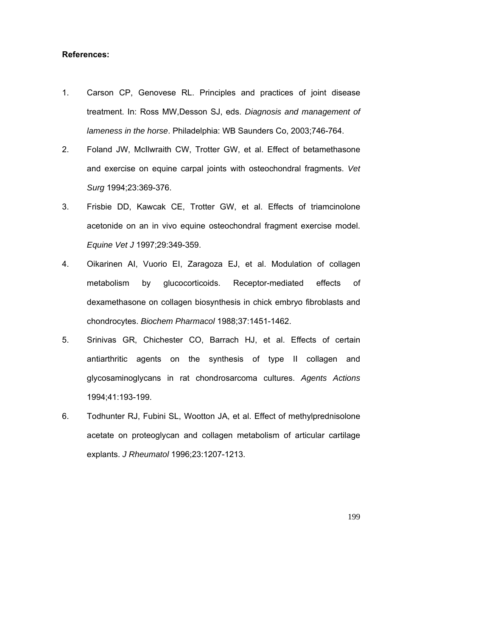### **References:**

- 1. Carson CP, Genovese RL. Principles and practices of joint disease treatment. In: Ross MW,Desson SJ, eds. *Diagnosis and management of lameness in the horse*. Philadelphia: WB Saunders Co, 2003;746-764.
- 2. Foland JW, McIlwraith CW, Trotter GW, et al. Effect of betamethasone and exercise on equine carpal joints with osteochondral fragments. *Vet Surg* 1994;23:369-376.
- 3. Frisbie DD, Kawcak CE, Trotter GW, et al. Effects of triamcinolone acetonide on an in vivo equine osteochondral fragment exercise model. *Equine Vet J* 1997;29:349-359.
- 4. Oikarinen AI, Vuorio EI, Zaragoza EJ, et al. Modulation of collagen metabolism by glucocorticoids. Receptor-mediated effects of dexamethasone on collagen biosynthesis in chick embryo fibroblasts and chondrocytes. *Biochem Pharmacol* 1988;37:1451-1462.
- 5. Srinivas GR, Chichester CO, Barrach HJ, et al. Effects of certain antiarthritic agents on the synthesis of type II collagen and glycosaminoglycans in rat chondrosarcoma cultures. *Agents Actions* 1994;41:193-199.
- 6. Todhunter RJ, Fubini SL, Wootton JA, et al. Effect of methylprednisolone acetate on proteoglycan and collagen metabolism of articular cartilage explants. *J Rheumatol* 1996;23:1207-1213.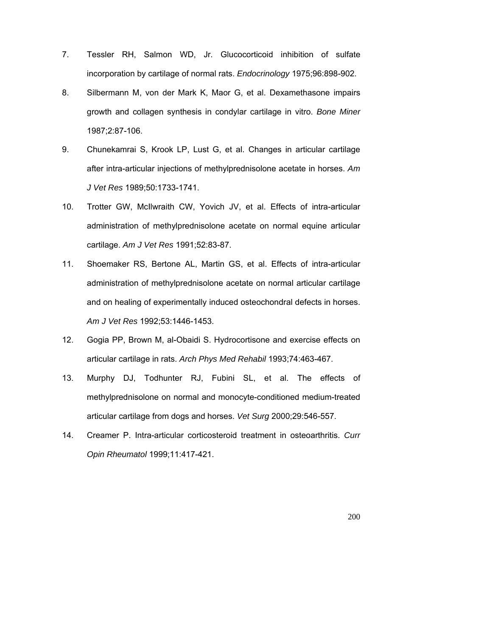- 7. Tessler RH, Salmon WD, Jr. Glucocorticoid inhibition of sulfate incorporation by cartilage of normal rats. *Endocrinology* 1975;96:898-902.
- 8. Silbermann M, von der Mark K, Maor G, et al. Dexamethasone impairs growth and collagen synthesis in condylar cartilage in vitro. *Bone Miner* 1987;2:87-106.
- 9. Chunekamrai S, Krook LP, Lust G, et al. Changes in articular cartilage after intra-articular injections of methylprednisolone acetate in horses. *Am J Vet Res* 1989;50:1733-1741.
- 10. Trotter GW, McIlwraith CW, Yovich JV, et al. Effects of intra-articular administration of methylprednisolone acetate on normal equine articular cartilage. *Am J Vet Res* 1991;52:83-87.
- 11. Shoemaker RS, Bertone AL, Martin GS, et al. Effects of intra-articular administration of methylprednisolone acetate on normal articular cartilage and on healing of experimentally induced osteochondral defects in horses. *Am J Vet Res* 1992;53:1446-1453.
- 12. Gogia PP, Brown M, al-Obaidi S. Hydrocortisone and exercise effects on articular cartilage in rats. *Arch Phys Med Rehabil* 1993;74:463-467.
- 13. Murphy DJ, Todhunter RJ, Fubini SL, et al. The effects of methylprednisolone on normal and monocyte-conditioned medium-treated articular cartilage from dogs and horses. *Vet Surg* 2000;29:546-557.
- 14. Creamer P. Intra-articular corticosteroid treatment in osteoarthritis. *Curr Opin Rheumatol* 1999;11:417-421.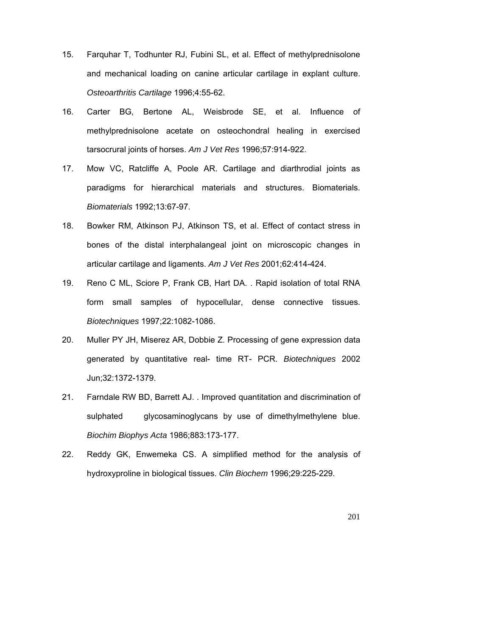- 15. Farquhar T, Todhunter RJ, Fubini SL, et al. Effect of methylprednisolone and mechanical loading on canine articular cartilage in explant culture. *Osteoarthritis Cartilage* 1996;4:55-62.
- 16. Carter BG, Bertone AL, Weisbrode SE, et al. Influence of methylprednisolone acetate on osteochondral healing in exercised tarsocrural joints of horses. *Am J Vet Res* 1996;57:914-922.
- 17. Mow VC, Ratcliffe A, Poole AR. Cartilage and diarthrodial joints as paradigms for hierarchical materials and structures. Biomaterials. *Biomaterials* 1992;13:67-97.
- 18. Bowker RM, Atkinson PJ, Atkinson TS, et al. Effect of contact stress in bones of the distal interphalangeal joint on microscopic changes in articular cartilage and ligaments. *Am J Vet Res* 2001;62:414-424.
- 19. Reno C ML, Sciore P, Frank CB, Hart DA. . Rapid isolation of total RNA form small samples of hypocellular, dense connective tissues. *Biotechniques* 1997;22:1082-1086.
- 20. Muller PY JH, Miserez AR, Dobbie Z. Processing of gene expression data generated by quantitative real- time RT- PCR. *Biotechniques* 2002 Jun;32:1372-1379.
- 21. Farndale RW BD, Barrett AJ. . Improved quantitation and discrimination of sulphated glycosaminoglycans by use of dimethylmethylene blue. *Biochim Biophys Acta* 1986;883:173-177.
- 22. Reddy GK, Enwemeka CS. A simplified method for the analysis of hydroxyproline in biological tissues. *Clin Biochem* 1996;29:225-229.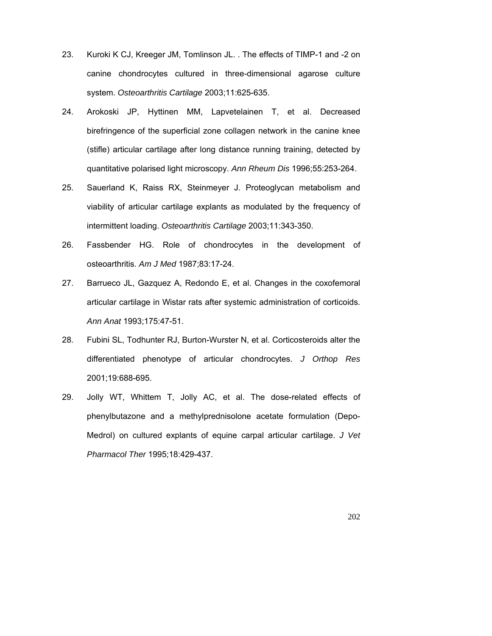- 23. Kuroki K CJ, Kreeger JM, Tomlinson JL. . The effects of TIMP-1 and -2 on canine chondrocytes cultured in three-dimensional agarose culture system. *Osteoarthritis Cartilage* 2003;11:625-635.
- 24. Arokoski JP, Hyttinen MM, Lapvetelainen T, et al. Decreased birefringence of the superficial zone collagen network in the canine knee (stifle) articular cartilage after long distance running training, detected by quantitative polarised light microscopy. *Ann Rheum Dis* 1996;55:253-264.
- 25. Sauerland K, Raiss RX, Steinmeyer J. Proteoglycan metabolism and viability of articular cartilage explants as modulated by the frequency of intermittent loading. *Osteoarthritis Cartilage* 2003;11:343-350.
- 26. Fassbender HG. Role of chondrocytes in the development of osteoarthritis. *Am J Med* 1987;83:17-24.
- 27. Barrueco JL, Gazquez A, Redondo E, et al. Changes in the coxofemoral articular cartilage in Wistar rats after systemic administration of corticoids. *Ann Anat* 1993;175:47-51.
- 28. Fubini SL, Todhunter RJ, Burton-Wurster N, et al. Corticosteroids alter the differentiated phenotype of articular chondrocytes. *J Orthop Res* 2001;19:688-695.
- 29. Jolly WT, Whittem T, Jolly AC, et al. The dose-related effects of phenylbutazone and a methylprednisolone acetate formulation (Depo-Medrol) on cultured explants of equine carpal articular cartilage. *J Vet Pharmacol Ther* 1995;18:429-437.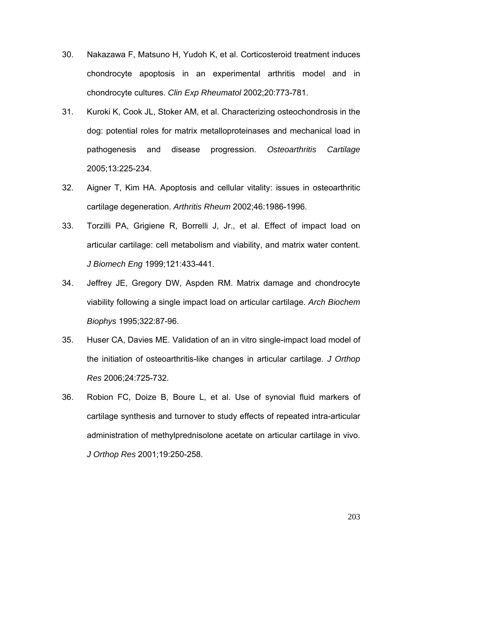- 30. Nakazawa F, Matsuno H, Yudoh K, et al. Corticosteroid treatment induces chondrocyte apoptosis in an experimental arthritis model and in chondrocyte cultures. *Clin Exp Rheumatol* 2002;20:773-781.
- 31. Kuroki K, Cook JL, Stoker AM, et al. Characterizing osteochondrosis in the dog: potential roles for matrix metalloproteinases and mechanical load in pathogenesis and disease progression. *Osteoarthritis Cartilage* 2005;13:225-234.
- 32. Aigner T, Kim HA. Apoptosis and cellular vitality: issues in osteoarthritic cartilage degeneration. *Arthritis Rheum* 2002;46:1986-1996.
- 33. Torzilli PA, Grigiene R, Borrelli J, Jr., et al. Effect of impact load on articular cartilage: cell metabolism and viability, and matrix water content. *J Biomech Eng* 1999;121:433-441.
- 34. Jeffrey JE, Gregory DW, Aspden RM. Matrix damage and chondrocyte viability following a single impact load on articular cartilage. *Arch Biochem Biophys* 1995;322:87-96.
- 35. Huser CA, Davies ME. Validation of an in vitro single-impact load model of the initiation of osteoarthritis-like changes in articular cartilage. *J Orthop Res* 2006;24:725-732.
- 36. Robion FC, Doize B, Boure L, et al. Use of synovial fluid markers of cartilage synthesis and turnover to study effects of repeated intra-articular administration of methylprednisolone acetate on articular cartilage in vivo. *J Orthop Res* 2001;19:250-258.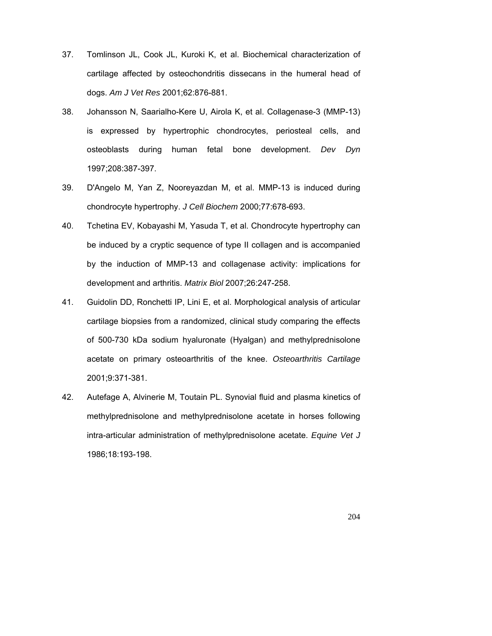- 37. Tomlinson JL, Cook JL, Kuroki K, et al. Biochemical characterization of cartilage affected by osteochondritis dissecans in the humeral head of dogs. *Am J Vet Res* 2001;62:876-881.
- 38. Johansson N, Saarialho-Kere U, Airola K, et al. Collagenase-3 (MMP-13) is expressed by hypertrophic chondrocytes, periosteal cells, and osteoblasts during human fetal bone development. *Dev Dyn* 1997;208:387-397.
- 39. D'Angelo M, Yan Z, Nooreyazdan M, et al. MMP-13 is induced during chondrocyte hypertrophy. *J Cell Biochem* 2000;77:678-693.
- 40. Tchetina EV, Kobayashi M, Yasuda T, et al. Chondrocyte hypertrophy can be induced by a cryptic sequence of type II collagen and is accompanied by the induction of MMP-13 and collagenase activity: implications for development and arthritis. *Matrix Biol* 2007;26:247-258.
- 41. Guidolin DD, Ronchetti IP, Lini E, et al. Morphological analysis of articular cartilage biopsies from a randomized, clinical study comparing the effects of 500-730 kDa sodium hyaluronate (Hyalgan) and methylprednisolone acetate on primary osteoarthritis of the knee. *Osteoarthritis Cartilage* 2001;9:371-381.
- 42. Autefage A, Alvinerie M, Toutain PL. Synovial fluid and plasma kinetics of methylprednisolone and methylprednisolone acetate in horses following intra-articular administration of methylprednisolone acetate. *Equine Vet J* 1986;18:193-198.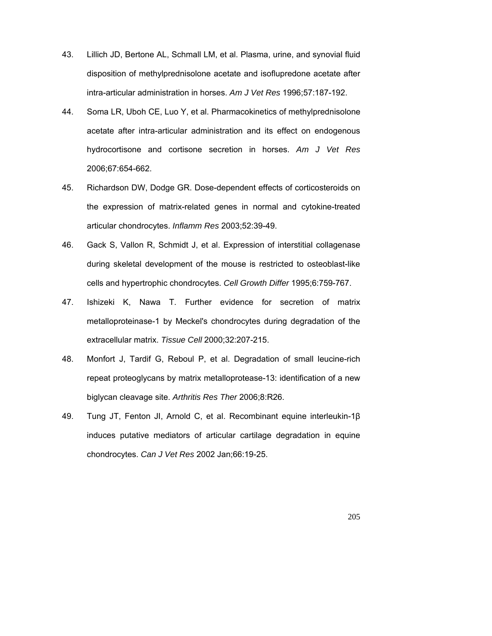- 43. Lillich JD, Bertone AL, Schmall LM, et al. Plasma, urine, and synovial fluid disposition of methylprednisolone acetate and isoflupredone acetate after intra-articular administration in horses. *Am J Vet Res* 1996;57:187-192.
- 44. Soma LR, Uboh CE, Luo Y, et al. Pharmacokinetics of methylprednisolone acetate after intra-articular administration and its effect on endogenous hydrocortisone and cortisone secretion in horses. *Am J Vet Res* 2006;67:654-662.
- 45. Richardson DW, Dodge GR. Dose-dependent effects of corticosteroids on the expression of matrix-related genes in normal and cytokine-treated articular chondrocytes. *Inflamm Res* 2003;52:39-49.
- 46. Gack S, Vallon R, Schmidt J, et al. Expression of interstitial collagenase during skeletal development of the mouse is restricted to osteoblast-like cells and hypertrophic chondrocytes. *Cell Growth Differ* 1995;6:759-767.
- 47. Ishizeki K, Nawa T. Further evidence for secretion of matrix metalloproteinase-1 by Meckel's chondrocytes during degradation of the extracellular matrix. *Tissue Cell* 2000;32:207-215.
- 48. Monfort J, Tardif G, Reboul P, et al. Degradation of small leucine-rich repeat proteoglycans by matrix metalloprotease-13: identification of a new biglycan cleavage site. *Arthritis Res Ther* 2006;8:R26.
- 49. Tung JT, Fenton JI, Arnold C, et al. Recombinant equine interleukin-1β induces putative mediators of articular cartilage degradation in equine chondrocytes. *Can J Vet Res* 2002 Jan;66:19-25.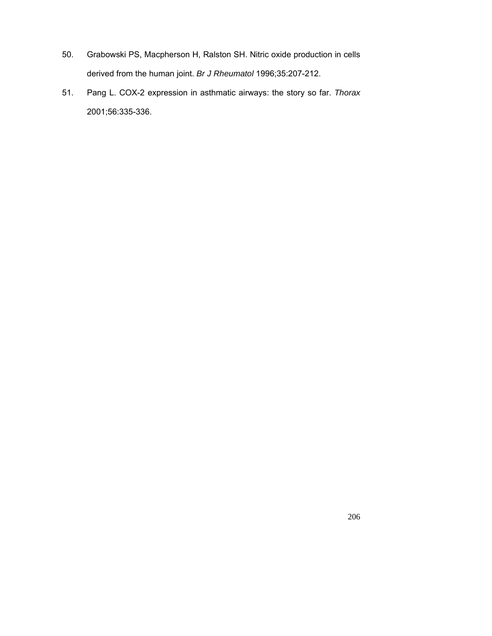- 50. Grabowski PS, Macpherson H, Ralston SH. Nitric oxide production in cells derived from the human joint. *Br J Rheumatol* 1996;35:207-212.
- 51. Pang L. COX-2 expression in asthmatic airways: the story so far. *Thorax* 2001;56:335-336.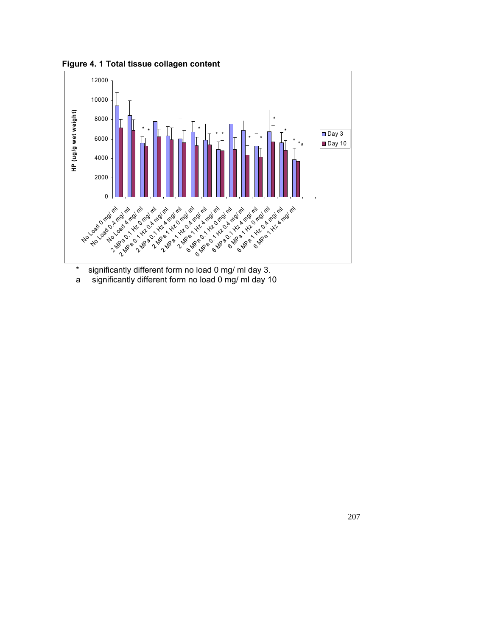**Figure 4. 1 Total tissue collagen content**



\* significantly different form no load 0 mg/ ml day 3.

a significantly different form no load 0 mg/ ml day 10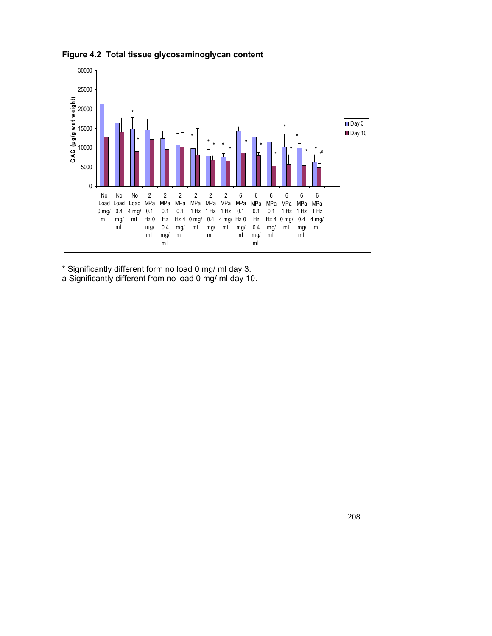

**Figure 4.2 Total tissue glycosaminoglycan content**

\* Significantly different form no load 0 mg/ ml day 3.

a Significantly different from no load 0 mg/ ml day 10.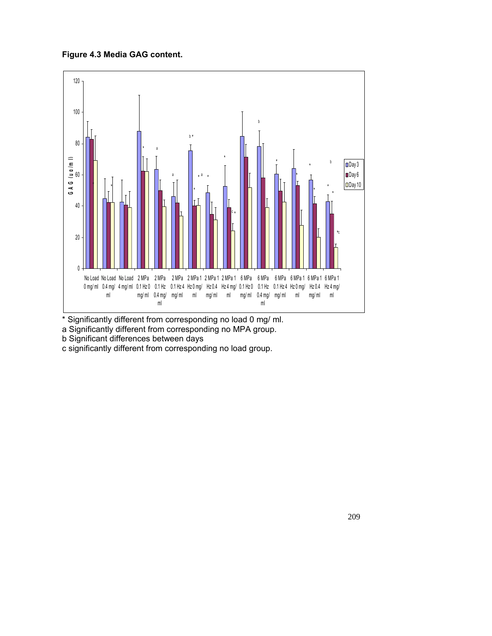**Figure 4.3 Media GAG content.**



\* Significantly different from corresponding no load 0 mg/ ml.

a Significantly different from corresponding no MPA group.

- b Significant differences between days
- c significantly different from corresponding no load group.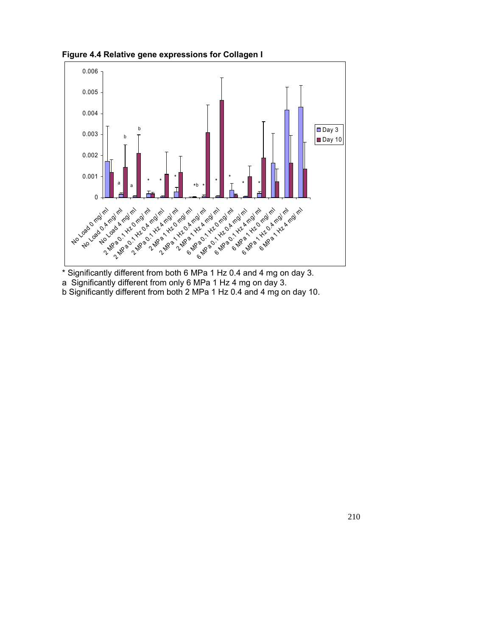**Figure 4.4 Relative gene expressions for Collagen I**



\* Significantly different from both 6 MPa 1 Hz 0.4 and 4 mg on day 3.

a Significantly different from only 6 MPa 1 Hz 4 mg on day 3.

b Significantly different from both 2 MPa 1 Hz 0.4 and 4 mg on day 10.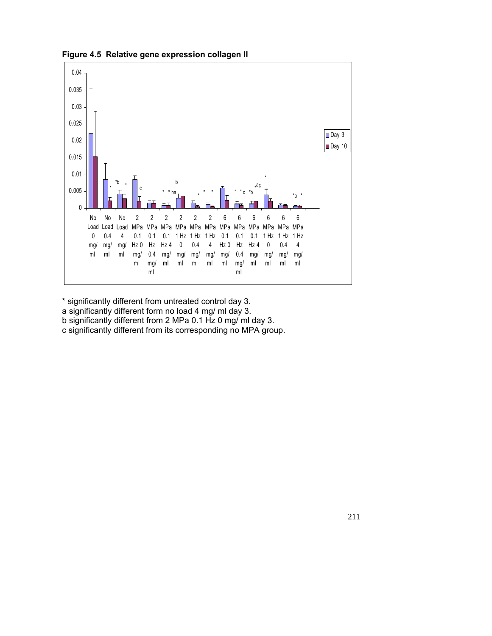

**Figure 4.5 Relative gene expression collagen II**

\* significantly different from untreated control day 3.

a significantly different form no load 4 mg/ ml day 3.

b significantly different from 2 MPa 0.1 Hz 0 mg/ ml day 3.

c significantly different from its corresponding no MPA group.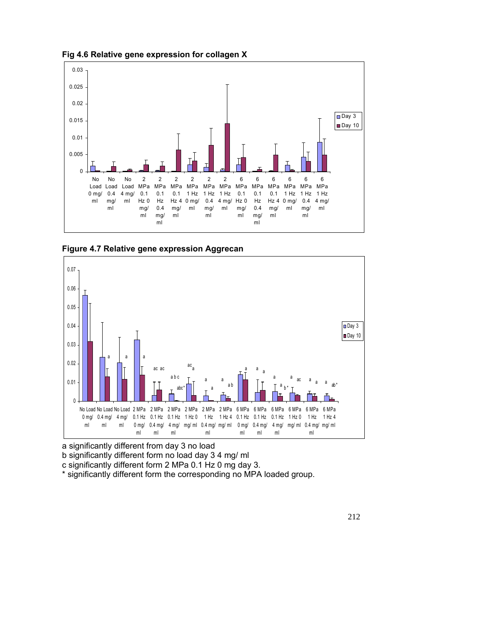

**Fig 4.6 Relative gene expression for collagen X**





a significantly different from day 3 no load

b significantly different form no load day 3 4 mg/ ml

c significantly different form 2 MPa 0.1 Hz 0 mg day 3.

\* significantly different form the corresponding no MPA loaded group.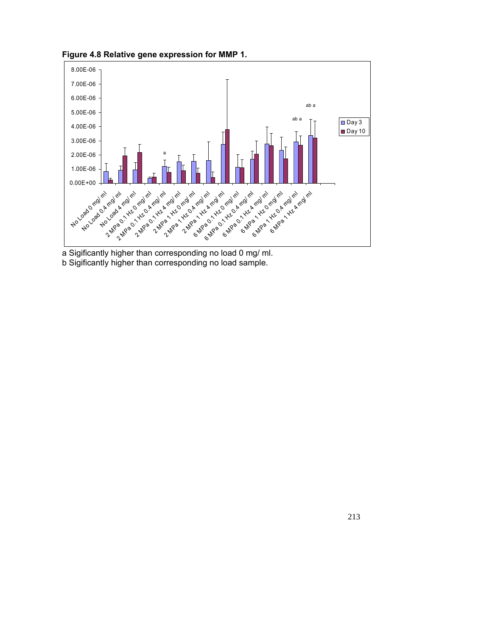**Figure 4.8 Relative gene expression for MMP 1.**



a Sigificantly higher than corresponding no load 0 mg/ ml. b Sigificantly higher than corresponding no load sample.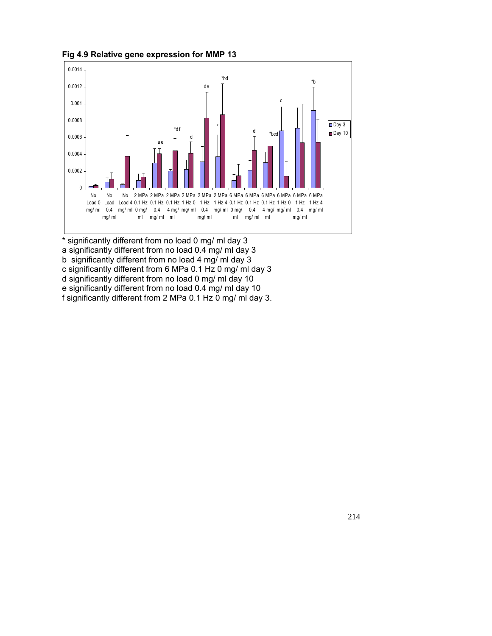

**Fig 4.9 Relative gene expression for MMP 13**

\* significantly different from no load 0 mg/ ml day 3 a significantly different from no load 0.4 mg/ ml day 3 b significantly different from no load 4 mg/ ml day 3 c significantly different from 6 MPa 0.1 Hz 0 mg/ ml day 3 d significantly different from no load 0 mg/ ml day 10 e significantly different from no load 0.4 mg/ ml day 10 f significantly different from 2 MPa 0.1 Hz 0 mg/ ml day 3.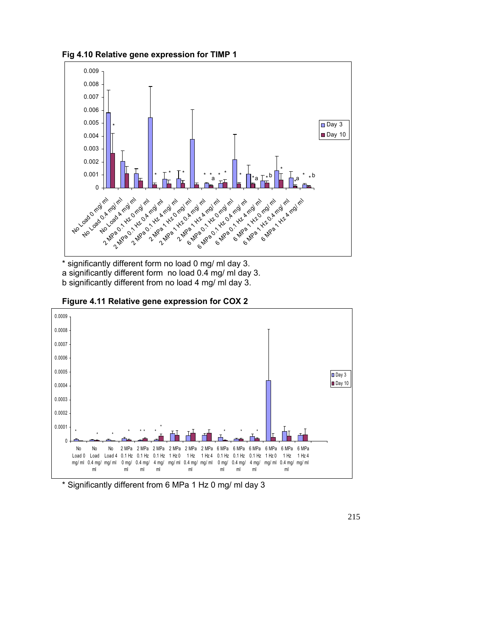**Fig 4.10 Relative gene expression for TIMP 1**



\* significantly different form no load 0 mg/ ml day 3. a significantly different form no load 0.4 mg/ ml day 3. b significantly different from no load 4 mg/ ml day 3.





\* Significantly different from 6 MPa 1 Hz 0 mg/ ml day 3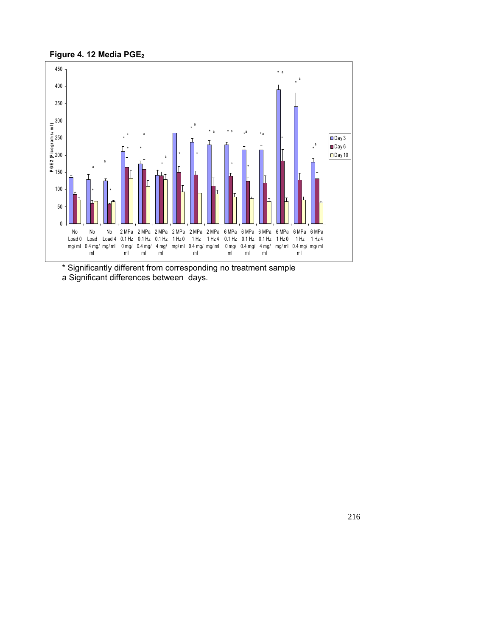



\* Significantly different from corresponding no treatment sample a Significant differences between days.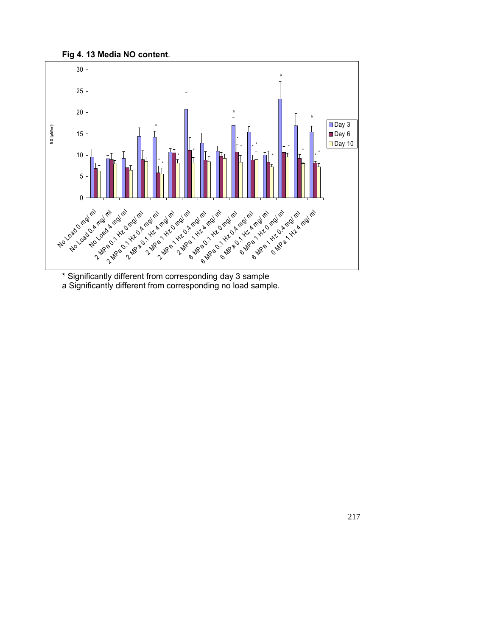



\* Significantly different from corresponding day 3 sample a Significantly different from corresponding no load sample.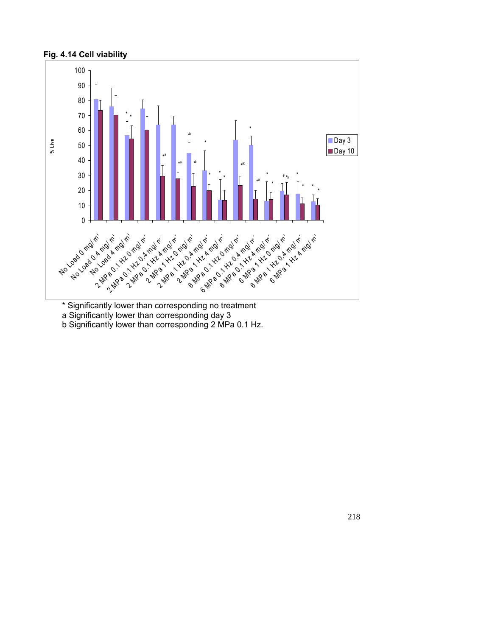## **Fig. 4.14 Cell viability**



\* Significantly lower than corresponding no treatment a Significantly lower than corresponding day 3

b Significantly lower than corresponding 2 MPa 0.1 Hz.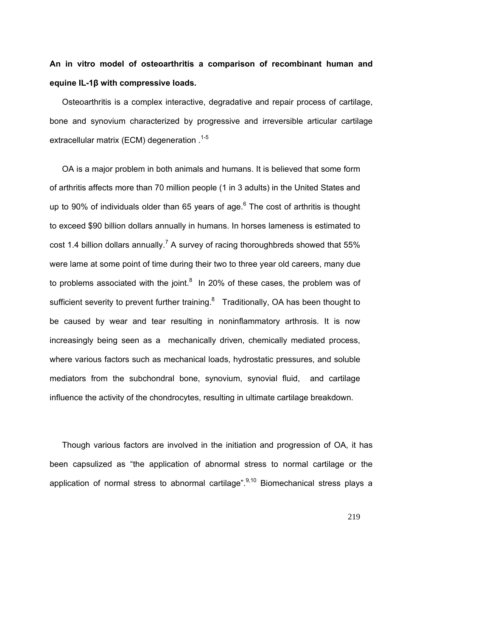# **An in vitro model of osteoarthritis a comparison of recombinant human and equine IL-1β with compressive loads.**

Osteoarthritis is a complex interactive, degradative and repair process of cartilage, bone and synovium characterized by progressive and irreversible articular cartilage extracellular matrix (ECM) degeneration .<sup>1-5</sup>

OA is a major problem in both animals and humans. It is believed that some form of arthritis affects more than 70 million people (1 in 3 adults) in the United States and up to 90% of individuals older than 65 years of age. $6$  The cost of arthritis is thought to exceed \$90 billion dollars annually in humans. In horses lameness is estimated to cost 1.4 billion dollars annually.<sup>7</sup> A survey of racing thoroughbreds showed that 55% were lame at some point of time during their two to three year old careers, many due to problems associated with the joint. $8\,$  In 20% of these cases, the problem was of sufficient severity to prevent further training. $8$  Traditionally, OA has been thought to be caused by wear and tear resulting in noninflammatory arthrosis. It is now increasingly being seen as a mechanically driven, chemically mediated process, where various factors such as mechanical loads, hydrostatic pressures, and soluble mediators from the subchondral bone, synovium, synovial fluid, and cartilage influence the activity of the chondrocytes, resulting in ultimate cartilage breakdown.

Though various factors are involved in the initiation and progression of OA, it has been capsulized as "the application of abnormal stress to normal cartilage or the application of normal stress to abnormal cartilage". $9,10$  Biomechanical stress plays a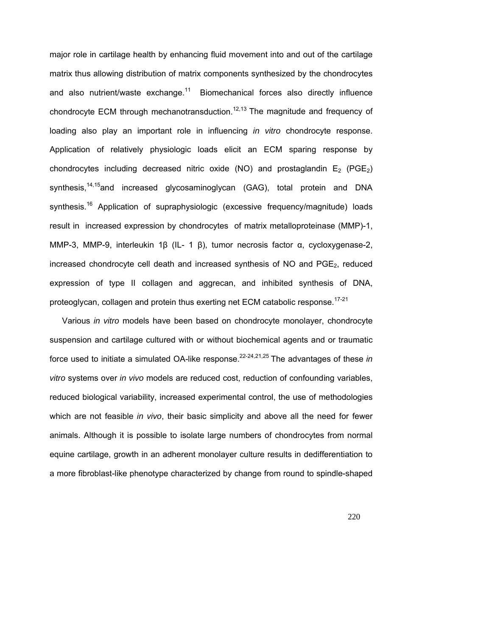major role in cartilage health by enhancing fluid movement into and out of the cartilage matrix thus allowing distribution of matrix components synthesized by the chondrocytes and also nutrient/waste exchange.<sup>11</sup> Biomechanical forces also directly influence chondrocyte ECM through mechanotransduction.<sup>12,13</sup> The magnitude and frequency of loading also play an important role in influencing *in vitro* chondrocyte response. Application of relatively physiologic loads elicit an ECM sparing response by chondrocytes including decreased nitric oxide (NO) and prostaglandin  $E_2$  (PGE<sub>2</sub>) synthesis,<sup>14,15</sup>and increased glycosaminoglycan (GAG), total protein and DNA synthesis.<sup>16</sup> Application of supraphysiologic (excessive frequency/magnitude) loads result in increased expression by chondrocytes of matrix metalloproteinase (MMP)-1, MMP-3, MMP-9, interleukin 1β (IL- 1 β), tumor necrosis factor α, cycloxygenase-2, increased chondrocyte cell death and increased synthesis of  $NO$  and  $PGE<sub>2</sub>$ , reduced expression of type II collagen and aggrecan, and inhibited synthesis of DNA, proteoglycan, collagen and protein thus exerting net ECM catabolic response.<sup>17-21</sup>

 Various *in vitro* models have been based on chondrocyte monolayer, chondrocyte suspension and cartilage cultured with or without biochemical agents and or traumatic force used to initiate a simulated OA-like response.<sup>22-24,21,25</sup> The advantages of these *in vitro* systems over *in vivo* models are reduced cost, reduction of confounding variables, reduced biological variability, increased experimental control, the use of methodologies which are not feasible *in vivo*, their basic simplicity and above all the need for fewer animals. Although it is possible to isolate large numbers of chondrocytes from normal equine cartilage, growth in an adherent monolayer culture results in dedifferentiation to a more fibroblast-like phenotype characterized by change from round to spindle-shaped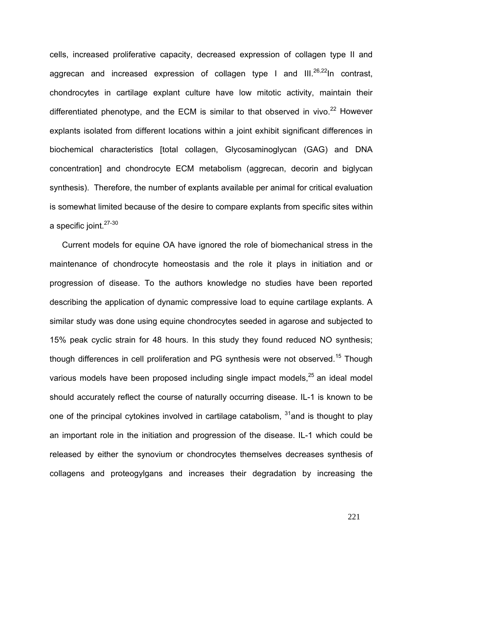cells, increased proliferative capacity, decreased expression of collagen type II and aggrecan and increased expression of collagen type I and  $III^{26,22}$ In contrast, chondrocytes in cartilage explant culture have low mitotic activity, maintain their differentiated phenotype, and the ECM is similar to that observed in vivo.<sup>22</sup> However explants isolated from different locations within a joint exhibit significant differences in biochemical characteristics [total collagen, Glycosaminoglycan (GAG) and DNA concentration] and chondrocyte ECM metabolism (aggrecan, decorin and biglycan synthesis). Therefore, the number of explants available per animal for critical evaluation is somewhat limited because of the desire to compare explants from specific sites within a specific joint.<sup>27-30</sup>

 Current models for equine OA have ignored the role of biomechanical stress in the maintenance of chondrocyte homeostasis and the role it plays in initiation and or progression of disease. To the authors knowledge no studies have been reported describing the application of dynamic compressive load to equine cartilage explants. A similar study was done using equine chondrocytes seeded in agarose and subjected to 15% peak cyclic strain for 48 hours. In this study they found reduced NO synthesis; though differences in cell proliferation and PG synthesis were not observed.<sup>15</sup> Though various models have been proposed including single impact models, $^{25}$  an ideal model should accurately reflect the course of naturally occurring disease. IL-1 is known to be one of the principal cytokines involved in cartilage catabolism,  $31$  and is thought to play an important role in the initiation and progression of the disease. IL-1 which could be released by either the synovium or chondrocytes themselves decreases synthesis of collagens and proteogylgans and increases their degradation by increasing the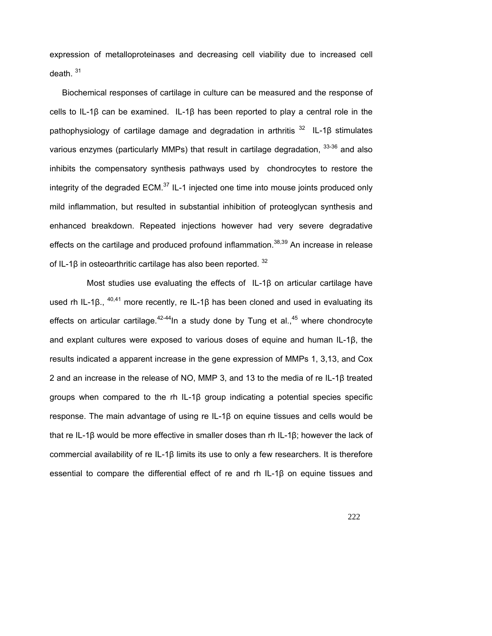expression of metalloproteinases and decreasing cell viability due to increased cell death. <sup>31</sup>

Biochemical responses of cartilage in culture can be measured and the response of cells to IL-1β can be examined. IL-1β has been reported to play a central role in the pathophysiology of cartilage damage and degradation in arthritis<sup>32</sup> IL-1β stimulates various enzymes (particularly MMPs) that result in cartilage degradation,  $33-36$  and also inhibits the compensatory synthesis pathways used by chondrocytes to restore the integrity of the degraded ECM. $^{37}$  IL-1 injected one time into mouse joints produced only mild inflammation, but resulted in substantial inhibition of proteoglycan synthesis and enhanced breakdown. Repeated injections however had very severe degradative effects on the cartilage and produced profound inflammation.<sup>38,39</sup> An increase in release of IL-1β in osteoarthritic cartilage has also been reported.  $32$ 

Most studies use evaluating the effects of IL-1β on articular cartilage have used rh IL-1β.,  $40,41$  more recently, re IL-1β has been cloned and used in evaluating its effects on articular cartilage.<sup>42-44</sup>In a study done by Tung et al.,<sup>45</sup> where chondrocyte and explant cultures were exposed to various doses of equine and human IL-1β, the results indicated a apparent increase in the gene expression of MMPs 1, 3,13, and Cox 2 and an increase in the release of NO, MMP 3, and 13 to the media of re IL-1β treated groups when compared to the rh IL-1β group indicating a potential species specific response. The main advantage of using re IL-1β on equine tissues and cells would be that re IL-1β would be more effective in smaller doses than rh IL-1β; however the lack of commercial availability of re IL-1β limits its use to only a few researchers. It is therefore essential to compare the differential effect of re and rh IL-1β on equine tissues and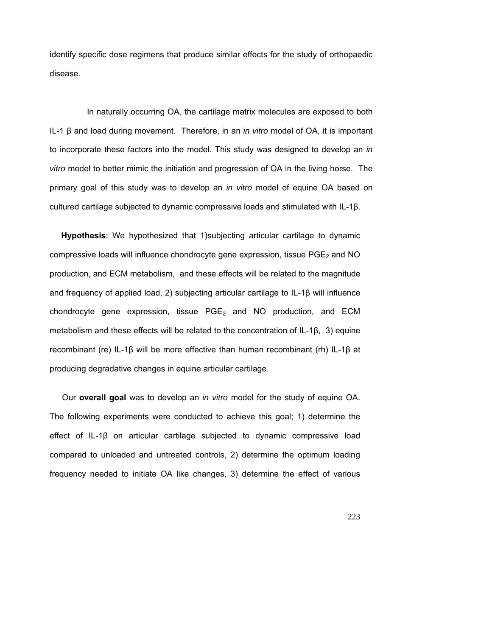identify specific dose regimens that produce similar effects for the study of orthopaedic disease.

In naturally occurring OA, the cartilage matrix molecules are exposed to both IL-1 β and load during movement. Therefore, in an *in vitro* model of OA, it is important to incorporate these factors into the model. This study was designed to develop an *in vitro* model to better mimic the initiation and progression of OA in the living horse. The primary goal of this study was to develop an *in vitro* model of equine OA based on cultured cartilage subjected to dynamic compressive loads and stimulated with IL-1β.

 **Hypothesis**: We hypothesized that 1)subjecting articular cartilage to dynamic compressive loads will influence chondrocyte gene expression, tissue  $PGE<sub>2</sub>$  and NO production, and ECM metabolism, and these effects will be related to the magnitude and frequency of applied load, 2) subjecting articular cartilage to IL-1 $\beta$  will influence chondrocyte gene expression, tissue  $PGE<sub>2</sub>$  and NO production, and ECM metabolism and these effects will be related to the concentration of IL-1β, 3) equine recombinant (re) IL-1β will be more effective than human recombinant (rh) IL-1β at producing degradative changes in equine articular cartilage.

 Our **overall goal** was to develop an *in vitro* model for the study of equine OA. The following experiments were conducted to achieve this goal; 1) determine the effect of IL-1β on articular cartilage subjected to dynamic compressive load compared to unloaded and untreated controls, 2) determine the optimum loading frequency needed to initiate OA like changes, 3) determine the effect of various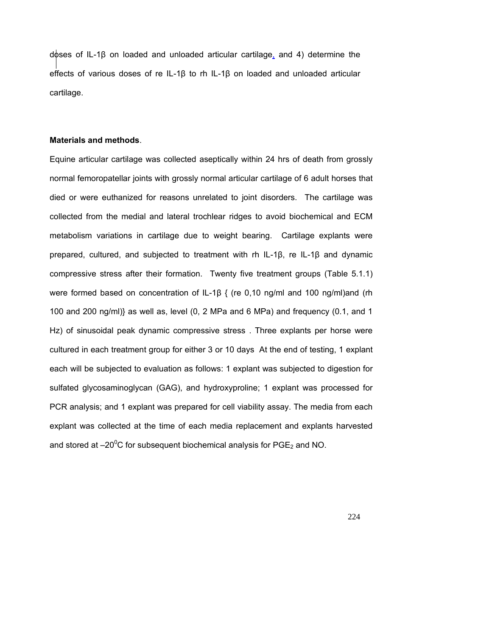doses of IL-1β on loaded and unloaded articular cartilage, and 4) determine the effects of various doses of re IL-1β to rh IL-1β on loaded and unloaded articular cartilage.

### **Materials and methods**.

Equine articular cartilage was collected aseptically within 24 hrs of death from grossly normal femoropatellar joints with grossly normal articular cartilage of 6 adult horses that died or were euthanized for reasons unrelated to joint disorders. The cartilage was collected from the medial and lateral trochlear ridges to avoid biochemical and ECM metabolism variations in cartilage due to weight bearing. Cartilage explants were prepared, cultured, and subjected to treatment with rh IL-1β, re IL-1β and dynamic compressive stress after their formation. Twenty five treatment groups (Table 5.1.1) were formed based on concentration of IL-1β { (re 0,10 ng/ml and 100 ng/ml)and (rh 100 and 200 ng/ml)} as well as, level (0, 2 MPa and 6 MPa) and frequency (0.1, and 1 Hz) of sinusoidal peak dynamic compressive stress . Three explants per horse were cultured in each treatment group for either 3 or 10 days At the end of testing, 1 explant each will be subjected to evaluation as follows: 1 explant was subjected to digestion for sulfated glycosaminoglycan (GAG), and hydroxyproline; 1 explant was processed for PCR analysis; and 1 explant was prepared for cell viability assay. The media from each explant was collected at the time of each media replacement and explants harvested and stored at  $-20^0C$  for subsequent biochemical analysis for  $PGE_2$  and NO.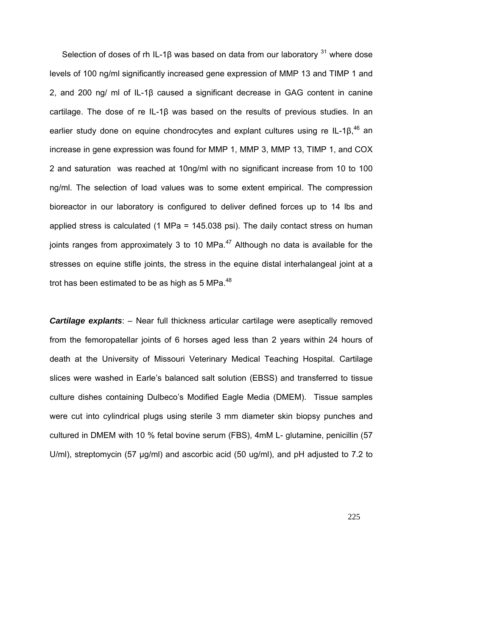Selection of doses of rh IL-1β was based on data from our laboratory  $31$  where dose levels of 100 ng/ml significantly increased gene expression of MMP 13 and TIMP 1 and 2, and 200 ng/ ml of IL-1β caused a significant decrease in GAG content in canine cartilage. The dose of re IL-1β was based on the results of previous studies. In an earlier study done on equine chondrocytes and explant cultures using re IL-1 $\beta$ ,<sup>46</sup> an increase in gene expression was found for MMP 1, MMP 3, MMP 13, TIMP 1, and COX 2 and saturation was reached at 10ng/ml with no significant increase from 10 to 100 ng/ml. The selection of load values was to some extent empirical. The compression bioreactor in our laboratory is configured to deliver defined forces up to 14 lbs and applied stress is calculated (1 MPa = 145.038 psi). The daily contact stress on human joints ranges from approximately 3 to 10 MPa. $47$  Although no data is available for the stresses on equine stifle joints, the stress in the equine distal interhalangeal joint at a trot has been estimated to be as high as 5 MPa.<sup>48</sup>

*Cartilage explants*: – Near full thickness articular cartilage were aseptically removed from the femoropatellar joints of 6 horses aged less than 2 years within 24 hours of death at the University of Missouri Veterinary Medical Teaching Hospital. Cartilage slices were washed in Earle's balanced salt solution (EBSS) and transferred to tissue culture dishes containing Dulbeco's Modified Eagle Media (DMEM). Tissue samples were cut into cylindrical plugs using sterile 3 mm diameter skin biopsy punches and cultured in DMEM with 10 % fetal bovine serum (FBS), 4mM L- glutamine, penicillin (57 U/ml), streptomycin (57 µg/ml) and ascorbic acid (50 ug/ml), and pH adjusted to 7.2 to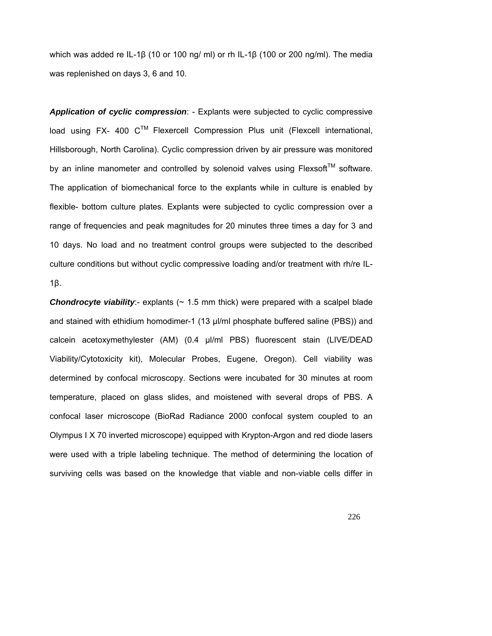which was added re IL-1β (10 or 100 ng/ ml) or rh IL-1β (100 or 200 ng/ml). The media was replenished on days 3, 6 and 10.

*Application of cyclic compression*: - Explants were subjected to cyclic compressive load using FX- 400  $C^{TM}$  Flexercell Compression Plus unit (Flexcell international, Hillsborough, North Carolina). Cyclic compression driven by air pressure was monitored by an inline manometer and controlled by solenoid valves using  $Flexsoft^{TM}$  software. The application of biomechanical force to the explants while in culture is enabled by flexible- bottom culture plates. Explants were subjected to cyclic compression over a range of frequencies and peak magnitudes for 20 minutes three times a day for 3 and 10 days. No load and no treatment control groups were subjected to the described culture conditions but without cyclic compressive loading and/or treatment with rh/re IL-1β.

**Chondrocyte viability**:- explants ( $\sim$  1.5 mm thick) were prepared with a scalpel blade and stained with ethidium homodimer-1 (13 µl/ml phosphate buffered saline (PBS)) and calcein acetoxymethylester (AM) (0.4 µl/ml PBS) fluorescent stain (LIVE/DEAD Viability/Cytotoxicity kit), Molecular Probes, Eugene, Oregon). Cell viability was determined by confocal microscopy. Sections were incubated for 30 minutes at room temperature, placed on glass slides, and moistened with several drops of PBS. A confocal laser microscope (BioRad Radiance 2000 confocal system coupled to an Olympus I X 70 inverted microscope) equipped with Krypton-Argon and red diode lasers were used with a triple labeling technique. The method of determining the location of surviving cells was based on the knowledge that viable and non-viable cells differ in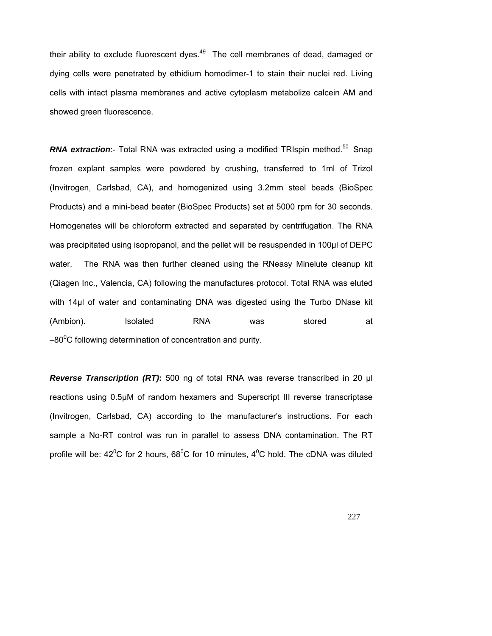their ability to exclude fluorescent dyes. $49$  The cell membranes of dead, damaged or dying cells were penetrated by ethidium homodimer-1 to stain their nuclei red. Living cells with intact plasma membranes and active cytoplasm metabolize calcein AM and showed green fluorescence.

**RNA extraction:**- Total RNA was extracted using a modified TRIspin method.<sup>50</sup> Snap frozen explant samples were powdered by crushing, transferred to 1ml of Trizol (Invitrogen, Carlsbad, CA), and homogenized using 3.2mm steel beads (BioSpec Products) and a mini-bead beater (BioSpec Products) set at 5000 rpm for 30 seconds. Homogenates will be chloroform extracted and separated by centrifugation. The RNA was precipitated using isopropanol, and the pellet will be resuspended in 100µl of DEPC water. The RNA was then further cleaned using the RNeasy Minelute cleanup kit (Qiagen Inc., Valencia, CA) following the manufactures protocol. Total RNA was eluted with 14µl of water and contaminating DNA was digested using the Turbo DNase kit (Ambion). Isolated RNA was stored at  $-80^{\circ}$ C following determination of concentration and purity.

*Reverse Transcription (RT)***:** 500 ng of total RNA was reverse transcribed in 20 µl reactions using 0.5µM of random hexamers and Superscript III reverse transcriptase (Invitrogen, Carlsbad, CA) according to the manufacturer's instructions. For each sample a No-RT control was run in parallel to assess DNA contamination. The RT profile will be:  $42^{\circ}$ C for 2 hours, 68 $^{\circ}$ C for 10 minutes,  $4^{\circ}$ C hold. The cDNA was diluted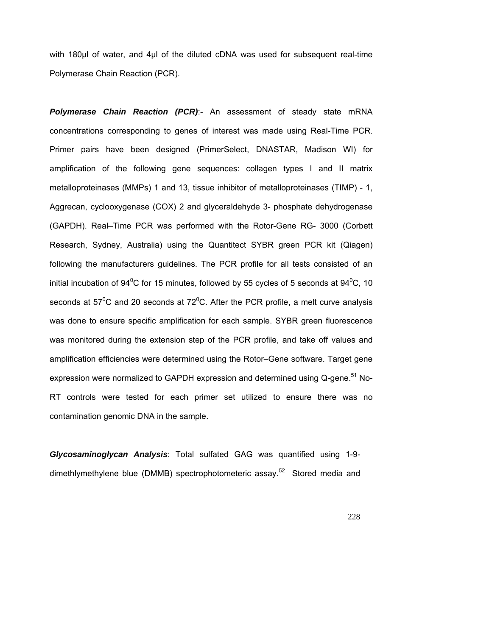with 180µl of water, and 4µl of the diluted cDNA was used for subsequent real-time Polymerase Chain Reaction (PCR).

*Polymerase Chain Reaction (PCR)*:- An assessment of steady state mRNA concentrations corresponding to genes of interest was made using Real-Time PCR. Primer pairs have been designed (PrimerSelect, DNASTAR, Madison WI) for amplification of the following gene sequences: collagen types I and II matrix metalloproteinases (MMPs) 1 and 13, tissue inhibitor of metalloproteinases (TIMP) - 1, Aggrecan, cyclooxygenase (COX) 2 and glyceraldehyde 3- phosphate dehydrogenase (GAPDH). Real–Time PCR was performed with the Rotor-Gene RG- 3000 (Corbett Research, Sydney, Australia) using the Quantitect SYBR green PCR kit (Qiagen) following the manufacturers guidelines. The PCR profile for all tests consisted of an initial incubation of 94<sup>0</sup>C for 15 minutes, followed by 55 cycles of 5 seconds at 94<sup>0</sup>C, 10 seconds at 57<sup>°</sup>C and 20 seconds at 72<sup>°</sup>C. After the PCR profile, a melt curve analysis was done to ensure specific amplification for each sample. SYBR green fluorescence was monitored during the extension step of the PCR profile, and take off values and amplification efficiencies were determined using the Rotor–Gene software. Target gene expression were normalized to GAPDH expression and determined using Q-gene.<sup>51</sup> No-RT controls were tested for each primer set utilized to ensure there was no contamination genomic DNA in the sample.

*Glycosaminoglycan Analysis*: Total sulfated GAG was quantified using 1-9 dimethlymethylene blue (DMMB) spectrophotometeric assay.<sup>52</sup> Stored media and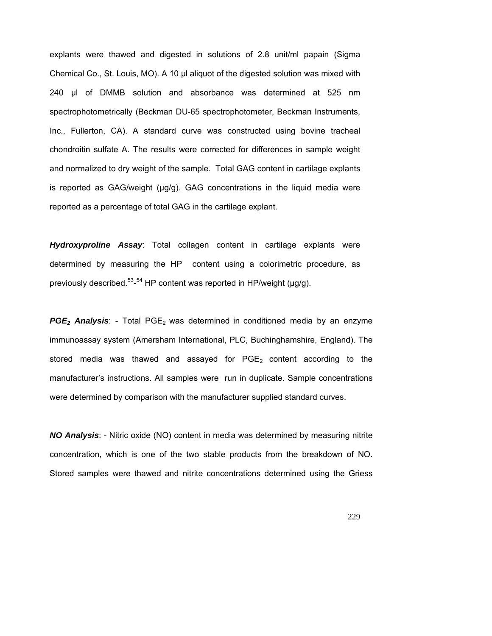explants were thawed and digested in solutions of 2.8 unit/ml papain (Sigma Chemical Co., St. Louis, MO). A 10 µl aliquot of the digested solution was mixed with 240 µl of DMMB solution and absorbance was determined at 525 nm spectrophotometrically (Beckman DU-65 spectrophotometer, Beckman Instruments, Inc., Fullerton, CA). A standard curve was constructed using bovine tracheal chondroitin sulfate A. The results were corrected for differences in sample weight and normalized to dry weight of the sample. Total GAG content in cartilage explants is reported as GAG/weight (μg/g). GAG concentrations in the liquid media were reported as a percentage of total GAG in the cartilage explant.

*Hydroxyproline Assay*: Total collagen content in cartilage explants were determined by measuring the HP content using a colorimetric procedure, as previously described.<sup>53</sup>-<sup>54</sup> HP content was reported in HP/weight (µg/g).

*PGE<sub>2</sub> Analysis*: - Total PGE<sub>2</sub> was determined in conditioned media by an enzyme immunoassay system (Amersham International, PLC, Buchinghamshire, England). The stored media was thawed and assayed for  $PGE<sub>2</sub>$  content according to the manufacturer's instructions. All samples were run in duplicate. Sample concentrations were determined by comparison with the manufacturer supplied standard curves.

*NO Analysis*: - Nitric oxide (NO) content in media was determined by measuring nitrite concentration, which is one of the two stable products from the breakdown of NO. Stored samples were thawed and nitrite concentrations determined using the Griess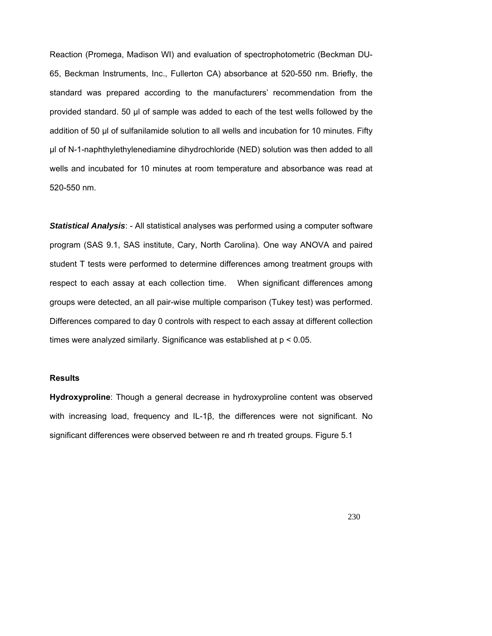Reaction (Promega, Madison WI) and evaluation of spectrophotometric (Beckman DU-65, Beckman Instruments, Inc., Fullerton CA) absorbance at 520-550 nm. Briefly, the standard was prepared according to the manufacturers' recommendation from the provided standard. 50 µl of sample was added to each of the test wells followed by the addition of 50 µl of sulfanilamide solution to all wells and incubation for 10 minutes. Fifty µl of N-1-naphthylethylenediamine dihydrochloride (NED) solution was then added to all wells and incubated for 10 minutes at room temperature and absorbance was read at 520-550 nm.

*Statistical Analysis*: - All statistical analyses was performed using a computer software program (SAS 9.1, SAS institute, Cary, North Carolina). One way ANOVA and paired student T tests were performed to determine differences among treatment groups with respect to each assay at each collection time. When significant differences among groups were detected, an all pair-wise multiple comparison (Tukey test) was performed. Differences compared to day 0 controls with respect to each assay at different collection times were analyzed similarly. Significance was established at p < 0.05.

### **Results**

**Hydroxyproline**: Though a general decrease in hydroxyproline content was observed with increasing load, frequency and IL-1β, the differences were not significant. No significant differences were observed between re and rh treated groups. Figure 5.1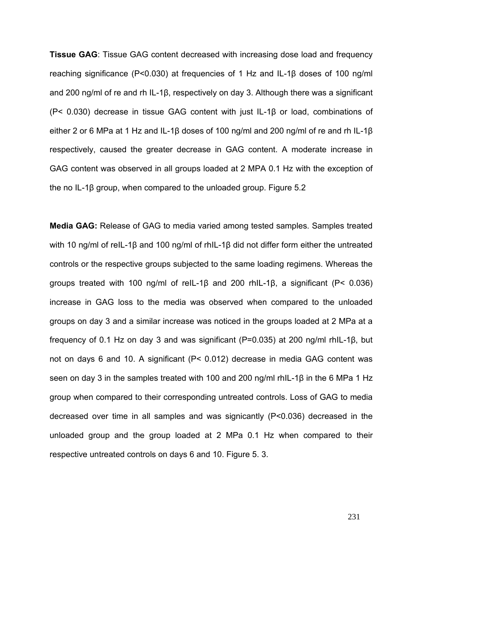**Tissue GAG**: Tissue GAG content decreased with increasing dose load and frequency reaching significance (P<0.030) at frequencies of 1 Hz and IL-1β doses of 100 ng/ml and 200 ng/ml of re and rh IL-1β, respectively on day 3. Although there was a significant (P< 0.030) decrease in tissue GAG content with just IL-1β or load, combinations of either 2 or 6 MPa at 1 Hz and IL-1β doses of 100 ng/ml and 200 ng/ml of re and rh IL-1β respectively, caused the greater decrease in GAG content. A moderate increase in GAG content was observed in all groups loaded at 2 MPA 0.1 Hz with the exception of the no IL-1β group, when compared to the unloaded group. Figure 5.2

**Media GAG:** Release of GAG to media varied among tested samples. Samples treated with 10 ng/ml of reIL-1β and 100 ng/ml of rhIL-1β did not differ form either the untreated controls or the respective groups subjected to the same loading regimens. Whereas the groups treated with 100 ng/ml of reIL-1β and 200 rhIL-1β, a significant (P< 0.036) increase in GAG loss to the media was observed when compared to the unloaded groups on day 3 and a similar increase was noticed in the groups loaded at 2 MPa at a frequency of 0.1 Hz on day 3 and was significant (P=0.035) at 200 ng/ml rhIL-1β, but not on days 6 and 10. A significant (P< 0.012) decrease in media GAG content was seen on day 3 in the samples treated with 100 and 200 ng/ml rhIL-1β in the 6 MPa 1 Hz group when compared to their corresponding untreated controls. Loss of GAG to media decreased over time in all samples and was signicantly (P<0.036) decreased in the unloaded group and the group loaded at 2 MPa 0.1 Hz when compared to their respective untreated controls on days 6 and 10. Figure 5. 3.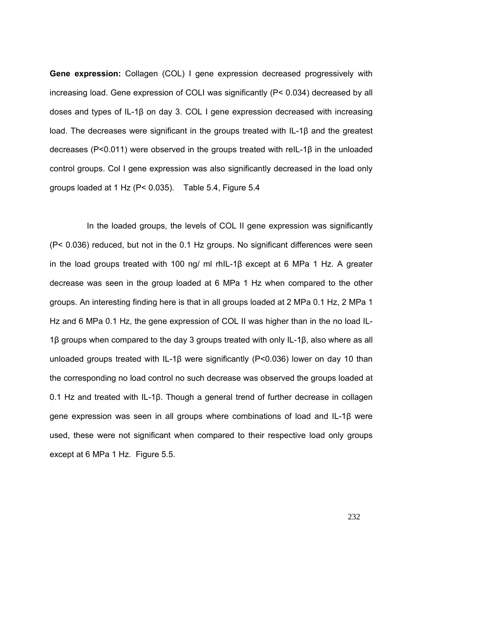**Gene expression:** Collagen (COL) I gene expression decreased progressively with increasing load. Gene expression of COLI was significantly (P< 0.034) decreased by all doses and types of IL-1β on day 3. COL I gene expression decreased with increasing load. The decreases were significant in the groups treated with IL-1β and the greatest decreases (P<0.011) were observed in the groups treated with reIL-1β in the unloaded control groups. Col I gene expression was also significantly decreased in the load only groups loaded at 1 Hz (P< 0.035). Table 5.4, Figure 5.4

In the loaded groups, the levels of COL II gene expression was significantly (P< 0.036) reduced, but not in the 0.1 Hz groups. No significant differences were seen in the load groups treated with 100 ng/ ml rhIL-1β except at 6 MPa 1 Hz. A greater decrease was seen in the group loaded at 6 MPa 1 Hz when compared to the other groups. An interesting finding here is that in all groups loaded at 2 MPa 0.1 Hz, 2 MPa 1 Hz and 6 MPa 0.1 Hz, the gene expression of COL II was higher than in the no load IL-1β groups when compared to the day 3 groups treated with only IL-1β, also where as all unloaded groups treated with IL-1β were significantly (P<0.036) lower on day 10 than the corresponding no load control no such decrease was observed the groups loaded at 0.1 Hz and treated with IL-1β. Though a general trend of further decrease in collagen gene expression was seen in all groups where combinations of load and IL-1β were used, these were not significant when compared to their respective load only groups except at 6 MPa 1 Hz. Figure 5.5.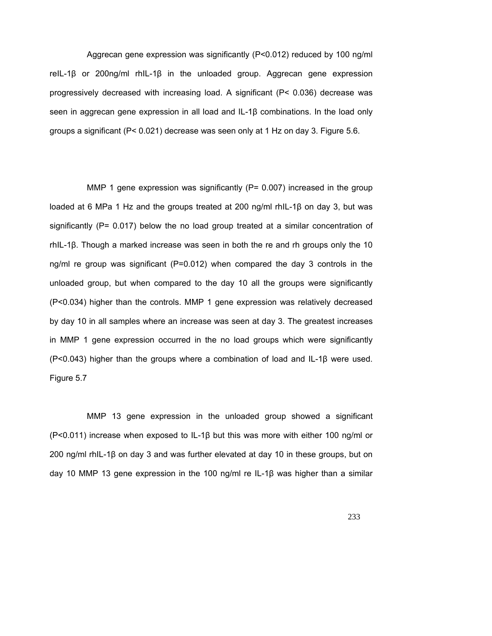Aggrecan gene expression was significantly (P<0.012) reduced by 100 ng/ml reIL-1β or 200ng/ml rhIL-1β in the unloaded group. Aggrecan gene expression progressively decreased with increasing load. A significant (P< 0.036) decrease was seen in aggrecan gene expression in all load and IL-1β combinations. In the load only groups a significant (P< 0.021) decrease was seen only at 1 Hz on day 3. Figure 5.6.

MMP 1 gene expression was significantly  $(P= 0.007)$  increased in the group loaded at 6 MPa 1 Hz and the groups treated at 200 ng/ml rhIL-1β on day 3, but was significantly ( $P = 0.017$ ) below the no load group treated at a similar concentration of rhIL-1β. Though a marked increase was seen in both the re and rh groups only the 10 ng/ml re group was significant (P=0.012) when compared the day 3 controls in the unloaded group, but when compared to the day 10 all the groups were significantly (P<0.034) higher than the controls. MMP 1 gene expression was relatively decreased by day 10 in all samples where an increase was seen at day 3. The greatest increases in MMP 1 gene expression occurred in the no load groups which were significantly (P<0.043) higher than the groups where a combination of load and IL-1β were used. Figure 5.7

MMP 13 gene expression in the unloaded group showed a significant (P<0.011) increase when exposed to IL-1β but this was more with either 100 ng/ml or 200 ng/ml rhIL-1β on day 3 and was further elevated at day 10 in these groups, but on day 10 MMP 13 gene expression in the 100 ng/ml re IL-1β was higher than a similar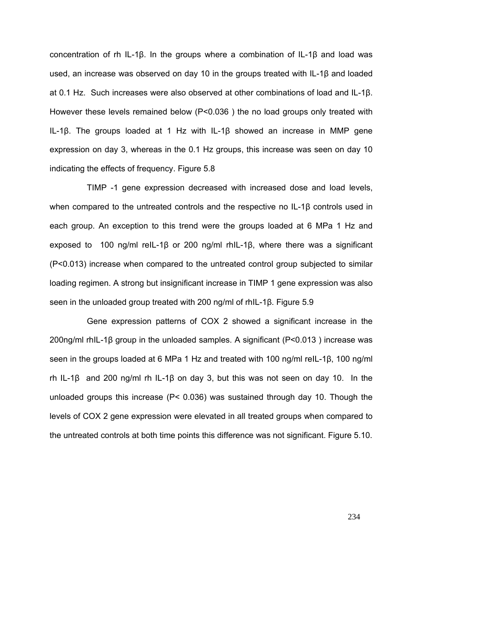concentration of rh IL-1β. In the groups where a combination of IL-1β and load was used, an increase was observed on day 10 in the groups treated with IL-1β and loaded at 0.1 Hz. Such increases were also observed at other combinations of load and IL-1β. However these levels remained below ( $P < 0.036$ ) the no load groups only treated with IL-1β. The groups loaded at 1 Hz with IL-1β showed an increase in MMP gene expression on day 3, whereas in the 0.1 Hz groups, this increase was seen on day 10 indicating the effects of frequency. Figure 5.8

TIMP -1 gene expression decreased with increased dose and load levels, when compared to the untreated controls and the respective no IL-1β controls used in each group. An exception to this trend were the groups loaded at 6 MPa 1 Hz and exposed to 100 ng/ml reIL-1β or 200 ng/ml rhIL-1β, where there was a significant (P<0.013) increase when compared to the untreated control group subjected to similar loading regimen. A strong but insignificant increase in TIMP 1 gene expression was also seen in the unloaded group treated with 200 ng/ml of rhIL-1β. Figure 5.9

Gene expression patterns of COX 2 showed a significant increase in the 200ng/ml rhIL-1β group in the unloaded samples. A significant (P<0.013 ) increase was seen in the groups loaded at 6 MPa 1 Hz and treated with 100 ng/ml reIL-1β, 100 ng/ml rh IL-1β and 200 ng/ml rh IL-1β on day 3, but this was not seen on day 10. In the unloaded groups this increase (P< 0.036) was sustained through day 10. Though the levels of COX 2 gene expression were elevated in all treated groups when compared to the untreated controls at both time points this difference was not significant. Figure 5.10.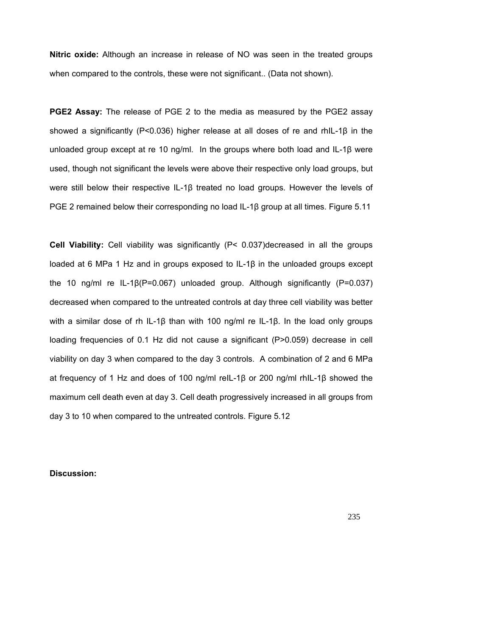**Nitric oxide:** Although an increase in release of NO was seen in the treated groups when compared to the controls, these were not significant.. (Data not shown).

**PGE2 Assay:** The release of PGE 2 to the media as measured by the PGE2 assay showed a significantly (P<0.036) higher release at all doses of re and rhIL-1β in the unloaded group except at re 10 ng/ml. In the groups where both load and IL-1β were used, though not significant the levels were above their respective only load groups, but were still below their respective IL-1β treated no load groups. However the levels of PGE 2 remained below their corresponding no load IL-1β group at all times. Figure 5.11

**Cell Viability:** Cell viability was significantly (P< 0.037)decreased in all the groups loaded at 6 MPa 1 Hz and in groups exposed to IL-1β in the unloaded groups except the 10 ng/ml re IL-1β(P=0.067) unloaded group. Although significantly (P=0.037) decreased when compared to the untreated controls at day three cell viability was better with a similar dose of rh IL-1β than with 100 ng/ml re IL-1β. In the load only groups loading frequencies of 0.1 Hz did not cause a significant (P>0.059) decrease in cell viability on day 3 when compared to the day 3 controls. A combination of 2 and 6 MPa at frequency of 1 Hz and does of 100 ng/ml reIL-1β or 200 ng/ml rhIL-1β showed the maximum cell death even at day 3. Cell death progressively increased in all groups from day 3 to 10 when compared to the untreated controls. Figure 5.12

**Discussion:**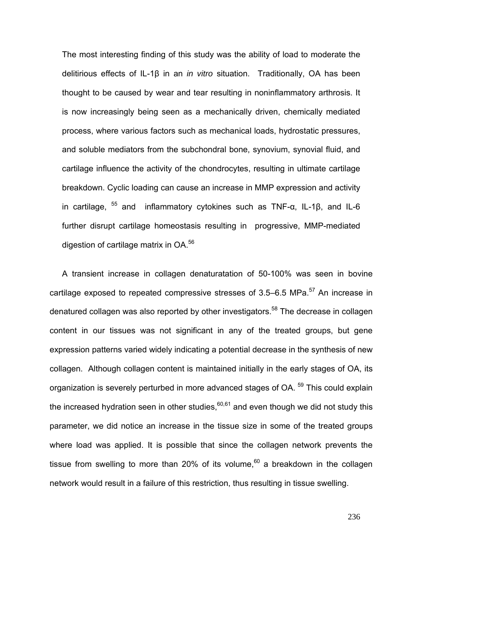The most interesting finding of this study was the ability of load to moderate the delitirious effects of IL-1β in an *in vitro* situation. Traditionally, OA has been thought to be caused by wear and tear resulting in noninflammatory arthrosis. It is now increasingly being seen as a mechanically driven, chemically mediated process, where various factors such as mechanical loads, hydrostatic pressures, and soluble mediators from the subchondral bone, synovium, synovial fluid, and cartilage influence the activity of the chondrocytes, resulting in ultimate cartilage breakdown. Cyclic loading can cause an increase in MMP expression and activity in cartilage,  $55$  and inflammatory cytokines such as TNF- $\alpha$ , IL-1 $\beta$ , and IL-6 further disrupt cartilage homeostasis resulting in progressive, MMP-mediated digestion of cartilage matrix in OA.<sup>56</sup>

A transient increase in collagen denaturatation of 50-100% was seen in bovine cartilage exposed to repeated compressive stresses of  $3.5-6.5$  MPa.<sup>57</sup> An increase in denatured collagen was also reported by other investigators.<sup>58</sup> The decrease in collagen content in our tissues was not significant in any of the treated groups, but gene expression patterns varied widely indicating a potential decrease in the synthesis of new collagen. Although collagen content is maintained initially in the early stages of OA, its organization is severely perturbed in more advanced stages of OA.<sup>59</sup> This could explain the increased hydration seen in other studies,  $60,61$  and even though we did not study this parameter, we did notice an increase in the tissue size in some of the treated groups where load was applied. It is possible that since the collagen network prevents the tissue from swelling to more than 20% of its volume, $60$  a breakdown in the collagen network would result in a failure of this restriction, thus resulting in tissue swelling.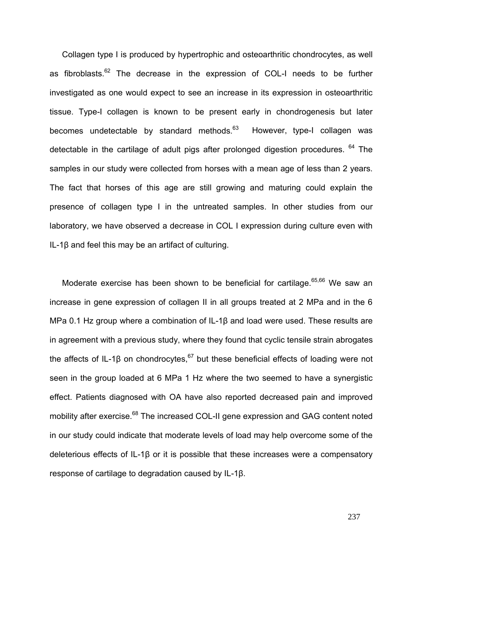Collagen type I is produced by hypertrophic and osteoarthritic chondrocytes, as well as fibroblasts. $62$  The decrease in the expression of COL-I needs to be further investigated as one would expect to see an increase in its expression in osteoarthritic tissue. Type-I collagen is known to be present early in chondrogenesis but later becomes undetectable by standard methods.<sup>63</sup> However, type-I collagen was detectable in the cartilage of adult pigs after prolonged digestion procedures.  $64$  The samples in our study were collected from horses with a mean age of less than 2 years. The fact that horses of this age are still growing and maturing could explain the presence of collagen type I in the untreated samples. In other studies from our laboratory, we have observed a decrease in COL I expression during culture even with IL-1β and feel this may be an artifact of culturing.

Moderate exercise has been shown to be beneficial for cartilage.<sup>65,66</sup> We saw an increase in gene expression of collagen II in all groups treated at 2 MPa and in the 6 MPa 0.1 Hz group where a combination of IL-1β and load were used. These results are in agreement with a previous study, where they found that cyclic tensile strain abrogates the affects of IL-1 $\beta$  on chondrocytes,  $67$  but these beneficial effects of loading were not seen in the group loaded at 6 MPa 1 Hz where the two seemed to have a synergistic effect. Patients diagnosed with OA have also reported decreased pain and improved mobility after exercise.<sup>68</sup> The increased COL-II gene expression and GAG content noted in our study could indicate that moderate levels of load may help overcome some of the deleterious effects of IL-1β or it is possible that these increases were a compensatory response of cartilage to degradation caused by IL-1β.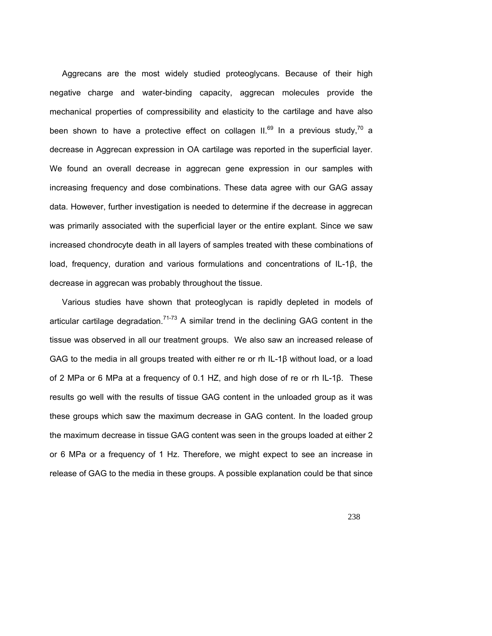Aggrecans are the most widely studied proteoglycans. Because of their high negative charge and water-binding capacity, aggrecan molecules provide the mechanical properties of compressibility and elasticity to the cartilage and have also been shown to have a protective effect on collagen  $II^{69}$  In a previous study,<sup>70</sup> a decrease in Aggrecan expression in OA cartilage was reported in the superficial layer. We found an overall decrease in aggrecan gene expression in our samples with increasing frequency and dose combinations. These data agree with our GAG assay data. However, further investigation is needed to determine if the decrease in aggrecan was primarily associated with the superficial layer or the entire explant. Since we saw increased chondrocyte death in all layers of samples treated with these combinations of load, frequency, duration and various formulations and concentrations of IL-1β, the decrease in aggrecan was probably throughout the tissue.

Various studies have shown that proteoglycan is rapidly depleted in models of articular cartilage degradation.<sup>71-73</sup> A similar trend in the declining GAG content in the tissue was observed in all our treatment groups. We also saw an increased release of GAG to the media in all groups treated with either re or rh IL-1β without load, or a load of 2 MPa or 6 MPa at a frequency of 0.1 HZ, and high dose of re or rh IL-1β. These results go well with the results of tissue GAG content in the unloaded group as it was these groups which saw the maximum decrease in GAG content. In the loaded group the maximum decrease in tissue GAG content was seen in the groups loaded at either 2 or 6 MPa or a frequency of 1 Hz. Therefore, we might expect to see an increase in release of GAG to the media in these groups. A possible explanation could be that since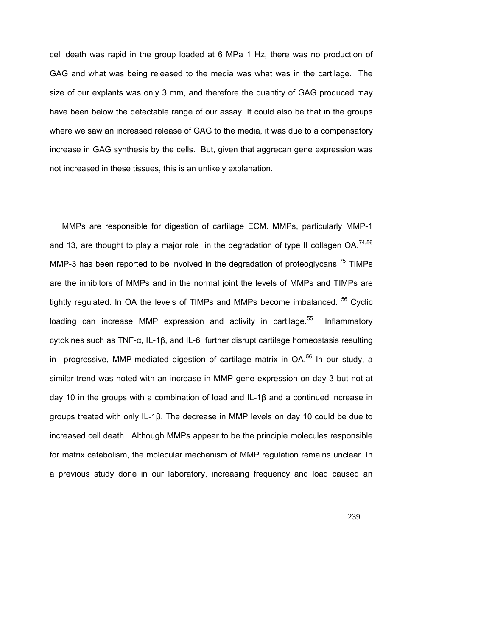cell death was rapid in the group loaded at 6 MPa 1 Hz, there was no production of GAG and what was being released to the media was what was in the cartilage. The size of our explants was only 3 mm, and therefore the quantity of GAG produced may have been below the detectable range of our assay. It could also be that in the groups where we saw an increased release of GAG to the media, it was due to a compensatory increase in GAG synthesis by the cells. But, given that aggrecan gene expression was not increased in these tissues, this is an unlikely explanation.

MMPs are responsible for digestion of cartilage ECM. MMPs, particularly MMP-1 and 13, are thought to play a major role in the degradation of type II collagen  $OA^{74,56}$ MMP-3 has been reported to be involved in the degradation of proteoglycans  $75$  TIMPs are the inhibitors of MMPs and in the normal joint the levels of MMPs and TIMPs are tightly regulated. In OA the levels of TIMPs and MMPs become imbalanced. <sup>56</sup> Cyclic loading can increase MMP expression and activity in cartilage. $55$  Inflammatory cytokines such as TNF-α, IL-1β, and IL-6 further disrupt cartilage homeostasis resulting in progressive, MMP-mediated digestion of cartilage matrix in OA.<sup>56</sup> In our study, a similar trend was noted with an increase in MMP gene expression on day 3 but not at day 10 in the groups with a combination of load and IL-1β and a continued increase in groups treated with only IL-1β. The decrease in MMP levels on day 10 could be due to increased cell death. Although MMPs appear to be the principle molecules responsible for matrix catabolism, the molecular mechanism of MMP regulation remains unclear. In a previous study done in our laboratory, increasing frequency and load caused an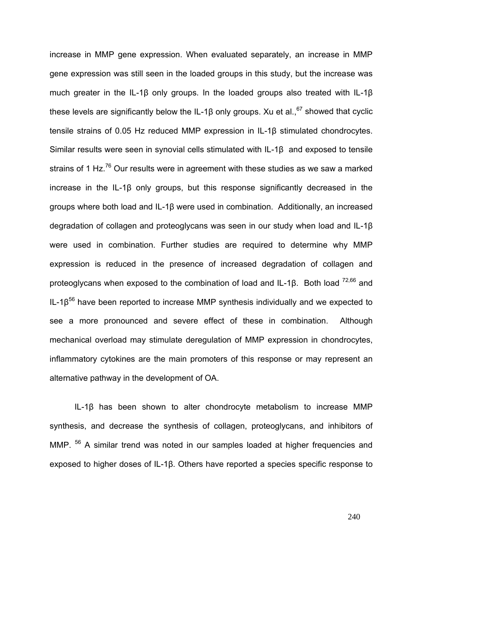increase in MMP gene expression. When evaluated separately, an increase in MMP gene expression was still seen in the loaded groups in this study, but the increase was much greater in the IL-1β only groups. In the loaded groups also treated with IL-1β these levels are significantly below the IL-1β only groups. Xu et al.,  $67$  showed that cyclic tensile strains of 0.05 Hz reduced MMP expression in IL-1β stimulated chondrocytes. Similar results were seen in synovial cells stimulated with IL-1β and exposed to tensile strains of 1 Hz. $^{76}$  Our results were in agreement with these studies as we saw a marked increase in the IL-1β only groups, but this response significantly decreased in the groups where both load and IL-1β were used in combination. Additionally, an increased degradation of collagen and proteoglycans was seen in our study when load and IL-1β were used in combination. Further studies are required to determine why MMP expression is reduced in the presence of increased degradation of collagen and proteoglycans when exposed to the combination of load and IL-1 $\beta$ . Both load  $^{72,66}$  and  $IL-1\beta^{56}$  have been reported to increase MMP synthesis individually and we expected to see a more pronounced and severe effect of these in combination. Although mechanical overload may stimulate deregulation of MMP expression in chondrocytes, inflammatory cytokines are the main promoters of this response or may represent an alternative pathway in the development of OA.

IL-1β has been shown to alter chondrocyte metabolism to increase MMP synthesis, and decrease the synthesis of collagen, proteoglycans, and inhibitors of MMP. <sup>56</sup> A similar trend was noted in our samples loaded at higher frequencies and exposed to higher doses of IL-1β. Others have reported a species specific response to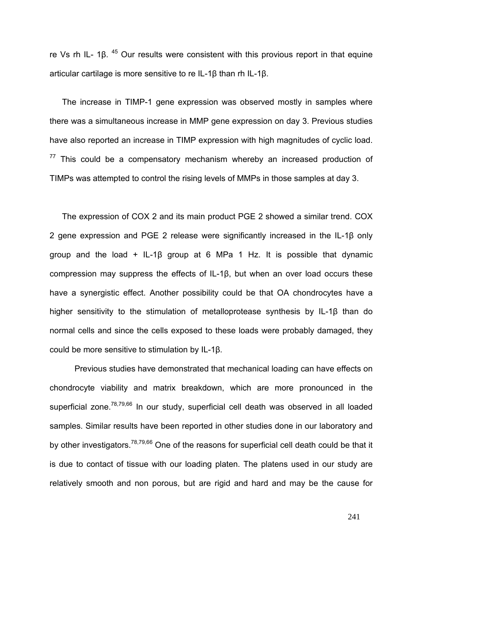re Vs rh IL- 1β. 45 Our results were consistent with this provious report in that equine articular cartilage is more sensitive to re IL-1β than rh IL-1β.

The increase in TIMP-1 gene expression was observed mostly in samples where there was a simultaneous increase in MMP gene expression on day 3. Previous studies have also reported an increase in TIMP expression with high magnitudes of cyclic load.  $77$  This could be a compensatory mechanism whereby an increased production of TIMPs was attempted to control the rising levels of MMPs in those samples at day 3.

The expression of COX 2 and its main product PGE 2 showed a similar trend. COX 2 gene expression and PGE 2 release were significantly increased in the IL-1β only group and the load + IL-1 $\beta$  group at 6 MPa 1 Hz. It is possible that dynamic compression may suppress the effects of IL-1β, but when an over load occurs these have a synergistic effect. Another possibility could be that OA chondrocytes have a higher sensitivity to the stimulation of metalloprotease synthesis by IL-1β than do normal cells and since the cells exposed to these loads were probably damaged, they could be more sensitive to stimulation by IL-1β.

Previous studies have demonstrated that mechanical loading can have effects on chondrocyte viability and matrix breakdown, which are more pronounced in the superficial zone.<sup>78,79,66</sup> In our study, superficial cell death was observed in all loaded samples. Similar results have been reported in other studies done in our laboratory and by other investigators.<sup>78,79,66</sup> One of the reasons for superficial cell death could be that it is due to contact of tissue with our loading platen. The platens used in our study are relatively smooth and non porous, but are rigid and hard and may be the cause for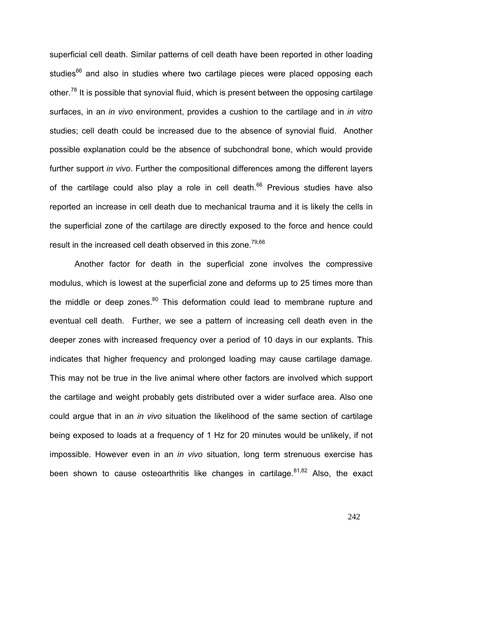superficial cell death. Similar patterns of cell death have been reported in other loading studies<sup>66</sup> and also in studies where two cartilage pieces were placed opposing each other.<sup>78</sup> It is possible that synovial fluid, which is present between the opposing cartilage surfaces, in an *in vivo* environment, provides a cushion to the cartilage and in *in vitro*  studies; cell death could be increased due to the absence of synovial fluid. Another possible explanation could be the absence of subchondral bone, which would provide further support *in vivo*. Further the compositional differences among the different layers of the cartilage could also play a role in cell death. $66$  Previous studies have also reported an increase in cell death due to mechanical trauma and it is likely the cells in the superficial zone of the cartilage are directly exposed to the force and hence could result in the increased cell death observed in this zone.<sup>79,66</sup>

Another factor for death in the superficial zone involves the compressive modulus, which is lowest at the superficial zone and deforms up to 25 times more than the middle or deep zones. $80$  This deformation could lead to membrane rupture and eventual cell death. Further, we see a pattern of increasing cell death even in the deeper zones with increased frequency over a period of 10 days in our explants. This indicates that higher frequency and prolonged loading may cause cartilage damage. This may not be true in the live animal where other factors are involved which support the cartilage and weight probably gets distributed over a wider surface area. Also one could argue that in an *in vivo* situation the likelihood of the same section of cartilage being exposed to loads at a frequency of 1 Hz for 20 minutes would be unlikely, if not impossible. However even in an *in vivo* situation, long term strenuous exercise has been shown to cause osteoarthritis like changes in cartilage. $81,82$  Also, the exact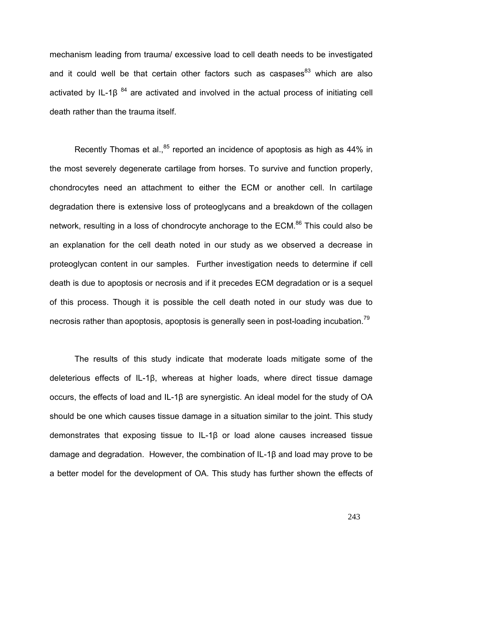mechanism leading from trauma/ excessive load to cell death needs to be investigated and it could well be that certain other factors such as caspases $^{83}$  which are also activated by IL-1 $\beta^{84}$  are activated and involved in the actual process of initiating cell death rather than the trauma itself.

Recently Thomas et al., $85$  reported an incidence of apoptosis as high as 44% in the most severely degenerate cartilage from horses. To survive and function properly, chondrocytes need an attachment to either the ECM or another cell. In cartilage degradation there is extensive loss of proteoglycans and a breakdown of the collagen network, resulting in a loss of chondrocyte anchorage to the ECM.<sup>86</sup> This could also be an explanation for the cell death noted in our study as we observed a decrease in proteoglycan content in our samples. Further investigation needs to determine if cell death is due to apoptosis or necrosis and if it precedes ECM degradation or is a sequel of this process. Though it is possible the cell death noted in our study was due to necrosis rather than apoptosis, apoptosis is generally seen in post-loading incubation.<sup>79</sup>

The results of this study indicate that moderate loads mitigate some of the deleterious effects of IL-1β, whereas at higher loads, where direct tissue damage occurs, the effects of load and IL-1β are synergistic. An ideal model for the study of OA should be one which causes tissue damage in a situation similar to the joint. This study demonstrates that exposing tissue to IL-1β or load alone causes increased tissue damage and degradation. However, the combination of IL-1β and load may prove to be a better model for the development of OA. This study has further shown the effects of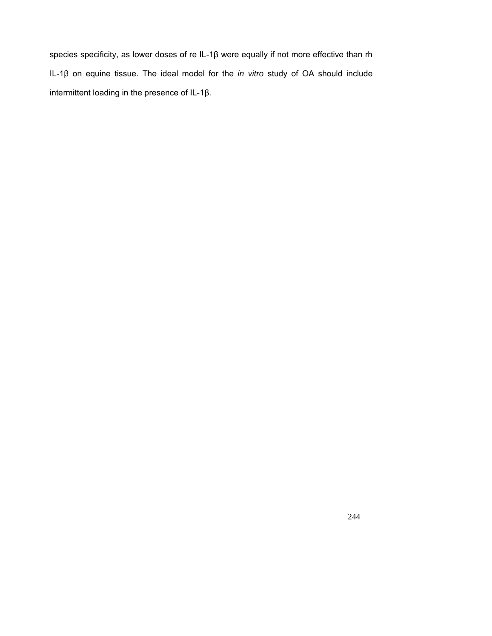species specificity, as lower doses of re IL-1β were equally if not more effective than rh IL-1β on equine tissue. The ideal model for the *in vitro* study of OA should include intermittent loading in the presence of IL-1β.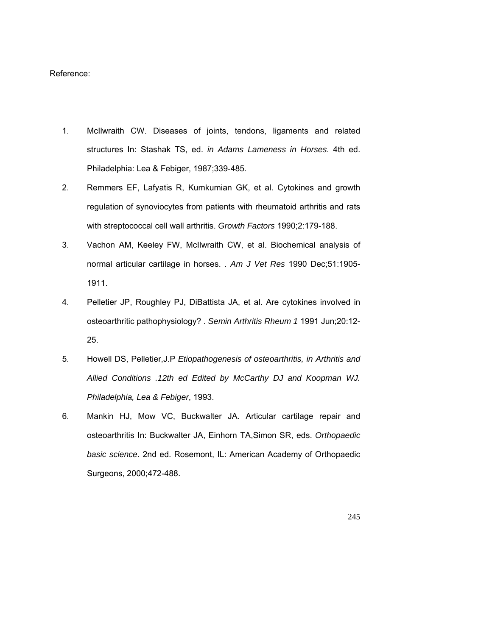## Reference:

- 1. McIlwraith CW. Diseases of joints, tendons, ligaments and related structures In: Stashak TS, ed. *in Adams Lameness in Horses*. 4th ed. Philadelphia: Lea & Febiger, 1987;339-485.
- 2. Remmers EF, Lafyatis R, Kumkumian GK, et al. Cytokines and growth regulation of synoviocytes from patients with rheumatoid arthritis and rats with streptococcal cell wall arthritis. *Growth Factors* 1990;2:179-188.
- 3. Vachon AM, Keeley FW, McIlwraith CW, et al. Biochemical analysis of normal articular cartilage in horses. . *Am J Vet Res* 1990 Dec;51:1905- 1911.
- 4. Pelletier JP, Roughley PJ, DiBattista JA, et al. Are cytokines involved in osteoarthritic pathophysiology? . *Semin Arthritis Rheum 1* 1991 Jun;20:12- 25.
- 5. Howell DS, Pelletier,J.P *Etiopathogenesis of osteoarthritis, in Arthritis and Allied Conditions .12th ed Edited by McCarthy DJ and Koopman WJ. Philadelphia, Lea & Febiger*, 1993.
- 6. Mankin HJ, Mow VC, Buckwalter JA. Articular cartilage repair and osteoarthritis In: Buckwalter JA, Einhorn TA,Simon SR, eds. *Orthopaedic basic science*. 2nd ed. Rosemont, IL: American Academy of Orthopaedic Surgeons, 2000;472-488.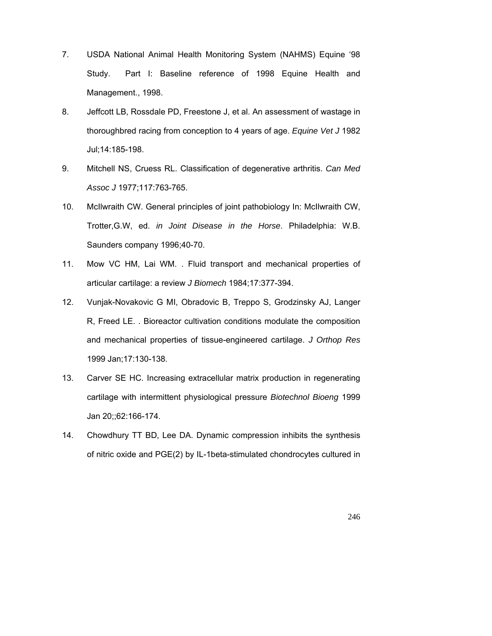- 7. USDA National Animal Health Monitoring System (NAHMS) Equine '98 Study. Part I: Baseline reference of 1998 Equine Health and Management., 1998.
- 8. Jeffcott LB, Rossdale PD, Freestone J, et al. An assessment of wastage in thoroughbred racing from conception to 4 years of age. *Equine Vet J* 1982 Jul;14:185-198.
- 9. Mitchell NS, Cruess RL. Classification of degenerative arthritis. *Can Med Assoc J* 1977;117:763-765.
- 10. McIlwraith CW. General principles of joint pathobiology In: McIlwraith CW, Trotter,G.W, ed. *in Joint Disease in the Horse*. Philadelphia: W.B. Saunders company 1996;40-70.
- 11. Mow VC HM, Lai WM. . Fluid transport and mechanical properties of articular cartilage: a review *J Biomech* 1984;17:377-394.
- 12. Vunjak-Novakovic G MI, Obradovic B, Treppo S, Grodzinsky AJ, Langer R, Freed LE. . Bioreactor cultivation conditions modulate the composition and mechanical properties of tissue-engineered cartilage. *J Orthop Res* 1999 Jan;17:130-138.
- 13. Carver SE HC. Increasing extracellular matrix production in regenerating cartilage with intermittent physiological pressure *Biotechnol Bioeng* 1999 Jan 20;;62:166-174.
- 14. Chowdhury TT BD, Lee DA. Dynamic compression inhibits the synthesis of nitric oxide and PGE(2) by IL-1beta-stimulated chondrocytes cultured in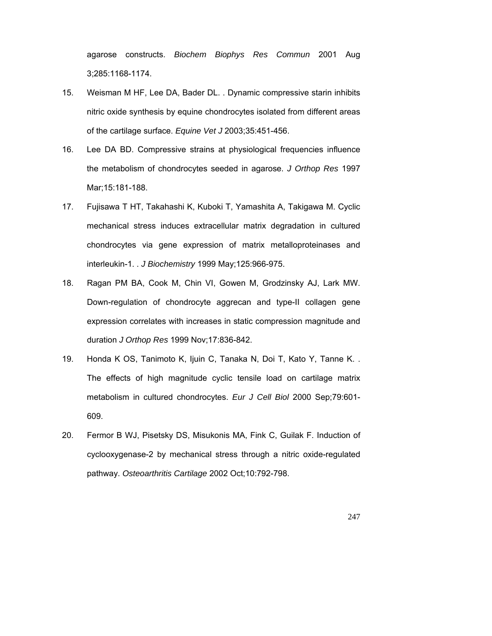agarose constructs. *Biochem Biophys Res Commun* 2001 Aug 3;285:1168-1174.

- 15. Weisman M HF, Lee DA, Bader DL. . Dynamic compressive starin inhibits nitric oxide synthesis by equine chondrocytes isolated from different areas of the cartilage surface. *Equine Vet J* 2003;35:451-456.
- 16. Lee DA BD. Compressive strains at physiological frequencies influence the metabolism of chondrocytes seeded in agarose. *J Orthop Res* 1997 Mar;15:181-188.
- 17. Fujisawa T HT, Takahashi K, Kuboki T, Yamashita A, Takigawa M. Cyclic mechanical stress induces extracellular matrix degradation in cultured chondrocytes via gene expression of matrix metalloproteinases and interleukin-1. . *J Biochemistry* 1999 May;125:966-975.
- 18. Ragan PM BA, Cook M, Chin VI, Gowen M, Grodzinsky AJ, Lark MW. Down-regulation of chondrocyte aggrecan and type-II collagen gene expression correlates with increases in static compression magnitude and duration *J Orthop Res* 1999 Nov;17:836-842.
- 19. Honda K OS, Tanimoto K, Ijuin C, Tanaka N, Doi T, Kato Y, Tanne K. . The effects of high magnitude cyclic tensile load on cartilage matrix metabolism in cultured chondrocytes. *Eur J Cell Biol* 2000 Sep;79:601- 609.
- 20. Fermor B WJ, Pisetsky DS, Misukonis MA, Fink C, Guilak F. Induction of cyclooxygenase-2 by mechanical stress through a nitric oxide-regulated pathway. *Osteoarthritis Cartilage* 2002 Oct;10:792-798.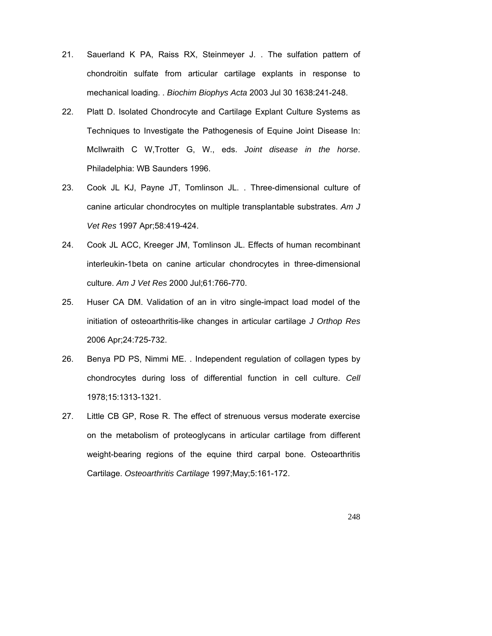- 21. Sauerland K PA, Raiss RX, Steinmeyer J. . The sulfation pattern of chondroitin sulfate from articular cartilage explants in response to mechanical loading. . *Biochim Biophys Acta* 2003 Jul 30 1638:241-248.
- 22. Platt D. Isolated Chondrocyte and Cartilage Explant Culture Systems as Techniques to Investigate the Pathogenesis of Equine Joint Disease In: McIlwraith C W,Trotter G, W., eds. *Joint disease in the horse*. Philadelphia: WB Saunders 1996.
- 23. Cook JL KJ, Payne JT, Tomlinson JL. . Three-dimensional culture of canine articular chondrocytes on multiple transplantable substrates. *Am J Vet Res* 1997 Apr;58:419-424.
- 24. Cook JL ACC, Kreeger JM, Tomlinson JL. Effects of human recombinant interleukin-1beta on canine articular chondrocytes in three-dimensional culture. *Am J Vet Res* 2000 Jul;61:766-770.
- 25. Huser CA DM. Validation of an in vitro single-impact load model of the initiation of osteoarthritis-like changes in articular cartilage *J Orthop Res* 2006 Apr;24:725-732.
- 26. Benya PD PS, Nimmi ME. . Independent regulation of collagen types by chondrocytes during loss of differential function in cell culture. *Cell* 1978;15:1313-1321.
- 27. Little CB GP, Rose R. The effect of strenuous versus moderate exercise on the metabolism of proteoglycans in articular cartilage from different weight-bearing regions of the equine third carpal bone. Osteoarthritis Cartilage. *Osteoarthritis Cartilage* 1997;May;5:161-172.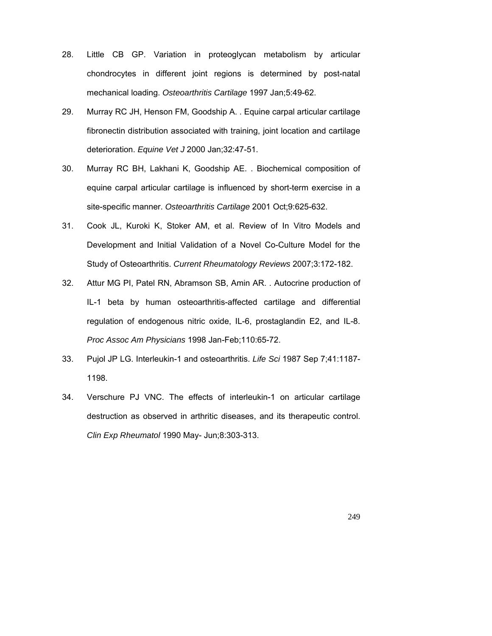- 28. Little CB GP. Variation in proteoglycan metabolism by articular chondrocytes in different joint regions is determined by post-natal mechanical loading. *Osteoarthritis Cartilage* 1997 Jan;5:49-62.
- 29. Murray RC JH, Henson FM, Goodship A. . Equine carpal articular cartilage fibronectin distribution associated with training, joint location and cartilage deterioration. *Equine Vet J* 2000 Jan;32:47-51.
- 30. Murray RC BH, Lakhani K, Goodship AE. . Biochemical composition of equine carpal articular cartilage is influenced by short-term exercise in a site-specific manner. *Osteoarthritis Cartilage* 2001 Oct;9:625-632.
- 31. Cook JL, Kuroki K, Stoker AM, et al. Review of In Vitro Models and Development and Initial Validation of a Novel Co-Culture Model for the Study of Osteoarthritis. *Current Rheumatology Reviews* 2007;3:172-182.
- 32. Attur MG PI, Patel RN, Abramson SB, Amin AR. . Autocrine production of IL-1 beta by human osteoarthritis-affected cartilage and differential regulation of endogenous nitric oxide, IL-6, prostaglandin E2, and IL-8. *Proc Assoc Am Physicians* 1998 Jan-Feb;110:65-72.
- 33. Pujol JP LG. Interleukin-1 and osteoarthritis. *Life Sci* 1987 Sep 7;41:1187- 1198.
- 34. Verschure PJ VNC. The effects of interleukin-1 on articular cartilage destruction as observed in arthritic diseases, and its therapeutic control. *Clin Exp Rheumatol* 1990 May- Jun;8:303-313.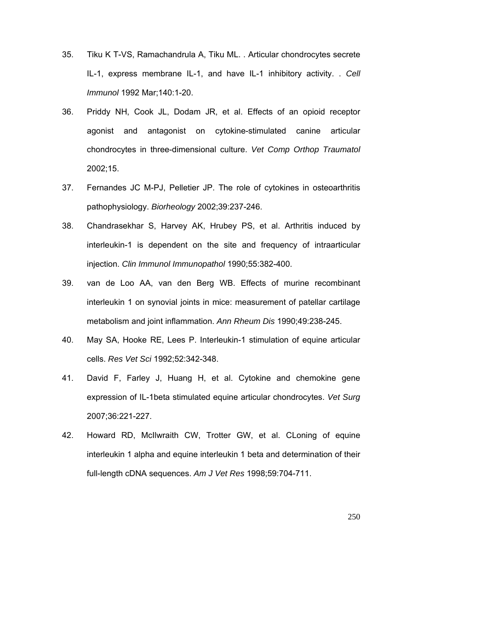- 35. Tiku K T-VS, Ramachandrula A, Tiku ML. . Articular chondrocytes secrete IL-1, express membrane IL-1, and have IL-1 inhibitory activity. . *Cell Immunol* 1992 Mar;140:1-20.
- 36. Priddy NH, Cook JL, Dodam JR, et al. Effects of an opioid receptor agonist and antagonist on cytokine-stimulated canine articular chondrocytes in three-dimensional culture. *Vet Comp Orthop Traumatol* 2002;15.
- 37. Fernandes JC M-PJ, Pelletier JP. The role of cytokines in osteoarthritis pathophysiology. *Biorheology* 2002;39:237-246.
- 38. Chandrasekhar S, Harvey AK, Hrubey PS, et al. Arthritis induced by interleukin-1 is dependent on the site and frequency of intraarticular injection. *Clin Immunol Immunopathol* 1990;55:382-400.
- 39. van de Loo AA, van den Berg WB. Effects of murine recombinant interleukin 1 on synovial joints in mice: measurement of patellar cartilage metabolism and joint inflammation. *Ann Rheum Dis* 1990;49:238-245.
- 40. May SA, Hooke RE, Lees P. Interleukin-1 stimulation of equine articular cells. *Res Vet Sci* 1992;52:342-348.
- 41. David F, Farley J, Huang H, et al. Cytokine and chemokine gene expression of IL-1beta stimulated equine articular chondrocytes. *Vet Surg* 2007;36:221-227.
- 42. Howard RD, McIlwraith CW, Trotter GW, et al. CLoning of equine interleukin 1 alpha and equine interleukin 1 beta and determination of their full-length cDNA sequences. *Am J Vet Res* 1998;59:704-711.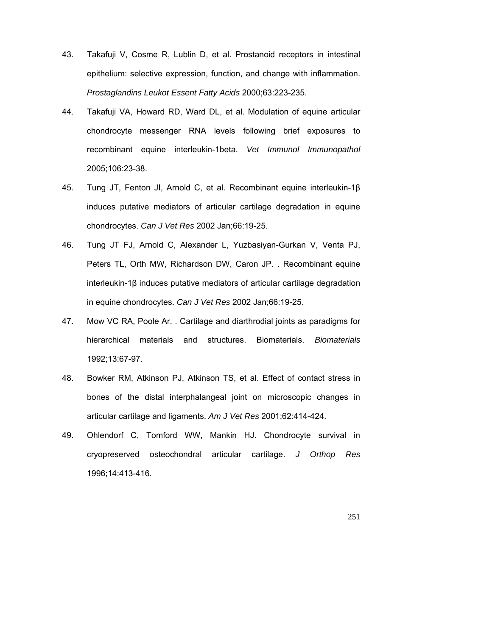- 43. Takafuji V, Cosme R, Lublin D, et al. Prostanoid receptors in intestinal epithelium: selective expression, function, and change with inflammation. *Prostaglandins Leukot Essent Fatty Acids* 2000;63:223-235.
- 44. Takafuji VA, Howard RD, Ward DL, et al. Modulation of equine articular chondrocyte messenger RNA levels following brief exposures to recombinant equine interleukin-1beta. *Vet Immunol Immunopathol* 2005;106:23-38.
- 45. Tung JT, Fenton JI, Arnold C, et al. Recombinant equine interleukin-1β induces putative mediators of articular cartilage degradation in equine chondrocytes. *Can J Vet Res* 2002 Jan;66:19-25.
- 46. Tung JT FJ, Arnold C, Alexander L, Yuzbasiyan-Gurkan V, Venta PJ, Peters TL, Orth MW, Richardson DW, Caron JP. . Recombinant equine interleukin-1β induces putative mediators of articular cartilage degradation in equine chondrocytes. *Can J Vet Res* 2002 Jan;66:19-25.
- 47. Mow VC RA, Poole Ar. . Cartilage and diarthrodial joints as paradigms for hierarchical materials and structures. Biomaterials. *Biomaterials* 1992;13:67-97.
- 48. Bowker RM, Atkinson PJ, Atkinson TS, et al. Effect of contact stress in bones of the distal interphalangeal joint on microscopic changes in articular cartilage and ligaments. *Am J Vet Res* 2001;62:414-424.
- 49. Ohlendorf C, Tomford WW, Mankin HJ. Chondrocyte survival in cryopreserved osteochondral articular cartilage. *J Orthop Res* 1996;14:413-416.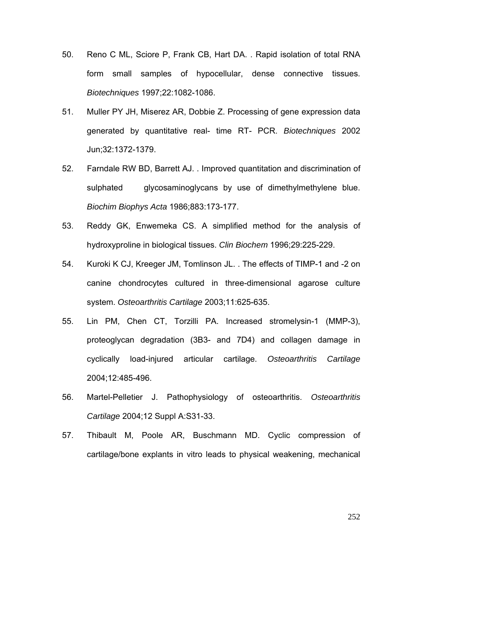- 50. Reno C ML, Sciore P, Frank CB, Hart DA. . Rapid isolation of total RNA form small samples of hypocellular, dense connective tissues. *Biotechniques* 1997;22:1082-1086.
- 51. Muller PY JH, Miserez AR, Dobbie Z. Processing of gene expression data generated by quantitative real- time RT- PCR. *Biotechniques* 2002 Jun;32:1372-1379.
- 52. Farndale RW BD, Barrett AJ. . Improved quantitation and discrimination of sulphated glycosaminoglycans by use of dimethylmethylene blue. *Biochim Biophys Acta* 1986;883:173-177.
- 53. Reddy GK, Enwemeka CS. A simplified method for the analysis of hydroxyproline in biological tissues. *Clin Biochem* 1996;29:225-229.
- 54. Kuroki K CJ, Kreeger JM, Tomlinson JL. . The effects of TIMP-1 and -2 on canine chondrocytes cultured in three-dimensional agarose culture system. *Osteoarthritis Cartilage* 2003;11:625-635.
- 55. Lin PM, Chen CT, Torzilli PA. Increased stromelysin-1 (MMP-3), proteoglycan degradation (3B3- and 7D4) and collagen damage in cyclically load-injured articular cartilage. *Osteoarthritis Cartilage* 2004;12:485-496.
- 56. Martel-Pelletier J. Pathophysiology of osteoarthritis. *Osteoarthritis Cartilage* 2004;12 Suppl A:S31-33.
- 57. Thibault M, Poole AR, Buschmann MD. Cyclic compression of cartilage/bone explants in vitro leads to physical weakening, mechanical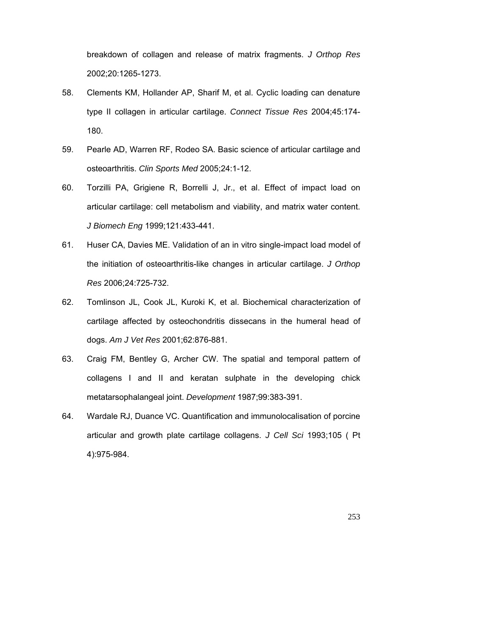breakdown of collagen and release of matrix fragments. *J Orthop Res* 2002;20:1265-1273.

- 58. Clements KM, Hollander AP, Sharif M, et al. Cyclic loading can denature type II collagen in articular cartilage. *Connect Tissue Res* 2004;45:174- 180.
- 59. Pearle AD, Warren RF, Rodeo SA. Basic science of articular cartilage and osteoarthritis. *Clin Sports Med* 2005;24:1-12.
- 60. Torzilli PA, Grigiene R, Borrelli J, Jr., et al. Effect of impact load on articular cartilage: cell metabolism and viability, and matrix water content. *J Biomech Eng* 1999;121:433-441.
- 61. Huser CA, Davies ME. Validation of an in vitro single-impact load model of the initiation of osteoarthritis-like changes in articular cartilage. *J Orthop Res* 2006;24:725-732.
- 62. Tomlinson JL, Cook JL, Kuroki K, et al. Biochemical characterization of cartilage affected by osteochondritis dissecans in the humeral head of dogs. *Am J Vet Res* 2001;62:876-881.
- 63. Craig FM, Bentley G, Archer CW. The spatial and temporal pattern of collagens I and II and keratan sulphate in the developing chick metatarsophalangeal joint. *Development* 1987;99:383-391.
- 64. Wardale RJ, Duance VC. Quantification and immunolocalisation of porcine articular and growth plate cartilage collagens. *J Cell Sci* 1993;105 ( Pt 4):975-984.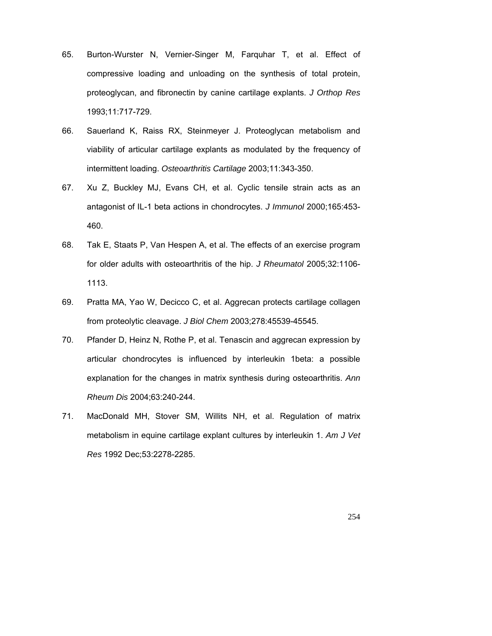- 65. Burton-Wurster N, Vernier-Singer M, Farquhar T, et al. Effect of compressive loading and unloading on the synthesis of total protein, proteoglycan, and fibronectin by canine cartilage explants. *J Orthop Res* 1993;11:717-729.
- 66. Sauerland K, Raiss RX, Steinmeyer J. Proteoglycan metabolism and viability of articular cartilage explants as modulated by the frequency of intermittent loading. *Osteoarthritis Cartilage* 2003;11:343-350.
- 67. Xu Z, Buckley MJ, Evans CH, et al. Cyclic tensile strain acts as an antagonist of IL-1 beta actions in chondrocytes. *J Immunol* 2000;165:453- 460.
- 68. Tak E, Staats P, Van Hespen A, et al. The effects of an exercise program for older adults with osteoarthritis of the hip. *J Rheumatol* 2005;32:1106- 1113.
- 69. Pratta MA, Yao W, Decicco C, et al. Aggrecan protects cartilage collagen from proteolytic cleavage. *J Biol Chem* 2003;278:45539-45545.
- 70. Pfander D, Heinz N, Rothe P, et al. Tenascin and aggrecan expression by articular chondrocytes is influenced by interleukin 1beta: a possible explanation for the changes in matrix synthesis during osteoarthritis. *Ann Rheum Dis* 2004;63:240-244.
- 71. MacDonald MH, Stover SM, Willits NH, et al. Regulation of matrix metabolism in equine cartilage explant cultures by interleukin 1. *Am J Vet Res* 1992 Dec;53:2278-2285.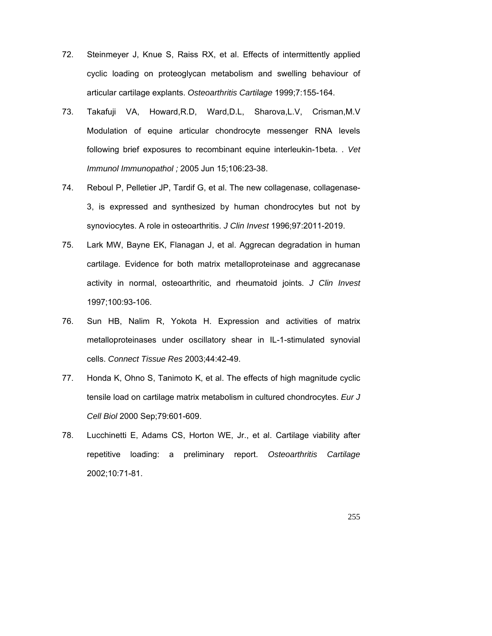- 72. Steinmeyer J, Knue S, Raiss RX, et al. Effects of intermittently applied cyclic loading on proteoglycan metabolism and swelling behaviour of articular cartilage explants. *Osteoarthritis Cartilage* 1999;7:155-164.
- 73. Takafuji VA, Howard,R.D, Ward,D.L, Sharova,L.V, Crisman,M.V Modulation of equine articular chondrocyte messenger RNA levels following brief exposures to recombinant equine interleukin-1beta. . *Vet Immunol Immunopathol ;* 2005 Jun 15;106:23-38.
- 74. Reboul P, Pelletier JP, Tardif G, et al. The new collagenase, collagenase-3, is expressed and synthesized by human chondrocytes but not by synoviocytes. A role in osteoarthritis. *J Clin Invest* 1996;97:2011-2019.
- 75. Lark MW, Bayne EK, Flanagan J, et al. Aggrecan degradation in human cartilage. Evidence for both matrix metalloproteinase and aggrecanase activity in normal, osteoarthritic, and rheumatoid joints. *J Clin Invest* 1997;100:93-106.
- 76. Sun HB, Nalim R, Yokota H. Expression and activities of matrix metalloproteinases under oscillatory shear in IL-1-stimulated synovial cells. *Connect Tissue Res* 2003;44:42-49.
- 77. Honda K, Ohno S, Tanimoto K, et al. The effects of high magnitude cyclic tensile load on cartilage matrix metabolism in cultured chondrocytes. *Eur J Cell Biol* 2000 Sep;79:601-609.
- 78. Lucchinetti E, Adams CS, Horton WE, Jr., et al. Cartilage viability after repetitive loading: a preliminary report. *Osteoarthritis Cartilage* 2002;10:71-81.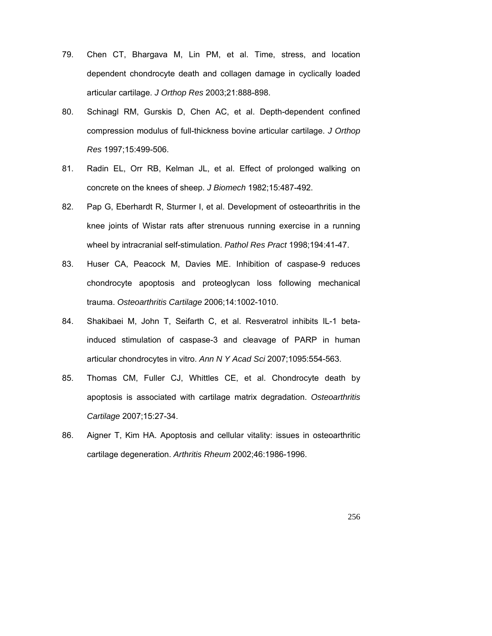- 79. Chen CT, Bhargava M, Lin PM, et al. Time, stress, and location dependent chondrocyte death and collagen damage in cyclically loaded articular cartilage. *J Orthop Res* 2003;21:888-898.
- 80. Schinagl RM, Gurskis D, Chen AC, et al. Depth-dependent confined compression modulus of full-thickness bovine articular cartilage. *J Orthop Res* 1997;15:499-506.
- 81. Radin EL, Orr RB, Kelman JL, et al. Effect of prolonged walking on concrete on the knees of sheep. *J Biomech* 1982;15:487-492.
- 82. Pap G, Eberhardt R, Sturmer I, et al. Development of osteoarthritis in the knee joints of Wistar rats after strenuous running exercise in a running wheel by intracranial self-stimulation. *Pathol Res Pract* 1998;194:41-47.
- 83. Huser CA, Peacock M, Davies ME. Inhibition of caspase-9 reduces chondrocyte apoptosis and proteoglycan loss following mechanical trauma. *Osteoarthritis Cartilage* 2006;14:1002-1010.
- 84. Shakibaei M, John T, Seifarth C, et al. Resveratrol inhibits IL-1 betainduced stimulation of caspase-3 and cleavage of PARP in human articular chondrocytes in vitro. *Ann N Y Acad Sci* 2007;1095:554-563.
- 85. Thomas CM, Fuller CJ, Whittles CE, et al. Chondrocyte death by apoptosis is associated with cartilage matrix degradation. *Osteoarthritis Cartilage* 2007;15:27-34.
- 86. Aigner T, Kim HA. Apoptosis and cellular vitality: issues in osteoarthritic cartilage degeneration. *Arthritis Rheum* 2002;46:1986-1996.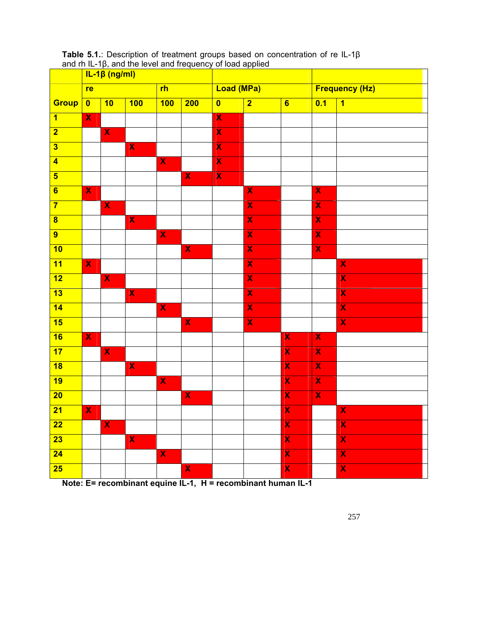|                                     | $IL-1\beta$ (ng/ml)     |                         |                         |                         |                         |                         |                         |                         |                         |                         |
|-------------------------------------|-------------------------|-------------------------|-------------------------|-------------------------|-------------------------|-------------------------|-------------------------|-------------------------|-------------------------|-------------------------|
|                                     | re                      |                         |                         | r <sub>h</sub>          |                         | <b>Load (MPa)</b>       |                         |                         | <b>Frequency (Hz)</b>   |                         |
| Group                               | $\overline{\mathbf{0}}$ | 10                      | 100                     | 100                     | 200                     | $\overline{\mathbf{0}}$ | $\overline{2}$          | $\overline{\mathbf{6}}$ | 0.1                     | $\overline{\mathbf{1}}$ |
| $\overline{1}$                      | $\overline{\mathbf{X}}$ |                         |                         |                         |                         | $\overline{\mathbf{X}}$ |                         |                         |                         |                         |
| $\overline{2}$                      |                         | $\overline{\mathbf{X}}$ |                         |                         |                         | $\overline{\mathbf{X}}$ |                         |                         |                         |                         |
| $\overline{\mathbf{3}}$             |                         |                         | $\overline{\mathbf{X}}$ |                         |                         | $\overline{\mathbf{X}}$ |                         |                         |                         |                         |
| $\overline{4}$                      |                         |                         |                         | $\overline{\mathbf{X}}$ |                         | $\overline{\mathbf{X}}$ |                         |                         |                         |                         |
| $\overline{\mathbf{5}}$             |                         |                         |                         |                         | $\overline{\mathbf{X}}$ | $\overline{\mathbf{X}}$ |                         |                         |                         |                         |
| $\overline{\mathbf{6}}$             | $\overline{\textbf{X}}$ |                         |                         |                         |                         |                         | $\overline{\mathbf{X}}$ |                         | $\overline{\mathbf{X}}$ |                         |
| $\overline{7}$                      |                         | $\overline{\mathbf{X}}$ |                         |                         |                         |                         | $\overline{\mathbf{X}}$ |                         | $\overline{\mathbf{X}}$ |                         |
| $\overline{\mathbf{8}}$             |                         |                         | $\overline{\mathbf{X}}$ |                         |                         |                         | $\overline{\mathbf{X}}$ |                         | $\overline{\mathbf{X}}$ |                         |
| $\overline{9}$                      |                         |                         |                         | $\overline{\mathbf{X}}$ |                         |                         | $\overline{\textbf{X}}$ |                         | $\overline{\textbf{X}}$ |                         |
| 10                                  |                         |                         |                         |                         | $\overline{\mathbf{X}}$ |                         | $\overline{\mathbf{X}}$ |                         | $\overline{\mathbf{X}}$ |                         |
| $\overline{11}$                     | $\overline{\mathbf{X}}$ |                         |                         |                         |                         |                         | $\overline{\textbf{X}}$ |                         |                         | $\overline{\mathbf{X}}$ |
| $\overline{12}$                     |                         | $\overline{\mathbf{X}}$ |                         |                         |                         |                         | $\overline{\textbf{X}}$ |                         |                         | $\overline{\textsf{x}}$ |
| 13                                  |                         |                         | $\overline{\mathbf{X}}$ |                         |                         |                         | $\overline{\mathbf{X}}$ |                         |                         | $\overline{\mathbf{X}}$ |
| $\overline{14}$                     |                         |                         |                         | $\overline{\mathbf{X}}$ |                         |                         | $\overline{\mathbf{X}}$ |                         |                         | $\overline{\textbf{x}}$ |
| $\overline{\overline{\mathbf{15}}}$ |                         |                         |                         |                         | $\overline{\mathbf{X}}$ |                         | $\overline{\textbf{X}}$ |                         |                         | $\overline{\textbf{x}}$ |
| 16                                  | $\overline{\mathbf{X}}$ |                         |                         |                         |                         |                         |                         | $\overline{\textbf{X}}$ | $\overline{\mathbf{X}}$ |                         |
| $\overline{17}$                     |                         | $\overline{\textbf{X}}$ |                         |                         |                         |                         |                         | $\overline{\textbf{x}}$ | $\overline{\textbf{X}}$ |                         |
| $\overline{18}$                     |                         |                         | $\overline{\mathsf{x}}$ |                         |                         |                         |                         | $\overline{\textbf{X}}$ | $\overline{\mathbf{X}}$ |                         |
| 19                                  |                         |                         |                         | $\overline{\mathbf{X}}$ |                         |                         |                         | $\overline{\mathbf{X}}$ | $\overline{\mathbf{X}}$ |                         |
| $\overline{20}$                     |                         |                         |                         |                         | $\overline{\textbf{X}}$ |                         |                         | $\overline{\textbf{x}}$ | $\overline{\textbf{X}}$ |                         |
| $\overline{21}$                     | $\overline{\mathbf{X}}$ |                         |                         |                         |                         |                         |                         | $\overline{\textbf{x}}$ |                         | $\overline{\mathbf{X}}$ |
| $\overline{22}$                     |                         | $\overline{\mathbf{X}}$ |                         |                         |                         |                         |                         | $\overline{\mathbf{X}}$ |                         | $\overline{\mathsf{x}}$ |
| $\overline{23}$                     |                         |                         | $\overline{\mathbf{X}}$ |                         |                         |                         |                         | $\overline{\textbf{x}}$ |                         | $\overline{\textbf{x}}$ |
| $\overline{24}$                     |                         |                         |                         | $\overline{\mathbf{X}}$ |                         |                         |                         | $\overline{\textbf{x}}$ |                         | $\overline{\textbf{x}}$ |
| $\overline{25}$                     |                         |                         |                         |                         | $\overline{\mathbf{X}}$ |                         |                         | $\overline{\mathbf{X}}$ |                         | $\overline{\mathbf{X}}$ |

**Table 5.1.**: Description of treatment groups based on concentration of re IL-1β and rh IL-1β, and the level and frequency of load applied

**Note: E= recombinant equine IL-1, H = recombinant human IL-1**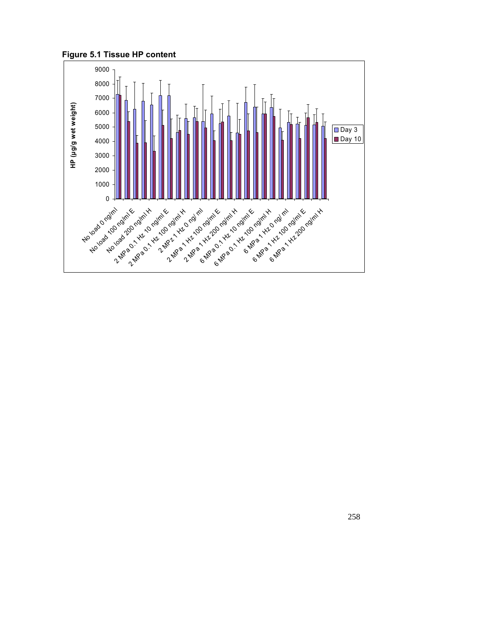**Figure 5.1 Tissue HP content** 

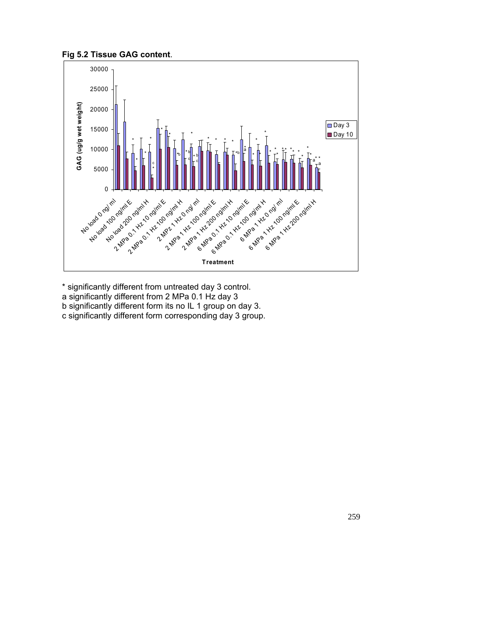



\* significantly different from untreated day 3 control.

- a significantly different from 2 MPa 0.1 Hz day 3
- b significantly different form its no IL 1 group on day 3.
- c significantly different form corresponding day 3 group.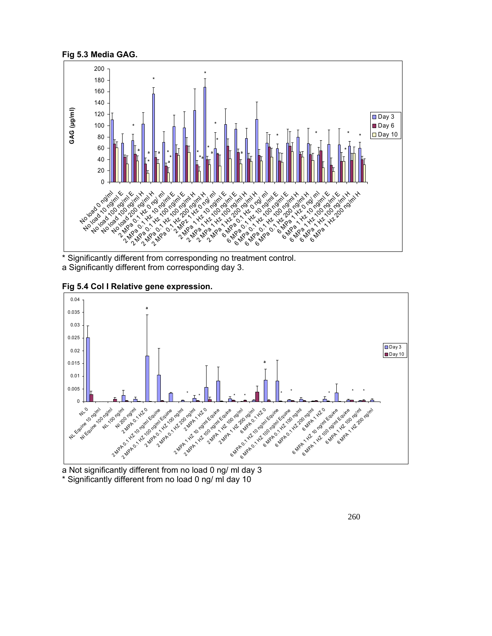

<sup>\*</sup> Significantly different from corresponding no treatment control. a Significantly different from corresponding day 3.



**Fig 5.4 Col I Relative gene expression.**

a Not significantly different from no load 0 ng/ ml day 3 \* Significantly different from no load 0 ng/ ml day 10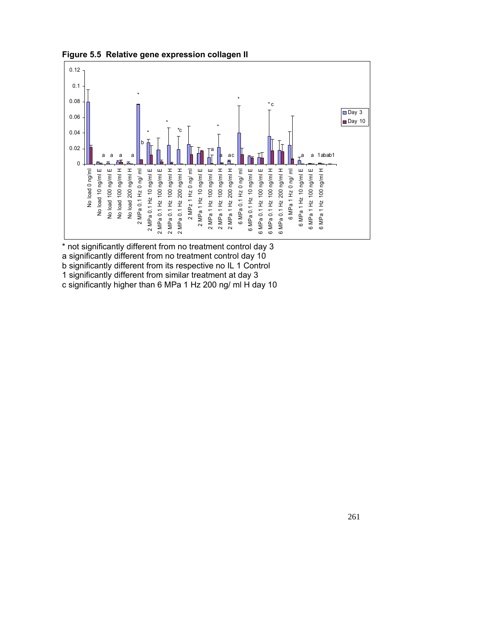

**Figure 5.5 Relative gene expression collagen II** 

\* not significantly different from no treatment control day 3 a significantly different from no treatment control day 10 b significantly different from its respective no IL 1 Control 1 significantly different from similar treatment at day 3 c significantly higher than 6 MPa 1 Hz 200 ng/ ml H day 10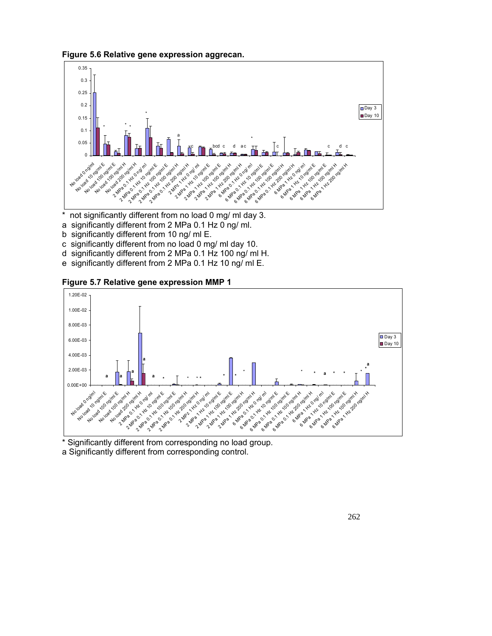**Figure 5.6 Relative gene expression aggrecan.**



- \* not significantly different from no load 0 mg/ ml day 3.
- a significantly different from 2 MPa 0.1 Hz 0 ng/ ml.
- b significantly different from 10 ng/ ml E.
- c significantly different from no load 0 mg/ ml day 10.
- d significantly different from 2 MPa 0.1 Hz 100 ng/ ml H.
- e significantly different from 2 MPa 0.1 Hz 10 ng/ ml E.





\* Significantly different from corresponding no load group. a Significantly different from corresponding control.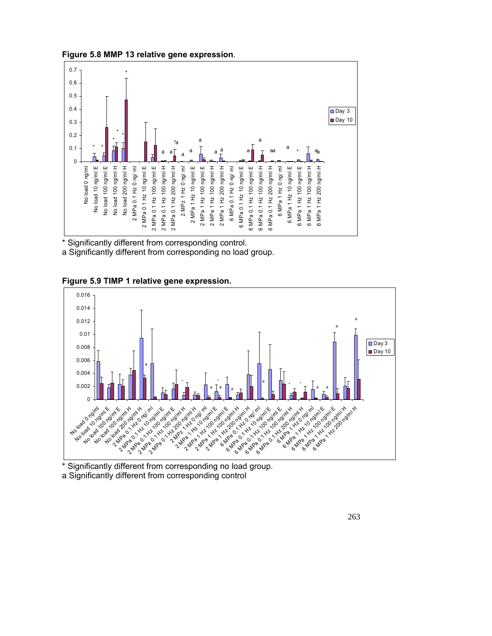**Figure 5.8 MMP 13 relative gene expression**.



\* Significantly different from corresponding control. a Significantly different from corresponding no load group.





Significantly different from corresponding no load group. a Significantly different from corresponding control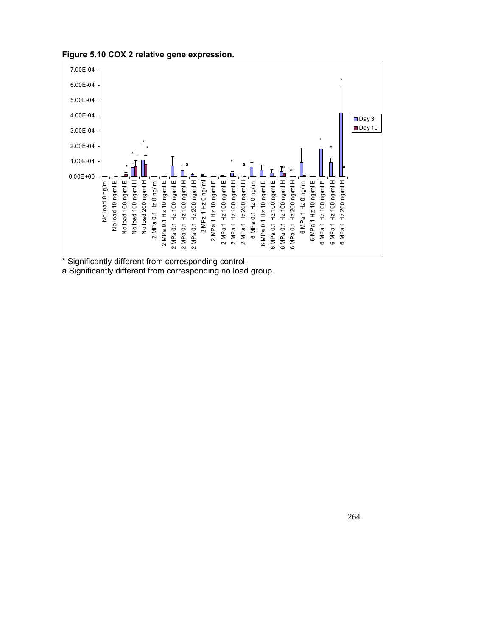



\* Significantly different from corresponding control.

a Significantly different from corresponding no load group.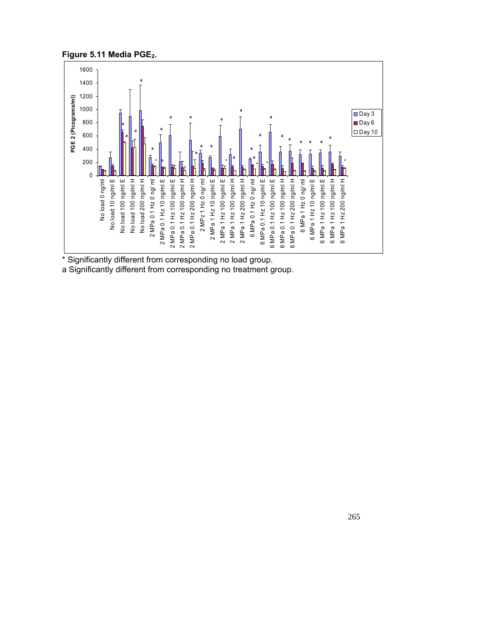



\* Significantly different from corresponding no load group.

a Significantly different from corresponding no treatment group.